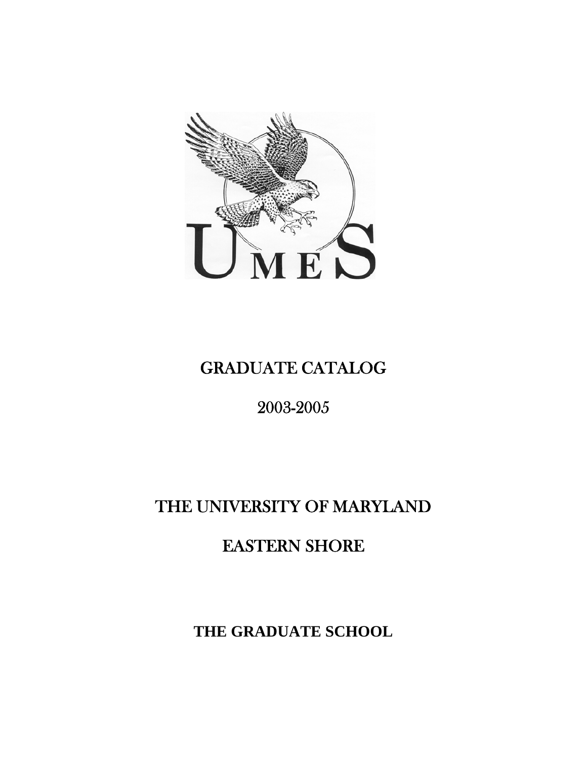

# GRADUATE CATALOG

# 2003-2005

# THE UNIVERSITY OF MARYLAND

# EASTERN SHORE

**THE GRADUATE SCHOOL**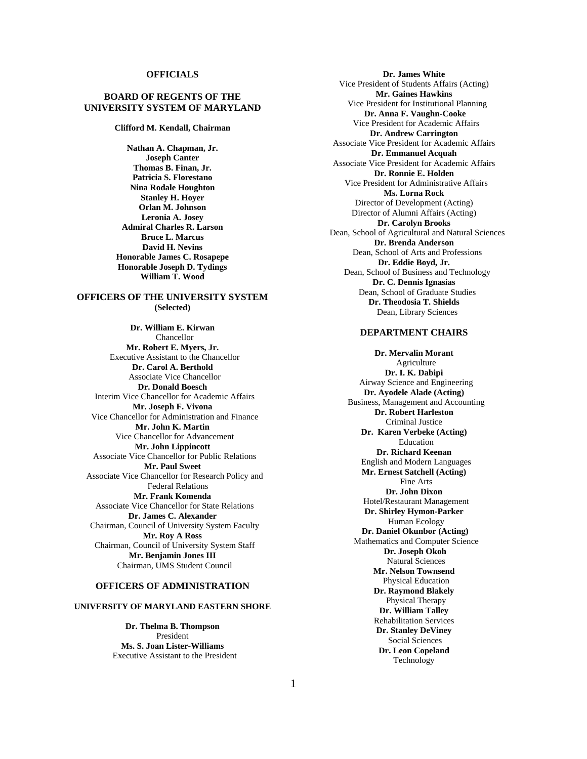#### **OFFICIALS**

#### **BOARD OF REGENTS OF THE UNIVERSITY SYSTEM OF MARYLAND**

**Clifford M. Kendall, Chairman** 

**Nathan A. Chapman, Jr. Joseph Canter Thomas B. Finan, Jr. Patricia S. Florestano Nina Rodale Houghton Stanley H. Hoyer Orlan M. Johnson Leronia A. Josey Admiral Charles R. Larson Bruce L. Marcus David H. Nevins Honorable James C. Rosapepe Honorable Joseph D. Tydings William T. Wood** 

#### **OFFICERS OF THE UNIVERSITY SYSTEM (Selected)**

**Dr. William E. Kirwan**  Chancellor **Mr. Robert E. Myers, Jr.** Executive Assistant to the Chancellor **Dr. Carol A. Berthold** Associate Vice Chancellor **Dr. Donald Boesch** Interim Vice Chancellor for Academic Affairs **Mr. Joseph F. Vivona**  Vice Chancellor for Administration and Finance **Mr. John K. Martin** Vice Chancellor for Advancement **Mr. John Lippincott**  Associate Vice Chancellor for Public Relations **Mr. Paul Sweet** Associate Vice Chancellor for Research Policy and Federal Relations **Mr. Frank Komenda** Associate Vice Chancellor for State Relations **Dr. James C. Alexander** Chairman, Council of University System Faculty **Mr. Roy A Ross** Chairman, Council of University System Staff **Mr. Benjamin Jones III** Chairman, UMS Student Council

#### **OFFICERS OF ADMINISTRATION**

#### **UNIVERSITY OF MARYLAND EASTERN SHORE**

**Dr. Thelma B. Thompson** President **Ms. S. Joan Lister-Williams**  Executive Assistant to the President

**Dr. James White**  Vice President of Students Affairs (Acting) **Mr. Gaines Hawkins**  Vice President for Institutional Planning **Dr. Anna F. Vaughn-Cooke** Vice President for Academic Affairs **Dr. Andrew Carrington**  Associate Vice President for Academic Affairs **Dr. Emmanuel Acquah**  Associate Vice President for Academic Affairs **Dr. Ronnie E. Holden** Vice President for Administrative Affairs **Ms. Lorna Rock**  Director of Development (Acting) Director of Alumni Affairs (Acting) **Dr. Carolyn Brooks** Dean, School of Agricultural and Natural Sciences **Dr. Brenda Anderson** Dean, School of Arts and Professions **Dr. Eddie Boyd, Jr.** Dean, School of Business and Technology **Dr. C. Dennis Ignasias**  Dean, School of Graduate Studies **Dr. Theodosia T. Shields**  Dean, Library Sciences

#### **DEPARTMENT CHAIRS**

**Dr. Mervalin Morant** Agriculture **Dr. I. K. Dabipi**  Airway Science and Engineering **Dr. Ayodele Alade (Acting)** Business, Management and Accounting **Dr. Robert Harleston**  Criminal Justice **Dr. Karen Verbeke (Acting)**  Education **Dr. Richard Keenan** English and Modern Languages **Mr. Ernest Satchell (Acting)**  Fine Arts **Dr. John Dixon** Hotel/Restaurant Management **Dr. Shirley Hymon-Parker** Human Ecology  **Dr. Daniel Okunbor (Acting)** Mathematics and Computer Science  **Dr. Joseph Okoh**  Natural Sciences **Mr. Nelson Townsend** Physical Education **Dr. Raymond Blakely**  Physical Therapy **Dr. William Talley**  Rehabilitation Services **Dr. Stanley DeViney**  Social Sciences **Dr. Leon Copeland**  Technology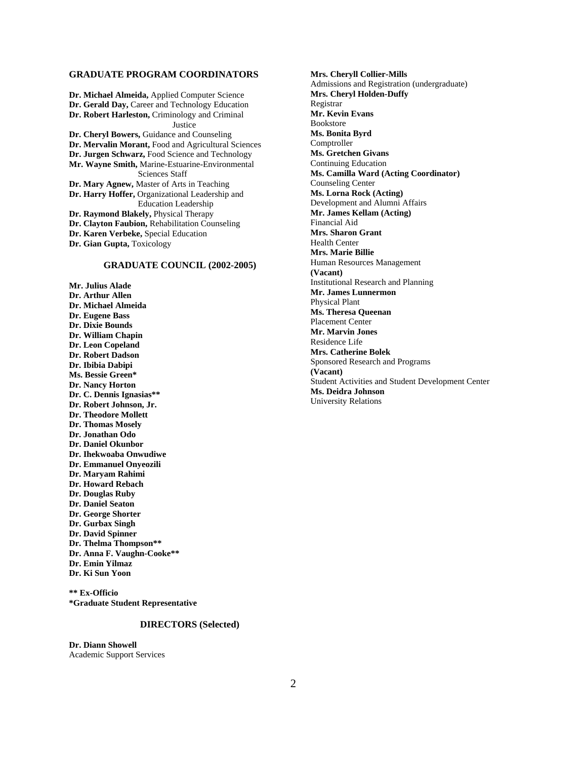#### **GRADUATE PROGRAM COORDINATORS**

**Dr. Michael Almeida,** Applied Computer Science **Dr. Gerald Day,** Career and Technology Education **Dr. Robert Harleston,** Criminology and Criminal **Justice Dr. Cheryl Bowers,** Guidance and Counseling **Dr. Mervalin Morant,** Food and Agricultural Sciences **Dr. Jurgen Schwarz,** Food Science and Technology **Mr. Wayne Smith,** Marine-Estuarine-Environmental Sciences Staff **Dr. Mary Agnew,** Master of Arts in Teaching **Dr. Harry Hoffer,** Organizational Leadership and Education Leadership **Dr. Raymond Blakely,** Physical Therapy **Dr. Clayton Faubion,** Rehabilitation Counseling **Dr. Karen Verbeke,** Special Education **Dr. Gian Gupta,** Toxicology

#### **GRADUATE COUNCIL (2002-2005)**

**Mr. Julius Alade Dr. Arthur Allen Dr. Michael Almeida Dr. Eugene Bass Dr. Dixie Bounds Dr. William Chapin Dr. Leon Copeland Dr. Robert Dadson Dr. Ibibia Dabipi Ms. Bessie Green\* Dr. Nancy Horton Dr. C. Dennis Ignasias\*\* Dr. Robert Johnson, Jr. Dr. Theodore Mollett Dr. Thomas Mosely Dr. Jonathan Odo Dr. Daniel Okunbor Dr. Ihekwoaba Onwudiwe Dr. Emmanuel Onyeozili Dr. Maryam Rahimi Dr. Howard Rebach Dr. Douglas Ruby Dr. Daniel Seaton Dr. George Shorter Dr. Gurbax Singh Dr. David Spinner Dr. Thelma Thompson\*\* Dr. Anna F. Vaughn-Cooke\*\* Dr. Emin Yilmaz Dr. Ki Sun Yoon** 

**\*\* Ex-Officio \*Graduate Student Representative**

#### **DIRECTORS (Selected)**

**Dr. Diann Showell**  Academic Support Services

**Mrs. Cheryll Collier-Mills** Admissions and Registration (undergraduate) **Mrs. Cheryl Holden-Duffy** Registrar **Mr. Kevin Evans** Bookstore **Ms. Bonita Byrd** Comptroller **Ms. Gretchen Givans** Continuing Education **Ms. Camilla Ward (Acting Coordinator)**  Counseling Center **Ms. Lorna Rock (Acting)**  Development and Alumni Affairs **Mr. James Kellam (Acting)** Financial Aid **Mrs. Sharon Grant** Health Center **Mrs. Marie Billie** Human Resources Management **(Vacant)** Institutional Research and Planning **Mr. James Lunnermon** Physical Plant **Ms. Theresa Queenan** Placement Center **Mr. Marvin Jones** Residence Life **Mrs. Catherine Bolek** Sponsored Research and Programs **(Vacant)** Student Activities and Student Development Center **Ms. Deidra Johnson** University Relations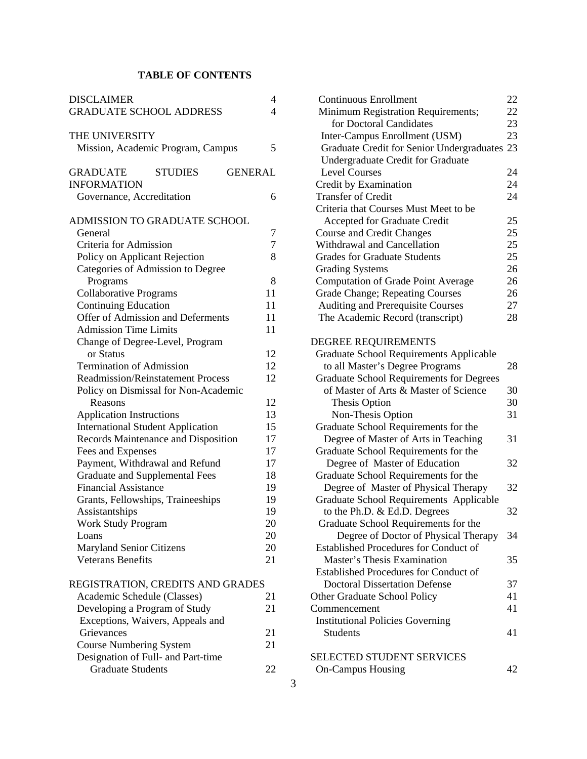# **TABLE OF CONTENTS**

| <b>DISCLAIMER</b>                                   | 4  |
|-----------------------------------------------------|----|
| <b>GRADUATE SCHOOL ADDRESS</b>                      | 4  |
| THE UNIVERSITY                                      |    |
| Mission, Academic Program, Campus                   | 5  |
| <b>GRADUATE</b><br><b>GENERAL</b><br><b>STUDIES</b> |    |
| <b>INFORMATION</b>                                  |    |
| Governance, Accreditation                           | 6  |
| ADMISSION TO GRADUATE SCHOOL                        |    |
| General                                             | 7  |
| Criteria for Admission                              | 7  |
| Policy on Applicant Rejection                       | 8  |
| Categories of Admission to Degree                   |    |
| Programs                                            | 8  |
| <b>Collaborative Programs</b>                       | 11 |
| <b>Continuing Education</b>                         | 11 |
| Offer of Admission and Deferments                   | 11 |
| <b>Admission Time Limits</b>                        | 11 |
| Change of Degree-Level, Program                     |    |
| or Status                                           | 12 |
| <b>Termination of Admission</b>                     | 12 |
| <b>Readmission/Reinstatement Process</b>            | 12 |
| Policy on Dismissal for Non-Academic                |    |
| Reasons                                             | 12 |
| <b>Application Instructions</b>                     | 13 |
| <b>International Student Application</b>            | 15 |
| Records Maintenance and Disposition                 | 17 |
| Fees and Expenses                                   | 17 |
| Payment, Withdrawal and Refund                      | 17 |
| <b>Graduate and Supplemental Fees</b>               | 18 |
| <b>Financial Assistance</b>                         | 19 |
| Grants, Fellowships, Traineeships                   | 19 |
| Assistantships                                      | 19 |
| <b>Work Study Program</b>                           | 20 |
| Loans                                               | 20 |
| <b>Maryland Senior Citizens</b>                     | 20 |
| <b>Veterans Benefits</b>                            | 21 |
| REGISTRATION, CREDITS AND GRADES                    |    |

| Academic Schedule (Classes)        | 21 |
|------------------------------------|----|
| Developing a Program of Study      | 21 |
| Exceptions, Waivers, Appeals and   |    |
| Grievances                         | 21 |
| <b>Course Numbering System</b>     | 21 |
| Designation of Full- and Part-time |    |
| <b>Graduate Students</b>           |    |
|                                    |    |

| <b>Continuous Enrollment</b>                    | 22 |
|-------------------------------------------------|----|
| Minimum Registration Requirements;              | 22 |
| for Doctoral Candidates                         | 23 |
| Inter-Campus Enrollment (USM)                   | 23 |
| Graduate Credit for Senior Undergraduates 23    |    |
| Undergraduate Credit for Graduate               |    |
| <b>Level Courses</b>                            | 24 |
| Credit by Examination                           | 24 |
| <b>Transfer of Credit</b>                       | 24 |
| Criteria that Courses Must Meet to be           |    |
| Accepted for Graduate Credit                    | 25 |
| <b>Course and Credit Changes</b>                | 25 |
| Withdrawal and Cancellation                     | 25 |
| <b>Grades for Graduate Students</b>             | 25 |
| <b>Grading Systems</b>                          | 26 |
| <b>Computation of Grade Point Average</b>       | 26 |
| Grade Change; Repeating Courses                 | 26 |
| Auditing and Prerequisite Courses               | 27 |
| The Academic Record (transcript)                | 28 |
|                                                 |    |
| DEGREE REQUIREMENTS                             |    |
| <b>Graduate School Requirements Applicable</b>  |    |
| to all Master's Degree Programs                 | 28 |
| <b>Graduate School Requirements for Degrees</b> |    |
| of Master of Arts & Master of Science           | 30 |
| Thesis Option                                   | 30 |
| Non-Thesis Option                               | 31 |
| Graduate School Requirements for the            |    |
| Degree of Master of Arts in Teaching            | 31 |
| Graduate School Requirements for the            |    |
| Degree of Master of Education                   | 32 |
| Graduate School Requirements for the            |    |
| Degree of Master of Physical Therapy            | 32 |
| <b>Graduate School Requirements Applicable</b>  |    |
| to the Ph.D. & Ed.D. Degrees                    | 32 |
| Graduate School Requirements for the            |    |
| Degree of Doctor of Physical Therapy            | 34 |
| <b>Established Procedures for Conduct of</b>    |    |
| Master's Thesis Examination                     | 35 |
|                                                 |    |
| <b>Established Procedures for Conduct of</b>    |    |
| <b>Doctoral Dissertation Defense</b>            | 37 |
| <b>Other Graduate School Policy</b>             | 41 |
| Commencement                                    | 41 |
| <b>Institutional Policies Governing</b>         |    |
| Students                                        | 41 |
| SELECTED STUDENT SERVICES                       |    |
| <b>On-Campus Housing</b>                        | 42 |
|                                                 |    |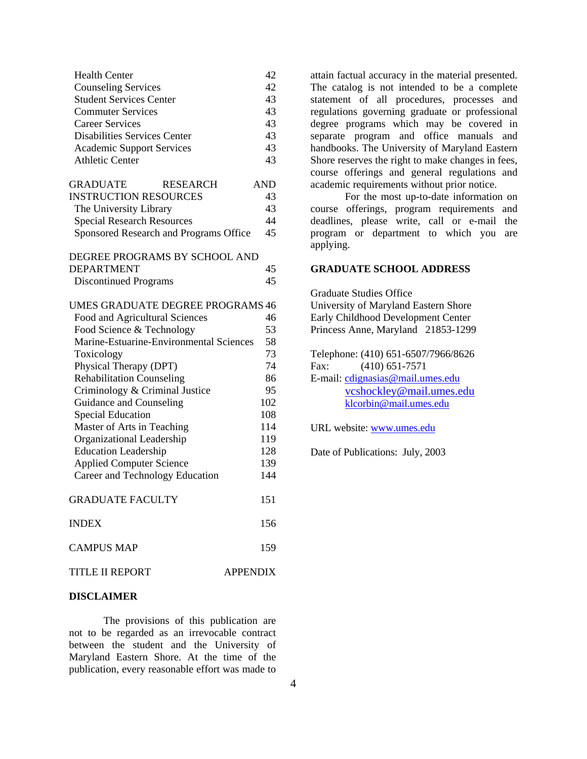| <b>Health Center</b>             |    |
|----------------------------------|----|
| <b>Counseling Services</b>       | 42 |
| <b>Student Services Center</b>   | 43 |
| <b>Commuter Services</b>         | 43 |
| Career Services                  | 43 |
| Disabilities Services Center     | 43 |
| <b>Academic Support Services</b> | 43 |
| <b>Athletic Center</b>           | 43 |

| <b>GRADUATE</b>                   | <b>RESEARCH</b>                        | <b>AND</b> |
|-----------------------------------|----------------------------------------|------------|
| <b>INSTRUCTION RESOURCES</b>      |                                        | 43         |
| The University Library            |                                        | 43         |
| <b>Special Research Resources</b> |                                        | 44         |
|                                   | Sponsored Research and Programs Office | 45         |

DEGREE PROGRAMS BY SCHOOL AND DEPARTMENT 45 Discontinued Programs 45

| UMES GRADUATE DEGREE PROGRAMS 46        |     |
|-----------------------------------------|-----|
| Food and Agricultural Sciences          | 46  |
| Food Science & Technology               | 53  |
| Marine-Estuarine-Environmental Sciences | 58  |
| Toxicology                              | 73  |
| Physical Therapy (DPT)                  | 74  |
| <b>Rehabilitation Counseling</b>        | 86  |
| Criminology & Criminal Justice          | 95  |
| Guidance and Counseling                 | 102 |
| <b>Special Education</b>                | 108 |
| Master of Arts in Teaching              | 114 |
| Organizational Leadership               | 119 |
| <b>Education Leadership</b>             | 128 |
| <b>Applied Computer Science</b>         | 139 |
| Career and Technology Education         | 144 |
| <b>GRADUATE FACULTY</b>                 | 151 |
| <b>INDEX</b>                            | 156 |
| <b>CAMPUS MAP</b>                       | 159 |
| TITLE II REPORT<br><b>APPENDIX</b>      |     |

#### **DISCLAIMER**

The provisions of this publication are not to be regarded as an irrevocable contract between the student and the University of Maryland Eastern Shore. At the time of the publication, every reasonable effort was made to

attain factual accuracy in the material presented. The catalog is not intended to be a complete statement of all procedures, processes and regulations governing graduate or professional degree programs which may be covered in separate program and office manuals and handbooks. The University of Maryland Eastern Shore reserves the right to make changes in fees, course offerings and general regulations and academic requirements without prior notice.

For the most up-to-date information on course offerings, program requirements and deadlines, please write, call or e-mail the program or department to which you are applying.

#### **GRADUATE SCHOOL ADDRESS**

Graduate Studies Office University of Maryland Eastern Shore Early Childhood Development Center Princess Anne, Maryland 21853-1299

Telephone: (410) 651-6507/7966/8626 Fax: (410) 651-7571 E-mail: cdignasias@mail.umes.edu vcshockley@mail.umes.edu klcorbin@mail.umes.edu

URL website: www.umes.edu

Date of Publications: July, 2003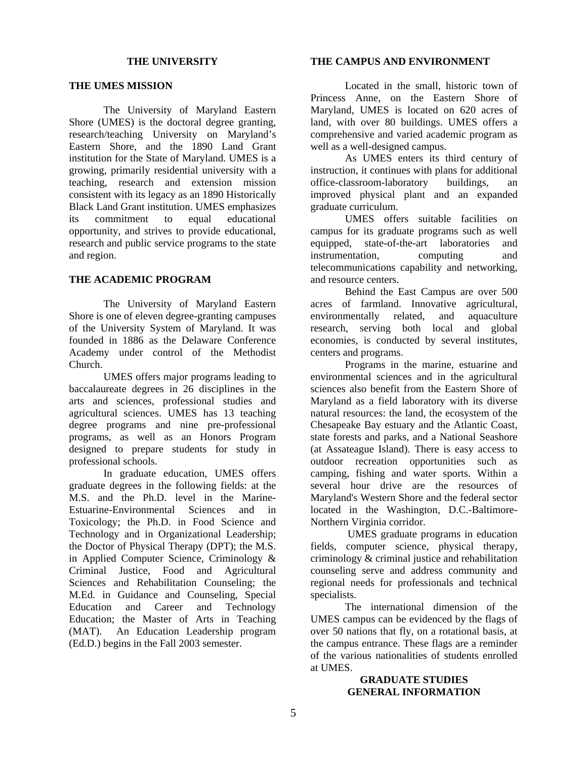#### **THE UNIVERSITY**

#### **THE UMES MISSION**

The University of Maryland Eastern Shore (UMES) is the doctoral degree granting, research/teaching University on Maryland's Eastern Shore, and the 1890 Land Grant institution for the State of Maryland. UMES is a growing, primarily residential university with a teaching, research and extension mission consistent with its legacy as an 1890 Historically Black Land Grant institution. UMES emphasizes its commitment to equal educational opportunity, and strives to provide educational, research and public service programs to the state and region.

## **THE ACADEMIC PROGRAM**

The University of Maryland Eastern Shore is one of eleven degree-granting campuses of the University System of Maryland. It was founded in 1886 as the Delaware Conference Academy under control of the Methodist Church.

UMES offers major programs leading to baccalaureate degrees in 26 disciplines in the arts and sciences, professional studies and agricultural sciences. UMES has 13 teaching degree programs and nine pre-professional programs, as well as an Honors Program designed to prepare students for study in professional schools.

In graduate education, UMES offers graduate degrees in the following fields: at the M.S. and the Ph.D. level in the Marine-Estuarine-Environmental Sciences and in Toxicology; the Ph.D. in Food Science and Technology and in Organizational Leadership; the Doctor of Physical Therapy (DPT); the M.S. in Applied Computer Science, Criminology & Criminal Justice, Food and Agricultural Sciences and Rehabilitation Counseling; the M.Ed. in Guidance and Counseling, Special Education and Career and Technology Education; the Master of Arts in Teaching (MAT). An Education Leadership program (Ed.D.) begins in the Fall 2003 semester.

#### **THE CAMPUS AND ENVIRONMENT**

Located in the small, historic town of Princess Anne, on the Eastern Shore of Maryland, UMES is located on 620 acres of land, with over 80 buildings. UMES offers a comprehensive and varied academic program as well as a well-designed campus.

As UMES enters its third century of instruction, it continues with plans for additional office-classroom-laboratory buildings, an improved physical plant and an expanded graduate curriculum.

UMES offers suitable facilities on campus for its graduate programs such as well equipped, state-of-the-art laboratories and instrumentation, computing and telecommunications capability and networking, and resource centers.

Behind the East Campus are over 500 acres of farmland. Innovative agricultural, environmentally related, and aquaculture research, serving both local and global economies, is conducted by several institutes, centers and programs.

Programs in the marine, estuarine and environmental sciences and in the agricultural sciences also benefit from the Eastern Shore of Maryland as a field laboratory with its diverse natural resources: the land, the ecosystem of the Chesapeake Bay estuary and the Atlantic Coast, state forests and parks, and a National Seashore (at Assateague Island). There is easy access to outdoor recreation opportunities such as camping, fishing and water sports. Within a several hour drive are the resources of Maryland's Western Shore and the federal sector located in the Washington, D.C.-Baltimore-Northern Virginia corridor.

 UMES graduate programs in education fields, computer science, physical therapy, criminology & criminal justice and rehabilitation counseling serve and address community and regional needs for professionals and technical specialists.

The international dimension of the UMES campus can be evidenced by the flags of over 50 nations that fly, on a rotational basis, at the campus entrance. These flags are a reminder of the various nationalities of students enrolled at UMES.

## **GRADUATE STUDIES GENERAL INFORMATION**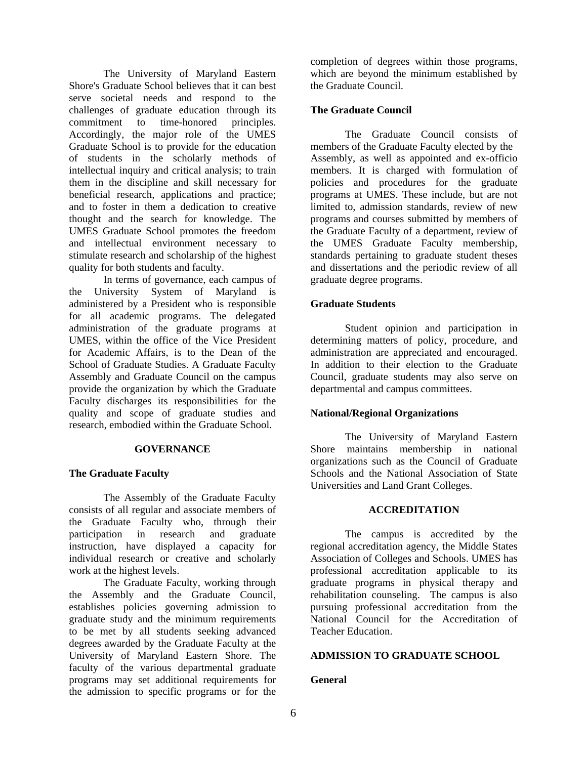The University of Maryland Eastern Shore's Graduate School believes that it can best serve societal needs and respond to the challenges of graduate education through its commitment to time-honored principles. Accordingly, the major role of the UMES Graduate School is to provide for the education of students in the scholarly methods of intellectual inquiry and critical analysis; to train them in the discipline and skill necessary for beneficial research, applications and practice; and to foster in them a dedication to creative thought and the search for knowledge. The UMES Graduate School promotes the freedom and intellectual environment necessary to stimulate research and scholarship of the highest quality for both students and faculty.

In terms of governance, each campus of the University System of Maryland is administered by a President who is responsible for all academic programs. The delegated administration of the graduate programs at UMES, within the office of the Vice President for Academic Affairs, is to the Dean of the School of Graduate Studies. A Graduate Faculty Assembly and Graduate Council on the campus provide the organization by which the Graduate Faculty discharges its responsibilities for the quality and scope of graduate studies and research, embodied within the Graduate School.

#### **GOVERNANCE**

#### **The Graduate Faculty**

The Assembly of the Graduate Faculty consists of all regular and associate members of the Graduate Faculty who, through their participation in research and graduate instruction, have displayed a capacity for individual research or creative and scholarly work at the highest levels.

The Graduate Faculty, working through the Assembly and the Graduate Council, establishes policies governing admission to graduate study and the minimum requirements to be met by all students seeking advanced degrees awarded by the Graduate Faculty at the University of Maryland Eastern Shore. The faculty of the various departmental graduate programs may set additional requirements for the admission to specific programs or for the

completion of degrees within those programs, which are beyond the minimum established by the Graduate Council.

### **The Graduate Council**

The Graduate Council consists of members of the Graduate Faculty elected by the Assembly, as well as appointed and ex-officio members. It is charged with formulation of policies and procedures for the graduate programs at UMES. These include, but are not limited to, admission standards, review of new programs and courses submitted by members of the Graduate Faculty of a department, review of the UMES Graduate Faculty membership, standards pertaining to graduate student theses and dissertations and the periodic review of all graduate degree programs.

#### **Graduate Students**

Student opinion and participation in determining matters of policy, procedure, and administration are appreciated and encouraged. In addition to their election to the Graduate Council, graduate students may also serve on departmental and campus committees.

## **National/Regional Organizations**

The University of Maryland Eastern Shore maintains membership in national organizations such as the Council of Graduate Schools and the National Association of State Universities and Land Grant Colleges.

#### **ACCREDITATION**

The campus is accredited by the regional accreditation agency, the Middle States Association of Colleges and Schools. UMES has professional accreditation applicable to its graduate programs in physical therapy and rehabilitation counseling. The campus is also pursuing professional accreditation from the National Council for the Accreditation of Teacher Education.

#### **ADMISSION TO GRADUATE SCHOOL**

#### **General**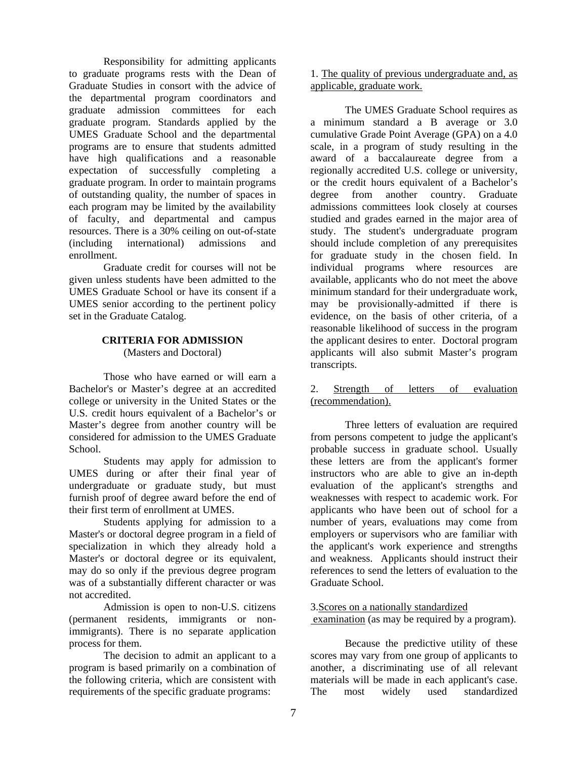Responsibility for admitting applicants to graduate programs rests with the Dean of Graduate Studies in consort with the advice of the departmental program coordinators and graduate admission committees for each graduate program. Standards applied by the UMES Graduate School and the departmental programs are to ensure that students admitted have high qualifications and a reasonable expectation of successfully completing a graduate program. In order to maintain programs of outstanding quality, the number of spaces in each program may be limited by the availability of faculty, and departmental and campus resources. There is a 30% ceiling on out-of-state (including international) admissions and enrollment.

Graduate credit for courses will not be given unless students have been admitted to the UMES Graduate School or have its consent if a UMES senior according to the pertinent policy set in the Graduate Catalog.

## **CRITERIA FOR ADMISSION** (Masters and Doctoral)

Those who have earned or will earn a Bachelor's or Master's degree at an accredited college or university in the United States or the U.S. credit hours equivalent of a Bachelor's or Master's degree from another country will be considered for admission to the UMES Graduate School.

Students may apply for admission to UMES during or after their final year of undergraduate or graduate study, but must furnish proof of degree award before the end of their first term of enrollment at UMES.

Students applying for admission to a Master's or doctoral degree program in a field of specialization in which they already hold a Master's or doctoral degree or its equivalent, may do so only if the previous degree program was of a substantially different character or was not accredited.

Admission is open to non-U.S. citizens (permanent residents, immigrants or nonimmigrants). There is no separate application process for them.

The decision to admit an applicant to a program is based primarily on a combination of the following criteria, which are consistent with requirements of the specific graduate programs:

1. The quality of previous undergraduate and, as applicable, graduate work.

The UMES Graduate School requires as a minimum standard a B average or 3.0 cumulative Grade Point Average (GPA) on a 4.0 scale, in a program of study resulting in the award of a baccalaureate degree from a regionally accredited U.S. college or university, or the credit hours equivalent of a Bachelor's degree from another country. Graduate admissions committees look closely at courses studied and grades earned in the major area of study. The student's undergraduate program should include completion of any prerequisites for graduate study in the chosen field. In individual programs where resources are available, applicants who do not meet the above minimum standard for their undergraduate work, may be provisionally-admitted if there is evidence, on the basis of other criteria, of a reasonable likelihood of success in the program the applicant desires to enter. Doctoral program applicants will also submit Master's program transcripts.

## 2. Strength of letters of evaluation (recommendation).

Three letters of evaluation are required from persons competent to judge the applicant's probable success in graduate school. Usually these letters are from the applicant's former instructors who are able to give an in-depth evaluation of the applicant's strengths and weaknesses with respect to academic work. For applicants who have been out of school for a number of years, evaluations may come from employers or supervisors who are familiar with the applicant's work experience and strengths and weakness. Applicants should instruct their references to send the letters of evaluation to the Graduate School.

3.Scores on a nationally standardized examination (as may be required by a program).

Because the predictive utility of these scores may vary from one group of applicants to another, a discriminating use of all relevant materials will be made in each applicant's case. The most widely used standardized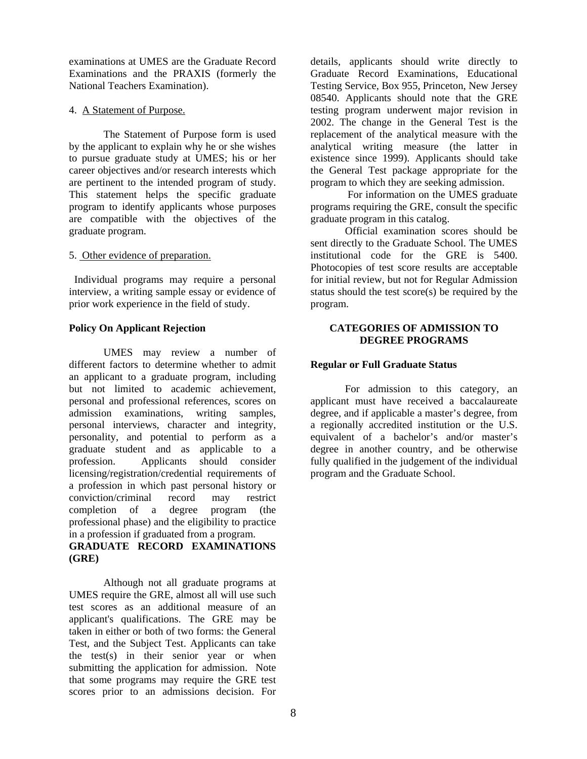examinations at UMES are the Graduate Record Examinations and the PRAXIS (formerly the National Teachers Examination).

## 4. A Statement of Purpose.

The Statement of Purpose form is used by the applicant to explain why he or she wishes to pursue graduate study at UMES; his or her career objectives and/or research interests which are pertinent to the intended program of study. This statement helps the specific graduate program to identify applicants whose purposes are compatible with the objectives of the graduate program.

## 5. Other evidence of preparation.

 Individual programs may require a personal interview, a writing sample essay or evidence of prior work experience in the field of study.

## **Policy On Applicant Rejection**

 UMES may review a number of different factors to determine whether to admit an applicant to a graduate program, including but not limited to academic achievement, personal and professional references, scores on admission examinations, writing samples, personal interviews, character and integrity, personality, and potential to perform as a graduate student and as applicable to a profession. Applicants should consider licensing/registration/credential requirements of a profession in which past personal history or conviction/criminal record may restrict completion of a degree program (the professional phase) and the eligibility to practice in a profession if graduated from a program.

# **GRADUATE RECORD EXAMINATIONS (GRE)**

Although not all graduate programs at UMES require the GRE, almost all will use such test scores as an additional measure of an applicant's qualifications. The GRE may be taken in either or both of two forms: the General Test, and the Subject Test. Applicants can take the test(s) in their senior year or when submitting the application for admission. Note that some programs may require the GRE test scores prior to an admissions decision. For

details, applicants should write directly to Graduate Record Examinations, Educational Testing Service, Box 955, Princeton, New Jersey 08540. Applicants should note that the GRE testing program underwent major revision in 2002. The change in the General Test is the replacement of the analytical measure with the analytical writing measure (the latter in existence since 1999). Applicants should take the General Test package appropriate for the program to which they are seeking admission.

 For information on the UMES graduate programs requiring the GRE, consult the specific graduate program in this catalog.

 Official examination scores should be sent directly to the Graduate School. The UMES institutional code for the GRE is 5400. Photocopies of test score results are acceptable for initial review, but not for Regular Admission status should the test score(s) be required by the program.

## **CATEGORIES OF ADMISSION TO DEGREE PROGRAMS**

## **Regular or Full Graduate Status**

For admission to this category, an applicant must have received a baccalaureate degree, and if applicable a master's degree, from a regionally accredited institution or the U.S. equivalent of a bachelor's and/or master's degree in another country, and be otherwise fully qualified in the judgement of the individual program and the Graduate School.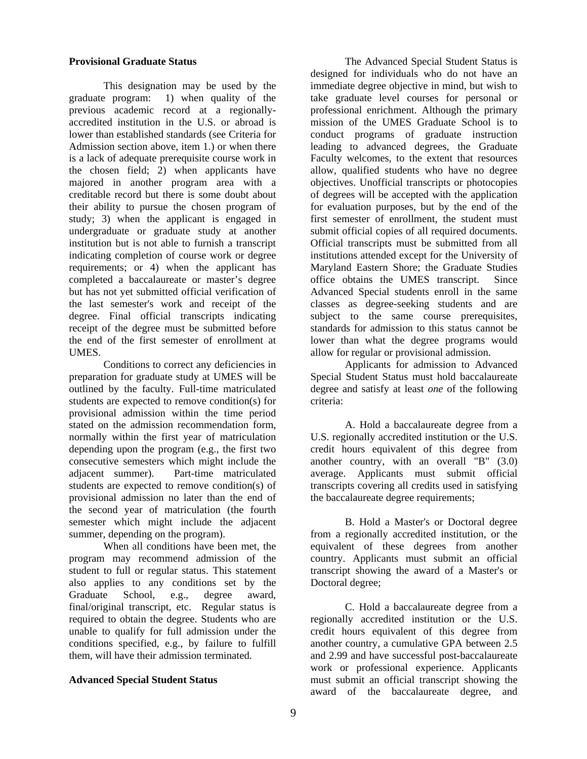## **Provisional Graduate Status**

This designation may be used by the graduate program: 1) when quality of the previous academic record at a regionallyaccredited institution in the U.S. or abroad is lower than established standards (see Criteria for Admission section above, item 1.) or when there is a lack of adequate prerequisite course work in the chosen field; 2) when applicants have majored in another program area with a creditable record but there is some doubt about their ability to pursue the chosen program of study; 3) when the applicant is engaged in undergraduate or graduate study at another institution but is not able to furnish a transcript indicating completion of course work or degree requirements; or 4) when the applicant has completed a baccalaureate or master's degree but has not yet submitted official verification of the last semester's work and receipt of the degree. Final official transcripts indicating receipt of the degree must be submitted before the end of the first semester of enrollment at UMES.

Conditions to correct any deficiencies in preparation for graduate study at UMES will be outlined by the faculty. Full-time matriculated students are expected to remove condition(s) for provisional admission within the time period stated on the admission recommendation form, normally within the first year of matriculation depending upon the program (e.g., the first two consecutive semesters which might include the adjacent summer). Part-time matriculated students are expected to remove condition(s) of provisional admission no later than the end of the second year of matriculation (the fourth semester which might include the adjacent summer, depending on the program).

When all conditions have been met, the program may recommend admission of the student to full or regular status. This statement also applies to any conditions set by the Graduate School, e.g., degree award, final/original transcript, etc. Regular status is required to obtain the degree. Students who are unable to qualify for full admission under the conditions specified, e.g., by failure to fulfill them, will have their admission terminated.

## **Advanced Special Student Status**

The Advanced Special Student Status is designed for individuals who do not have an immediate degree objective in mind, but wish to take graduate level courses for personal or professional enrichment. Although the primary mission of the UMES Graduate School is to conduct programs of graduate instruction leading to advanced degrees, the Graduate Faculty welcomes, to the extent that resources allow, qualified students who have no degree objectives. Unofficial transcripts or photocopies of degrees will be accepted with the application for evaluation purposes, but by the end of the first semester of enrollment, the student must submit official copies of all required documents. Official transcripts must be submitted from all institutions attended except for the University of Maryland Eastern Shore; the Graduate Studies office obtains the UMES transcript. Since Advanced Special students enroll in the same classes as degree-seeking students and are subject to the same course prerequisites, standards for admission to this status cannot be lower than what the degree programs would allow for regular or provisional admission.

Applicants for admission to Advanced Special Student Status must hold baccalaureate degree and satisfy at least *one* of the following criteria:

A. Hold a baccalaureate degree from a U.S. regionally accredited institution or the U.S. credit hours equivalent of this degree from another country, with an overall "B" (3.0) average. Applicants must submit official transcripts covering all credits used in satisfying the baccalaureate degree requirements;

B. Hold a Master's or Doctoral degree from a regionally accredited institution, or the equivalent of these degrees from another country. Applicants must submit an official transcript showing the award of a Master's or Doctoral degree;

C. Hold a baccalaureate degree from a regionally accredited institution or the U.S. credit hours equivalent of this degree from another country, a cumulative GPA between 2.5 and 2.99 and have successful post-baccalaureate work or professional experience. Applicants must submit an official transcript showing the award of the baccalaureate degree, and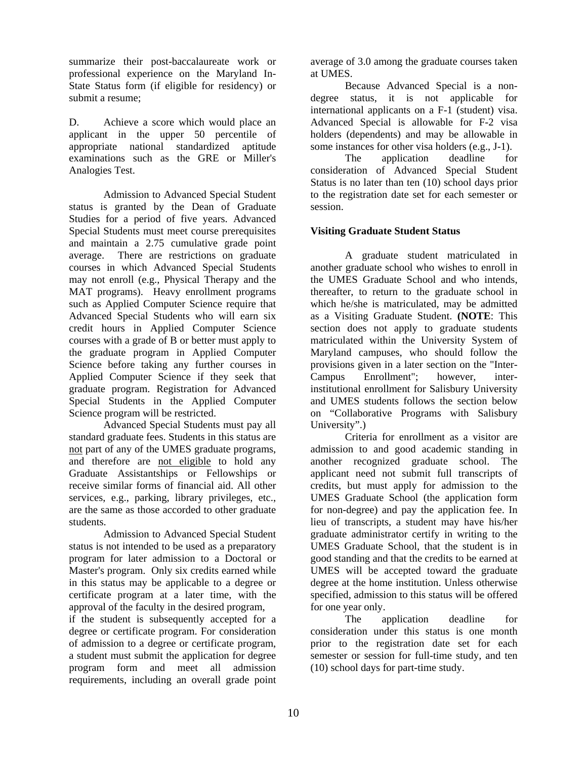summarize their post-baccalaureate work or professional experience on the Maryland In-State Status form (if eligible for residency) or submit a resume;

D. Achieve a score which would place an applicant in the upper 50 percentile of appropriate national standardized aptitude examinations such as the GRE or Miller's Analogies Test.

Admission to Advanced Special Student status is granted by the Dean of Graduate Studies for a period of five years. Advanced Special Students must meet course prerequisites and maintain a 2.75 cumulative grade point average. There are restrictions on graduate courses in which Advanced Special Students may not enroll (e.g., Physical Therapy and the MAT programs). Heavy enrollment programs such as Applied Computer Science require that Advanced Special Students who will earn six credit hours in Applied Computer Science courses with a grade of B or better must apply to the graduate program in Applied Computer Science before taking any further courses in Applied Computer Science if they seek that graduate program. Registration for Advanced Special Students in the Applied Computer Science program will be restricted.

Advanced Special Students must pay all standard graduate fees. Students in this status are not part of any of the UMES graduate programs, and therefore are not eligible to hold any Graduate Assistantships or Fellowships or receive similar forms of financial aid. All other services, e.g., parking, library privileges, etc., are the same as those accorded to other graduate students.

Admission to Advanced Special Student status is not intended to be used as a preparatory program for later admission to a Doctoral or Master's program. Only six credits earned while in this status may be applicable to a degree or certificate program at a later time, with the approval of the faculty in the desired program,

if the student is subsequently accepted for a degree or certificate program. For consideration of admission to a degree or certificate program, a student must submit the application for degree program form and meet all admission requirements, including an overall grade point

average of 3.0 among the graduate courses taken at UMES.

Because Advanced Special is a nondegree status, it is not applicable for international applicants on a F-1 (student) visa. Advanced Special is allowable for F-2 visa holders (dependents) and may be allowable in some instances for other visa holders (e.g., J-1).

The application deadline for consideration of Advanced Special Student Status is no later than ten (10) school days prior to the registration date set for each semester or session.

## **Visiting Graduate Student Status**

A graduate student matriculated in another graduate school who wishes to enroll in the UMES Graduate School and who intends, thereafter, to return to the graduate school in which he/she is matriculated, may be admitted as a Visiting Graduate Student. **(NOTE**: This section does not apply to graduate students matriculated within the University System of Maryland campuses, who should follow the provisions given in a later section on the "Inter-Campus Enrollment"; however, interinstitutional enrollment for Salisbury University and UMES students follows the section below on "Collaborative Programs with Salisbury University".)

Criteria for enrollment as a visitor are admission to and good academic standing in another recognized graduate school. The applicant need not submit full transcripts of credits, but must apply for admission to the UMES Graduate School (the application form for non-degree) and pay the application fee. In lieu of transcripts, a student may have his/her graduate administrator certify in writing to the UMES Graduate School, that the student is in good standing and that the credits to be earned at UMES will be accepted toward the graduate degree at the home institution. Unless otherwise specified, admission to this status will be offered for one year only.

The application deadline for consideration under this status is one month prior to the registration date set for each semester or session for full-time study, and ten (10) school days for part-time study.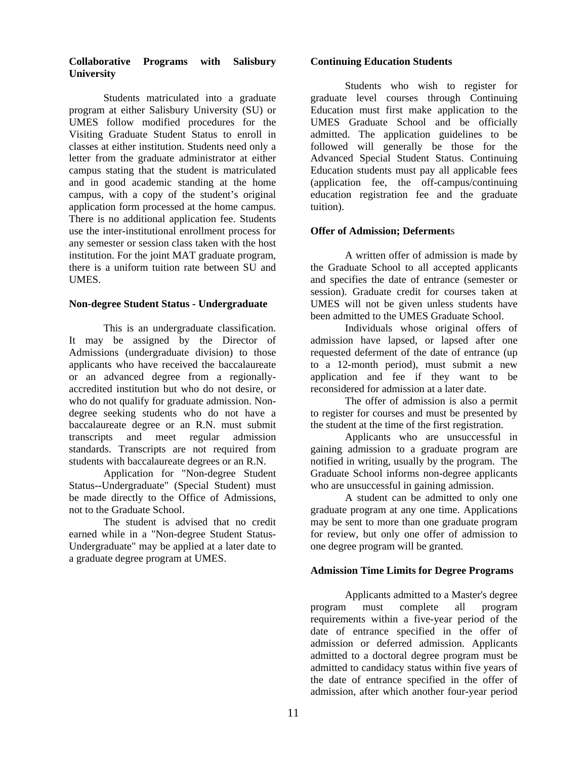## **Collaborative Programs with Salisbury University**

Students matriculated into a graduate program at either Salisbury University (SU) or UMES follow modified procedures for the Visiting Graduate Student Status to enroll in classes at either institution. Students need only a letter from the graduate administrator at either campus stating that the student is matriculated and in good academic standing at the home campus, with a copy of the student's original application form processed at the home campus. There is no additional application fee. Students use the inter-institutional enrollment process for any semester or session class taken with the host institution. For the joint MAT graduate program, there is a uniform tuition rate between SU and UMES.

#### **Non-degree Student Status - Undergraduate**

This is an undergraduate classification. It may be assigned by the Director of Admissions (undergraduate division) to those applicants who have received the baccalaureate or an advanced degree from a regionallyaccredited institution but who do not desire, or who do not qualify for graduate admission. Nondegree seeking students who do not have a baccalaureate degree or an R.N. must submit transcripts and meet regular admission standards. Transcripts are not required from students with baccalaureate degrees or an R.N.

Application for "Non-degree Student Status--Undergraduate" (Special Student) must be made directly to the Office of Admissions, not to the Graduate School.

The student is advised that no credit earned while in a "Non-degree Student Status-Undergraduate" may be applied at a later date to a graduate degree program at UMES.

#### **Continuing Education Students**

Students who wish to register for graduate level courses through Continuing Education must first make application to the UMES Graduate School and be officially admitted. The application guidelines to be followed will generally be those for the Advanced Special Student Status. Continuing Education students must pay all applicable fees (application fee, the off-campus/continuing education registration fee and the graduate tuition).

### **Offer of Admission; Deferment**s

A written offer of admission is made by the Graduate School to all accepted applicants and specifies the date of entrance (semester or session). Graduate credit for courses taken at UMES will not be given unless students have been admitted to the UMES Graduate School.

Individuals whose original offers of admission have lapsed, or lapsed after one requested deferment of the date of entrance (up to a 12-month period), must submit a new application and fee if they want to be reconsidered for admission at a later date.

The offer of admission is also a permit to register for courses and must be presented by the student at the time of the first registration.

 Applicants who are unsuccessful in gaining admission to a graduate program are notified in writing, usually by the program. The Graduate School informs non-degree applicants who are unsuccessful in gaining admission.

A student can be admitted to only one graduate program at any one time. Applications may be sent to more than one graduate program for review, but only one offer of admission to one degree program will be granted.

## **Admission Time Limits for Degree Programs**

Applicants admitted to a Master's degree program must complete all program requirements within a five-year period of the date of entrance specified in the offer of admission or deferred admission. Applicants admitted to a doctoral degree program must be admitted to candidacy status within five years of the date of entrance specified in the offer of admission, after which another four-year period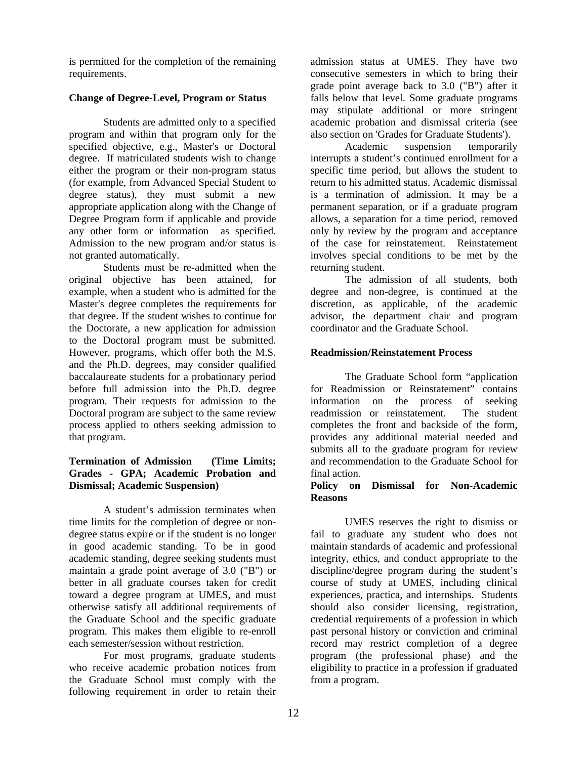is permitted for the completion of the remaining requirements.

## **Change of Degree-Level, Program or Status**

Students are admitted only to a specified program and within that program only for the specified objective, e.g., Master's or Doctoral degree. If matriculated students wish to change either the program or their non-program status (for example, from Advanced Special Student to degree status), they must submit a new appropriate application along with the Change of Degree Program form if applicable and provide any other form or information as specified. Admission to the new program and/or status is not granted automatically.

Students must be re-admitted when the original objective has been attained, for example, when a student who is admitted for the Master's degree completes the requirements for that degree. If the student wishes to continue for the Doctorate, a new application for admission to the Doctoral program must be submitted. However, programs, which offer both the M.S. and the Ph.D. degrees, may consider qualified baccalaureate students for a probationary period before full admission into the Ph.D. degree program. Their requests for admission to the Doctoral program are subject to the same review process applied to others seeking admission to that program.

## **Termination of Admission (Time Limits; Grades - GPA; Academic Probation and Dismissal; Academic Suspension)**

A student's admission terminates when time limits for the completion of degree or nondegree status expire or if the student is no longer in good academic standing. To be in good academic standing, degree seeking students must maintain a grade point average of 3.0 ("B") or better in all graduate courses taken for credit toward a degree program at UMES, and must otherwise satisfy all additional requirements of the Graduate School and the specific graduate program. This makes them eligible to re-enroll each semester/session without restriction.

For most programs, graduate students who receive academic probation notices from the Graduate School must comply with the following requirement in order to retain their

admission status at UMES. They have two consecutive semesters in which to bring their grade point average back to 3.0 ("B") after it falls below that level. Some graduate programs may stipulate additional or more stringent academic probation and dismissal criteria (see also section on 'Grades for Graduate Students').

Academic suspension temporarily interrupts a student's continued enrollment for a specific time period, but allows the student to return to his admitted status. Academic dismissal is a termination of admission. It may be a permanent separation, or if a graduate program allows, a separation for a time period, removed only by review by the program and acceptance of the case for reinstatement. Reinstatement involves special conditions to be met by the returning student.

The admission of all students, both degree and non-degree, is continued at the discretion, as applicable, of the academic advisor, the department chair and program coordinator and the Graduate School.

## **Readmission/Reinstatement Process**

 The Graduate School form "application for Readmission or Reinstatement" contains information on the process of seeking readmission or reinstatement. The student completes the front and backside of the form, provides any additional material needed and submits all to the graduate program for review and recommendation to the Graduate School for final action.

## **Policy on Dismissal for Non-Academic Reasons**

 UMES reserves the right to dismiss or fail to graduate any student who does not maintain standards of academic and professional integrity, ethics, and conduct appropriate to the discipline/degree program during the student's course of study at UMES, including clinical experiences, practica, and internships. Students should also consider licensing, registration, credential requirements of a profession in which past personal history or conviction and criminal record may restrict completion of a degree program (the professional phase) and the eligibility to practice in a profession if graduated from a program.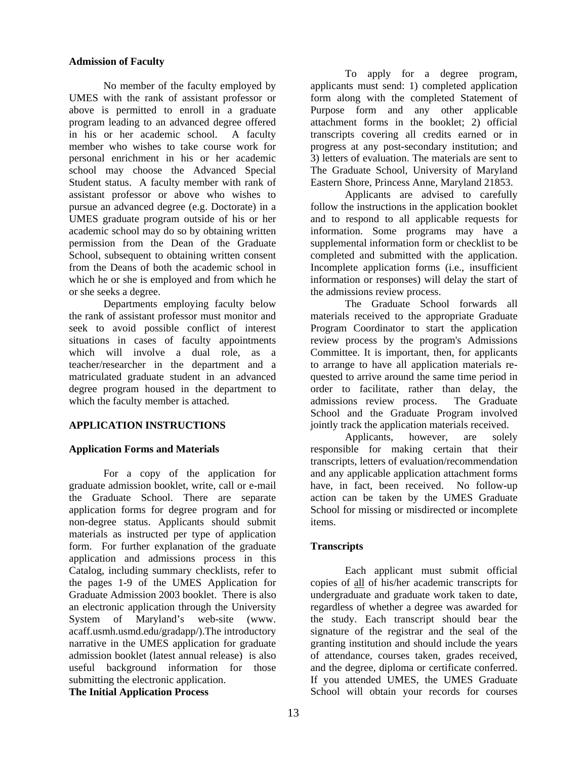## **Admission of Faculty**

No member of the faculty employed by UMES with the rank of assistant professor or above is permitted to enroll in a graduate program leading to an advanced degree offered in his or her academic school. A faculty member who wishes to take course work for personal enrichment in his or her academic school may choose the Advanced Special Student status. A faculty member with rank of assistant professor or above who wishes to pursue an advanced degree (e.g. Doctorate) in a UMES graduate program outside of his or her academic school may do so by obtaining written permission from the Dean of the Graduate School, subsequent to obtaining written consent from the Deans of both the academic school in which he or she is employed and from which he or she seeks a degree.

Departments employing faculty below the rank of assistant professor must monitor and seek to avoid possible conflict of interest situations in cases of faculty appointments which will involve a dual role, as a teacher/researcher in the department and a matriculated graduate student in an advanced degree program housed in the department to which the faculty member is attached.

## **APPLICATION INSTRUCTIONS**

## **Application Forms and Materials**

For a copy of the application for graduate admission booklet, write, call or e-mail the Graduate School. There are separate application forms for degree program and for non-degree status. Applicants should submit materials as instructed per type of application form. For further explanation of the graduate application and admissions process in this Catalog, including summary checklists, refer to the pages 1-9 of the UMES Application for Graduate Admission 2003 booklet. There is also an electronic application through the University System of Maryland's web-site (www. acaff.usmh.usmd.edu/gradapp/).The introductory narrative in the UMES application for graduate admission booklet (latest annual release) is also useful background information for those submitting the electronic application.

**The Initial Application Process**

To apply for a degree program, applicants must send: 1) completed application form along with the completed Statement of Purpose form and any other applicable attachment forms in the booklet; 2) official transcripts covering all credits earned or in progress at any post-secondary institution; and 3) letters of evaluation. The materials are sent to The Graduate School, University of Maryland Eastern Shore, Princess Anne, Maryland 21853.

Applicants are advised to carefully follow the instructions in the application booklet and to respond to all applicable requests for information. Some programs may have a supplemental information form or checklist to be completed and submitted with the application. Incomplete application forms (i.e., insufficient information or responses) will delay the start of the admissions review process.

The Graduate School forwards all materials received to the appropriate Graduate Program Coordinator to start the application review process by the program's Admissions Committee. It is important, then, for applicants to arrange to have all application materials requested to arrive around the same time period in order to facilitate, rather than delay, the admissions review process. The Graduate School and the Graduate Program involved jointly track the application materials received.

Applicants, however, are solely responsible for making certain that their transcripts, letters of evaluation/recommendation and any applicable application attachment forms have, in fact, been received. No follow-up action can be taken by the UMES Graduate School for missing or misdirected or incomplete items.

## **Transcripts**

Each applicant must submit official copies of all of his/her academic transcripts for undergraduate and graduate work taken to date, regardless of whether a degree was awarded for the study. Each transcript should bear the signature of the registrar and the seal of the granting institution and should include the years of attendance, courses taken, grades received, and the degree, diploma or certificate conferred. If you attended UMES, the UMES Graduate School will obtain your records for courses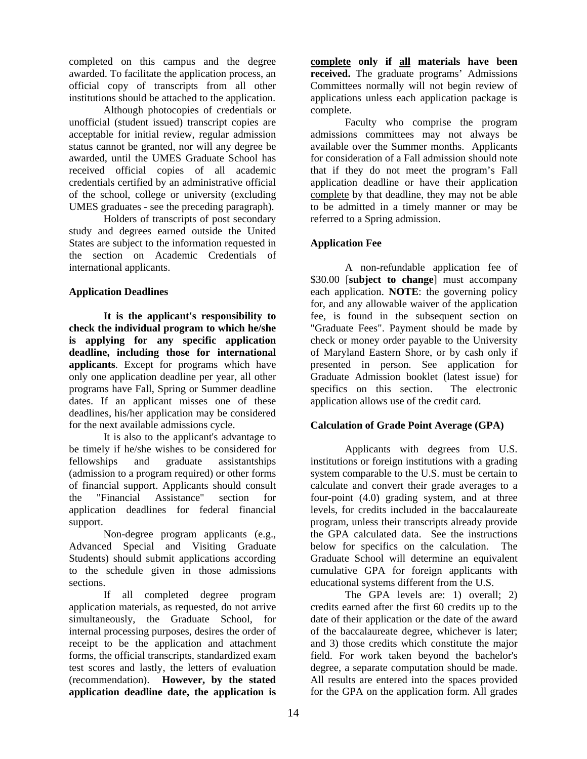completed on this campus and the degree awarded. To facilitate the application process, an official copy of transcripts from all other institutions should be attached to the application.

Although photocopies of credentials or unofficial (student issued) transcript copies are acceptable for initial review, regular admission status cannot be granted, nor will any degree be awarded, until the UMES Graduate School has received official copies of all academic credentials certified by an administrative official of the school, college or university (excluding UMES graduates - see the preceding paragraph).

 Holders of transcripts of post secondary study and degrees earned outside the United States are subject to the information requested in the section on Academic Credentials of international applicants.

## **Application Deadlines**

**It is the applicant's responsibility to check the individual program to which he/she is applying for any specific application deadline, including those for international applicants**. Except for programs which have only one application deadline per year, all other programs have Fall, Spring or Summer deadline dates. If an applicant misses one of these deadlines, his/her application may be considered for the next available admissions cycle.

It is also to the applicant's advantage to be timely if he/she wishes to be considered for fellowships and graduate assistantships (admission to a program required) or other forms of financial support. Applicants should consult the "Financial Assistance" section for application deadlines for federal financial support.

Non-degree program applicants (e.g., Advanced Special and Visiting Graduate Students) should submit applications according to the schedule given in those admissions sections.

If all completed degree program application materials, as requested, do not arrive simultaneously, the Graduate School, for internal processing purposes, desires the order of receipt to be the application and attachment forms, the official transcripts, standardized exam test scores and lastly, the letters of evaluation (recommendation). **However, by the stated application deadline date, the application is** 

**complete only if all materials have been received.** The graduate programs' Admissions Committees normally will not begin review of applications unless each application package is complete.

 Faculty who comprise the program admissions committees may not always be available over the Summer months. Applicants for consideration of a Fall admission should note that if they do not meet the program's Fall application deadline or have their application complete by that deadline, they may not be able to be admitted in a timely manner or may be referred to a Spring admission.

## **Application Fee**

A non-refundable application fee of \$30.00 [**subject to change**] must accompany each application. **NOTE**: the governing policy for, and any allowable waiver of the application fee, is found in the subsequent section on "Graduate Fees". Payment should be made by check or money order payable to the University of Maryland Eastern Shore, or by cash only if presented in person. See application for Graduate Admission booklet (latest issue) for specifics on this section. The electronic application allows use of the credit card.

## **Calculation of Grade Point Average (GPA)**

Applicants with degrees from U.S. institutions or foreign institutions with a grading system comparable to the U.S. must be certain to calculate and convert their grade averages to a four-point (4.0) grading system, and at three levels, for credits included in the baccalaureate program, unless their transcripts already provide the GPA calculated data. See the instructions below for specifics on the calculation. The Graduate School will determine an equivalent cumulative GPA for foreign applicants with educational systems different from the U.S.

The GPA levels are: 1) overall; 2) credits earned after the first 60 credits up to the date of their application or the date of the award of the baccalaureate degree, whichever is later; and 3) those credits which constitute the major field. For work taken beyond the bachelor's degree, a separate computation should be made. All results are entered into the spaces provided for the GPA on the application form. All grades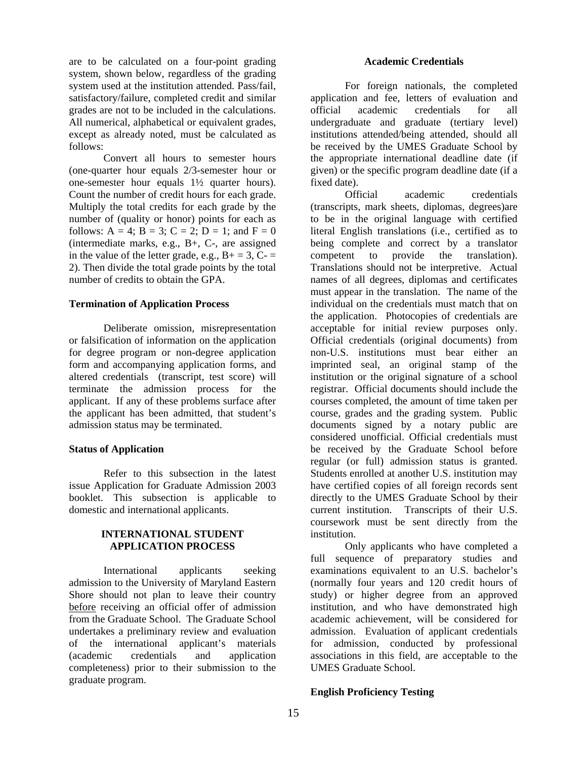are to be calculated on a four-point grading system, shown below, regardless of the grading system used at the institution attended. Pass/fail, satisfactory/failure, completed credit and similar grades are not to be included in the calculations. All numerical, alphabetical or equivalent grades, except as already noted, must be calculated as follows:

Convert all hours to semester hours (one-quarter hour equals 2/3-semester hour or one-semester hour equals 1½ quarter hours). Count the number of credit hours for each grade. Multiply the total credits for each grade by the number of (quality or honor) points for each as follows:  $A = 4$ ;  $B = 3$ ;  $C = 2$ ;  $D = 1$ ; and  $F = 0$ (intermediate marks, e.g., B+, C-, are assigned in the value of the letter grade, e.g.,  $B_+ = 3$ ,  $C_- =$ 2). Then divide the total grade points by the total number of credits to obtain the GPA.

#### **Termination of Application Process**

 Deliberate omission, misrepresentation or falsification of information on the application for degree program or non-degree application form and accompanying application forms, and altered credentials (transcript, test score) will terminate the admission process for the applicant. If any of these problems surface after the applicant has been admitted, that student's admission status may be terminated.

#### **Status of Application**

 Refer to this subsection in the latest issue Application for Graduate Admission 2003 booklet. This subsection is applicable to domestic and international applicants.

#### **INTERNATIONAL STUDENT APPLICATION PROCESS**

International applicants seeking admission to the University of Maryland Eastern Shore should not plan to leave their country before receiving an official offer of admission from the Graduate School. The Graduate School undertakes a preliminary review and evaluation of the international applicant's materials (academic credentials and application completeness) prior to their submission to the graduate program.

#### **Academic Credentials**

For foreign nationals, the completed application and fee, letters of evaluation and official academic credentials for all undergraduate and graduate (tertiary level) institutions attended/being attended, should all be received by the UMES Graduate School by the appropriate international deadline date (if given) or the specific program deadline date (if a fixed date).

Official academic credentials (transcripts, mark sheets, diplomas, degrees)are to be in the original language with certified literal English translations (i.e., certified as to being complete and correct by a translator competent to provide the translation). Translations should not be interpretive. Actual names of all degrees, diplomas and certificates must appear in the translation. The name of the individual on the credentials must match that on the application. Photocopies of credentials are acceptable for initial review purposes only. Official credentials (original documents) from non-U.S. institutions must bear either an imprinted seal, an original stamp of the institution or the original signature of a school registrar. Official documents should include the courses completed, the amount of time taken per course, grades and the grading system. Public documents signed by a notary public are considered unofficial. Official credentials must be received by the Graduate School before regular (or full) admission status is granted. Students enrolled at another U.S. institution may have certified copies of all foreign records sent directly to the UMES Graduate School by their current institution. Transcripts of their U.S. coursework must be sent directly from the institution.

Only applicants who have completed a full sequence of preparatory studies and examinations equivalent to an U.S. bachelor's (normally four years and 120 credit hours of study) or higher degree from an approved institution, and who have demonstrated high academic achievement, will be considered for admission. Evaluation of applicant credentials for admission, conducted by professional associations in this field, are acceptable to the UMES Graduate School.

## **English Proficiency Testing**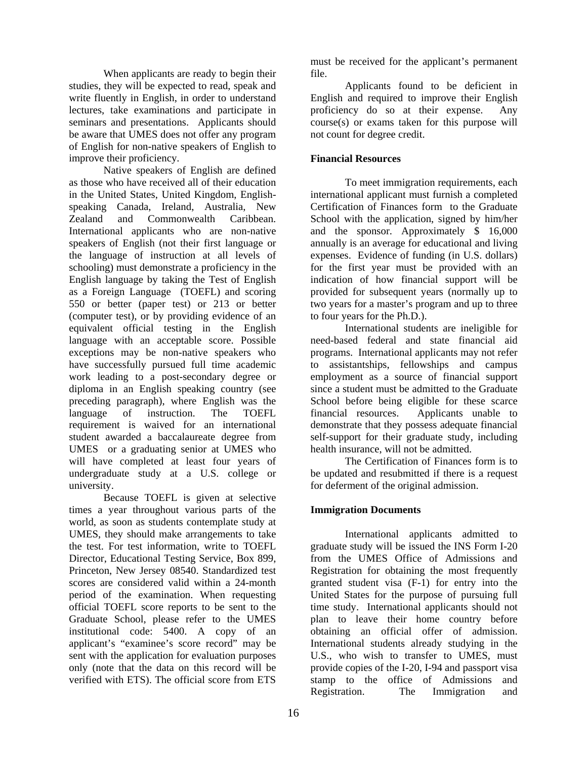When applicants are ready to begin their studies, they will be expected to read, speak and write fluently in English, in order to understand lectures, take examinations and participate in seminars and presentations. Applicants should be aware that UMES does not offer any program of English for non-native speakers of English to improve their proficiency.

Native speakers of English are defined as those who have received all of their education in the United States, United Kingdom, Englishspeaking Canada, Ireland, Australia, New Zealand and Commonwealth Caribbean. International applicants who are non-native speakers of English (not their first language or the language of instruction at all levels of schooling) must demonstrate a proficiency in the English language by taking the Test of English as a Foreign Language (TOEFL) and scoring 550 or better (paper test) or 213 or better (computer test), or by providing evidence of an equivalent official testing in the English language with an acceptable score. Possible exceptions may be non-native speakers who have successfully pursued full time academic work leading to a post-secondary degree or diploma in an English speaking country (see preceding paragraph), where English was the language of instruction. The TOEFL requirement is waived for an international student awarded a baccalaureate degree from UMES or a graduating senior at UMES who will have completed at least four years of undergraduate study at a U.S. college or university.

Because TOEFL is given at selective times a year throughout various parts of the world, as soon as students contemplate study at UMES, they should make arrangements to take the test. For test information, write to TOEFL Director, Educational Testing Service, Box 899, Princeton, New Jersey 08540. Standardized test scores are considered valid within a 24-month period of the examination. When requesting official TOEFL score reports to be sent to the Graduate School, please refer to the UMES institutional code: 5400. A copy of an applicant's "examinee's score record" may be sent with the application for evaluation purposes only (note that the data on this record will be verified with ETS). The official score from ETS

must be received for the applicant's permanent file.

Applicants found to be deficient in English and required to improve their English proficiency do so at their expense. Any course(s) or exams taken for this purpose will not count for degree credit.

## **Financial Resources**

To meet immigration requirements, each international applicant must furnish a completed Certification of Finances form to the Graduate School with the application, signed by him/her and the sponsor. Approximately \$ 16,000 annually is an average for educational and living expenses. Evidence of funding (in U.S. dollars) for the first year must be provided with an indication of how financial support will be provided for subsequent years (normally up to two years for a master's program and up to three to four years for the Ph.D.).

International students are ineligible for need-based federal and state financial aid programs. International applicants may not refer to assistantships, fellowships and campus employment as a source of financial support since a student must be admitted to the Graduate School before being eligible for these scarce financial resources. Applicants unable to demonstrate that they possess adequate financial self-support for their graduate study, including health insurance, will not be admitted.

The Certification of Finances form is to be updated and resubmitted if there is a request for deferment of the original admission.

## **Immigration Documents**

International applicants admitted to graduate study will be issued the INS Form I-20 from the UMES Office of Admissions and Registration for obtaining the most frequently granted student visa (F-1) for entry into the United States for the purpose of pursuing full time study. International applicants should not plan to leave their home country before obtaining an official offer of admission. International students already studying in the U.S., who wish to transfer to UMES, must provide copies of the I-20, I-94 and passport visa stamp to the office of Admissions and Registration. The Immigration and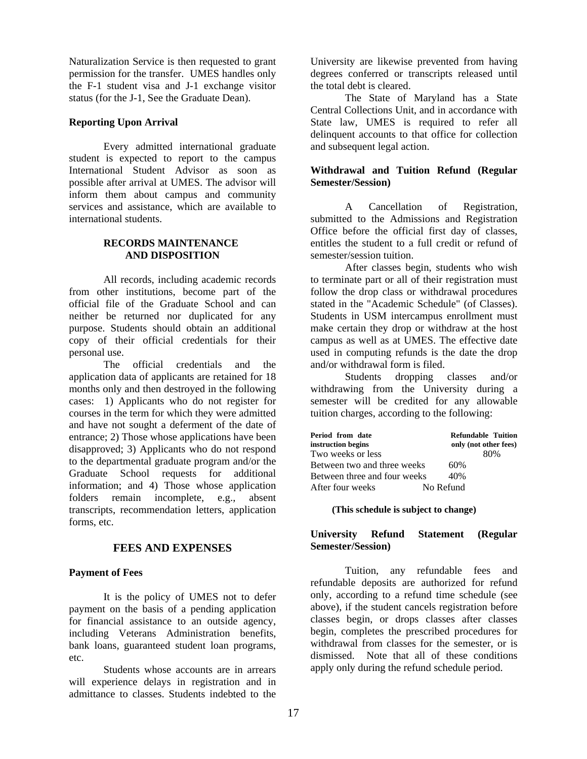Naturalization Service is then requested to grant permission for the transfer. UMES handles only the F-1 student visa and J-1 exchange visitor status (for the J-1, See the Graduate Dean).

#### **Reporting Upon Arrival**

Every admitted international graduate student is expected to report to the campus International Student Advisor as soon as possible after arrival at UMES. The advisor will inform them about campus and community services and assistance, which are available to international students.

## **RECORDS MAINTENANCE AND DISPOSITION**

All records, including academic records from other institutions, become part of the official file of the Graduate School and can neither be returned nor duplicated for any purpose. Students should obtain an additional copy of their official credentials for their personal use.

The official credentials and the application data of applicants are retained for 18 months only and then destroyed in the following cases: 1) Applicants who do not register for courses in the term for which they were admitted and have not sought a deferment of the date of entrance; 2) Those whose applications have been disapproved; 3) Applicants who do not respond to the departmental graduate program and/or the Graduate School requests for additional information; and 4) Those whose application folders remain incomplete, e.g., absent transcripts, recommendation letters, application forms, etc.

## **FEES AND EXPENSES**

## **Payment of Fees**

It is the policy of UMES not to defer payment on the basis of a pending application for financial assistance to an outside agency, including Veterans Administration benefits, bank loans, guaranteed student loan programs, etc.

Students whose accounts are in arrears will experience delays in registration and in admittance to classes. Students indebted to the

University are likewise prevented from having degrees conferred or transcripts released until the total debt is cleared.

The State of Maryland has a State Central Collections Unit, and in accordance with State law, UMES is required to refer all delinquent accounts to that office for collection and subsequent legal action.

## **Withdrawal and Tuition Refund (Regular Semester/Session)**

A Cancellation of Registration, submitted to the Admissions and Registration Office before the official first day of classes, entitles the student to a full credit or refund of semester/session tuition.

After classes begin, students who wish to terminate part or all of their registration must follow the drop class or withdrawal procedures stated in the "Academic Schedule" (of Classes). Students in USM intercampus enrollment must make certain they drop or withdraw at the host campus as well as at UMES. The effective date used in computing refunds is the date the drop and/or withdrawal form is filed.

Students dropping classes and/or withdrawing from the University during a semester will be credited for any allowable tuition charges, according to the following:

| Period from date             | <b>Refundable Tuition</b> |
|------------------------------|---------------------------|
| instruction begins           | only (not other fees)     |
| Two weeks or less            | 80%                       |
| Between two and three weeks  | 60%                       |
| Between three and four weeks | 40%                       |
| After four weeks             | No Refund                 |

**(This schedule is subject to change)**

## **University Refund Statement (Regular Semester/Session)**

Tuition, any refundable fees and refundable deposits are authorized for refund only, according to a refund time schedule (see above), if the student cancels registration before classes begin, or drops classes after classes begin, completes the prescribed procedures for withdrawal from classes for the semester, or is dismissed. Note that all of these conditions apply only during the refund schedule period.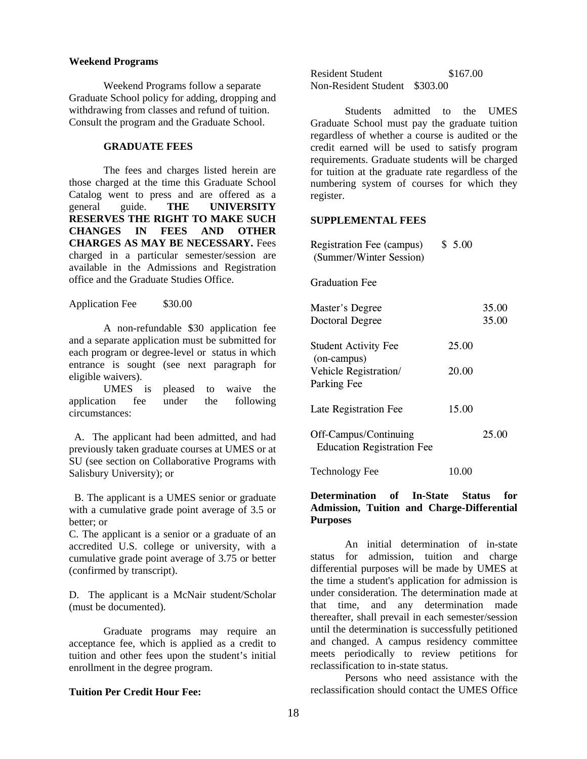#### **Weekend Programs**

 Weekend Programs follow a separate Graduate School policy for adding, dropping and withdrawing from classes and refund of tuition. Consult the program and the Graduate School.

## **GRADUATE FEES**

The fees and charges listed herein are those charged at the time this Graduate School Catalog went to press and are offered as a general guide. **THE UNIVERSITY RESERVES THE RIGHT TO MAKE SUCH CHANGES IN FEES AND OTHER CHARGES AS MAY BE NECESSARY.** Fees charged in a particular semester/session are available in the Admissions and Registration office and the Graduate Studies Office.

Application Fee \$30.00

A non-refundable \$30 application fee and a separate application must be submitted for each program or degree-level or status in which entrance is sought (see next paragraph for eligible waivers).

UMES is pleased to waive the application fee under the following circumstances:

 A. The applicant had been admitted, and had previously taken graduate courses at UMES or at SU (see section on Collaborative Programs with Salisbury University); or

 B. The applicant is a UMES senior or graduate with a cumulative grade point average of 3.5 or better; or

C. The applicant is a senior or a graduate of an accredited U.S. college or university, with a cumulative grade point average of 3.75 or better (confirmed by transcript).

D. The applicant is a McNair student/Scholar (must be documented).

Graduate programs may require an acceptance fee, which is applied as a credit to tuition and other fees upon the student's initial enrollment in the degree program.

## **Tuition Per Credit Hour Fee:**

Resident Student \$167.00 Non-Resident Student \$303.00

Students admitted to the UMES Graduate School must pay the graduate tuition regardless of whether a course is audited or the credit earned will be used to satisfy program requirements. Graduate students will be charged for tuition at the graduate rate regardless of the numbering system of courses for which they register.

#### **SUPPLEMENTAL FEES**

| <b>Registration Fee (campus)</b><br>(Summer/Winter Session) | \$5.00 |                |
|-------------------------------------------------------------|--------|----------------|
| <b>Graduation Fee</b>                                       |        |                |
| <b>Master's Degree</b><br>Doctoral Degree                   |        | 35.00<br>35.00 |
| <b>Student Activity Fee</b><br>(on-campus)                  | 25.00  |                |
| Vehicle Registration/<br>Parking Fee                        | 20.00  |                |
| Late Registration Fee                                       | 15.00  |                |
| Off-Campus/Continuing<br><b>Education Registration Fee</b>  |        | 25.00          |
|                                                             |        |                |

Technology Fee 10.00

## **Determination of In-State Status for Admission, Tuition and Charge-Differential Purposes**

An initial determination of in-state status for admission, tuition and charge differential purposes will be made by UMES at the time a student's application for admission is under consideration. The determination made at that time, and any determination made thereafter, shall prevail in each semester/session until the determination is successfully petitioned and changed. A campus residency committee meets periodically to review petitions for reclassification to in-state status.

Persons who need assistance with the reclassification should contact the UMES Office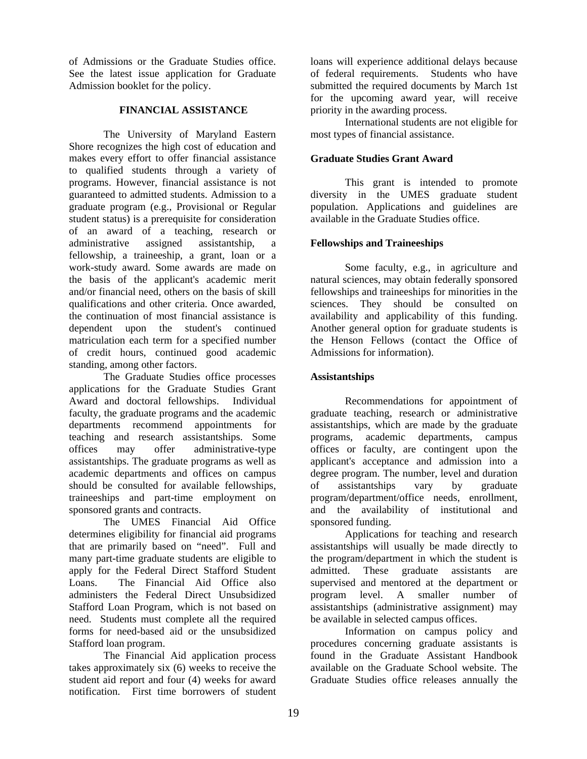of Admissions or the Graduate Studies office. See the latest issue application for Graduate Admission booklet for the policy.

## **FINANCIAL ASSISTANCE**

The University of Maryland Eastern Shore recognizes the high cost of education and makes every effort to offer financial assistance to qualified students through a variety of programs. However, financial assistance is not guaranteed to admitted students. Admission to a graduate program (e.g., Provisional or Regular student status) is a prerequisite for consideration of an award of a teaching, research or administrative assigned assistantship, a fellowship, a traineeship, a grant, loan or a work-study award. Some awards are made on the basis of the applicant's academic merit and/or financial need, others on the basis of skill qualifications and other criteria. Once awarded, the continuation of most financial assistance is dependent upon the student's continued matriculation each term for a specified number of credit hours, continued good academic standing, among other factors.

The Graduate Studies office processes applications for the Graduate Studies Grant Award and doctoral fellowships. Individual faculty, the graduate programs and the academic departments recommend appointments for teaching and research assistantships. Some offices may offer administrative-type assistantships. The graduate programs as well as academic departments and offices on campus should be consulted for available fellowships, traineeships and part-time employment on sponsored grants and contracts.

The UMES Financial Aid Office determines eligibility for financial aid programs that are primarily based on "need". Full and many part-time graduate students are eligible to apply for the Federal Direct Stafford Student Loans. The Financial Aid Office also administers the Federal Direct Unsubsidized Stafford Loan Program, which is not based on need. Students must complete all the required forms for need-based aid or the unsubsidized Stafford loan program.

The Financial Aid application process takes approximately six (6) weeks to receive the student aid report and four (4) weeks for award notification. First time borrowers of student

loans will experience additional delays because of federal requirements. Students who have submitted the required documents by March 1st for the upcoming award year, will receive priority in the awarding process.

International students are not eligible for most types of financial assistance.

## **Graduate Studies Grant Award**

This grant is intended to promote diversity in the UMES graduate student population. Applications and guidelines are available in the Graduate Studies office.

## **Fellowships and Traineeships**

Some faculty, e.g., in agriculture and natural sciences, may obtain federally sponsored fellowships and traineeships for minorities in the sciences. They should be consulted on availability and applicability of this funding. Another general option for graduate students is the Henson Fellows (contact the Office of Admissions for information).

## **Assistantships**

Recommendations for appointment of graduate teaching, research or administrative assistantships, which are made by the graduate programs, academic departments, campus offices or faculty, are contingent upon the applicant's acceptance and admission into a degree program. The number, level and duration of assistantships vary by graduate program/department/office needs, enrollment, and the availability of institutional and sponsored funding.

Applications for teaching and research assistantships will usually be made directly to the program/department in which the student is admitted. These graduate assistants are supervised and mentored at the department or program level. A smaller number of assistantships (administrative assignment) may be available in selected campus offices.

Information on campus policy and procedures concerning graduate assistants is found in the Graduate Assistant Handbook available on the Graduate School website. The Graduate Studies office releases annually the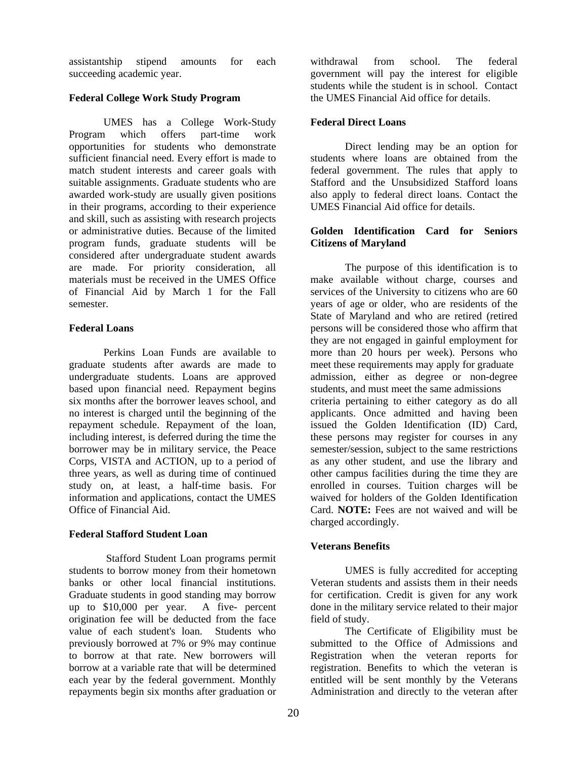assistantship stipend amounts for each succeeding academic year.

## **Federal College Work Study Program**

UMES has a College Work-Study Program which offers part-time work opportunities for students who demonstrate sufficient financial need. Every effort is made to match student interests and career goals with suitable assignments. Graduate students who are awarded work-study are usually given positions in their programs, according to their experience and skill, such as assisting with research projects or administrative duties. Because of the limited program funds, graduate students will be considered after undergraduate student awards are made. For priority consideration, all materials must be received in the UMES Office of Financial Aid by March 1 for the Fall semester.

## **Federal Loans**

Perkins Loan Funds are available to graduate students after awards are made to undergraduate students. Loans are approved based upon financial need. Repayment begins six months after the borrower leaves school, and no interest is charged until the beginning of the repayment schedule. Repayment of the loan, including interest, is deferred during the time the borrower may be in military service, the Peace Corps, VISTA and ACTION, up to a period of three years, as well as during time of continued study on, at least, a half-time basis. For information and applications, contact the UMES Office of Financial Aid.

## **Federal Stafford Student Loan**

 Stafford Student Loan programs permit students to borrow money from their hometown banks or other local financial institutions. Graduate students in good standing may borrow up to \$10,000 per year. A five- percent origination fee will be deducted from the face value of each student's loan. Students who previously borrowed at 7% or 9% may continue to borrow at that rate. New borrowers will borrow at a variable rate that will be determined each year by the federal government. Monthly repayments begin six months after graduation or

withdrawal from school. The federal government will pay the interest for eligible students while the student is in school. Contact the UMES Financial Aid office for details.

## **Federal Direct Loans**

Direct lending may be an option for students where loans are obtained from the federal government. The rules that apply to Stafford and the Unsubsidized Stafford loans also apply to federal direct loans. Contact the UMES Financial Aid office for details.

## **Golden Identification Card for Seniors Citizens of Maryland**

The purpose of this identification is to make available without charge, courses and services of the University to citizens who are 60 years of age or older, who are residents of the State of Maryland and who are retired (retired persons will be considered those who affirm that they are not engaged in gainful employment for more than 20 hours per week). Persons who meet these requirements may apply for graduate admission, either as degree or non-degree students, and must meet the same admissions criteria pertaining to either category as do all applicants. Once admitted and having been issued the Golden Identification (ID) Card, these persons may register for courses in any semester/session, subject to the same restrictions as any other student, and use the library and other campus facilities during the time they are enrolled in courses. Tuition charges will be waived for holders of the Golden Identification Card. **NOTE:** Fees are not waived and will be charged accordingly.

## **Veterans Benefits**

UMES is fully accredited for accepting Veteran students and assists them in their needs for certification. Credit is given for any work done in the military service related to their major field of study.

The Certificate of Eligibility must be submitted to the Office of Admissions and Registration when the veteran reports for registration. Benefits to which the veteran is entitled will be sent monthly by the Veterans Administration and directly to the veteran after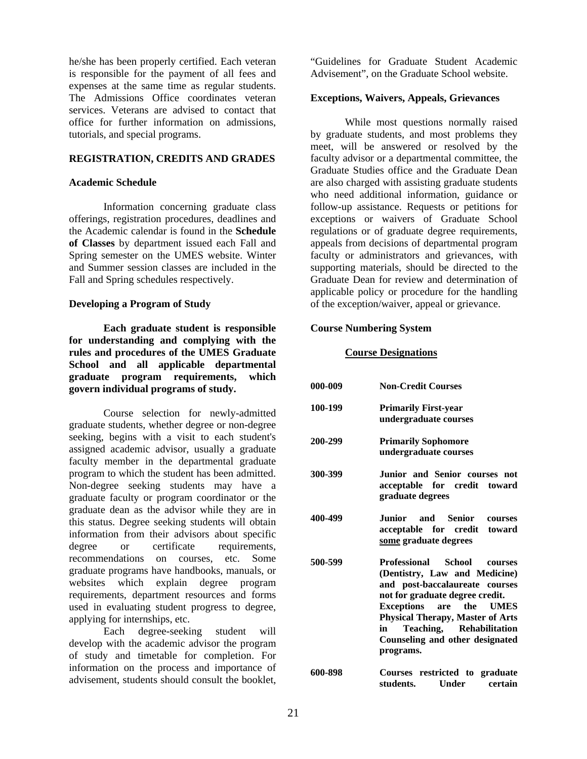he/she has been properly certified. Each veteran is responsible for the payment of all fees and expenses at the same time as regular students. The Admissions Office coordinates veteran services. Veterans are advised to contact that office for further information on admissions, tutorials, and special programs.

#### **REGISTRATION, CREDITS AND GRADES**

#### **Academic Schedule**

Information concerning graduate class offerings, registration procedures, deadlines and the Academic calendar is found in the **Schedule of Classes** by department issued each Fall and Spring semester on the UMES website. Winter and Summer session classes are included in the Fall and Spring schedules respectively.

#### **Developing a Program of Study**

**Each graduate student is responsible for understanding and complying with the rules and procedures of the UMES Graduate School and all applicable departmental graduate program requirements, which govern individual programs of study.**

Course selection for newly-admitted graduate students, whether degree or non-degree seeking, begins with a visit to each student's assigned academic advisor, usually a graduate faculty member in the departmental graduate program to which the student has been admitted. Non-degree seeking students may have a graduate faculty or program coordinator or the graduate dean as the advisor while they are in this status. Degree seeking students will obtain information from their advisors about specific degree or certificate requirements. recommendations on courses, etc. Some graduate programs have handbooks, manuals, or websites which explain degree program requirements, department resources and forms used in evaluating student progress to degree, applying for internships, etc.

Each degree-seeking student will develop with the academic advisor the program of study and timetable for completion. For information on the process and importance of advisement, students should consult the booklet,

"Guidelines for Graduate Student Academic Advisement", on the Graduate School website.

#### **Exceptions, Waivers, Appeals, Grievances**

While most questions normally raised by graduate students, and most problems they meet, will be answered or resolved by the faculty advisor or a departmental committee, the Graduate Studies office and the Graduate Dean are also charged with assisting graduate students who need additional information, guidance or follow-up assistance. Requests or petitions for exceptions or waivers of Graduate School regulations or of graduate degree requirements, appeals from decisions of departmental program faculty or administrators and grievances, with supporting materials, should be directed to the Graduate Dean for review and determination of applicable policy or procedure for the handling of the exception/waiver, appeal or grievance.

#### **Course Numbering System**

#### **Course Designations**

| 000-009 | <b>Non-Credit Courses</b>                                                                                                                                                                                                                                                                                 |
|---------|-----------------------------------------------------------------------------------------------------------------------------------------------------------------------------------------------------------------------------------------------------------------------------------------------------------|
| 100-199 | <b>Primarily First-year</b><br>undergraduate courses                                                                                                                                                                                                                                                      |
| 200-299 | <b>Primarily Sophomore</b><br>undergraduate courses                                                                                                                                                                                                                                                       |
| 300-399 | Junior and Senior courses not<br>acceptable for credit toward<br>graduate degrees                                                                                                                                                                                                                         |
| 400-499 | Junior and Senior<br>courses<br>acceptable for credit toward<br>some graduate degrees                                                                                                                                                                                                                     |
| 500-599 | <b>Professional</b><br>School<br>courses<br>(Dentistry, Law and Medicine)<br>and post-baccalaureate courses<br>not for graduate degree credit.<br>Exceptions<br>are the UMES<br><b>Physical Therapy, Master of Arts</b><br>Teaching, Rehabilitation<br>in<br>Counseling and other designated<br>programs. |
| 600-898 | Courses restricted to graduate                                                                                                                                                                                                                                                                            |

**students. Under certain**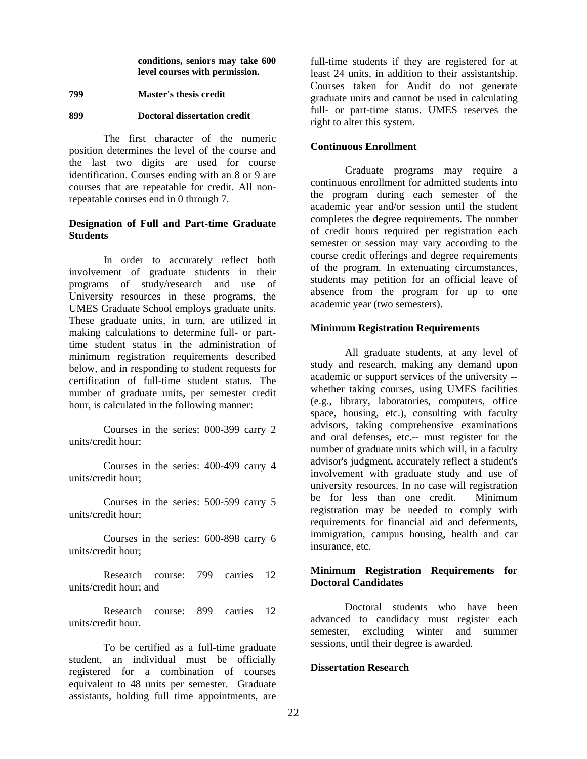**conditions, seniors may take 600 level courses with permission.** 

#### **799 Master's thesis credit**

### **899 Doctoral dissertation credit**

The first character of the numeric position determines the level of the course and the last two digits are used for course identification. Courses ending with an 8 or 9 are courses that are repeatable for credit. All nonrepeatable courses end in 0 through 7.

## **Designation of Full and Part-time Graduate Students**

In order to accurately reflect both involvement of graduate students in their programs of study/research and use of University resources in these programs, the UMES Graduate School employs graduate units. These graduate units, in turn, are utilized in making calculations to determine full- or parttime student status in the administration of minimum registration requirements described below, and in responding to student requests for certification of full-time student status. The number of graduate units, per semester credit hour, is calculated in the following manner:

Courses in the series: 000-399 carry 2 units/credit hour;

Courses in the series: 400-499 carry 4 units/credit hour;

Courses in the series: 500-599 carry 5 units/credit hour;

Courses in the series: 600-898 carry 6 units/credit hour;

Research course: 799 carries 12 units/credit hour; and

Research course: 899 carries 12 units/credit hour.

To be certified as a full-time graduate student, an individual must be officially registered for a combination of courses equivalent to 48 units per semester. Graduate assistants, holding full time appointments, are

full-time students if they are registered for at least 24 units, in addition to their assistantship. Courses taken for Audit do not generate graduate units and cannot be used in calculating full- or part-time status. UMES reserves the right to alter this system.

#### **Continuous Enrollment**

Graduate programs may require a continuous enrollment for admitted students into the program during each semester of the academic year and/or session until the student completes the degree requirements. The number of credit hours required per registration each semester or session may vary according to the course credit offerings and degree requirements of the program. In extenuating circumstances, students may petition for an official leave of absence from the program for up to one academic year (two semesters).

#### **Minimum Registration Requirements**

All graduate students, at any level of study and research, making any demand upon academic or support services of the university - whether taking courses, using UMES facilities (e.g., library, laboratories, computers, office space, housing, etc.), consulting with faculty advisors, taking comprehensive examinations and oral defenses, etc.-- must register for the number of graduate units which will, in a faculty advisor's judgment, accurately reflect a student's involvement with graduate study and use of university resources. In no case will registration<br>be for less than one credit. Minimum be for less than one credit. registration may be needed to comply with requirements for financial aid and deferments, immigration, campus housing, health and car insurance, etc.

## **Minimum Registration Requirements for Doctoral Candidates**

Doctoral students who have been advanced to candidacy must register each semester, excluding winter and summer sessions, until their degree is awarded.

#### **Dissertation Research**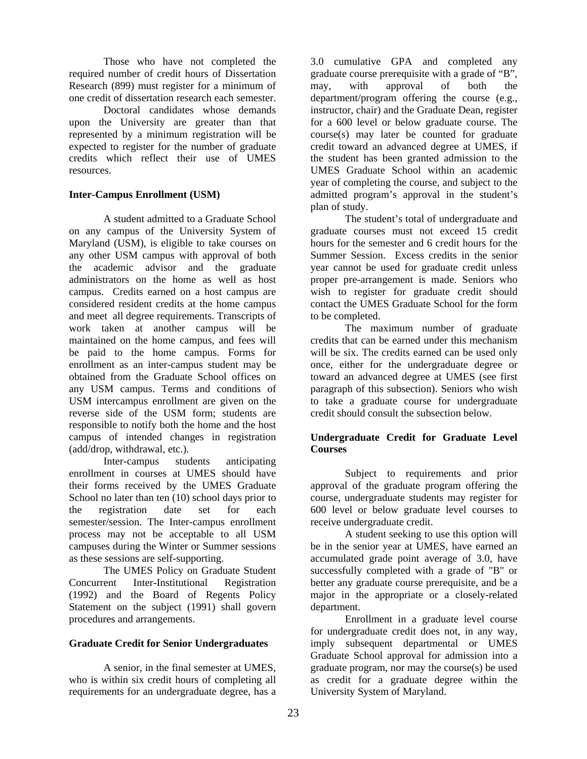Those who have not completed the required number of credit hours of Dissertation Research (899) must register for a minimum of one credit of dissertation research each semester.

 Doctoral candidates whose demands upon the University are greater than that represented by a minimum registration will be expected to register for the number of graduate credits which reflect their use of UMES resources.

## **Inter-Campus Enrollment (USM)**

A student admitted to a Graduate School on any campus of the University System of Maryland (USM), is eligible to take courses on any other USM campus with approval of both the academic advisor and the graduate administrators on the home as well as host campus. Credits earned on a host campus are considered resident credits at the home campus and meet all degree requirements. Transcripts of work taken at another campus will be maintained on the home campus, and fees will be paid to the home campus. Forms for enrollment as an inter-campus student may be obtained from the Graduate School offices on any USM campus. Terms and conditions of USM intercampus enrollment are given on the reverse side of the USM form; students are responsible to notify both the home and the host campus of intended changes in registration (add/drop, withdrawal, etc.).

Inter-campus students anticipating enrollment in courses at UMES should have their forms received by the UMES Graduate School no later than ten  $(10)$  school days prior to the registration date set for each semester/session. The Inter-campus enrollment process may not be acceptable to all USM campuses during the Winter or Summer sessions as these sessions are self-supporting.

The UMES Policy on Graduate Student Concurrent Inter-Institutional Registration (1992) and the Board of Regents Policy Statement on the subject (1991) shall govern procedures and arrangements.

## **Graduate Credit for Senior Undergraduates**

A senior, in the final semester at UMES, who is within six credit hours of completing all requirements for an undergraduate degree, has a

3.0 cumulative GPA and completed any graduate course prerequisite with a grade of "B", may, with approval of both the department/program offering the course (e.g., instructor, chair) and the Graduate Dean, register for a 600 level or below graduate course. The course(s) may later be counted for graduate credit toward an advanced degree at UMES, if the student has been granted admission to the UMES Graduate School within an academic year of completing the course, and subject to the admitted program's approval in the student's plan of study.

The student's total of undergraduate and graduate courses must not exceed 15 credit hours for the semester and 6 credit hours for the Summer Session. Excess credits in the senior year cannot be used for graduate credit unless proper pre-arrangement is made. Seniors who wish to register for graduate credit should contact the UMES Graduate School for the form to be completed.

The maximum number of graduate credits that can be earned under this mechanism will be six. The credits earned can be used only once, either for the undergraduate degree or toward an advanced degree at UMES (see first paragraph of this subsection). Seniors who wish to take a graduate course for undergraduate credit should consult the subsection below.

## **Undergraduate Credit for Graduate Level Courses**

Subject to requirements and prior approval of the graduate program offering the course, undergraduate students may register for 600 level or below graduate level courses to receive undergraduate credit.

A student seeking to use this option will be in the senior year at UMES, have earned an accumulated grade point average of 3.0, have successfully completed with a grade of "B" or better any graduate course prerequisite, and be a major in the appropriate or a closely-related department.

Enrollment in a graduate level course for undergraduate credit does not, in any way, imply subsequent departmental or UMES Graduate School approval for admission into a graduate program, nor may the course(s) be used as credit for a graduate degree within the University System of Maryland.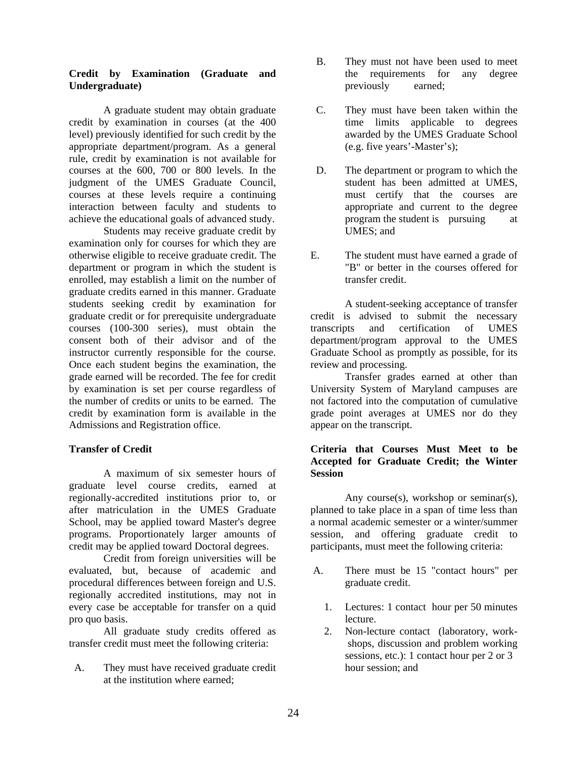## **Credit by Examination (Graduate and Undergraduate)**

A graduate student may obtain graduate credit by examination in courses (at the 400 level) previously identified for such credit by the appropriate department/program. As a general rule, credit by examination is not available for courses at the 600, 700 or 800 levels. In the judgment of the UMES Graduate Council, courses at these levels require a continuing interaction between faculty and students to achieve the educational goals of advanced study.

Students may receive graduate credit by examination only for courses for which they are otherwise eligible to receive graduate credit. The department or program in which the student is enrolled, may establish a limit on the number of graduate credits earned in this manner. Graduate students seeking credit by examination for graduate credit or for prerequisite undergraduate courses (100-300 series), must obtain the consent both of their advisor and of the instructor currently responsible for the course. Once each student begins the examination, the grade earned will be recorded. The fee for credit by examination is set per course regardless of the number of credits or units to be earned. The credit by examination form is available in the Admissions and Registration office.

## **Transfer of Credit**

A maximum of six semester hours of graduate level course credits, earned at regionally-accredited institutions prior to, or after matriculation in the UMES Graduate School, may be applied toward Master's degree programs. Proportionately larger amounts of credit may be applied toward Doctoral degrees.

Credit from foreign universities will be evaluated, but, because of academic and procedural differences between foreign and U.S. regionally accredited institutions, may not in every case be acceptable for transfer on a quid pro quo basis.

All graduate study credits offered as transfer credit must meet the following criteria:

 A. They must have received graduate credit at the institution where earned;

- B. They must not have been used to meet the requirements for any degree previously earned;
- C. They must have been taken within the time limits applicable to degrees awarded by the UMES Graduate School (e.g. five years'-Master's);
- D. The department or program to which the student has been admitted at UMES, must certify that the courses are appropriate and current to the degree program the student is pursuing at UMES; and
- E. The student must have earned a grade of "B" or better in the courses offered for transfer credit.

A student-seeking acceptance of transfer credit is advised to submit the necessary transcripts and certification of UMES department/program approval to the UMES Graduate School as promptly as possible, for its review and processing.

Transfer grades earned at other than University System of Maryland campuses are not factored into the computation of cumulative grade point averages at UMES nor do they appear on the transcript.

## **Criteria that Courses Must Meet to be Accepted for Graduate Credit; the Winter Session**

Any course(s), workshop or seminar(s), planned to take place in a span of time less than a normal academic semester or a winter/summer session, and offering graduate credit to participants, must meet the following criteria:

- A. There must be 15 "contact hours" per graduate credit.
	- 1. Lectures: 1 contact hour per 50 minutes lecture.
	- 2. Non-lecture contact (laboratory, work shops, discussion and problem working sessions, etc.): 1 contact hour per 2 or 3 hour session; and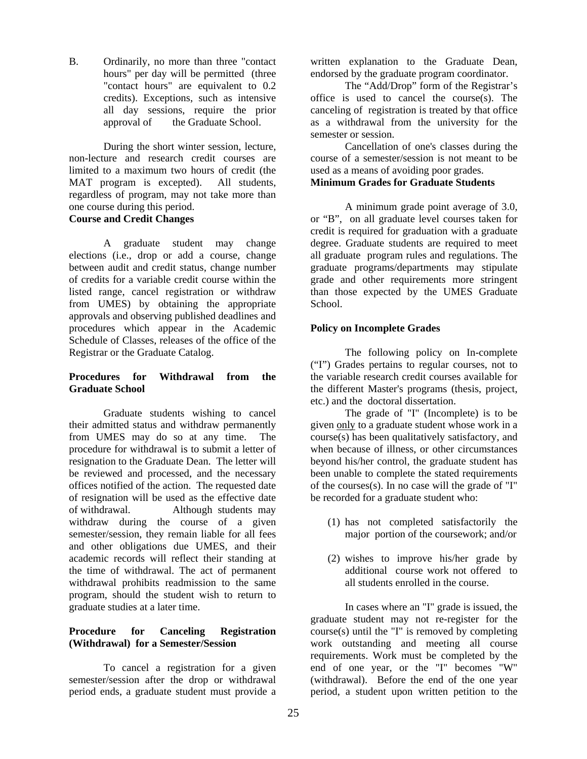B. Ordinarily, no more than three "contact hours" per day will be permitted (three "contact hours" are equivalent to 0.2 credits). Exceptions, such as intensive all day sessions, require the prior approval of the Graduate School.

During the short winter session, lecture, non-lecture and research credit courses are limited to a maximum two hours of credit (the MAT program is excepted). All students, regardless of program, may not take more than one course during this period. **Course and Credit Changes**

A graduate student may change elections (i.e., drop or add a course, change between audit and credit status, change number of credits for a variable credit course within the listed range, cancel registration or withdraw from UMES) by obtaining the appropriate approvals and observing published deadlines and procedures which appear in the Academic Schedule of Classes, releases of the office of the Registrar or the Graduate Catalog.

## **Procedures for Withdrawal from the Graduate School**

Graduate students wishing to cancel their admitted status and withdraw permanently from UMES may do so at any time. The procedure for withdrawal is to submit a letter of resignation to the Graduate Dean. The letter will be reviewed and processed, and the necessary offices notified of the action. The requested date of resignation will be used as the effective date of withdrawal. Although students may withdraw during the course of a given semester/session, they remain liable for all fees and other obligations due UMES, and their academic records will reflect their standing at the time of withdrawal. The act of permanent withdrawal prohibits readmission to the same program, should the student wish to return to graduate studies at a later time.

## **Procedure for Canceling Registration (Withdrawal) for a Semester/Session**

To cancel a registration for a given semester/session after the drop or withdrawal period ends, a graduate student must provide a

written explanation to the Graduate Dean, endorsed by the graduate program coordinator.

The "Add/Drop" form of the Registrar's office is used to cancel the course(s). The canceling of registration is treated by that office as a withdrawal from the university for the semester or session.

Cancellation of one's classes during the course of a semester/session is not meant to be used as a means of avoiding poor grades. **Minimum Grades for Graduate Students**

A minimum grade point average of 3.0, or "B", on all graduate level courses taken for credit is required for graduation with a graduate degree. Graduate students are required to meet all graduate program rules and regulations. The graduate programs/departments may stipulate grade and other requirements more stringent than those expected by the UMES Graduate School.

## **Policy on Incomplete Grades**

The following policy on In-complete ("I") Grades pertains to regular courses, not to the variable research credit courses available for the different Master's programs (thesis, project, etc.) and the doctoral dissertation.

The grade of "I" (Incomplete) is to be given only to a graduate student whose work in a course(s) has been qualitatively satisfactory, and when because of illness, or other circumstances beyond his/her control, the graduate student has been unable to complete the stated requirements of the courses(s). In no case will the grade of "I" be recorded for a graduate student who:

- (1) has not completed satisfactorily the major portion of the coursework; and/or
- (2) wishes to improve his/her grade by additional course work not offered to all students enrolled in the course.

In cases where an "I" grade is issued, the graduate student may not re-register for the course(s) until the "I" is removed by completing work outstanding and meeting all course requirements. Work must be completed by the end of one year, or the "I" becomes "W" (withdrawal). Before the end of the one year period, a student upon written petition to the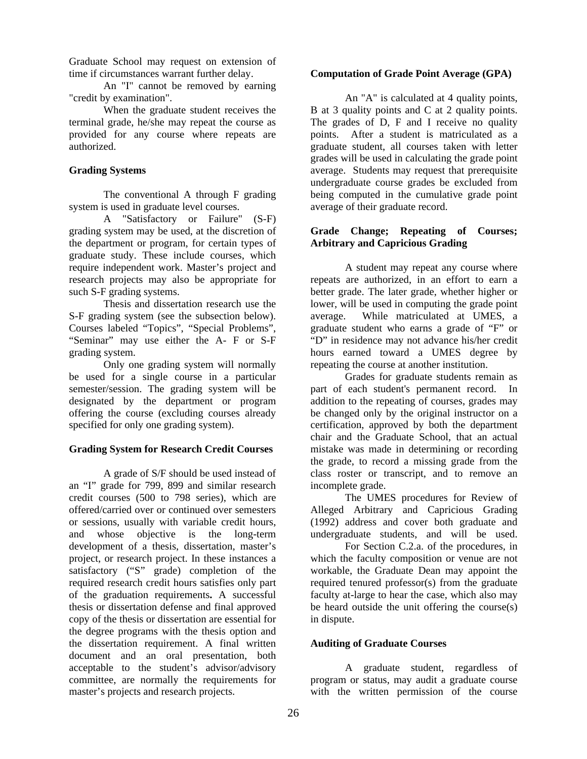Graduate School may request on extension of time if circumstances warrant further delay.

An "I" cannot be removed by earning "credit by examination".

When the graduate student receives the terminal grade, he/she may repeat the course as provided for any course where repeats are authorized.

## **Grading Systems**

The conventional A through F grading system is used in graduate level courses.

A "Satisfactory or Failure" (S-F) grading system may be used, at the discretion of the department or program, for certain types of graduate study. These include courses, which require independent work. Master's project and research projects may also be appropriate for such S-F grading systems.

Thesis and dissertation research use the S-F grading system (see the subsection below). Courses labeled "Topics", "Special Problems", "Seminar" may use either the A- F or S-F grading system.

Only one grading system will normally be used for a single course in a particular semester/session. The grading system will be designated by the department or program offering the course (excluding courses already specified for only one grading system).

## **Grading System for Research Credit Courses**

A grade of S/F should be used instead of an "I" grade for 799, 899 and similar research credit courses (500 to 798 series), which are offered/carried over or continued over semesters or sessions, usually with variable credit hours, and whose objective is the long-term development of a thesis, dissertation, master's project, or research project. In these instances a satisfactory ("S" grade) completion of the required research credit hours satisfies only part of the graduation requirements**.** A successful thesis or dissertation defense and final approved copy of the thesis or dissertation are essential for the degree programs with the thesis option and the dissertation requirement. A final written document and an oral presentation, both acceptable to the student's advisor/advisory committee, are normally the requirements for master's projects and research projects.

## **Computation of Grade Point Average (GPA)**

An "A" is calculated at 4 quality points, B at 3 quality points and C at 2 quality points. The grades of D, F and I receive no quality points. After a student is matriculated as a graduate student, all courses taken with letter grades will be used in calculating the grade point average. Students may request that prerequisite undergraduate course grades be excluded from being computed in the cumulative grade point average of their graduate record.

## **Grade Change; Repeating of Courses; Arbitrary and Capricious Grading**

A student may repeat any course where repeats are authorized, in an effort to earn a better grade. The later grade, whether higher or lower, will be used in computing the grade point average. While matriculated at UMES, a graduate student who earns a grade of "F" or "D" in residence may not advance his/her credit hours earned toward a UMES degree by repeating the course at another institution.

Grades for graduate students remain as part of each student's permanent record. In addition to the repeating of courses, grades may be changed only by the original instructor on a certification, approved by both the department chair and the Graduate School, that an actual mistake was made in determining or recording the grade, to record a missing grade from the class roster or transcript, and to remove an incomplete grade.

 The UMES procedures for Review of Alleged Arbitrary and Capricious Grading (1992) address and cover both graduate and undergraduate students, and will be used.

 For Section C.2.a. of the procedures, in which the faculty composition or venue are not workable, the Graduate Dean may appoint the required tenured professor(s) from the graduate faculty at-large to hear the case, which also may be heard outside the unit offering the course(s) in dispute.

## **Auditing of Graduate Courses**

A graduate student, regardless of program or status, may audit a graduate course with the written permission of the course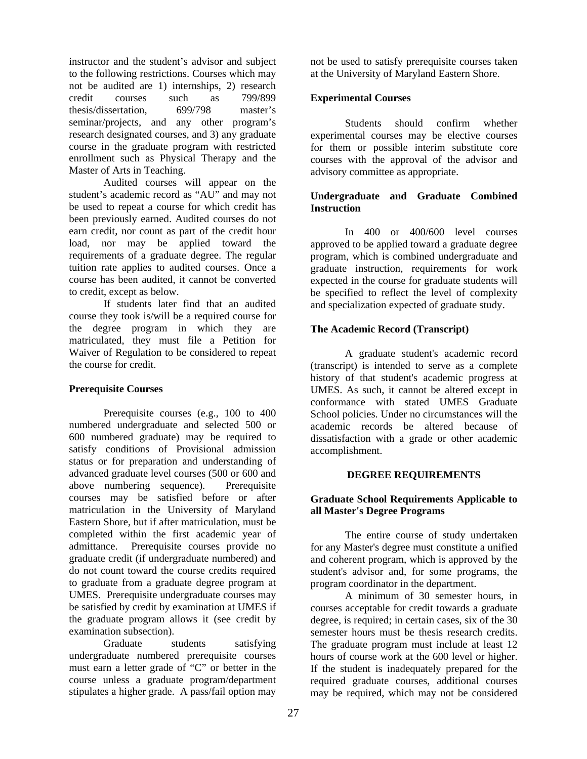instructor and the student's advisor and subject to the following restrictions. Courses which may not be audited are 1) internships, 2) research credit courses such as 799/899 thesis/dissertation, 699/798 master's seminar/projects, and any other program's research designated courses, and 3) any graduate course in the graduate program with restricted enrollment such as Physical Therapy and the Master of Arts in Teaching.

Audited courses will appear on the student's academic record as "AU" and may not be used to repeat a course for which credit has been previously earned. Audited courses do not earn credit, nor count as part of the credit hour load, nor may be applied toward the requirements of a graduate degree. The regular tuition rate applies to audited courses. Once a course has been audited, it cannot be converted to credit, except as below.

If students later find that an audited course they took is/will be a required course for the degree program in which they are matriculated, they must file a Petition for Waiver of Regulation to be considered to repeat the course for credit.

## **Prerequisite Courses**

 Prerequisite courses (e.g., 100 to 400 numbered undergraduate and selected 500 or 600 numbered graduate) may be required to satisfy conditions of Provisional admission status or for preparation and understanding of advanced graduate level courses (500 or 600 and above numbering sequence). Prerequisite courses may be satisfied before or after matriculation in the University of Maryland Eastern Shore, but if after matriculation, must be completed within the first academic year of admittance. Prerequisite courses provide no graduate credit (if undergraduate numbered) and do not count toward the course credits required to graduate from a graduate degree program at UMES. Prerequisite undergraduate courses may be satisfied by credit by examination at UMES if the graduate program allows it (see credit by examination subsection).

 Graduate students satisfying undergraduate numbered prerequisite courses must earn a letter grade of "C" or better in the course unless a graduate program/department stipulates a higher grade. A pass/fail option may

not be used to satisfy prerequisite courses taken at the University of Maryland Eastern Shore.

## **Experimental Courses**

Students should confirm whether experimental courses may be elective courses for them or possible interim substitute core courses with the approval of the advisor and advisory committee as appropriate.

## **Undergraduate and Graduate Combined Instruction**

 In 400 or 400/600 level courses approved to be applied toward a graduate degree program, which is combined undergraduate and graduate instruction, requirements for work expected in the course for graduate students will be specified to reflect the level of complexity and specialization expected of graduate study.

## **The Academic Record (Transcript)**

A graduate student's academic record (transcript) is intended to serve as a complete history of that student's academic progress at UMES. As such, it cannot be altered except in conformance with stated UMES Graduate School policies. Under no circumstances will the academic records be altered because of dissatisfaction with a grade or other academic accomplishment.

## **DEGREE REQUIREMENTS**

## **Graduate School Requirements Applicable to all Master's Degree Programs**

The entire course of study undertaken for any Master's degree must constitute a unified and coherent program, which is approved by the student's advisor and, for some programs, the program coordinator in the department.

A minimum of 30 semester hours, in courses acceptable for credit towards a graduate degree, is required; in certain cases, six of the 30 semester hours must be thesis research credits. The graduate program must include at least 12 hours of course work at the 600 level or higher. If the student is inadequately prepared for the required graduate courses, additional courses may be required, which may not be considered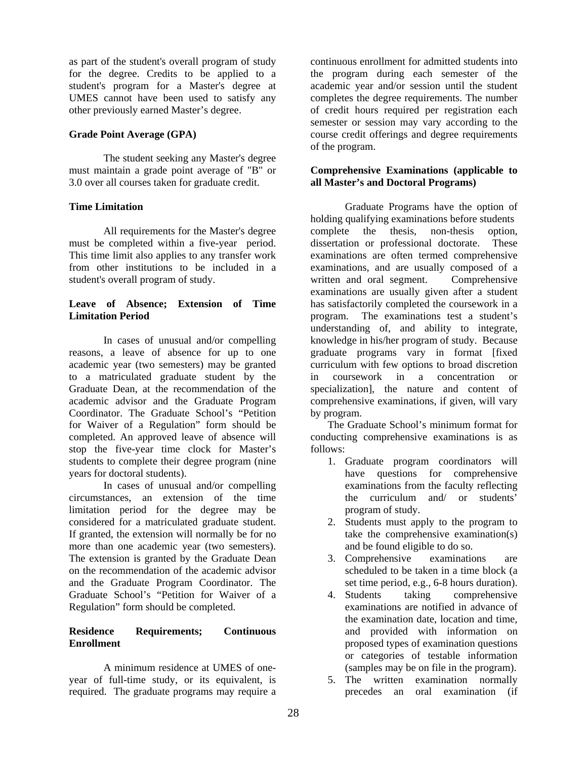as part of the student's overall program of study for the degree. Credits to be applied to a student's program for a Master's degree at UMES cannot have been used to satisfy any other previously earned Master's degree.

## **Grade Point Average (GPA)**

The student seeking any Master's degree must maintain a grade point average of "B" or 3.0 over all courses taken for graduate credit.

## **Time Limitation**

 All requirements for the Master's degree must be completed within a five-year period. This time limit also applies to any transfer work from other institutions to be included in a student's overall program of study.

## **Leave of Absence; Extension of Time Limitation Period**

In cases of unusual and/or compelling reasons, a leave of absence for up to one academic year (two semesters) may be granted to a matriculated graduate student by the Graduate Dean, at the recommendation of the academic advisor and the Graduate Program Coordinator. The Graduate School's "Petition for Waiver of a Regulation" form should be completed. An approved leave of absence will stop the five-year time clock for Master's students to complete their degree program (nine years for doctoral students).

In cases of unusual and/or compelling circumstances, an extension of the time limitation period for the degree may be considered for a matriculated graduate student. If granted, the extension will normally be for no more than one academic year (two semesters). The extension is granted by the Graduate Dean on the recommendation of the academic advisor and the Graduate Program Coordinator. The Graduate School's "Petition for Waiver of a Regulation" form should be completed.

## **Residence Requirements; Continuous Enrollment**

A minimum residence at UMES of oneyear of full-time study, or its equivalent, is required. The graduate programs may require a

continuous enrollment for admitted students into the program during each semester of the academic year and/or session until the student completes the degree requirements. The number of credit hours required per registration each semester or session may vary according to the course credit offerings and degree requirements of the program.

## **Comprehensive Examinations (applicable to all Master's and Doctoral Programs)**

 Graduate Programs have the option of holding qualifying examinations before students complete the thesis, non-thesis option, dissertation or professional doctorate. These examinations are often termed comprehensive examinations, and are usually composed of a written and oral segment. Comprehensive examinations are usually given after a student has satisfactorily completed the coursework in a program. The examinations test a student's understanding of, and ability to integrate, knowledge in his/her program of study. Because graduate programs vary in format [fixed curriculum with few options to broad discretion in coursework in a concentration or specialization], the nature and content of comprehensive examinations, if given, will vary by program.

The Graduate School's minimum format for conducting comprehensive examinations is as follows:

- 1. Graduate program coordinators will have questions for comprehensive examinations from the faculty reflecting the curriculum and/ or students' program of study.
- 2. Students must apply to the program to take the comprehensive examination(s) and be found eligible to do so.
- 3. Comprehensive examinations are scheduled to be taken in a time block (a set time period, e.g., 6-8 hours duration).
- 4. Students taking comprehensive examinations are notified in advance of the examination date, location and time, and provided with information on proposed types of examination questions or categories of testable information (samples may be on file in the program).
- 5. The written examination normally precedes an oral examination (if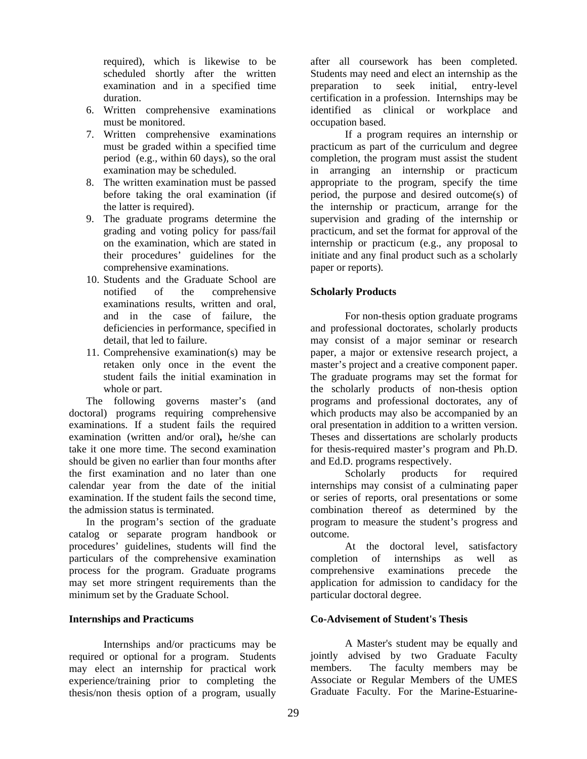required), which is likewise to be scheduled shortly after the written examination and in a specified time duration.

- 6. Written comprehensive examinations must be monitored.
- 7. Written comprehensive examinations must be graded within a specified time period (e.g., within 60 days), so the oral examination may be scheduled.
- 8. The written examination must be passed before taking the oral examination (if the latter is required).
- 9. The graduate programs determine the grading and voting policy for pass/fail on the examination, which are stated in their procedures' guidelines for the comprehensive examinations.
- 10. Students and the Graduate School are notified of the comprehensive examinations results, written and oral, and in the case of failure, the deficiencies in performance, specified in detail, that led to failure.
- 11. Comprehensive examination(s) may be retaken only once in the event the student fails the initial examination in whole or part.

The following governs master's (and doctoral) programs requiring comprehensive examinations. If a student fails the required examination (written and/or oral)**,** he/she can take it one more time. The second examination should be given no earlier than four months after the first examination and no later than one calendar year from the date of the initial examination. If the student fails the second time, the admission status is terminated.

In the program's section of the graduate catalog or separate program handbook or procedures' guidelines, students will find the particulars of the comprehensive examination process for the program. Graduate programs may set more stringent requirements than the minimum set by the Graduate School.

## **Internships and Practicums**

Internships and/or practicums may be required or optional for a program. Students may elect an internship for practical work experience/training prior to completing the thesis/non thesis option of a program, usually

after all coursework has been completed. Students may need and elect an internship as the<br>preparation to seek initial, entry-level preparation to seek initial, entry-level certification in a profession. Internships may be identified as clinical or workplace and occupation based.

If a program requires an internship or practicum as part of the curriculum and degree completion, the program must assist the student in arranging an internship or practicum appropriate to the program, specify the time period, the purpose and desired outcome(s) of the internship or practicum, arrange for the supervision and grading of the internship or practicum, and set the format for approval of the internship or practicum (e.g., any proposal to initiate and any final product such as a scholarly paper or reports).

### **Scholarly Products**

For non-thesis option graduate programs and professional doctorates, scholarly products may consist of a major seminar or research paper, a major or extensive research project, a master's project and a creative component paper. The graduate programs may set the format for the scholarly products of non-thesis option programs and professional doctorates, any of which products may also be accompanied by an oral presentation in addition to a written version. Theses and dissertations are scholarly products for thesis-required master's program and Ph.D. and Ed.D. programs respectively.

Scholarly products for required internships may consist of a culminating paper or series of reports, oral presentations or some combination thereof as determined by the program to measure the student's progress and outcome.

At the doctoral level, satisfactory completion of internships as well as comprehensive examinations precede the application for admission to candidacy for the particular doctoral degree.

## **Co-Advisement of Student's Thesis**

A Master's student may be equally and jointly advised by two Graduate Faculty members. The faculty members may be Associate or Regular Members of the UMES Graduate Faculty. For the Marine-Estuarine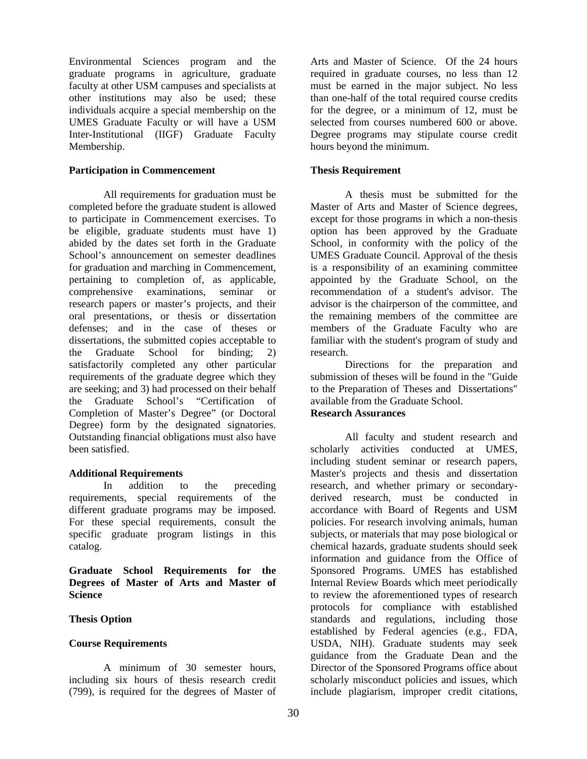Environmental Sciences program and the graduate programs in agriculture, graduate faculty at other USM campuses and specialists at other institutions may also be used; these individuals acquire a special membership on the UMES Graduate Faculty or will have a USM Inter-Institutional (IIGF) Graduate Faculty Membership.

#### **Participation in Commencement**

All requirements for graduation must be completed before the graduate student is allowed to participate in Commencement exercises. To be eligible, graduate students must have 1) abided by the dates set forth in the Graduate School's announcement on semester deadlines for graduation and marching in Commencement, pertaining to completion of, as applicable, comprehensive examinations, seminar or research papers or master's projects, and their oral presentations, or thesis or dissertation defenses; and in the case of theses or dissertations, the submitted copies acceptable to the Graduate School for binding; 2) satisfactorily completed any other particular requirements of the graduate degree which they are seeking; and 3) had processed on their behalf the Graduate School's "Certification of Completion of Master's Degree" (or Doctoral Degree) form by the designated signatories. Outstanding financial obligations must also have been satisfied.

## **Additional Requirements**

In addition to the preceding requirements, special requirements of the different graduate programs may be imposed. For these special requirements, consult the specific graduate program listings in this catalog.

**Graduate School Requirements for the Degrees of Master of Arts and Master of Science** 

## **Thesis Option**

#### **Course Requirements**

A minimum of 30 semester hours, including six hours of thesis research credit (799), is required for the degrees of Master of

Arts and Master of Science. Of the 24 hours required in graduate courses, no less than 12 must be earned in the major subject. No less than one-half of the total required course credits for the degree, or a minimum of 12, must be selected from courses numbered 600 or above. Degree programs may stipulate course credit hours beyond the minimum.

## **Thesis Requirement**

A thesis must be submitted for the Master of Arts and Master of Science degrees, except for those programs in which a non-thesis option has been approved by the Graduate School, in conformity with the policy of the UMES Graduate Council. Approval of the thesis is a responsibility of an examining committee appointed by the Graduate School, on the recommendation of a student's advisor. The advisor is the chairperson of the committee, and the remaining members of the committee are members of the Graduate Faculty who are familiar with the student's program of study and research.

Directions for the preparation and submission of theses will be found in the "Guide to the Preparation of Theses and Dissertations" available from the Graduate School.

## **Research Assurances**

All faculty and student research and scholarly activities conducted at UMES, including student seminar or research papers, Master's projects and thesis and dissertation research, and whether primary or secondaryderived research, must be conducted in accordance with Board of Regents and USM policies. For research involving animals, human subjects, or materials that may pose biological or chemical hazards, graduate students should seek information and guidance from the Office of Sponsored Programs. UMES has established Internal Review Boards which meet periodically to review the aforementioned types of research protocols for compliance with established standards and regulations, including those established by Federal agencies (e.g., FDA, USDA, NIH). Graduate students may seek guidance from the Graduate Dean and the Director of the Sponsored Programs office about scholarly misconduct policies and issues, which include plagiarism, improper credit citations,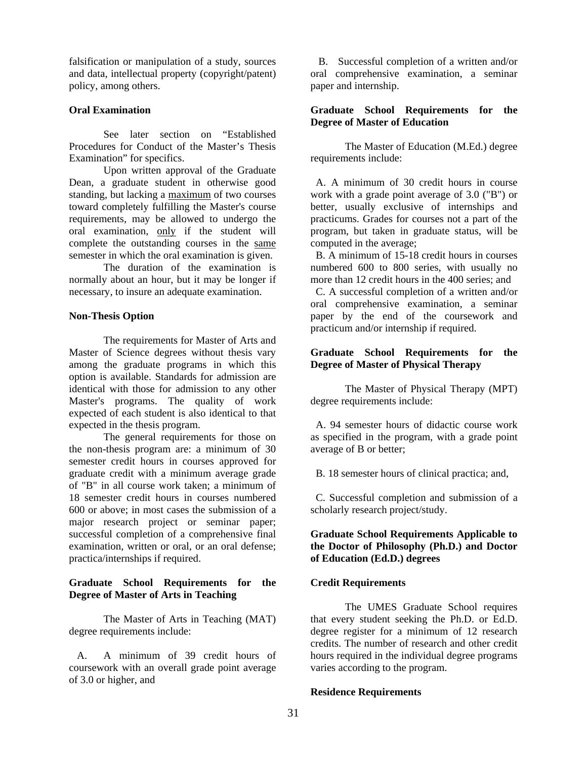falsification or manipulation of a study, sources and data, intellectual property (copyright/patent) policy, among others.

## **Oral Examination**

See later section on "Established Procedures for Conduct of the Master's Thesis Examination" for specifics.

Upon written approval of the Graduate Dean, a graduate student in otherwise good standing, but lacking a maximum of two courses toward completely fulfilling the Master's course requirements, may be allowed to undergo the oral examination, only if the student will complete the outstanding courses in the same semester in which the oral examination is given.

The duration of the examination is normally about an hour, but it may be longer if necessary, to insure an adequate examination.

### **Non-Thesis Option**

The requirements for Master of Arts and Master of Science degrees without thesis vary among the graduate programs in which this option is available. Standards for admission are identical with those for admission to any other Master's programs. The quality of work expected of each student is also identical to that expected in the thesis program.

The general requirements for those on the non-thesis program are: a minimum of 30 semester credit hours in courses approved for graduate credit with a minimum average grade of "B" in all course work taken; a minimum of 18 semester credit hours in courses numbered 600 or above; in most cases the submission of a major research project or seminar paper; successful completion of a comprehensive final examination, written or oral, or an oral defense; practica/internships if required.

### **Graduate School Requirements for the Degree of Master of Arts in Teaching**

The Master of Arts in Teaching (MAT) degree requirements include:

 A. A minimum of 39 credit hours of coursework with an overall grade point average of 3.0 or higher, and

 B. Successful completion of a written and/or oral comprehensive examination, a seminar paper and internship.

## **Graduate School Requirements for the Degree of Master of Education**

The Master of Education (M.Ed.) degree requirements include:

 A. A minimum of 30 credit hours in course work with a grade point average of 3.0 ("B") or better, usually exclusive of internships and practicums. Grades for courses not a part of the program, but taken in graduate status, will be computed in the average;

 B. A minimum of 15-18 credit hours in courses numbered 600 to 800 series, with usually no more than 12 credit hours in the 400 series; and

 C. A successful completion of a written and/or oral comprehensive examination, a seminar paper by the end of the coursework and practicum and/or internship if required.

## **Graduate School Requirements for the Degree of Master of Physical Therapy**

The Master of Physical Therapy (MPT) degree requirements include:

 A. 94 semester hours of didactic course work as specified in the program, with a grade point average of B or better;

B. 18 semester hours of clinical practica; and,

 C. Successful completion and submission of a scholarly research project/study.

## **Graduate School Requirements Applicable to the Doctor of Philosophy (Ph.D.) and Doctor of Education (Ed.D.) degrees**

## **Credit Requirements**

The UMES Graduate School requires that every student seeking the Ph.D. or Ed.D. degree register for a minimum of 12 research credits. The number of research and other credit hours required in the individual degree programs varies according to the program.

#### **Residence Requirements**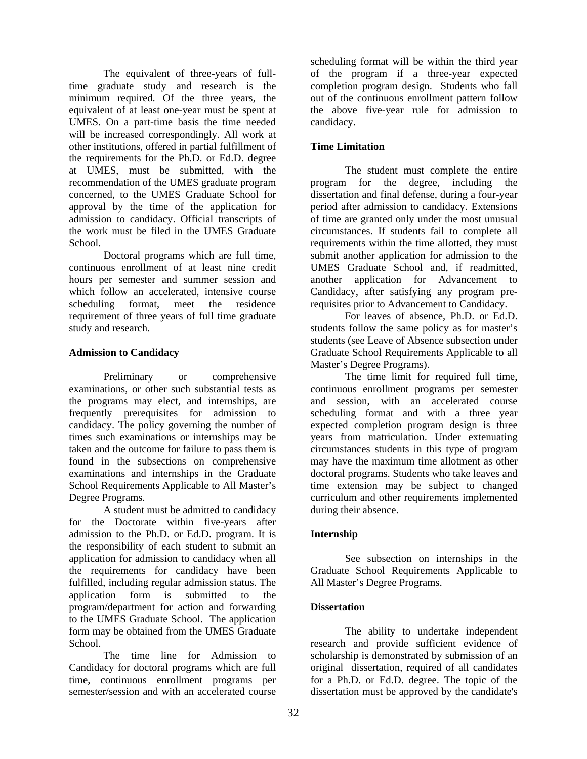The equivalent of three-years of fulltime graduate study and research is the minimum required. Of the three years, the equivalent of at least one-year must be spent at UMES. On a part-time basis the time needed will be increased correspondingly. All work at other institutions, offered in partial fulfillment of the requirements for the Ph.D. or Ed.D. degree at UMES, must be submitted, with the recommendation of the UMES graduate program concerned, to the UMES Graduate School for approval by the time of the application for admission to candidacy. Official transcripts of the work must be filed in the UMES Graduate School.

 Doctoral programs which are full time, continuous enrollment of at least nine credit hours per semester and summer session and which follow an accelerated, intensive course scheduling format, meet the residence requirement of three years of full time graduate study and research.

## **Admission to Candidacy**

Preliminary or comprehensive examinations, or other such substantial tests as the programs may elect, and internships, are frequently prerequisites for admission to candidacy. The policy governing the number of times such examinations or internships may be taken and the outcome for failure to pass them is found in the subsections on comprehensive examinations and internships in the Graduate School Requirements Applicable to All Master's Degree Programs.

A student must be admitted to candidacy for the Doctorate within five-years after admission to the Ph.D. or Ed.D. program. It is the responsibility of each student to submit an application for admission to candidacy when all the requirements for candidacy have been fulfilled, including regular admission status. The application form is submitted to the program/department for action and forwarding to the UMES Graduate School. The application form may be obtained from the UMES Graduate School.

 The time line for Admission to Candidacy for doctoral programs which are full time, continuous enrollment programs per semester/session and with an accelerated course

scheduling format will be within the third year of the program if a three-year expected completion program design. Students who fall out of the continuous enrollment pattern follow the above five-year rule for admission to candidacy.

## **Time Limitation**

The student must complete the entire program for the degree, including the dissertation and final defense, during a four-year period after admission to candidacy. Extensions of time are granted only under the most unusual circumstances. If students fail to complete all requirements within the time allotted, they must submit another application for admission to the UMES Graduate School and, if readmitted, another application for Advancement to Candidacy, after satisfying any program prerequisites prior to Advancement to Candidacy.

For leaves of absence, Ph.D. or Ed.D. students follow the same policy as for master's students (see Leave of Absence subsection under Graduate School Requirements Applicable to all Master's Degree Programs).

The time limit for required full time, continuous enrollment programs per semester and session, with an accelerated course scheduling format and with a three year expected completion program design is three years from matriculation. Under extenuating circumstances students in this type of program may have the maximum time allotment as other doctoral programs. Students who take leaves and time extension may be subject to changed curriculum and other requirements implemented during their absence.

# **Internship**

 See subsection on internships in the Graduate School Requirements Applicable to All Master's Degree Programs.

## **Dissertation**

The ability to undertake independent research and provide sufficient evidence of scholarship is demonstrated by submission of an original dissertation, required of all candidates for a Ph.D. or Ed.D. degree. The topic of the dissertation must be approved by the candidate's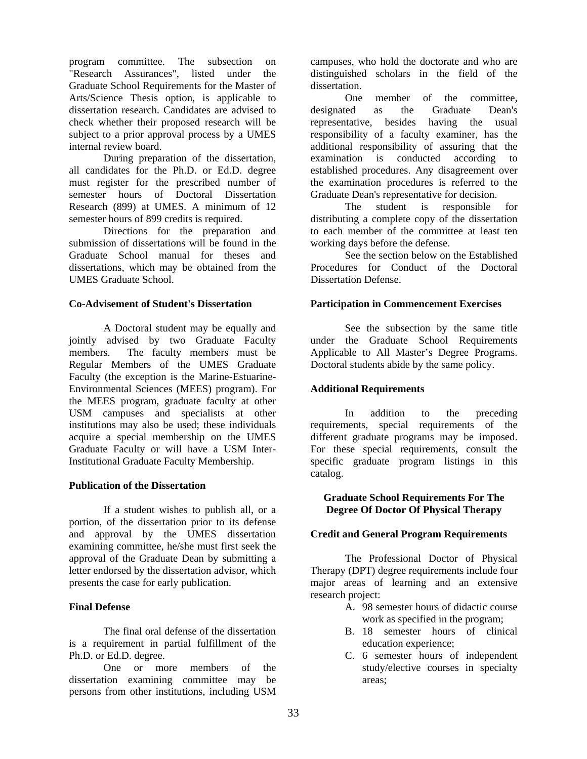program committee. The subsection on "Research Assurances", listed under the Graduate School Requirements for the Master of Arts/Science Thesis option, is applicable to dissertation research. Candidates are advised to check whether their proposed research will be subject to a prior approval process by a UMES internal review board.

During preparation of the dissertation, all candidates for the Ph.D. or Ed.D. degree must register for the prescribed number of semester hours of Doctoral Dissertation Research (899) at UMES. A minimum of 12 semester hours of 899 credits is required.

Directions for the preparation and submission of dissertations will be found in the Graduate School manual for theses and dissertations, which may be obtained from the UMES Graduate School.

### **Co-Advisement of Student's Dissertation**

A Doctoral student may be equally and jointly advised by two Graduate Faculty members. The faculty members must be Regular Members of the UMES Graduate Faculty (the exception is the Marine-Estuarine-Environmental Sciences (MEES) program). For the MEES program, graduate faculty at other USM campuses and specialists at other institutions may also be used; these individuals acquire a special membership on the UMES Graduate Faculty or will have a USM Inter-Institutional Graduate Faculty Membership.

#### **Publication of the Dissertation**

If a student wishes to publish all, or a portion, of the dissertation prior to its defense and approval by the UMES dissertation examining committee, he/she must first seek the approval of the Graduate Dean by submitting a letter endorsed by the dissertation advisor, which presents the case for early publication.

## **Final Defense**

The final oral defense of the dissertation is a requirement in partial fulfillment of the Ph.D. or Ed.D. degree.

One or more members of the dissertation examining committee may be persons from other institutions, including USM

campuses, who hold the doctorate and who are distinguished scholars in the field of the dissertation.

One member of the committee, designated as the Graduate Dean's representative, besides having the usual responsibility of a faculty examiner, has the additional responsibility of assuring that the examination is conducted according to established procedures. Any disagreement over the examination procedures is referred to the Graduate Dean's representative for decision.

The student is responsible for distributing a complete copy of the dissertation to each member of the committee at least ten working days before the defense.

See the section below on the Established Procedures for Conduct of the Doctoral Dissertation Defense.

### **Participation in Commencement Exercises**

See the subsection by the same title under the Graduate School Requirements Applicable to All Master's Degree Programs. Doctoral students abide by the same policy.

#### **Additional Requirements**

In addition to the preceding requirements, special requirements of the different graduate programs may be imposed. For these special requirements, consult the specific graduate program listings in this catalog.

### **Graduate School Requirements For The Degree Of Doctor Of Physical Therapy**

## **Credit and General Program Requirements**

The Professional Doctor of Physical Therapy (DPT) degree requirements include four major areas of learning and an extensive research project:

- A. 98 semester hours of didactic course work as specified in the program;
- B. 18 semester hours of clinical education experience;
- C. 6 semester hours of independent study/elective courses in specialty areas;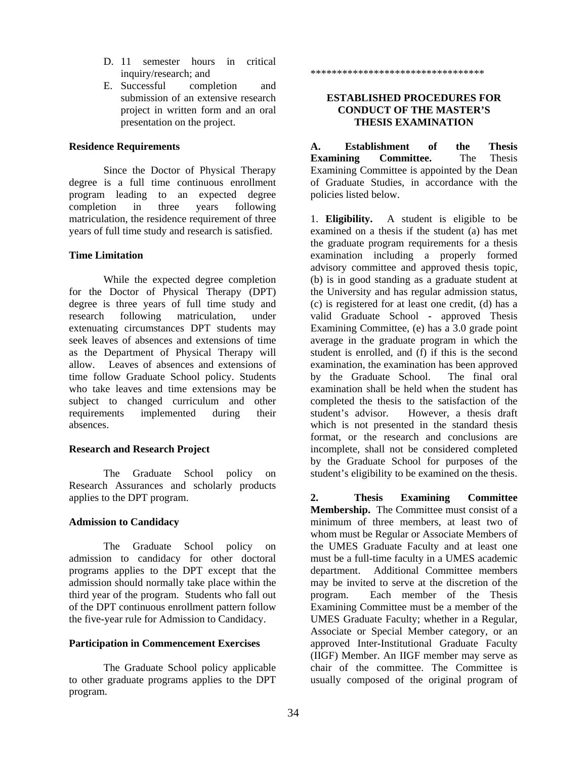- D. 11 semester hours in critical inquiry/research; and
- E. Successful completion and submission of an extensive research project in written form and an oral presentation on the project.

#### **Residence Requirements**

Since the Doctor of Physical Therapy degree is a full time continuous enrollment program leading to an expected degree completion in three years following matriculation, the residence requirement of three years of full time study and research is satisfied.

## **Time Limitation**

While the expected degree completion for the Doctor of Physical Therapy (DPT) degree is three years of full time study and research following matriculation, under extenuating circumstances DPT students may seek leaves of absences and extensions of time as the Department of Physical Therapy will allow. Leaves of absences and extensions of time follow Graduate School policy. Students who take leaves and time extensions may be subject to changed curriculum and other requirements implemented during their absences.

## **Research and Research Project**

The Graduate School policy on Research Assurances and scholarly products applies to the DPT program.

## **Admission to Candidacy**

The Graduate School policy on admission to candidacy for other doctoral programs applies to the DPT except that the admission should normally take place within the third year of the program. Students who fall out of the DPT continuous enrollment pattern follow the five-year rule for Admission to Candidacy.

## **Participation in Commencement Exercises**

The Graduate School policy applicable to other graduate programs applies to the DPT program.

\*\*\*\*\*\*\*\*\*\*\*\*\*\*\*\*\*\*\*\*\*\*\*\*\*\*\*\*\*\*\*\*\*

## **ESTABLISHED PROCEDURES FOR CONDUCT OF THE MASTER'S THESIS EXAMINATION**

**A. Establishment of the Thesis Examining Committee.** The Thesis Examining Committee is appointed by the Dean of Graduate Studies, in accordance with the policies listed below.

1. **Eligibility.** A student is eligible to be examined on a thesis if the student (a) has met the graduate program requirements for a thesis examination including a properly formed advisory committee and approved thesis topic*,* (b) is in good standing as a graduate student at the University and has regular admission status, (c) is registered for at least one credit, (d) has a valid Graduate School - approved Thesis Examining Committee, (e) has a 3.0 grade point average in the graduate program in which the student is enrolled, and (f) if this is the second examination, the examination has been approved by the Graduate School. The final oral examination shall be held when the student has completed the thesis to the satisfaction of the student's advisor. However, a thesis draft which is not presented in the standard thesis format, or the research and conclusions are incomplete, shall not be considered completed by the Graduate School for purposes of the student's eligibility to be examined on the thesis.

**2. Thesis Examining Committee Membership.** The Committee must consist of a minimum of three members, at least two of whom must be Regular or Associate Members of the UMES Graduate Faculty and at least one must be a full-time faculty in a UMES academic department. Additional Committee members may be invited to serve at the discretion of the program. Each member of the Thesis Examining Committee must be a member of the UMES Graduate Faculty; whether in a Regular, Associate or Special Member category, or an approved Inter-Institutional Graduate Faculty (IIGF) Member. An IIGF member may serve as chair of the committee. The Committee is usually composed of the original program of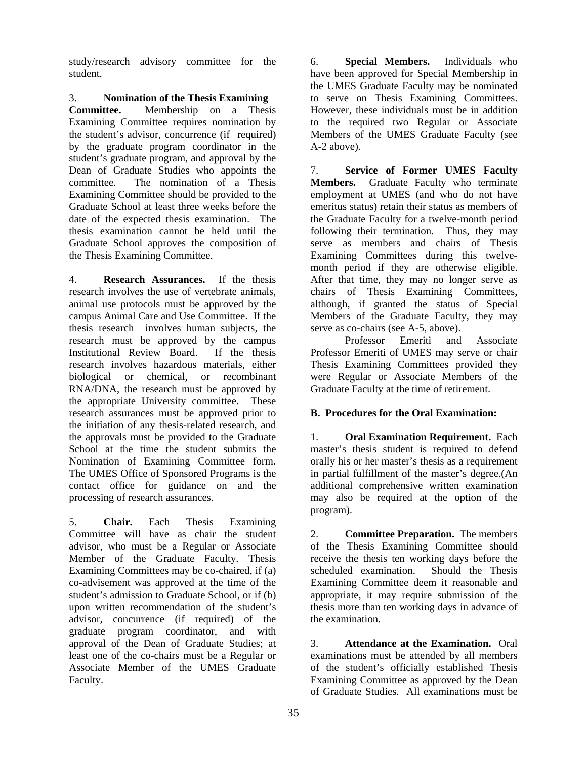study/research advisory committee for the student.

## 3. **Nomination of the Thesis Examining**

**Committee.** Membership on a Thesis Examining Committee requires nomination by the student's advisor, concurrence (if required) by the graduate program coordinator in the student's graduate program, and approval by the Dean of Graduate Studies who appoints the committee. The nomination of a Thesis Examining Committee should be provided to the Graduate School at least three weeks before the date of the expected thesis examination. The thesis examination cannot be held until the Graduate School approves the composition of the Thesis Examining Committee.

4. **Research Assurances.** If the thesis research involves the use of vertebrate animals, animal use protocols must be approved by the campus Animal Care and Use Committee. If the thesis research involves human subjects, the research must be approved by the campus Institutional Review Board. If the thesis research involves hazardous materials, either biological or chemical, or recombinant RNA/DNA, the research must be approved by the appropriate University committee. These research assurances must be approved prior to the initiation of any thesis-related research, and the approvals must be provided to the Graduate School at the time the student submits the Nomination of Examining Committee form. The UMES Office of Sponsored Programs is the contact office for guidance on and the processing of research assurances.

5. **Chair.** Each Thesis Examining Committee will have as chair the student advisor, who must be a Regular or Associate Member of the Graduate Faculty. Thesis Examining Committees may be co-chaired, if (a) co-advisement was approved at the time of the student's admission to Graduate School, or if (b) upon written recommendation of the student's advisor, concurrence (if required) of the graduate program coordinator, and with approval of the Dean of Graduate Studies; at least one of the co-chairs must be a Regular or Associate Member of the UMES Graduate Faculty.

6. **Special Members.** Individuals who have been approved for Special Membership in the UMES Graduate Faculty may be nominated to serve on Thesis Examining Committees. However, these individuals must be in addition to the required two Regular or Associate Members of the UMES Graduate Faculty (see A-2 above).

7. **Service of Former UMES Faculty Members.** Graduate Faculty who terminate employment at UMES (and who do not have emeritus status) retain their status as members of the Graduate Faculty for a twelve-month period following their termination. Thus, they may serve as members and chairs of Thesis Examining Committees during this twelvemonth period if they are otherwise eligible. After that time, they may no longer serve as chairs of Thesis Examining Committees, although, if granted the status of Special Members of the Graduate Faculty, they may serve as co-chairs (see A-5, above).

Professor Emeriti and Associate Professor Emeriti of UMES may serve or chair Thesis Examining Committees provided they were Regular or Associate Members of the Graduate Faculty at the time of retirement.

## **B. Procedures for the Oral Examination:**

1. **Oral Examination Requirement.** Each master's thesis student is required to defend orally his or her master's thesis as a requirement in partial fulfillment of the master's degree.(An additional comprehensive written examination may also be required at the option of the program).

2. **Committee Preparation.** The members of the Thesis Examining Committee should receive the thesis ten working days before the scheduled examination. Should the Thesis Examining Committee deem it reasonable and appropriate, it may require submission of the thesis more than ten working days in advance of the examination.

3. **Attendance at the Examination.** Oral examinations must be attended by all members of the student's officially established Thesis Examining Committee as approved by the Dean of Graduate Studies. All examinations must be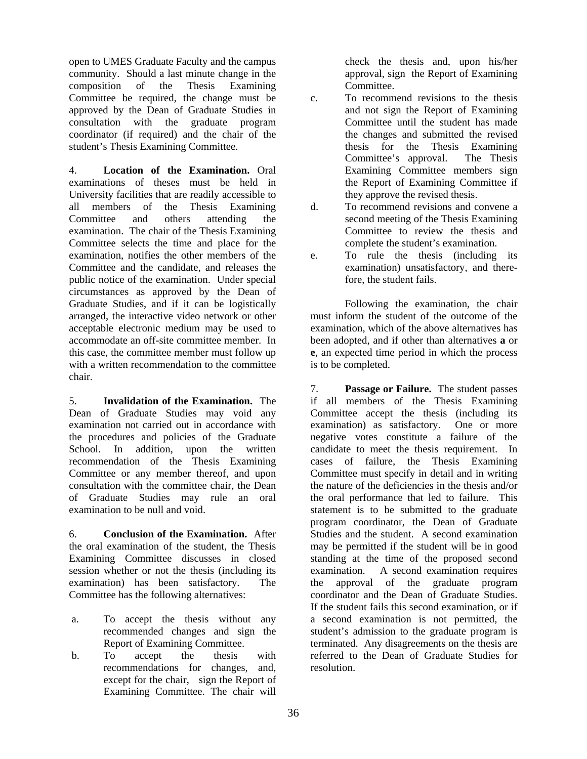open to UMES Graduate Faculty and the campus community. Should a last minute change in the composition of the Thesis Examining Committee be required, the change must be approved by the Dean of Graduate Studies in consultation with the graduate program coordinator (if required) and the chair of the student's Thesis Examining Committee.

4. **Location of the Examination.** Oral examinations of theses must be held in University facilities that are readily accessible to all members of the Thesis Examining Committee and others attending the examination. The chair of the Thesis Examining Committee selects the time and place for the examination, notifies the other members of the Committee and the candidate, and releases the public notice of the examination. Under special circumstances as approved by the Dean of Graduate Studies, and if it can be logistically arranged, the interactive video network or other acceptable electronic medium may be used to accommodate an off-site committee member. In this case, the committee member must follow up with a written recommendation to the committee chair.

5. **Invalidation of the Examination.** The Dean of Graduate Studies may void any examination not carried out in accordance with the procedures and policies of the Graduate School. In addition, upon the written recommendation of the Thesis Examining Committee or any member thereof, and upon consultation with the committee chair, the Dean of Graduate Studies may rule an oral examination to be null and void.

6. **Conclusion of the Examination.** After the oral examination of the student, the Thesis Examining Committee discusses in closed session whether or not the thesis (including its examination) has been satisfactory. The Committee has the following alternatives:

- a. To accept the thesis without any recommended changes and sign the Report of Examining Committee.
- b. To accept the thesis with recommendations for changes, and, except for the chair, sign the Report of Examining Committee. The chair will

check the thesis and, upon his/her approval, sign the Report of Examining Committee.

c. To recommend revisions to the thesis and not sign the Report of Examining Committee until the student has made the changes and submitted the revised thesis for the Thesis Examining Committee's approval. The Thesis Examining Committee members sign the Report of Examining Committee if they approve the revised thesis.

d. To recommend revisions and convene a second meeting of the Thesis Examining Committee to review the thesis and complete the student's examination.

e. To rule the thesis (including its examination) unsatisfactory, and therefore, the student fails.

Following the examination, the chair must inform the student of the outcome of the examination, which of the above alternatives has been adopted, and if other than alternatives **a** or **e**, an expected time period in which the process is to be completed.

7. **Passage or Failure.**The student passes if all members of the Thesis Examining Committee accept the thesis (including its examination) as satisfactory. One or more negative votes constitute a failure of the candidate to meet the thesis requirement. In cases of failure, the Thesis Examining Committee must specify in detail and in writing the nature of the deficiencies in the thesis and/or the oral performance that led to failure. This statement is to be submitted to the graduate program coordinator, the Dean of Graduate Studies and the student. A second examination may be permitted if the student will be in good standing at the time of the proposed second examination. A second examination requires the approval of the graduate program coordinator and the Dean of Graduate Studies. If the student fails this second examination, or if a second examination is not permitted, the student's admission to the graduate program is terminated. Any disagreements on the thesis are referred to the Dean of Graduate Studies for resolution.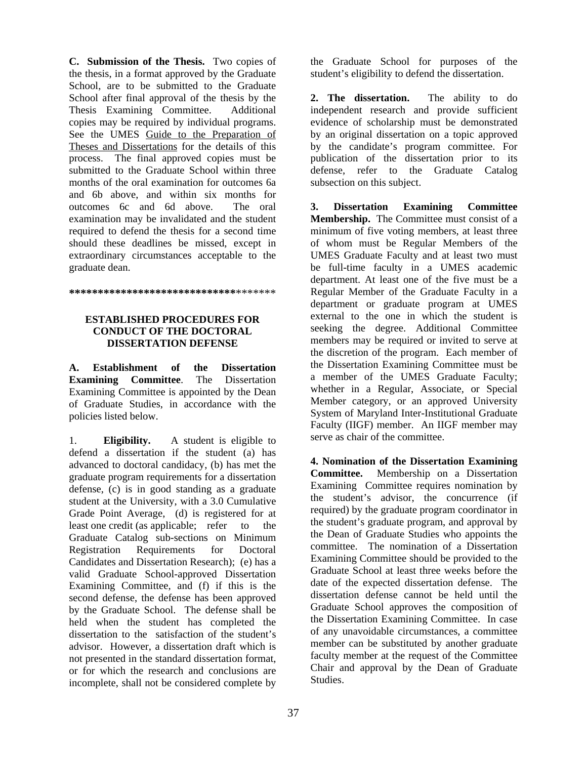**C. Submission of the Thesis.** Two copies of the thesis, in a format approved by the Graduate School, are to be submitted to the Graduate School after final approval of the thesis by the Thesis Examining Committee. Additional copies may be required by individual programs. See the UMES Guide to the Preparation of Theses and Dissertations for the details of this process. The final approved copies must be submitted to the Graduate School within three months of the oral examination for outcomes 6a and 6b above, and within six months for outcomes 6c and 6d above. The oral examination may be invalidated and the student required to defend the thesis for a second time should these deadlines be missed, except in extraordinary circumstances acceptable to the graduate dean.

#### **\*\*\*\*\*\*\*\*\*\*\*\*\*\*\*\*\*\*\*\*\*\*\*\*\*\*\*\*\***\*\*\*\*\*\*\*

### **ESTABLISHED PROCEDURES FOR CONDUCT OF THE DOCTORAL DISSERTATION DEFENSE**

**A. Establishment of the Dissertation Examining Committee**. The Dissertation Examining Committee is appointed by the Dean of Graduate Studies, in accordance with the policies listed below.

1. **Eligibility.** A student is eligible to defend a dissertation if the student (a) has advanced to doctoral candidacy, (b) has met the graduate program requirements for a dissertation defense, (c) is in good standing as a graduate student at the University, with a 3.0 Cumulative Grade Point Average, (d) is registered for at least one credit (as applicable; refer to the Graduate Catalog sub-sections on Minimum Registration Requirements for Doctoral Candidates and Dissertation Research); (e) has a valid Graduate School-approved Dissertation Examining Committee, and (f) if this is the second defense, the defense has been approved by the Graduate School. The defense shall be held when the student has completed the dissertation to the satisfaction of the student's advisor. However, a dissertation draft which is not presented in the standard dissertation format, or for which the research and conclusions are incomplete, shall not be considered complete by

the Graduate School for purposes of the student's eligibility to defend the dissertation.

**2. The dissertation.** The ability to do independent research and provide sufficient evidence of scholarship must be demonstrated by an original dissertation on a topic approved by the candidate's program committee. For publication of the dissertation prior to its defense, refer to the Graduate Catalog subsection on this subject.

**3. Dissertation Examining Committee Membership.** The Committee must consist of a minimum of five voting members, at least three of whom must be Regular Members of the UMES Graduate Faculty and at least two must be full-time faculty in a UMES academic department. At least one of the five must be a Regular Member of the Graduate Faculty in a department or graduate program at UMES external to the one in which the student is seeking the degree. Additional Committee members may be required or invited to serve at the discretion of the program. Each member of the Dissertation Examining Committee must be a member of the UMES Graduate Faculty; whether in a Regular, Associate, or Special Member category, or an approved University System of Maryland Inter-Institutional Graduate Faculty (IIGF) member. An IIGF member may serve as chair of the committee.

**4. Nomination of the Dissertation Examining Committee.** Membership on a Dissertation Examining Committee requires nomination by the student's advisor, the concurrence (if required) by the graduate program coordinator in the student's graduate program, and approval by the Dean of Graduate Studies who appoints the committee. The nomination of a Dissertation Examining Committee should be provided to the Graduate School at least three weeks before the date of the expected dissertation defense. The dissertation defense cannot be held until the Graduate School approves the composition of the Dissertation Examining Committee. In case of any unavoidable circumstances, a committee member can be substituted by another graduate faculty member at the request of the Committee Chair and approval by the Dean of Graduate Studies.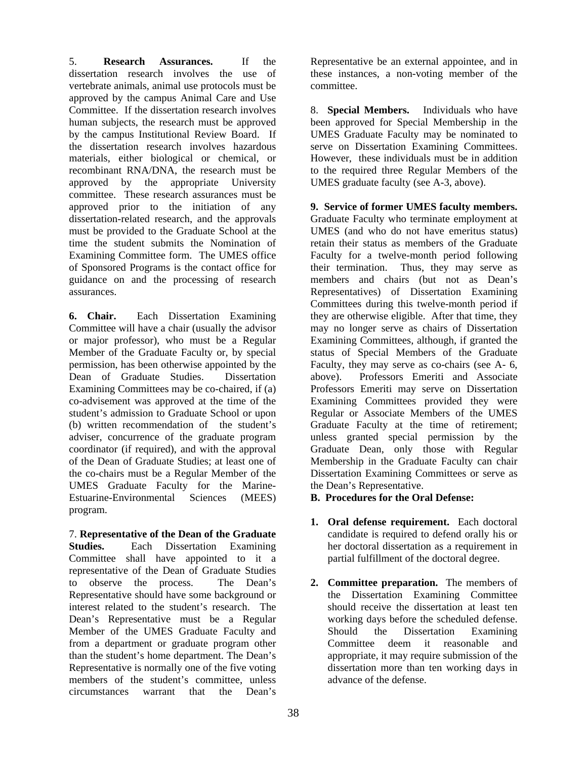5. **Research Assurances.** If the dissertation research involves the use of vertebrate animals, animal use protocols must be approved by the campus Animal Care and Use Committee. If the dissertation research involves human subjects, the research must be approved by the campus Institutional Review Board. If the dissertation research involves hazardous materials, either biological or chemical, or recombinant RNA/DNA, the research must be approved by the appropriate University committee. These research assurances must be approved prior to the initiation of any dissertation-related research, and the approvals must be provided to the Graduate School at the time the student submits the Nomination of Examining Committee form. The UMES office of Sponsored Programs is the contact office for guidance on and the processing of research assurances.

**6. Chair.** Each Dissertation Examining Committee will have a chair (usually the advisor or major professor), who must be a Regular Member of the Graduate Faculty or, by special permission, has been otherwise appointed by the Dean of Graduate Studies. Dissertation Examining Committees may be co-chaired, if (a) co-advisement was approved at the time of the student's admission to Graduate School or upon (b) written recommendation of the student's adviser, concurrence of the graduate program coordinator (if required), and with the approval of the Dean of Graduate Studies; at least one of the co-chairs must be a Regular Member of the UMES Graduate Faculty for the Marine-Estuarine-Environmental Sciences (MEES) program.

7. **Representative of the Dean of the Graduate Studies.** Each Dissertation Examining Committee shall have appointed to it a representative of the Dean of Graduate Studies to observe the process. The Dean's Representative should have some background or interest related to the student's research. The Dean's Representative must be a Regular Member of the UMES Graduate Faculty and from a department or graduate program other than the student's home department. The Dean's Representative is normally one of the five voting members of the student's committee, unless circumstances warrant that the Dean's

Representative be an external appointee, and in these instances, a non-voting member of the committee.

8. **Special Members.** Individuals who have been approved for Special Membership in the UMES Graduate Faculty may be nominated to serve on Dissertation Examining Committees. However, these individuals must be in addition to the required three Regular Members of the UMES graduate faculty (see A-3, above).

**9. Service of former UMES faculty members.** Graduate Faculty who terminate employment at UMES (and who do not have emeritus status) retain their status as members of the Graduate Faculty for a twelve-month period following their termination. Thus, they may serve as members and chairs (but not as Dean's Representatives) of Dissertation Examining Committees during this twelve-month period if they are otherwise eligible. After that time, they may no longer serve as chairs of Dissertation Examining Committees, although, if granted the status of Special Members of the Graduate Faculty, they may serve as co-chairs (see A- 6, above). Professors Emeriti and Associate Professors Emeriti may serve on Dissertation Examining Committees provided they were Regular or Associate Members of the UMES Graduate Faculty at the time of retirement; unless granted special permission by the Graduate Dean, only those with Regular Membership in the Graduate Faculty can chair Dissertation Examining Committees or serve as the Dean's Representative.

### **B. Procedures for the Oral Defense:**

- **1. Oral defense requirement.** Each doctoral candidate is required to defend orally his or her doctoral dissertation as a requirement in partial fulfillment of the doctoral degree.
- **2. Committee preparation.** The members of the Dissertation Examining Committee should receive the dissertation at least ten working days before the scheduled defense. Should the Dissertation Examining Committee deem it reasonable and appropriate, it may require submission of the dissertation more than ten working days in advance of the defense.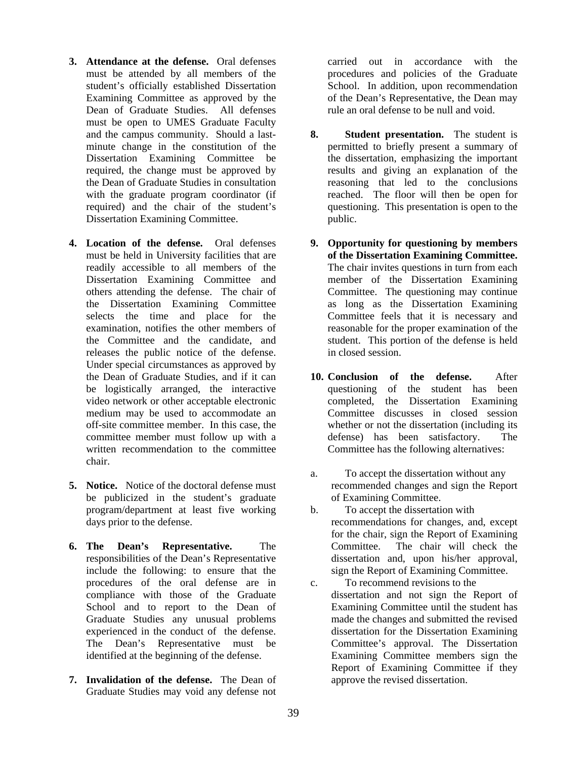- **3. Attendance at the defense.** Oral defenses must be attended by all members of the student's officially established Dissertation Examining Committee as approved by the Dean of Graduate Studies. All defenses must be open to UMES Graduate Faculty and the campus community. Should a lastminute change in the constitution of the Dissertation Examining Committee be required, the change must be approved by the Dean of Graduate Studies in consultation with the graduate program coordinator (if required) and the chair of the student's Dissertation Examining Committee.
- **4. Location of the defense.** Oral defenses must be held in University facilities that are readily accessible to all members of the Dissertation Examining Committee and others attending the defense. The chair of the Dissertation Examining Committee selects the time and place for the examination, notifies the other members of the Committee and the candidate, and releases the public notice of the defense. Under special circumstances as approved by the Dean of Graduate Studies, and if it can be logistically arranged, the interactive video network or other acceptable electronic medium may be used to accommodate an off-site committee member. In this case, the committee member must follow up with a written recommendation to the committee chair.
- **5. Notice.** Notice of the doctoral defense must be publicized in the student's graduate program/department at least five working days prior to the defense.
- **6. The Dean's Representative.** The responsibilities of the Dean's Representative include the following: to ensure that the procedures of the oral defense are in compliance with those of the Graduate School and to report to the Dean of Graduate Studies any unusual problems experienced in the conduct of the defense. The Dean's Representative must be identified at the beginning of the defense.
- **7. Invalidation of the defense.** The Dean of Graduate Studies may void any defense not

carried out in accordance with the procedures and policies of the Graduate School. In addition, upon recommendation of the Dean's Representative, the Dean may rule an oral defense to be null and void.

- **8. Student presentation.** The student is permitted to briefly present a summary of the dissertation, emphasizing the important results and giving an explanation of the reasoning that led to the conclusions reached. The floor will then be open for questioning. This presentation is open to the public.
- **9. Opportunity for questioning by members of the Dissertation Examining Committee.** The chair invites questions in turn from each member of the Dissertation Examining Committee. The questioning may continue as long as the Dissertation Examining Committee feels that it is necessary and reasonable for the proper examination of the student. This portion of the defense is held in closed session.
- **10. Conclusion of the defense.** After questioning of the student has been completed, the Dissertation Examining Committee discusses in closed session whether or not the dissertation (including its defense) has been satisfactory. The Committee has the following alternatives:
- a. To accept the dissertation without any recommended changes and sign the Report of Examining Committee.
- b. To accept the dissertation with recommendations for changes, and, except for the chair, sign the Report of Examining Committee. The chair will check the dissertation and, upon his/her approval, sign the Report of Examining Committee.
- c. To recommend revisions to the dissertation and not sign the Report of Examining Committee until the student has made the changes and submitted the revised dissertation for the Dissertation Examining Committee's approval. The Dissertation Examining Committee members sign the Report of Examining Committee if they approve the revised dissertation.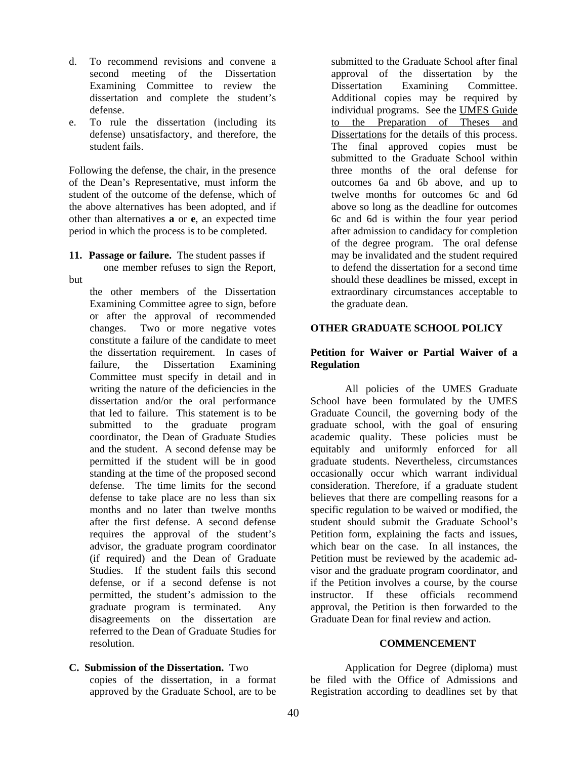- d. To recommend revisions and convene a second meeting of the Dissertation Examining Committee to review the dissertation and complete the student's defense.
- e. To rule the dissertation (including its defense) unsatisfactory, and therefore, the student fails.

Following the defense, the chair, in the presence of the Dean's Representative, must inform the student of the outcome of the defense, which of the above alternatives has been adopted, and if other than alternatives **a** or **e**, an expected time period in which the process is to be completed.

**11. Passage or failure.** The student passes if

one member refuses to sign the Report,

but

the other members of the Dissertation Examining Committee agree to sign, before or after the approval of recommended changes. Two or more negative votes constitute a failure of the candidate to meet the dissertation requirement. In cases of failure, the Dissertation Examining Committee must specify in detail and in writing the nature of the deficiencies in the dissertation and/or the oral performance that led to failure. This statement is to be submitted to the graduate program coordinator, the Dean of Graduate Studies and the student. A second defense may be permitted if the student will be in good standing at the time of the proposed second defense. The time limits for the second defense to take place are no less than six months and no later than twelve months after the first defense. A second defense requires the approval of the student's advisor, the graduate program coordinator (if required) and the Dean of Graduate Studies. If the student fails this second defense, or if a second defense is not permitted, the student's admission to the graduate program is terminated. Any disagreements on the dissertation are referred to the Dean of Graduate Studies for resolution.

**C. Submission of the Dissertation.** Two

copies of the dissertation, in a format approved by the Graduate School, are to be

submitted to the Graduate School after final approval of the dissertation by the Dissertation Examining Committee. Additional copies may be required by individual programs. See the UMES Guide to the Preparation of Theses and Dissertations for the details of this process. The final approved copies must be submitted to the Graduate School within three months of the oral defense for outcomes 6a and 6b above, and up to twelve months for outcomes 6c and 6d above so long as the deadline for outcomes 6c and 6d is within the four year period after admission to candidacy for completion of the degree program. The oral defense may be invalidated and the student required to defend the dissertation for a second time should these deadlines be missed, except in extraordinary circumstances acceptable to the graduate dean.

#### **OTHER GRADUATE SCHOOL POLICY**

#### **Petition for Waiver or Partial Waiver of a Regulation**

All policies of the UMES Graduate School have been formulated by the UMES Graduate Council, the governing body of the graduate school, with the goal of ensuring academic quality. These policies must be equitably and uniformly enforced for all graduate students. Nevertheless, circumstances occasionally occur which warrant individual consideration. Therefore, if a graduate student believes that there are compelling reasons for a specific regulation to be waived or modified, the student should submit the Graduate School's Petition form, explaining the facts and issues, which bear on the case. In all instances, the Petition must be reviewed by the academic advisor and the graduate program coordinator, and if the Petition involves a course, by the course instructor. If these officials recommend approval, the Petition is then forwarded to the Graduate Dean for final review and action.

#### **COMMENCEMENT**

Application for Degree (diploma) must be filed with the Office of Admissions and Registration according to deadlines set by that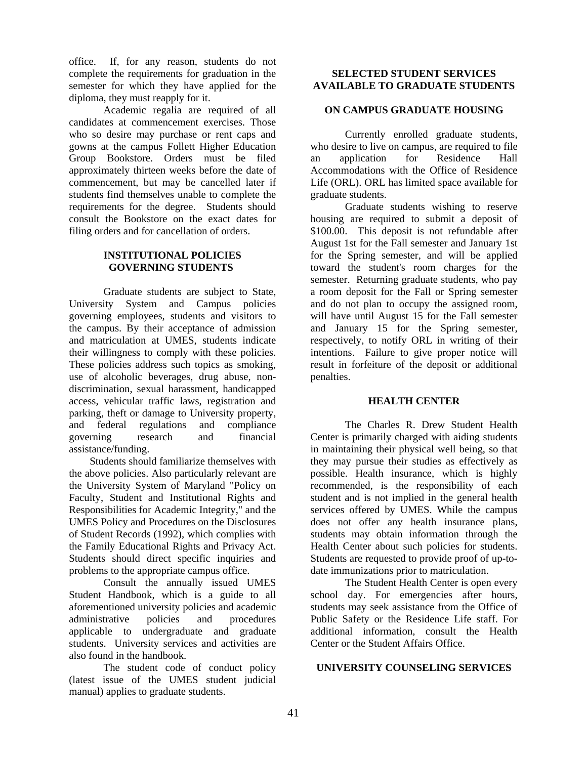office. If, for any reason, students do not complete the requirements for graduation in the semester for which they have applied for the diploma, they must reapply for it.

Academic regalia are required of all candidates at commencement exercises. Those who so desire may purchase or rent caps and gowns at the campus Follett Higher Education Group Bookstore. Orders must be filed approximately thirteen weeks before the date of commencement, but may be cancelled later if students find themselves unable to complete the requirements for the degree. Students should consult the Bookstore on the exact dates for filing orders and for cancellation of orders.

### **INSTITUTIONAL POLICIES GOVERNING STUDENTS**

Graduate students are subject to State, University System and Campus policies governing employees, students and visitors to the campus. By their acceptance of admission and matriculation at UMES, students indicate their willingness to comply with these policies. These policies address such topics as smoking, use of alcoholic beverages, drug abuse, nondiscrimination, sexual harassment, handicapped access, vehicular traffic laws, registration and parking, theft or damage to University property, and federal regulations and compliance governing research and financial assistance/funding.

Students should familiarize themselves with the above policies. Also particularly relevant are the University System of Maryland "Policy on Faculty, Student and Institutional Rights and Responsibilities for Academic Integrity," and the UMES Policy and Procedures on the Disclosures of Student Records (1992), which complies with the Family Educational Rights and Privacy Act. Students should direct specific inquiries and problems to the appropriate campus office.

 Consult the annually issued UMES Student Handbook, which is a guide to all aforementioned university policies and academic administrative policies and procedures applicable to undergraduate and graduate students. University services and activities are also found in the handbook.

 The student code of conduct policy (latest issue of the UMES student judicial manual) applies to graduate students.

### **SELECTED STUDENT SERVICES AVAILABLE TO GRADUATE STUDENTS**

### **ON CAMPUS GRADUATE HOUSING**

Currently enrolled graduate students, who desire to live on campus, are required to file an application for Residence Hall Accommodations with the Office of Residence Life (ORL). ORL has limited space available for graduate students.

Graduate students wishing to reserve housing are required to submit a deposit of \$100.00. This deposit is not refundable after August 1st for the Fall semester and January 1st for the Spring semester, and will be applied toward the student's room charges for the semester. Returning graduate students, who pay a room deposit for the Fall or Spring semester and do not plan to occupy the assigned room, will have until August 15 for the Fall semester and January 15 for the Spring semester, respectively, to notify ORL in writing of their intentions. Failure to give proper notice will result in forfeiture of the deposit or additional penalties.

#### **HEALTH CENTER**

The Charles R. Drew Student Health Center is primarily charged with aiding students in maintaining their physical well being, so that they may pursue their studies as effectively as possible. Health insurance, which is highly recommended, is the responsibility of each student and is not implied in the general health services offered by UMES. While the campus does not offer any health insurance plans, students may obtain information through the Health Center about such policies for students. Students are requested to provide proof of up-todate immunizations prior to matriculation.

The Student Health Center is open every school day. For emergencies after hours, students may seek assistance from the Office of Public Safety or the Residence Life staff. For additional information, consult the Health Center or the Student Affairs Office.

#### **UNIVERSITY COUNSELING SERVICES**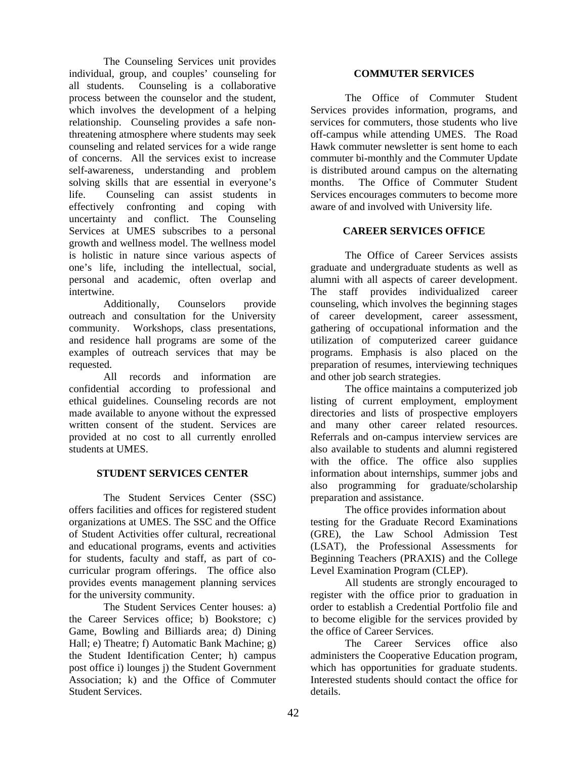The Counseling Services unit provides individual, group, and couples' counseling for all students. Counseling is a collaborative process between the counselor and the student, which involves the development of a helping relationship. Counseling provides a safe nonthreatening atmosphere where students may seek counseling and related services for a wide range of concerns. All the services exist to increase self-awareness, understanding and problem solving skills that are essential in everyone's life. Counseling can assist students in effectively confronting and coping with uncertainty and conflict. The Counseling Services at UMES subscribes to a personal growth and wellness model. The wellness model is holistic in nature since various aspects of one's life, including the intellectual, social, personal and academic, often overlap and intertwine.

Additionally, Counselors provide outreach and consultation for the University community. Workshops, class presentations, and residence hall programs are some of the examples of outreach services that may be requested.

All records and information are confidential according to professional and ethical guidelines. Counseling records are not made available to anyone without the expressed written consent of the student. Services are provided at no cost to all currently enrolled students at UMES.

#### **STUDENT SERVICES CENTER**

The Student Services Center (SSC) offers facilities and offices for registered student organizations at UMES. The SSC and the Office of Student Activities offer cultural, recreational and educational programs, events and activities for students, faculty and staff, as part of cocurricular program offerings. The office also provides events management planning services for the university community.

The Student Services Center houses: a) the Career Services office; b) Bookstore; c) Game, Bowling and Billiards area; d) Dining Hall; e) Theatre; f) Automatic Bank Machine; g) the Student Identification Center; h) campus post office i) lounges j) the Student Government Association; k) and the Office of Commuter Student Services.

#### **COMMUTER SERVICES**

The Office of Commuter Student Services provides information, programs, and services for commuters, those students who live off-campus while attending UMES. The Road Hawk commuter newsletter is sent home to each commuter bi-monthly and the Commuter Update is distributed around campus on the alternating months. The Office of Commuter Student Services encourages commuters to become more aware of and involved with University life.

#### **CAREER SERVICES OFFICE**

The Office of Career Services assists graduate and undergraduate students as well as alumni with all aspects of career development. The staff provides individualized career counseling, which involves the beginning stages of career development, career assessment, gathering of occupational information and the utilization of computerized career guidance programs. Emphasis is also placed on the preparation of resumes, interviewing techniques and other job search strategies.

The office maintains a computerized job listing of current employment, employment directories and lists of prospective employers and many other career related resources. Referrals and on-campus interview services are also available to students and alumni registered with the office. The office also supplies information about internships, summer jobs and also programming for graduate/scholarship preparation and assistance.

The office provides information about testing for the Graduate Record Examinations (GRE), the Law School Admission Test (LSAT), the Professional Assessments for Beginning Teachers (PRAXIS) and the College Level Examination Program (CLEP).

All students are strongly encouraged to register with the office prior to graduation in order to establish a Credential Portfolio file and to become eligible for the services provided by the office of Career Services.

The Career Services office also administers the Cooperative Education program, which has opportunities for graduate students. Interested students should contact the office for details.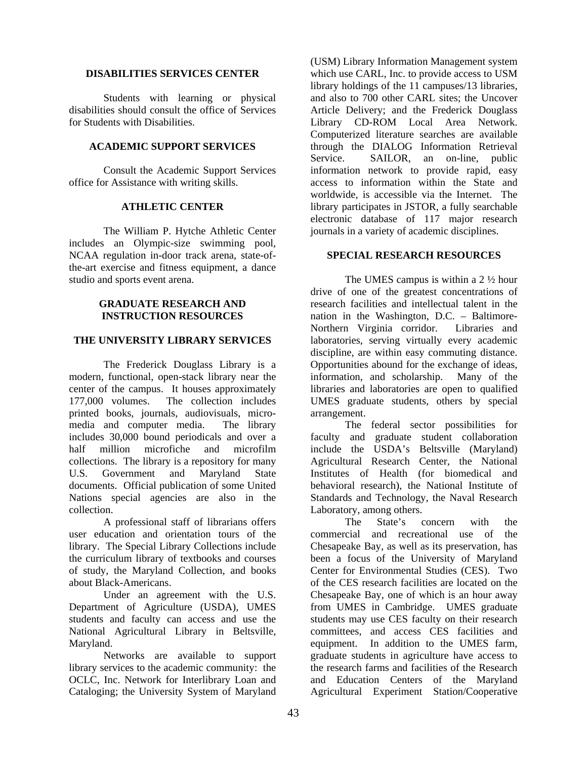#### **DISABILITIES SERVICES CENTER**

 Students with learning or physical disabilities should consult the office of Services for Students with Disabilities.

#### **ACADEMIC SUPPORT SERVICES**

 Consult the Academic Support Services office for Assistance with writing skills.

#### **ATHLETIC CENTER**

 The William P. Hytche Athletic Center includes an Olympic-size swimming pool, NCAA regulation in-door track arena, state-ofthe-art exercise and fitness equipment, a dance studio and sports event arena.

#### **GRADUATE RESEARCH AND INSTRUCTION RESOURCES**

### **THE UNIVERSITY LIBRARY SERVICES**

The Frederick Douglass Library is a modern, functional, open-stack library near the center of the campus. It houses approximately 177,000 volumes. The collection includes printed books, journals, audiovisuals, micromedia and computer media. The library includes 30,000 bound periodicals and over a half million microfiche and microfilm collections. The library is a repository for many U.S. Government and Maryland State documents. Official publication of some United Nations special agencies are also in the collection.

 A professional staff of librarians offers user education and orientation tours of the library. The Special Library Collections include the curriculum library of textbooks and courses of study, the Maryland Collection, and books about Black-Americans.

 Under an agreement with the U.S. Department of Agriculture (USDA), UMES students and faculty can access and use the National Agricultural Library in Beltsville, Maryland.

 Networks are available to support library services to the academic community: the OCLC, Inc. Network for Interlibrary Loan and Cataloging; the University System of Maryland

(USM) Library Information Management system which use CARL, Inc. to provide access to USM library holdings of the 11 campuses/13 libraries, and also to 700 other CARL sites; the Uncover Article Delivery; and the Frederick Douglass Library CD-ROM Local Area Network. Computerized literature searches are available through the DIALOG Information Retrieval Service. SAILOR, an on-line, public information network to provide rapid, easy access to information within the State and worldwide, is accessible via the Internet. The library participates in JSTOR, a fully searchable electronic database of 117 major research journals in a variety of academic disciplines.

#### **SPECIAL RESEARCH RESOURCES**

 The UMES campus is within a 2 ½ hour drive of one of the greatest concentrations of research facilities and intellectual talent in the nation in the Washington, D.C. – Baltimore-Northern Virginia corridor. Libraries and laboratories, serving virtually every academic discipline, are within easy commuting distance. Opportunities abound for the exchange of ideas, information, and scholarship. Many of the libraries and laboratories are open to qualified UMES graduate students, others by special arrangement.

 The federal sector possibilities for faculty and graduate student collaboration include the USDA's Beltsville (Maryland) Agricultural Research Center, the National Institutes of Health (for biomedical and behavioral research), the National Institute of Standards and Technology, the Naval Research Laboratory, among others.

 The State's concern with the commercial and recreational use of the Chesapeake Bay, as well as its preservation, has been a focus of the University of Maryland Center for Environmental Studies (CES). Two of the CES research facilities are located on the Chesapeake Bay, one of which is an hour away from UMES in Cambridge. UMES graduate students may use CES faculty on their research committees, and access CES facilities and equipment. In addition to the UMES farm, graduate students in agriculture have access to the research farms and facilities of the Research and Education Centers of the Maryland Agricultural Experiment Station/Cooperative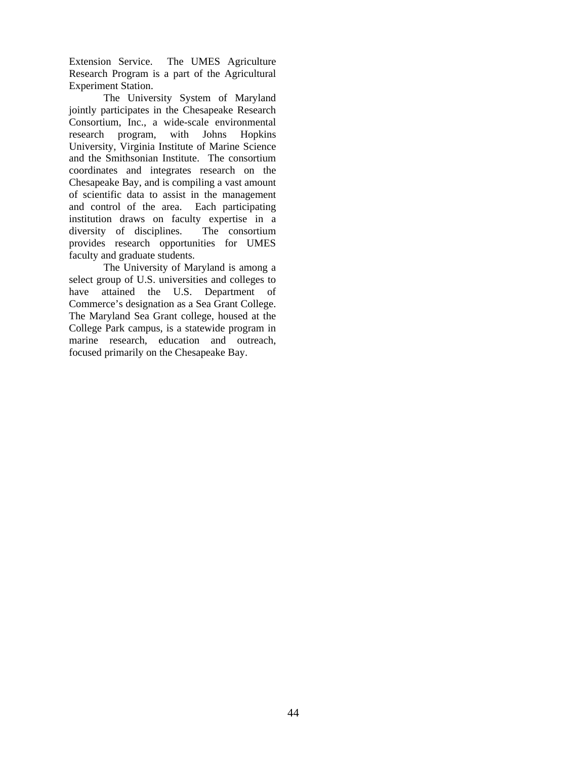Extension Service. The UMES Agriculture Research Program is a part of the Agricultural Experiment Station.

 The University System of Maryland jointly participates in the Chesapeake Research Consortium, Inc., a wide-scale environmental research program, with Johns Hopkins University, Virginia Institute of Marine Science and the Smithsonian Institute. The consortium coordinates and integrates research on the Chesapeake Bay, and is compiling a vast amount of scientific data to assist in the management and control of the area. Each participating institution draws on faculty expertise in a diversity of disciplines. The consortium provides research opportunities for UMES faculty and graduate students.

 The University of Maryland is among a select group of U.S. universities and colleges to have attained the U.S. Department of Commerce's designation as a Sea Grant College. The Maryland Sea Grant college, housed at the College Park campus, is a statewide program in marine research, education and outreach, focused primarily on the Chesapeake Bay.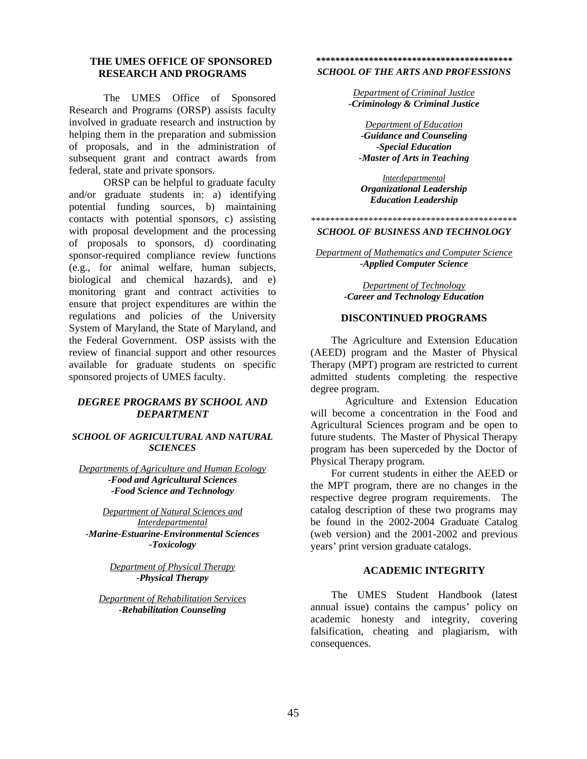#### **THE UMES OFFICE OF SPONSORED RESEARCH AND PROGRAMS**

The UMES Office of Sponsored Research and Programs (ORSP) assists faculty involved in graduate research and instruction by helping them in the preparation and submission of proposals, and in the administration of subsequent grant and contract awards from federal, state and private sponsors.

 ORSP can be helpful to graduate faculty and/or graduate students in: a) identifying potential funding sources, b) maintaining contacts with potential sponsors, c) assisting with proposal development and the processing of proposals to sponsors, d) coordinating sponsor-required compliance review functions (e.g., for animal welfare, human subjects, biological and chemical hazards), and e) monitoring grant and contract activities to ensure that project expenditures are within the regulations and policies of the University System of Maryland, the State of Maryland, and the Federal Government. OSP assists with the review of financial support and other resources available for graduate students on specific sponsored projects of UMES faculty.

#### *DEGREE PROGRAMS BY SCHOOL AND DEPARTMENT*

#### *SCHOOL OF AGRICULTURAL AND NATURAL SCIENCES*

*Departments of Agriculture and Human Ecology -Food and Agricultural Sciences -Food Science and Technology* 

*Department of Natural Sciences and Interdepartmental -Marine-Estuarine-Environmental Sciences -Toxicology* 

> *Department of Physical Therapy -Physical Therapy*

*Department of Rehabilitation Services -Rehabilitation Counseling* 

## *\*\*\*\*\*\*\*\*\*\*\*\*\*\*\*\*\*\*\*\*\*\*\*\*\*\*\*\*\*\*\*\*\*\*\*\*\*\*\*\*\**

*SCHOOL OF THE ARTS AND PROFESSIONS* 

*Department of Criminal Justice -Criminology & Criminal Justice* 

*Department of Education -Guidance and Counseling -Special Education -Master of Arts in Teaching*

*Interdepartmental Organizational Leadership Education Leadership* 

## \*\*\*\*\*\*\*\*\*\*\*\*\*\*\*\*\*\*\*\*\*\*\*\*\*\*\*\*\*\*\*\*\*\*\*\*\*\*\*\*\*\*\*

*SCHOOL OF BUSINESS AND TECHNOLOGY* 

*Department of Mathematics and Computer Science -Applied Computer Science* 

> *Department of Technology -Career and Technology Education*

#### **DISCONTINUED PROGRAMS**

The Agriculture and Extension Education (AEED) program and the Master of Physical Therapy (MPT) program are restricted to current admitted students completing the respective degree program.

 Agriculture and Extension Education will become a concentration in the Food and Agricultural Sciences program and be open to future students. The Master of Physical Therapy program has been superceded by the Doctor of Physical Therapy program.

For current students in either the AEED or the MPT program, there are no changes in the respective degree program requirements. The catalog description of these two programs may be found in the 2002-2004 Graduate Catalog (web version) and the 2001-2002 and previous years' print version graduate catalogs.

#### **ACADEMIC INTEGRITY**

The UMES Student Handbook (latest annual issue) contains the campus' policy on academic honesty and integrity, covering falsification, cheating and plagiarism, with consequences.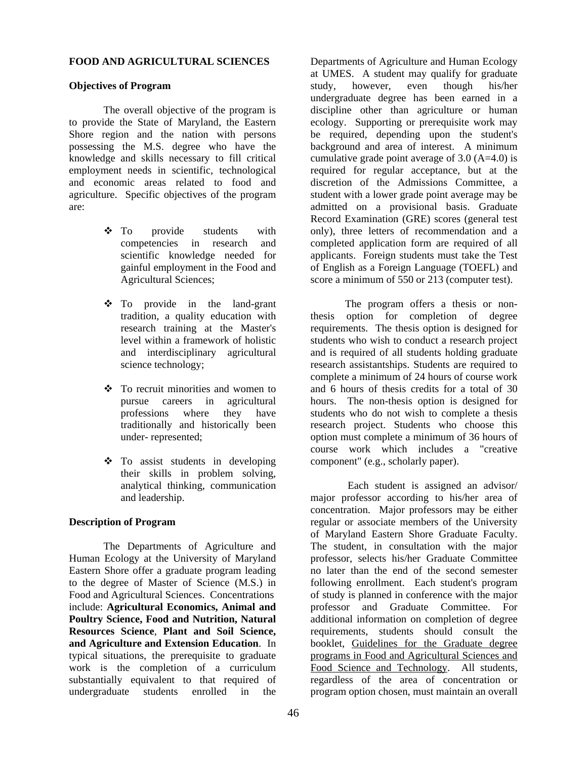#### **FOOD AND AGRICULTURAL SCIENCES**

#### **Objectives of Program**

The overall objective of the program is to provide the State of Maryland, the Eastern Shore region and the nation with persons possessing the M.S. degree who have the knowledge and skills necessary to fill critical employment needs in scientific, technological and economic areas related to food and agriculture. Specific objectives of the program are:

- To provide students with competencies in research and scientific knowledge needed for gainful employment in the Food and Agricultural Sciences;
- To provide in the land-grant tradition, a quality education with research training at the Master's level within a framework of holistic and interdisciplinary agricultural science technology;
- To recruit minorities and women to pursue careers in agricultural professions where they have traditionally and historically been under- represented;
- To assist students in developing their skills in problem solving, analytical thinking, communication and leadership.

#### **Description of Program**

The Departments of Agriculture and Human Ecology at the University of Maryland Eastern Shore offer a graduate program leading to the degree of Master of Science (M.S.) in Food and Agricultural Sciences. Concentrations include: **Agricultural Economics, Animal and Poultry Science, Food and Nutrition, Natural Resources Science**, **Plant and Soil Science, and Agriculture and Extension Education**. In typical situations, the prerequisite to graduate work is the completion of a curriculum substantially equivalent to that required of undergraduate students enrolled in the

Departments of Agriculture and Human Ecology at UMES. A student may qualify for graduate study, however, even though his/her undergraduate degree has been earned in a discipline other than agriculture or human ecology. Supporting or prerequisite work may be required, depending upon the student's background and area of interest. A minimum cumulative grade point average of  $3.0$  (A=4.0) is required for regular acceptance, but at the discretion of the Admissions Committee, a student with a lower grade point average may be admitted on a provisional basis. Graduate Record Examination (GRE) scores (general test only), three letters of recommendation and a completed application form are required of all applicants. Foreign students must take the Test of English as a Foreign Language (TOEFL) and score a minimum of 550 or 213 (computer test).

The program offers a thesis or nonthesis option for completion of degree requirements. The thesis option is designed for students who wish to conduct a research project and is required of all students holding graduate research assistantships. Students are required to complete a minimum of 24 hours of course work and 6 hours of thesis credits for a total of 30 hours. The non-thesis option is designed for students who do not wish to complete a thesis research project. Students who choose this option must complete a minimum of 36 hours of course work which includes a "creative component" (e.g., scholarly paper).

 Each student is assigned an advisor/ major professor according to his/her area of concentration. Major professors may be either regular or associate members of the University of Maryland Eastern Shore Graduate Faculty. The student, in consultation with the major professor, selects his/her Graduate Committee no later than the end of the second semester following enrollment. Each student's program of study is planned in conference with the major professor and Graduate Committee. For additional information on completion of degree requirements, students should consult the booklet, Guidelines for the Graduate degree programs in Food and Agricultural Sciences and Food Science and Technology. All students. regardless of the area of concentration or program option chosen, must maintain an overall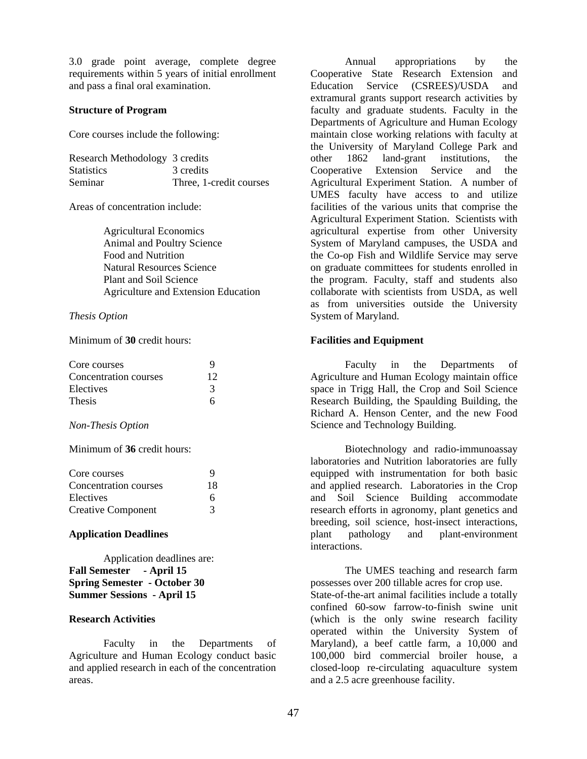3.0 grade point average, complete degree requirements within 5 years of initial enrollment and pass a final oral examination.

#### **Structure of Program**

Core courses include the following:

| Research Methodology 3 credits |                         |
|--------------------------------|-------------------------|
| <b>Statistics</b>              | 3 credits               |
| Seminar                        | Three, 1-credit courses |

Areas of concentration include:

Agricultural Economics Animal and Poultry Science Food and Nutrition Natural Resources Science Plant and Soil Science Agriculture and Extension Education

#### *Thesis Option*

Minimum of **30** credit hours:

| Core courses          |    |
|-----------------------|----|
| Concentration courses | 12 |
| Electives             | 3  |
| <b>Thesis</b>         |    |

#### *Non-Thesis Option*

Minimum of **36** credit hours:

| Core courses              | Q  |
|---------------------------|----|
| Concentration courses     | 18 |
| Electives                 | 6  |
| <b>Creative Component</b> | 3  |

#### **Application Deadlines**

Application deadlines are: **Fall Semester - April 15 Spring Semester - October 30 Summer Sessions - April 15**

### **Research Activities**

Faculty in the Departments of Agriculture and Human Ecology conduct basic and applied research in each of the concentration areas.

Annual appropriations by the Cooperative State Research Extension and Education Service (CSREES)/USDA and extramural grants support research activities by faculty and graduate students. Faculty in the Departments of Agriculture and Human Ecology maintain close working relations with faculty at the University of Maryland College Park and other 1862 land-grant institutions, the Cooperative Extension Service and the Agricultural Experiment Station. A number of UMES faculty have access to and utilize facilities of the various units that comprise the Agricultural Experiment Station. Scientists with agricultural expertise from other University System of Maryland campuses, the USDA and the Co-op Fish and Wildlife Service may serve on graduate committees for students enrolled in the program. Faculty, staff and students also collaborate with scientists from USDA, as well as from universities outside the University System of Maryland.

#### **Facilities and Equipment**

Faculty in the Departments of Agriculture and Human Ecology maintain office space in Trigg Hall, the Crop and Soil Science Research Building, the Spaulding Building, the Richard A. Henson Center, and the new Food Science and Technology Building.

Biotechnology and radio-immunoassay laboratories and Nutrition laboratories are fully equipped with instrumentation for both basic and applied research. Laboratories in the Crop and Soil Science Building accommodate research efforts in agronomy, plant genetics and breeding, soil science, host-insect interactions, plant pathology and plant-environment interactions.

The UMES teaching and research farm possesses over 200 tillable acres for crop use. State-of-the-art animal facilities include a totally confined 60-sow farrow-to-finish swine unit (which is the only swine research facility operated within the University System of Maryland), a beef cattle farm, a 10,000 and 100,000 bird commercial broiler house, a closed-loop re-circulating aquaculture system and a 2.5 acre greenhouse facility.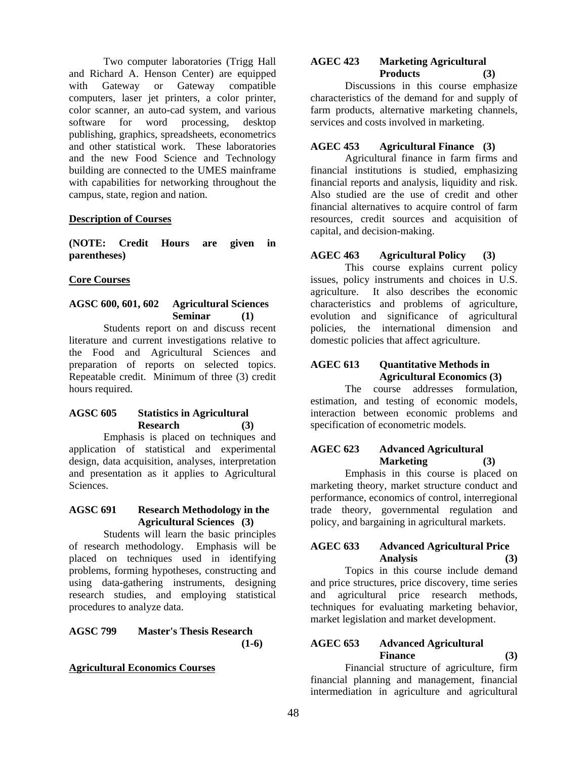Two computer laboratories (Trigg Hall and Richard A. Henson Center) are equipped with Gateway or Gateway compatible computers, laser jet printers, a color printer, color scanner, an auto-cad system, and various software for word processing, desktop publishing, graphics, spreadsheets, econometrics and other statistical work. These laboratories and the new Food Science and Technology building are connected to the UMES mainframe with capabilities for networking throughout the campus, state, region and nation.

### **Description of Courses**

**(NOTE: Credit Hours are given in parentheses)** 

#### **Core Courses**

## **AGSC 600, 601, 602 Agricultural Sciences Seminar (1)**

Students report on and discuss recent literature and current investigations relative to the Food and Agricultural Sciences and preparation of reports on selected topics. Repeatable credit. Minimum of three (3) credit hours required.

#### **AGSC 605 Statistics in Agricultural Research (3)**

Emphasis is placed on techniques and application of statistical and experimental design, data acquisition, analyses, interpretation and presentation as it applies to Agricultural Sciences.

### **AGSC 691 Research Methodology in the Agricultural Sciences (3)**

Students will learn the basic principles of research methodology. Emphasis will be placed on techniques used in identifying problems, forming hypotheses, constructing and using data-gathering instruments, designing research studies, and employing statistical procedures to analyze data.

#### **AGSC 799 Master's Thesis Research (1-6)**

#### **Agricultural Economics Courses**

### **AGEC 423 Marketing Agricultural Products (3)**

Discussions in this course emphasize characteristics of the demand for and supply of farm products, alternative marketing channels, services and costs involved in marketing.

### **AGEC 453 Agricultural Finance (3)**

Agricultural finance in farm firms and financial institutions is studied, emphasizing financial reports and analysis, liquidity and risk. Also studied are the use of credit and other financial alternatives to acquire control of farm resources, credit sources and acquisition of capital, and decision-making.

## **AGEC 463 Agricultural Policy (3)**

This course explains current policy issues, policy instruments and choices in U.S. agriculture. It also describes the economic characteristics and problems of agriculture, evolution and significance of agricultural policies, the international dimension and domestic policies that affect agriculture.

## **AGEC 613 Quantitative Methods in Agricultural Economics (3)**

The course addresses formulation, estimation, and testing of economic models, interaction between economic problems and specification of econometric models.

## **AGEC 623 Advanced Agricultural Marketing (3)**

Emphasis in this course is placed on marketing theory, market structure conduct and performance, economics of control, interregional trade theory, governmental regulation and policy, and bargaining in agricultural markets.

### **AGEC 633 Advanced Agricultural Price Analysis (3)**

Topics in this course include demand and price structures, price discovery, time series and agricultural price research methods, techniques for evaluating marketing behavior, market legislation and market development.

## **AGEC 653 Advanced Agricultural Finance (3)**

Financial structure of agriculture, firm financial planning and management, financial intermediation in agriculture and agricultural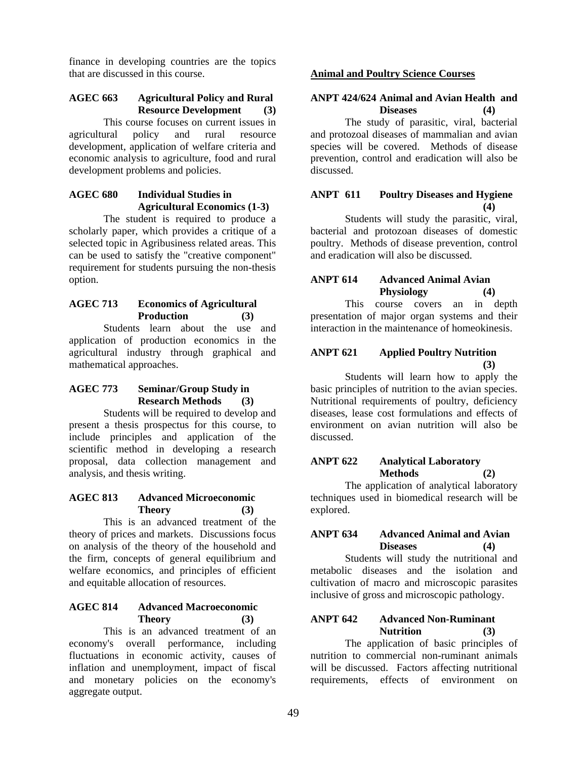finance in developing countries are the topics that are discussed in this course.

### **AGEC 663 Agricultural Policy and Rural Resource Development (3)**

This course focuses on current issues in agricultural policy and rural resource development, application of welfare criteria and economic analysis to agriculture, food and rural development problems and policies.

## **AGEC 680 Individual Studies in Agricultural Economics (1-3)**

The student is required to produce a scholarly paper, which provides a critique of a selected topic in Agribusiness related areas. This can be used to satisfy the "creative component" requirement for students pursuing the non-thesis option.

### **AGEC 713 Economics of Agricultural Production (3)**

Students learn about the use and application of production economics in the agricultural industry through graphical and mathematical approaches.

### **AGEC 773 Seminar/Group Study in Research Methods (3)**

Students will be required to develop and present a thesis prospectus for this course, to include principles and application of the scientific method in developing a research proposal, data collection management and analysis, and thesis writing.

#### **AGEC 813 Advanced Microeconomic Theory (3)**

This is an advanced treatment of the theory of prices and markets. Discussions focus on analysis of the theory of the household and the firm, concepts of general equilibrium and welfare economics, and principles of efficient and equitable allocation of resources.

## **AGEC 814 Advanced Macroeconomic Theory (3)**

This is an advanced treatment of an economy's overall performance, including fluctuations in economic activity, causes of inflation and unemployment, impact of fiscal and monetary policies on the economy's aggregate output.

## **Animal and Poultry Science Courses**

### **ANPT 424/624 Animal and Avian Health and Diseases (4)**

The study of parasitic, viral, bacterial and protozoal diseases of mammalian and avian species will be covered. Methods of disease prevention, control and eradication will also be discussed.

### **ANPT 611 Poultry Diseases and Hygiene (4)**

Students will study the parasitic, viral, bacterial and protozoan diseases of domestic poultry. Methods of disease prevention, control and eradication will also be discussed.

## **ANPT 614 Advanced Animal Avian Physiology (4)**

This course covers an in depth presentation of major organ systems and their interaction in the maintenance of homeokinesis.

### **ANPT 621 Applied Poultry Nutrition (3)**

Students will learn how to apply the basic principles of nutrition to the avian species. Nutritional requirements of poultry, deficiency diseases, lease cost formulations and effects of environment on avian nutrition will also be discussed.

## **ANPT 622 Analytical Laboratory Methods (2)**

The application of analytical laboratory techniques used in biomedical research will be explored.

### **ANPT 634 Advanced Animal and Avian Diseases (4)**

Students will study the nutritional and metabolic diseases and the isolation and cultivation of macro and microscopic parasites inclusive of gross and microscopic pathology.

## **ANPT 642 Advanced Non-Ruminant Nutrition (3)**

The application of basic principles of nutrition to commercial non-ruminant animals will be discussed. Factors affecting nutritional requirements, effects of environment on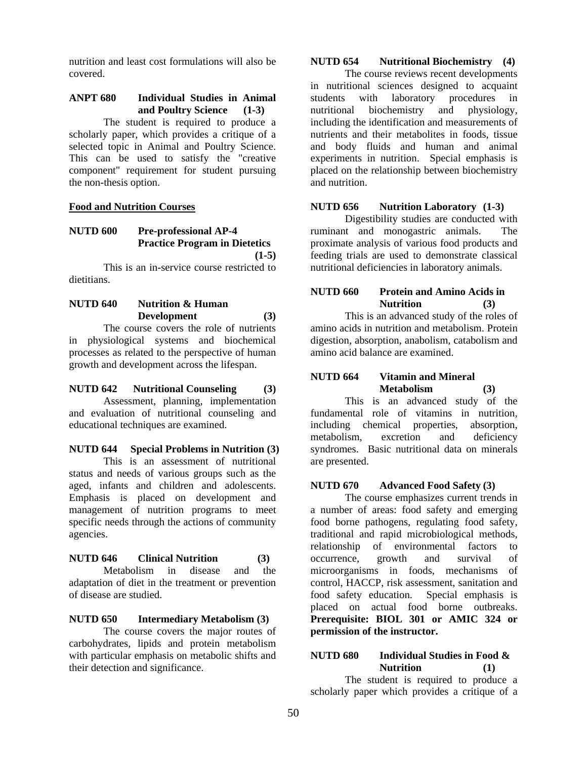nutrition and least cost formulations will also be covered.

### **ANPT 680 Individual Studies in Animal and Poultry Science (1-3)**

The student is required to produce a scholarly paper, which provides a critique of a selected topic in Animal and Poultry Science. This can be used to satisfy the "creative component" requirement for student pursuing the non-thesis option.

#### **Food and Nutrition Courses**

### **NUTD 600 Pre-professional AP-4 Practice Program in Dietetics (1-5)**

 This is an in-service course restricted to dietitians.

## **NUTD 640 Nutrition & Human Development (3)**

The course covers the role of nutrients in physiological systems and biochemical processes as related to the perspective of human growth and development across the lifespan.

#### **NUTD 642 Nutritional Counseling (3)**

Assessment, planning, implementation and evaluation of nutritional counseling and educational techniques are examined.

## **NUTD 644 Special Problems in Nutrition (3)**

This is an assessment of nutritional status and needs of various groups such as the aged, infants and children and adolescents. Emphasis is placed on development and management of nutrition programs to meet specific needs through the actions of community agencies.

**NUTD 646 Clinical Nutrition (3)**  Metabolism in disease and the adaptation of diet in the treatment or prevention of disease are studied.

## **NUTD 650 Intermediary Metabolism (3)**

The course covers the major routes of carbohydrates, lipids and protein metabolism with particular emphasis on metabolic shifts and their detection and significance.

### **NUTD 654 Nutritional Biochemistry (4)**

The course reviews recent developments in nutritional sciences designed to acquaint students with laboratory procedures in nutritional biochemistry and physiology, including the identification and measurements of nutrients and their metabolites in foods, tissue and body fluids and human and animal experiments in nutrition. Special emphasis is placed on the relationship between biochemistry and nutrition.

#### **NUTD 656 Nutrition Laboratory (1-3)**

Digestibility studies are conducted with ruminant and monogastric animals. The proximate analysis of various food products and feeding trials are used to demonstrate classical nutritional deficiencies in laboratory animals.

#### **NUTD 660 Protein and Amino Acids in Nutrition (3)**

This is an advanced study of the roles of amino acids in nutrition and metabolism. Protein digestion, absorption, anabolism, catabolism and amino acid balance are examined.

### **NUTD 664 Vitamin and Mineral Metabolism (3)**

This is an advanced study of the fundamental role of vitamins in nutrition, including chemical properties, absorption, metabolism, excretion and deficiency syndromes. Basic nutritional data on minerals are presented.

#### **NUTD 670 Advanced Food Safety (3)**

The course emphasizes current trends in a number of areas: food safety and emerging food borne pathogens, regulating food safety, traditional and rapid microbiological methods, relationship of environmental factors to occurrence, growth and survival of microorganisms in foods, mechanisms of control, HACCP, risk assessment, sanitation and food safety education. Special emphasis is placed on actual food borne outbreaks. **Prerequisite: BIOL 301 or AMIC 324 or permission of the instructor.** 

### **NUTD 680 Individual Studies in Food & Nutrition (1)**

The student is required to produce a scholarly paper which provides a critique of a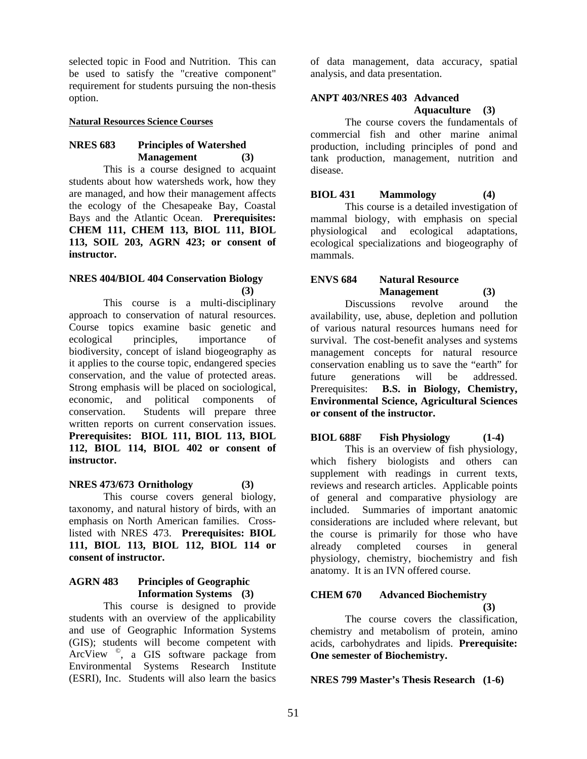selected topic in Food and Nutrition. This can be used to satisfy the "creative component" requirement for students pursuing the non-thesis option.

#### **Natural Resources Science Courses**

### **NRES 683 Principles of Watershed Management (3)**

This is a course designed to acquaint students about how watersheds work, how they are managed, and how their management affects the ecology of the Chesapeake Bay, Coastal Bays and the Atlantic Ocean. **Prerequisites: CHEM 111, CHEM 113, BIOL 111, BIOL 113, SOIL 203, AGRN 423; or consent of instructor.** 

#### **NRES 404/BIOL 404 Conservation Biology (3)**

This course is a multi-disciplinary approach to conservation of natural resources. Course topics examine basic genetic and ecological principles, importance of biodiversity, concept of island biogeography as it applies to the course topic, endangered species conservation, and the value of protected areas. Strong emphasis will be placed on sociological, economic, and political components of conservation. Students will prepare three written reports on current conservation issues. **Prerequisites: BIOL 111, BIOL 113, BIOL 112, BIOL 114, BIOL 402 or consent of instructor.** 

#### **NRES 473/673 Ornithology (3)**

This course covers general biology, taxonomy, and natural history of birds, with an emphasis on North American families. Crosslisted with NRES 473. **Prerequisites: BIOL 111, BIOL 113, BIOL 112, BIOL 114 or consent of instructor.** 

#### **AGRN 483 Principles of Geographic Information Systems (3)**

This course is designed to provide students with an overview of the applicability and use of Geographic Information Systems (GIS); students will become competent with ArcView ©, a GIS software package from Environmental Systems Research Institute (ESRI), Inc. Students will also learn the basics

of data management, data accuracy, spatial analysis, and data presentation.

## **ANPT 403/NRES 403 Advanced**

## **Aquaculture (3)**

The course covers the fundamentals of commercial fish and other marine animal production, including principles of pond and tank production, management, nutrition and disease.

#### **BIOL 431 Mammology (4)**

This course is a detailed investigation of mammal biology, with emphasis on special physiological and ecological adaptations, ecological specializations and biogeography of mammals.

### **ENVS 684 Natural Resource Management (3)**

Discussions revolve around the availability, use, abuse, depletion and pollution of various natural resources humans need for survival. The cost-benefit analyses and systems management concepts for natural resource conservation enabling us to save the "earth" for future generations will be addressed. Prerequisites: **B.S. in Biology, Chemistry, Environmental Science, Agricultural Sciences or consent of the instructor.**

### **BIOL 688F Fish Physiology (1-4)**

This is an overview of fish physiology, which fishery biologists and others can supplement with readings in current texts, reviews and research articles. Applicable points of general and comparative physiology are included. Summaries of important anatomic considerations are included where relevant, but the course is primarily for those who have already completed courses in general physiology, chemistry, biochemistry and fish anatomy. It is an IVN offered course.

#### **CHEM 670 Advanced Biochemistry (3)**

The course covers the classification, chemistry and metabolism of protein, amino acids, carbohydrates and lipids. **Prerequisite: One semester of Biochemistry.** 

**NRES 799 Master's Thesis Research (1-6)**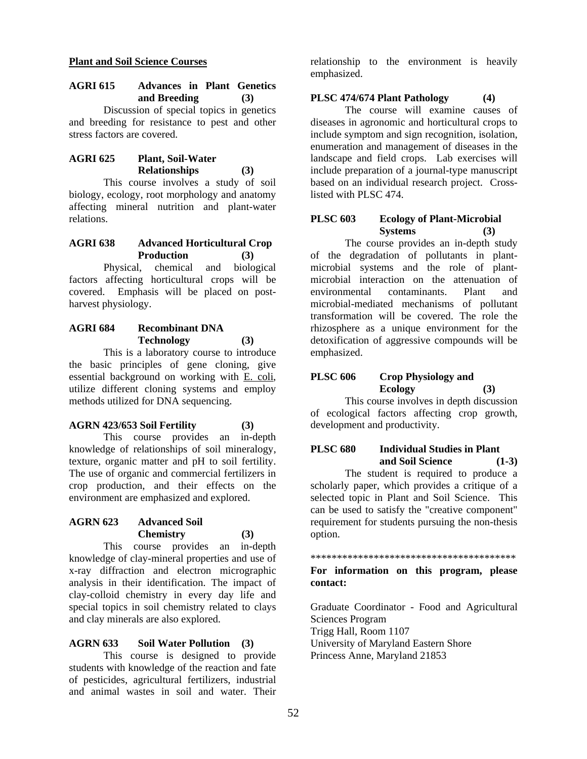#### **Plant and Soil Science Courses**

### **AGRI 615 Advances in Plant Genetics and Breeding (3)**

Discussion of special topics in genetics and breeding for resistance to pest and other stress factors are covered.

## **AGRI 625 Plant, Soil-Water Relationships (3)**

This course involves a study of soil biology, ecology, root morphology and anatomy affecting mineral nutrition and plant-water relations.

## **AGRI 638 Advanced Horticultural Crop Production (3)**

Physical, chemical and biological factors affecting horticultural crops will be covered. Emphasis will be placed on postharvest physiology.

## **AGRI 684 Recombinant DNA Technology (3)**

This is a laboratory course to introduce the basic principles of gene cloning, give essential background on working with E. coli, utilize different cloning systems and employ methods utilized for DNA sequencing.

#### **AGRN 423/653 Soil Fertility (3)**

This course provides an in-depth knowledge of relationships of soil mineralogy, texture, organic matter and pH to soil fertility. The use of organic and commercial fertilizers in crop production, and their effects on the environment are emphasized and explored.

### **AGRN 623 Advanced Soil Chemistry (3)**

This course provides an in-depth knowledge of clay-mineral properties and use of x-ray diffraction and electron micrographic analysis in their identification. The impact of clay-colloid chemistry in every day life and special topics in soil chemistry related to clays and clay minerals are also explored.

#### **AGRN 633 Soil Water Pollution (3)**

This course is designed to provide students with knowledge of the reaction and fate of pesticides, agricultural fertilizers, industrial and animal wastes in soil and water. Their

relationship to the environment is heavily emphasized.

### **PLSC 474/674 Plant Pathology (4)**

The course will examine causes of diseases in agronomic and horticultural crops to include symptom and sign recognition, isolation, enumeration and management of diseases in the landscape and field crops. Lab exercises will include preparation of a journal-type manuscript based on an individual research project. Crosslisted with PLSC 474.

#### **PLSC 603 Ecology of Plant-Microbial Systems (3)**

The course provides an in-depth study of the degradation of pollutants in plantmicrobial systems and the role of plantmicrobial interaction on the attenuation of environmental contaminants. Plant and microbial-mediated mechanisms of pollutant transformation will be covered. The role the rhizosphere as a unique environment for the detoxification of aggressive compounds will be emphasized.

## **PLSC 606 Crop Physiology and Ecology (3)**

This course involves in depth discussion of ecological factors affecting crop growth, development and productivity.

## **PLSC 680 Individual Studies in Plant and Soil Science (1-3)**

The student is required to produce a scholarly paper, which provides a critique of a selected topic in Plant and Soil Science. This can be used to satisfy the "creative component" requirement for students pursuing the non-thesis option.

#### \*\*\*\*\*\*\*\*\*\*\*\*\*\*\*\*\*\*\*\*\*\*\*\*\*\*\*\*\*\*\*\*\*\*\*\*\*\*\*

#### **For information on this program, please contact:**

Graduate Coordinator - Food and Agricultural Sciences Program Trigg Hall, Room 1107 University of Maryland Eastern Shore Princess Anne, Maryland 21853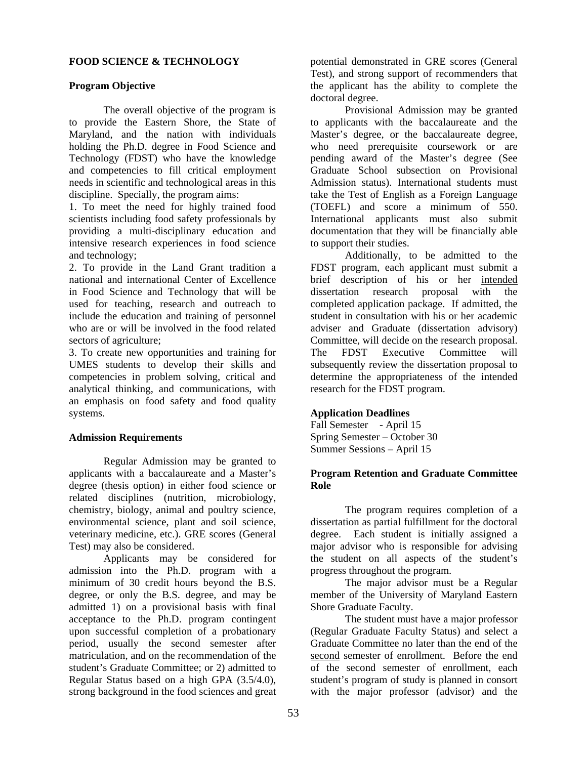#### **FOOD SCIENCE & TECHNOLOGY**

#### **Program Objective**

The overall objective of the program is to provide the Eastern Shore, the State of Maryland, and the nation with individuals holding the Ph.D. degree in Food Science and Technology (FDST) who have the knowledge and competencies to fill critical employment needs in scientific and technological areas in this discipline. Specially, the program aims:

1. To meet the need for highly trained food scientists including food safety professionals by providing a multi-disciplinary education and intensive research experiences in food science and technology;

2. To provide in the Land Grant tradition a national and international Center of Excellence in Food Science and Technology that will be used for teaching, research and outreach to include the education and training of personnel who are or will be involved in the food related sectors of agriculture;

3. To create new opportunities and training for UMES students to develop their skills and competencies in problem solving, critical and analytical thinking, and communications, with an emphasis on food safety and food quality systems.

#### **Admission Requirements**

Regular Admission may be granted to applicants with a baccalaureate and a Master's degree (thesis option) in either food science or related disciplines (nutrition, microbiology, chemistry, biology, animal and poultry science, environmental science, plant and soil science, veterinary medicine, etc.). GRE scores (General Test) may also be considered.

Applicants may be considered for admission into the Ph.D. program with a minimum of 30 credit hours beyond the B.S. degree, or only the B.S. degree, and may be admitted 1) on a provisional basis with final acceptance to the Ph.D. program contingent upon successful completion of a probationary period, usually the second semester after matriculation, and on the recommendation of the student's Graduate Committee; or 2) admitted to Regular Status based on a high GPA (3.5/4.0), strong background in the food sciences and great

potential demonstrated in GRE scores (General Test), and strong support of recommenders that the applicant has the ability to complete the doctoral degree.

Provisional Admission may be granted to applicants with the baccalaureate and the Master's degree, or the baccalaureate degree, who need prerequisite coursework or are pending award of the Master's degree (See Graduate School subsection on Provisional Admission status). International students must take the Test of English as a Foreign Language (TOEFL) and score a minimum of 550. International applicants must also submit documentation that they will be financially able to support their studies.

Additionally, to be admitted to the FDST program, each applicant must submit a brief description of his or her intended dissertation research proposal with the completed application package. If admitted, the student in consultation with his or her academic adviser and Graduate (dissertation advisory) Committee, will decide on the research proposal. The FDST Executive Committee will subsequently review the dissertation proposal to determine the appropriateness of the intended research for the FDST program.

#### **Application Deadlines**

Fall Semester - April 15 Spring Semester – October 30 Summer Sessions – April 15

#### **Program Retention and Graduate Committee Role**

The program requires completion of a dissertation as partial fulfillment for the doctoral degree. Each student is initially assigned a major advisor who is responsible for advising the student on all aspects of the student's progress throughout the program.

The major advisor must be a Regular member of the University of Maryland Eastern Shore Graduate Faculty.

The student must have a major professor (Regular Graduate Faculty Status) and select a Graduate Committee no later than the end of the second semester of enrollment. Before the end of the second semester of enrollment, each student's program of study is planned in consort with the major professor (advisor) and the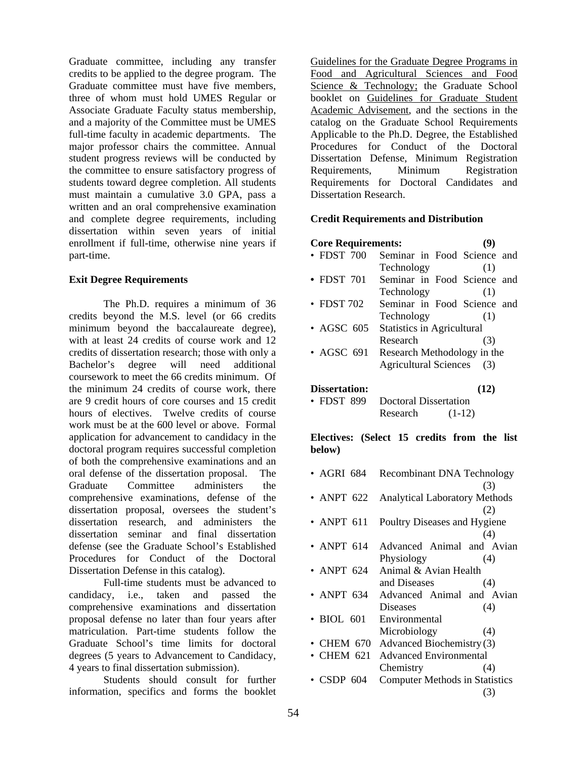Graduate committee, including any transfer credits to be applied to the degree program. The Graduate committee must have five members, three of whom must hold UMES Regular or Associate Graduate Faculty status membership, and a majority of the Committee must be UMES full-time faculty in academic departments. The major professor chairs the committee. Annual student progress reviews will be conducted by the committee to ensure satisfactory progress of students toward degree completion. All students must maintain a cumulative 3.0 GPA, pass a written and an oral comprehensive examination and complete degree requirements, including dissertation within seven years of initial enrollment if full-time, otherwise nine years if part-time.

### **Exit Degree Requirements**

The Ph.D. requires a minimum of 36 credits beyond the M.S. level (or 66 credits minimum beyond the baccalaureate degree), with at least 24 credits of course work and 12 credits of dissertation research; those with only a Bachelor's degree will need additional coursework to meet the 66 credits minimum. Of the minimum 24 credits of course work, there are 9 credit hours of core courses and 15 credit hours of electives. Twelve credits of course work must be at the 600 level or above. Formal application for advancement to candidacy in the doctoral program requires successful completion of both the comprehensive examinations and an oral defense of the dissertation proposal. The Graduate Committee administers the comprehensive examinations, defense of the dissertation proposal, oversees the student's dissertation research, and administers the dissertation seminar and final dissertation defense (see the Graduate School's Established Procedures for Conduct of the Doctoral Dissertation Defense in this catalog).

 Full-time students must be advanced to candidacy, i.e., taken and passed the comprehensive examinations and dissertation proposal defense no later than four years after matriculation. Part-time students follow the Graduate School's time limits for doctoral degrees (5 years to Advancement to Candidacy, 4 years to final dissertation submission).

Students should consult for further information, specifics and forms the booklet

Guidelines for the Graduate Degree Programs in Food and Agricultural Sciences and Food Science & Technology; the Graduate School booklet on Guidelines for Graduate Student Academic Advisement, and the sections in the catalog on the Graduate School Requirements Applicable to the Ph.D. Degree, the Established Procedures for Conduct of the Doctoral Dissertation Defense, Minimum Registration Requirements, Minimum Registration Requirements for Doctoral Candidates and Dissertation Research.

### **Credit Requirements and Distribution**

| <b>Core Requirements:</b> |                                   | (Y) |
|---------------------------|-----------------------------------|-----|
| • FDST 700                | Seminar in Food Science and       |     |
|                           | Technology                        | (1) |
| • FDST 701                | Seminar in Food Science and       |     |
|                           | Technology                        | (1) |
| $\cdot$ FDST 702          | Seminar in Food Science and       |     |
|                           | Technology                        | (1) |
| $\bullet$ AGSC 605        | <b>Statistics in Agricultural</b> |     |
|                           | Research                          | (3) |
| • AGSC 691                | Research Methodology in the       |     |
|                           | <b>Agricultural Sciences</b>      | (3) |
|                           |                                   |     |

**Dissertation: (12)** 

• FDST 899 Doctoral Dissertation Research (1-12)

**Electives: (Select 15 credits from the list below)** 

• AGRI 684 Recombinant DNA Technology (3) • ANPT 622 Analytical Laboratory Methods (2) • ANPT 611 Poultry Diseases and Hygiene (4) • ANPT 614 Advanced Animal and Avian Physiology (4) • ANPT 624 Animal & Avian Health and Diseases (4) • ANPT 634 Advanced Animal and Avian Diseases (4) • BIOL 601 Environmental Microbiology (4) • CHEM 670 Advanced Biochemistry (3) • CHEM 621 Advanced Environmental Chemistry (4) • CSDP 604 Computer Methods in Statistics (3)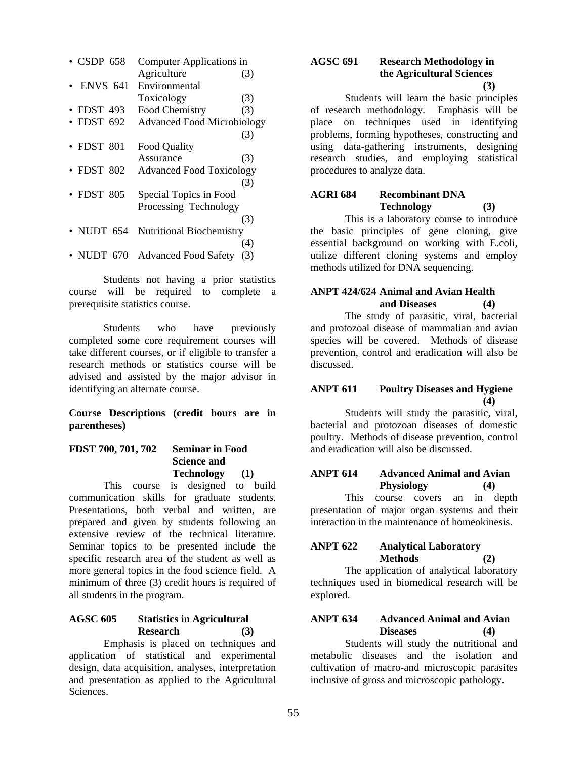| • CSDP 658       | Computer Applications in          |     |
|------------------|-----------------------------------|-----|
|                  | Agriculture                       | (3) |
| <b>ENVS 641</b>  | Environmental                     |     |
|                  | Toxicology                        | (3) |
| $\cdot$ FDST 493 | Food Chemistry                    | (3) |
| $\cdot$ FDST 692 | <b>Advanced Food Microbiology</b> |     |
|                  |                                   | (3) |
| $\cdot$ FDST 801 | <b>Food Quality</b>               |     |
|                  | Assurance                         | (3) |
| $\cdot$ FDST 802 | <b>Advanced Food Toxicology</b>   |     |
|                  |                                   | (3) |
| $\cdot$ FDST 805 | Special Topics in Food            |     |
|                  | Processing Technology             |     |
|                  |                                   | (3) |
| • NUDT 654       | <b>Nutritional Biochemistry</b>   |     |
|                  |                                   | (4) |
| • NUDT 670       | <b>Advanced Food Safety</b>       | (3) |

Students not having a prior statistics course will be required to complete a prerequisite statistics course.

Students who have previously completed some core requirement courses will take different courses, or if eligible to transfer a research methods or statistics course will be advised and assisted by the major advisor in identifying an alternate course.

**Course Descriptions (credit hours are in parentheses)** 

| FDST 700, 701, 702 | <b>Seminar in Food</b> |  |
|--------------------|------------------------|--|
|                    | <b>Science and</b>     |  |
|                    | <b>Technology</b>      |  |

This course is designed to build communication skills for graduate students. Presentations, both verbal and written, are prepared and given by students following an extensive review of the technical literature. Seminar topics to be presented include the specific research area of the student as well as more general topics in the food science field. A minimum of three (3) credit hours is required of all students in the program.

### **AGSC 605 Statistics in Agricultural Research (3)**

 Emphasis is placed on techniques and application of statistical and experimental design, data acquisition, analyses, interpretation and presentation as applied to the Agricultural Sciences.

#### **AGSC 691 Research Methodology in the Agricultural Sciences (3)**

 Students will learn the basic principles of research methodology. Emphasis will be place on techniques used in identifying problems, forming hypotheses, constructing and using data-gathering instruments, designing research studies, and employing statistical procedures to analyze data.

## **AGRI 684 Recombinant DNA Technology (3)**

This is a laboratory course to introduce the basic principles of gene cloning, give essential background on working with E.coli, utilize different cloning systems and employ methods utilized for DNA sequencing.

### **ANPT 424/624 Animal and Avian Health and Diseases (4)**

 The study of parasitic, viral, bacterial and protozoal disease of mammalian and avian species will be covered. Methods of disease prevention, control and eradication will also be discussed.

#### **ANPT 611 Poultry Diseases and Hygiene (4)**

 Students will study the parasitic, viral, bacterial and protozoan diseases of domestic poultry. Methods of disease prevention, control and eradication will also be discussed.

## **ANPT 614 Advanced Animal and Avian Physiology (4)**

 This course covers an in depth presentation of major organ systems and their interaction in the maintenance of homeokinesis.

### **ANPT 622 Analytical Laboratory Methods (2)**

 The application of analytical laboratory techniques used in biomedical research will be explored.

## **ANPT 634 Advanced Animal and Avian Diseases (4)**

 Students will study the nutritional and metabolic diseases and the isolation and cultivation of macro-and microscopic parasites inclusive of gross and microscopic pathology.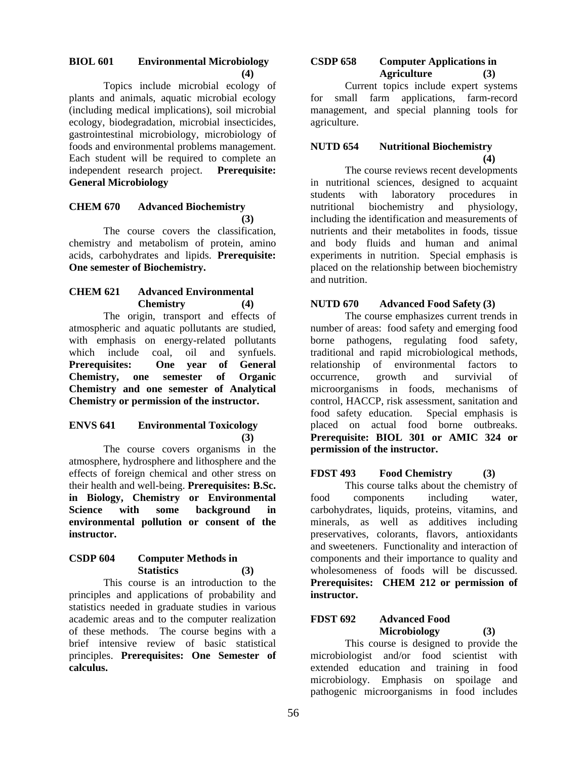## **BIOL 601 Environmental Microbiology (4)**

 Topics include microbial ecology of plants and animals, aquatic microbial ecology (including medical implications), soil microbial ecology, biodegradation, microbial insecticides, gastrointestinal microbiology, microbiology of foods and environmental problems management. Each student will be required to complete an independent research project. **Prerequisite: General Microbiology** 

#### **CHEM 670 Advanced Biochemistry (3)**

The course covers the classification, chemistry and metabolism of protein, amino acids, carbohydrates and lipids. **Prerequisite: One semester of Biochemistry.** 

#### **CHEM 621 Advanced Environmental Chemistry (4)**

 The origin, transport and effects of atmospheric and aquatic pollutants are studied, with emphasis on energy-related pollutants which include coal, oil and synfuels. **Prerequisites: One year of General Chemistry, one semester of Organic Chemistry and one semester of Analytical Chemistry or permission of the instructor.** 

#### **ENVS 641 Environmental Toxicology (3)**

 The course covers organisms in the atmosphere, hydrosphere and lithosphere and the effects of foreign chemical and other stress on their health and well-being. **Prerequisites: B.Sc. in Biology, Chemistry or Environmental Science with some background in environmental pollution or consent of the instructor.** 

## **CSDP 604 Computer Methods in Statistics (3)**

 This course is an introduction to the principles and applications of probability and statistics needed in graduate studies in various academic areas and to the computer realization of these methods. The course begins with a brief intensive review of basic statistical principles. **Prerequisites: One Semester of calculus.** 

#### **CSDP 658 Computer Applications in Agriculture (3)**

 Current topics include expert systems for small farm applications, farm-record management, and special planning tools for agriculture.

## **NUTD 654 Nutritional Biochemistry (4)**

 The course reviews recent developments in nutritional sciences, designed to acquaint students with laboratory procedures nutritional biochemistry and physiology, including the identification and measurements of nutrients and their metabolites in foods, tissue and body fluids and human and animal experiments in nutrition. Special emphasis is placed on the relationship between biochemistry and nutrition.

## **NUTD 670 Advanced Food Safety (3)**

 The course emphasizes current trends in number of areas: food safety and emerging food borne pathogens, regulating food safety, traditional and rapid microbiological methods, relationship of environmental factors to occurrence, growth and survivial of microorganisms in foods, mechanisms of control, HACCP, risk assessment, sanitation and food safety education. Special emphasis is placed on actual food borne outbreaks. **Prerequisite: BIOL 301 or AMIC 324 or permission of the instructor.** 

## **FDST 493 Food Chemistry (3)**

This course talks about the chemistry of food components including water, carbohydrates, liquids, proteins, vitamins, and minerals, as well as additives including preservatives, colorants, flavors, antioxidants and sweeteners. Functionality and interaction of components and their importance to quality and wholesomeness of foods will be discussed. **Prerequisites: CHEM 212 or permission of instructor.** 

## **FDST 692 Advanced Food Microbiology (3)**

This course is designed to provide the microbiologist and/or food scientist with extended education and training in food microbiology. Emphasis on spoilage and pathogenic microorganisms in food includes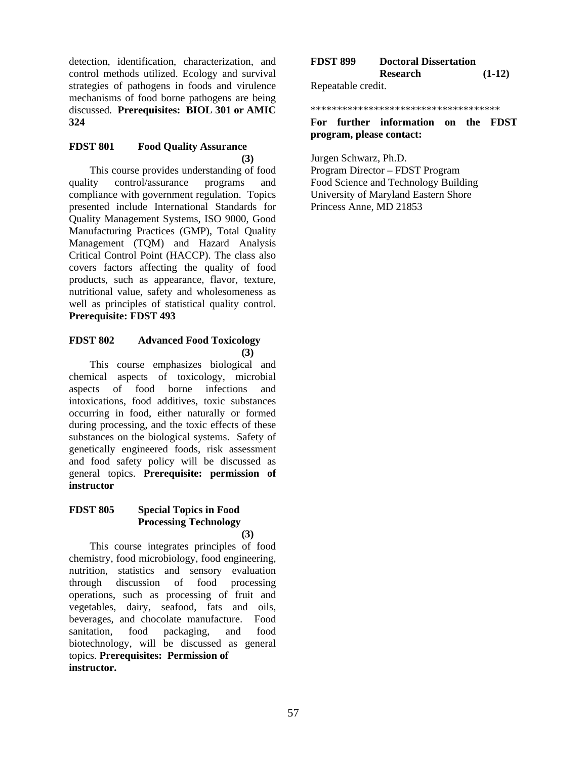detection, identification, characterization, and control methods utilized. Ecology and survival strategies of pathogens in foods and virulence mechanisms of food borne pathogens are being discussed. **Prerequisites: BIOL 301 or AMIC 324** 

### **FDST 801 Food Quality Assurance (3)**

This course provides understanding of food quality control/assurance programs and compliance with government regulation. Topics presented include International Standards for Quality Management Systems, ISO 9000, Good Manufacturing Practices (GMP), Total Quality Management (TQM) and Hazard Analysis Critical Control Point (HACCP). The class also covers factors affecting the quality of food products, such as appearance, flavor, texture, nutritional value, safety and wholesomeness as well as principles of statistical quality control. **Prerequisite: FDST 493**

### **FDST 802 Advanced Food Toxicology (3)**

This course emphasizes biological and chemical aspects of toxicology, microbial aspects of food borne infections and intoxications, food additives, toxic substances occurring in food, either naturally or formed during processing, and the toxic effects of these substances on the biological systems. Safety of genetically engineered foods, risk assessment and food safety policy will be discussed as general topics. **Prerequisite: permission of instructor**

### **FDST 805 Special Topics in Food Processing Technology (3)**

This course integrates principles of food chemistry, food microbiology, food engineering, nutrition, statistics and sensory evaluation through discussion of food processing operations, such as processing of fruit and vegetables, dairy, seafood, fats and oils, beverages, and chocolate manufacture. Food sanitation, food packaging, and food biotechnology, will be discussed as general topics. **Prerequisites: Permission of instructor.** 

| <b>FDST 899</b>    | <b>Doctoral Dissertation</b> |          |
|--------------------|------------------------------|----------|
|                    | <b>Research</b>              | $(1-12)$ |
| Repeatable credit. |                              |          |

#### \*\*\*\*\*\*\*\*\*\*\*\*\*\*\*\*\*\*\*\*\*\*\*\*\*\*\*\*\*\*\*\*\*\*\*\*

**For further information on the FDST program, please contact:** 

Jurgen Schwarz, Ph.D.

Program Director – FDST Program Food Science and Technology Building University of Maryland Eastern Shore Princess Anne, MD 21853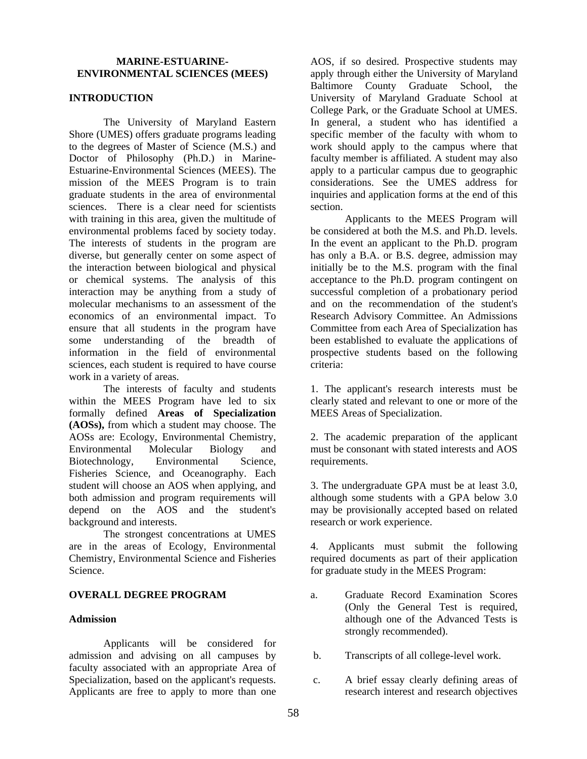#### **MARINE-ESTUARINE-ENVIRONMENTAL SCIENCES (MEES)**

#### **INTRODUCTION**

The University of Maryland Eastern Shore (UMES) offers graduate programs leading to the degrees of Master of Science (M.S.) and Doctor of Philosophy (Ph.D.) in Marine-Estuarine-Environmental Sciences (MEES). The mission of the MEES Program is to train graduate students in the area of environmental sciences. There is a clear need for scientists with training in this area, given the multitude of environmental problems faced by society today. The interests of students in the program are diverse, but generally center on some aspect of the interaction between biological and physical or chemical systems. The analysis of this interaction may be anything from a study of molecular mechanisms to an assessment of the economics of an environmental impact. To ensure that all students in the program have some understanding of the breadth of information in the field of environmental sciences, each student is required to have course work in a variety of areas.

The interests of faculty and students within the MEES Program have led to six formally defined **Areas of Specialization (AOSs),** from which a student may choose. The AOSs are: Ecology, Environmental Chemistry, Environmental Molecular Biology and Biotechnology, Environmental Science, Fisheries Science, and Oceanography. Each student will choose an AOS when applying, and both admission and program requirements will depend on the AOS and the student's background and interests.

The strongest concentrations at UMES are in the areas of Ecology, Environmental Chemistry, Environmental Science and Fisheries Science.

#### **OVERALL DEGREE PROGRAM**

#### **Admission**

Applicants will be considered for admission and advising on all campuses by faculty associated with an appropriate Area of Specialization, based on the applicant's requests. Applicants are free to apply to more than one

AOS, if so desired. Prospective students may apply through either the University of Maryland Baltimore County Graduate School, the University of Maryland Graduate School at College Park, or the Graduate School at UMES. In general, a student who has identified a specific member of the faculty with whom to work should apply to the campus where that faculty member is affiliated. A student may also apply to a particular campus due to geographic considerations. See the UMES address for inquiries and application forms at the end of this section.

Applicants to the MEES Program will be considered at both the M.S. and Ph.D. levels. In the event an applicant to the Ph.D. program has only a B.A. or B.S. degree, admission may initially be to the M.S. program with the final acceptance to the Ph.D. program contingent on successful completion of a probationary period and on the recommendation of the student's Research Advisory Committee. An Admissions Committee from each Area of Specialization has been established to evaluate the applications of prospective students based on the following criteria:

1. The applicant's research interests must be clearly stated and relevant to one or more of the MEES Areas of Specialization.

2. The academic preparation of the applicant must be consonant with stated interests and AOS requirements.

3. The undergraduate GPA must be at least 3.0, although some students with a GPA below 3.0 may be provisionally accepted based on related research or work experience.

4. Applicants must submit the following required documents as part of their application for graduate study in the MEES Program:

- a. Graduate Record Examination Scores (Only the General Test is required, although one of the Advanced Tests is strongly recommended).
- b. Transcripts of all college-level work.
- c. A brief essay clearly defining areas of research interest and research objectives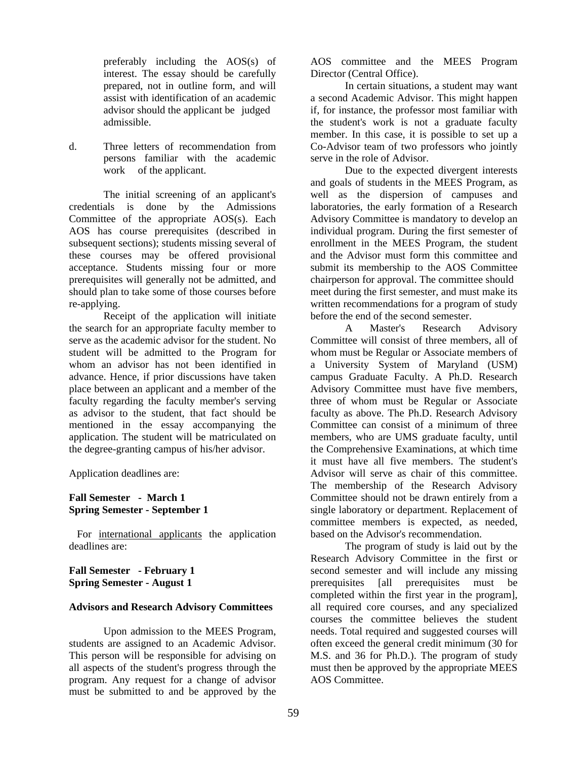preferably including the AOS(s) of interest. The essay should be carefully prepared, not in outline form, and will assist with identification of an academic advisor should the applicant be judged admissible.

d. Three letters of recommendation from persons familiar with the academic work of the applicant.

The initial screening of an applicant's credentials is done by the Admissions Committee of the appropriate AOS(s). Each AOS has course prerequisites (described in subsequent sections); students missing several of these courses may be offered provisional acceptance. Students missing four or more prerequisites will generally not be admitted, and should plan to take some of those courses before re-applying.

Receipt of the application will initiate the search for an appropriate faculty member to serve as the academic advisor for the student. No student will be admitted to the Program for whom an advisor has not been identified in advance. Hence, if prior discussions have taken place between an applicant and a member of the faculty regarding the faculty member's serving as advisor to the student, that fact should be mentioned in the essay accompanying the application. The student will be matriculated on the degree-granting campus of his/her advisor.

Application deadlines are:

#### **Fall Semester - March 1 Spring Semester - September 1**

 For international applicants the application deadlines are:

#### **Fall Semester - February 1 Spring Semester - August 1**

#### **Advisors and Research Advisory Committees**

Upon admission to the MEES Program, students are assigned to an Academic Advisor. This person will be responsible for advising on all aspects of the student's progress through the program. Any request for a change of advisor must be submitted to and be approved by the

AOS committee and the MEES Program Director (Central Office).

In certain situations, a student may want a second Academic Advisor. This might happen if, for instance, the professor most familiar with the student's work is not a graduate faculty member. In this case, it is possible to set up a Co-Advisor team of two professors who jointly serve in the role of Advisor.

Due to the expected divergent interests and goals of students in the MEES Program, as well as the dispersion of campuses and laboratories, the early formation of a Research Advisory Committee is mandatory to develop an individual program. During the first semester of enrollment in the MEES Program, the student and the Advisor must form this committee and submit its membership to the AOS Committee chairperson for approval. The committee should meet during the first semester, and must make its written recommendations for a program of study before the end of the second semester.

A Master's Research Advisory Committee will consist of three members, all of whom must be Regular or Associate members of a University System of Maryland (USM) campus Graduate Faculty. A Ph.D. Research Advisory Committee must have five members, three of whom must be Regular or Associate faculty as above. The Ph.D. Research Advisory Committee can consist of a minimum of three members, who are UMS graduate faculty, until the Comprehensive Examinations, at which time it must have all five members. The student's Advisor will serve as chair of this committee. The membership of the Research Advisory Committee should not be drawn entirely from a single laboratory or department. Replacement of committee members is expected, as needed, based on the Advisor's recommendation.

The program of study is laid out by the Research Advisory Committee in the first or second semester and will include any missing prerequisites [all prerequisites must be completed within the first year in the program], all required core courses, and any specialized courses the committee believes the student needs. Total required and suggested courses will often exceed the general credit minimum (30 for M.S. and 36 for Ph.D.). The program of study must then be approved by the appropriate MEES AOS Committee.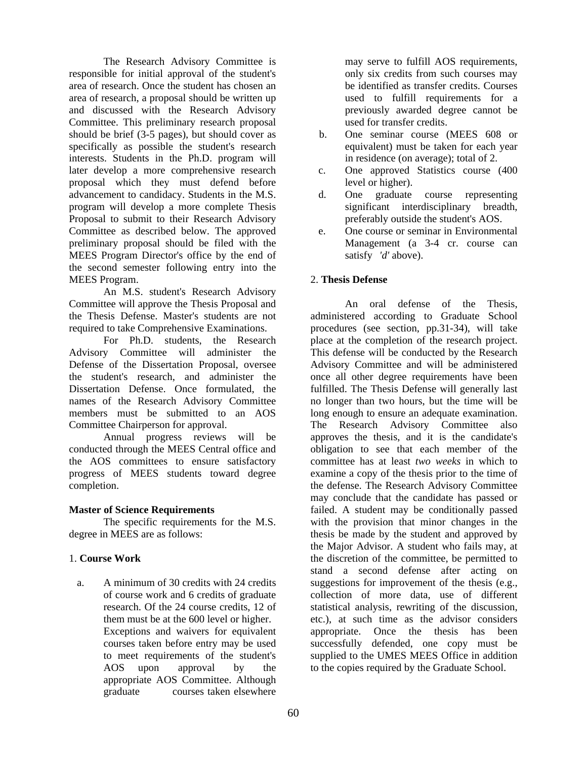The Research Advisory Committee is responsible for initial approval of the student's area of research. Once the student has chosen an area of research, a proposal should be written up and discussed with the Research Advisory Committee. This preliminary research proposal should be brief (3-5 pages), but should cover as specifically as possible the student's research interests. Students in the Ph.D. program will later develop a more comprehensive research proposal which they must defend before advancement to candidacy. Students in the M.S. program will develop a more complete Thesis Proposal to submit to their Research Advisory Committee as described below. The approved preliminary proposal should be filed with the MEES Program Director's office by the end of the second semester following entry into the MEES Program.

An M.S. student's Research Advisory Committee will approve the Thesis Proposal and the Thesis Defense. Master's students are not required to take Comprehensive Examinations.

For Ph.D. students, the Research Advisory Committee will administer the Defense of the Dissertation Proposal, oversee the student's research, and administer the Dissertation Defense. Once formulated, the names of the Research Advisory Committee members must be submitted to an AOS Committee Chairperson for approval.

Annual progress reviews will be conducted through the MEES Central office and the AOS committees to ensure satisfactory progress of MEES students toward degree completion.

#### **Master of Science Requirements**

The specific requirements for the M.S. degree in MEES are as follows:

## 1. **Course Work**

 a. A minimum of 30 credits with 24 credits of course work and 6 credits of graduate research. Of the 24 course credits, 12 of them must be at the 600 level or higher. Exceptions and waivers for equivalent courses taken before entry may be used to meet requirements of the student's AOS upon approval by the appropriate AOS Committee. Although graduate courses taken elsewhere

may serve to fulfill AOS requirements, only six credits from such courses may be identified as transfer credits. Courses used to fulfill requirements for a previously awarded degree cannot be used for transfer credits.

- b. One seminar course (MEES 608 or equivalent) must be taken for each year in residence (on average); total of 2.
- c. One approved Statistics course (400 level or higher).
- d. One graduate course representing significant interdisciplinary breadth, preferably outside the student's AOS.
- e. One course or seminar in Environmental Management (a 3-4 cr. course can satisfy *'d'* above).

## 2. **Thesis Defense**

An oral defense of the Thesis, administered according to Graduate School procedures (see section, pp.31-34), will take place at the completion of the research project. This defense will be conducted by the Research Advisory Committee and will be administered once all other degree requirements have been fulfilled. The Thesis Defense will generally last no longer than two hours, but the time will be long enough to ensure an adequate examination. The Research Advisory Committee also approves the thesis, and it is the candidate's obligation to see that each member of the committee has at least *two weeks* in which to examine a copy of the thesis prior to the time of the defense. The Research Advisory Committee may conclude that the candidate has passed or failed. A student may be conditionally passed with the provision that minor changes in the thesis be made by the student and approved by the Major Advisor. A student who fails may, at the discretion of the committee, be permitted to stand a second defense after acting on suggestions for improvement of the thesis (e.g., collection of more data, use of different statistical analysis, rewriting of the discussion, etc.), at such time as the advisor considers appropriate. Once the thesis has been successfully defended, one copy must be supplied to the UMES MEES Office in addition to the copies required by the Graduate School.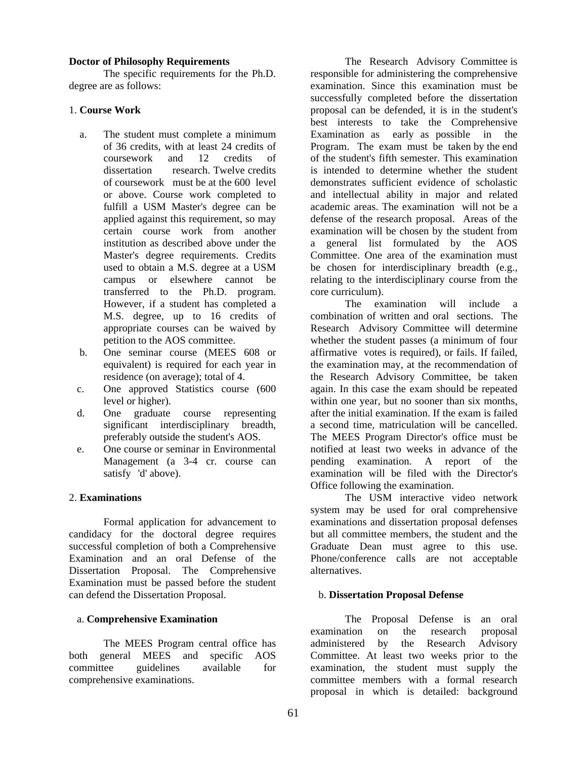#### **Doctor of Philosophy Requirements**

The specific requirements for the Ph.D. degree are as follows:

#### 1. **Course Work**

- a. The student must complete a minimum of 36 credits, with at least 24 credits of coursework and 12 credits of dissertation research. Twelve credits of coursework must be at the 600 level or above. Course work completed to fulfill a USM Master's degree can be applied against this requirement, so may certain course work from another institution as described above under the Master's degree requirements. Credits used to obtain a M.S. degree at a USM campus or elsewhere cannot be transferred to the Ph.D. program. However, if a student has completed a M.S. degree, up to 16 credits of appropriate courses can be waived by petition to the AOS committee.
- b. One seminar course (MEES 608 or equivalent) is required for each year in residence (on average); total of 4.
- c. One approved Statistics course (600 level or higher).
- d. One graduate course representing significant interdisciplinary breadth, preferably outside the student's AOS.
- e. One course or seminar in Environmental Management (a 3-4 cr. course can satisfy 'd' above).

#### 2. **Examinations**

Formal application for advancement to candidacy for the doctoral degree requires successful completion of both a Comprehensive Examination and an oral Defense of the Dissertation Proposal. The Comprehensive Examination must be passed before the student can defend the Dissertation Proposal.

#### a. **Comprehensive Examination**

The MEES Program central office has both general MEES and specific AOS committee guidelines available for comprehensive examinations.

The Research Advisory Committee is responsible for administering the comprehensive examination. Since this examination must be successfully completed before the dissertation proposal can be defended, it is in the student's best interests to take the Comprehensive Examination as early as possible in the Program. The exam must be taken by the end of the student's fifth semester. This examination is intended to determine whether the student demonstrates sufficient evidence of scholastic and intellectual ability in major and related academic areas. The examination will not be a defense of the research proposal. Areas of the examination will be chosen by the student from a general list formulated by the AOS Committee. One area of the examination must be chosen for interdisciplinary breadth (e.g., relating to the interdisciplinary course from the core curriculum).

The examination will include a combination of written and oral sections. The Research Advisory Committee will determine whether the student passes (a minimum of four affirmative votes is required), or fails. If failed, the examination may, at the recommendation of the Research Advisory Committee, be taken again. In this case the exam should be repeated within one year, but no sooner than six months, after the initial examination. If the exam is failed a second time, matriculation will be cancelled. The MEES Program Director's office must be notified at least two weeks in advance of the pending examination. A report of the examination will be filed with the Director's Office following the examination.

The USM interactive video network system may be used for oral comprehensive examinations and dissertation proposal defenses but all committee members, the student and the Graduate Dean must agree to this use. Phone/conference calls are not acceptable alternatives.

#### b. **Dissertation Proposal Defense**

The Proposal Defense is an oral examination on the research proposal administered by the Research Advisory Committee. At least two weeks prior to the examination, the student must supply the committee members with a formal research proposal in which is detailed: background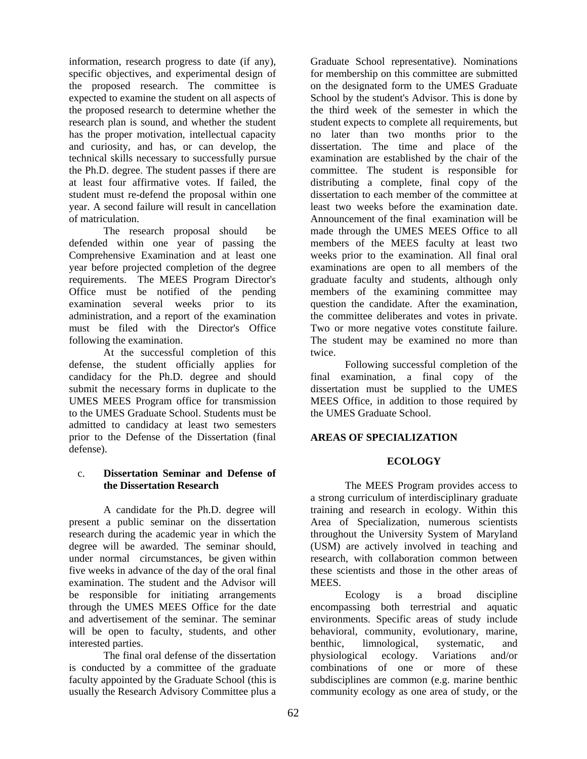information, research progress to date (if any), specific objectives, and experimental design of the proposed research. The committee is expected to examine the student on all aspects of the proposed research to determine whether the research plan is sound, and whether the student has the proper motivation, intellectual capacity and curiosity, and has, or can develop, the technical skills necessary to successfully pursue the Ph.D. degree. The student passes if there are at least four affirmative votes. If failed, the student must re-defend the proposal within one year. A second failure will result in cancellation of matriculation.

The research proposal should be defended within one year of passing the Comprehensive Examination and at least one year before projected completion of the degree requirements. The MEES Program Director's Office must be notified of the pending examination several weeks prior to its administration, and a report of the examination must be filed with the Director's Office following the examination.

At the successful completion of this defense, the student officially applies for candidacy for the Ph.D. degree and should submit the necessary forms in duplicate to the UMES MEES Program office for transmission to the UMES Graduate School. Students must be admitted to candidacy at least two semesters prior to the Defense of the Dissertation (final defense).

#### c. **Dissertation Seminar and Defense of the Dissertation Research**

A candidate for the Ph.D. degree will present a public seminar on the dissertation research during the academic year in which the degree will be awarded. The seminar should, under normal circumstances, be given within five weeks in advance of the day of the oral final examination. The student and the Advisor will be responsible for initiating arrangements through the UMES MEES Office for the date and advertisement of the seminar. The seminar will be open to faculty, students, and other interested parties.

The final oral defense of the dissertation is conducted by a committee of the graduate faculty appointed by the Graduate School (this is usually the Research Advisory Committee plus a

Graduate School representative). Nominations for membership on this committee are submitted on the designated form to the UMES Graduate School by the student's Advisor. This is done by the third week of the semester in which the student expects to complete all requirements, but no later than two months prior to the dissertation. The time and place of the examination are established by the chair of the committee. The student is responsible for distributing a complete, final copy of the dissertation to each member of the committee at least two weeks before the examination date. Announcement of the final examination will be made through the UMES MEES Office to all members of the MEES faculty at least two weeks prior to the examination. All final oral examinations are open to all members of the graduate faculty and students, although only members of the examining committee may question the candidate. After the examination, the committee deliberates and votes in private. Two or more negative votes constitute failure. The student may be examined no more than twice.

Following successful completion of the final examination, a final copy of the dissertation must be supplied to the UMES MEES Office, in addition to those required by the UMES Graduate School.

#### **AREAS OF SPECIALIZATION**

#### **ECOLOGY**

The MEES Program provides access to a strong curriculum of interdisciplinary graduate training and research in ecology. Within this Area of Specialization, numerous scientists throughout the University System of Maryland (USM) are actively involved in teaching and research, with collaboration common between these scientists and those in the other areas of MEES.

Ecology is a broad discipline encompassing both terrestrial and aquatic environments. Specific areas of study include behavioral, community, evolutionary, marine, benthic, limnological, systematic, and physiological ecology. Variations and/or combinations of one or more of these subdisciplines are common (e.g. marine benthic community ecology as one area of study, or the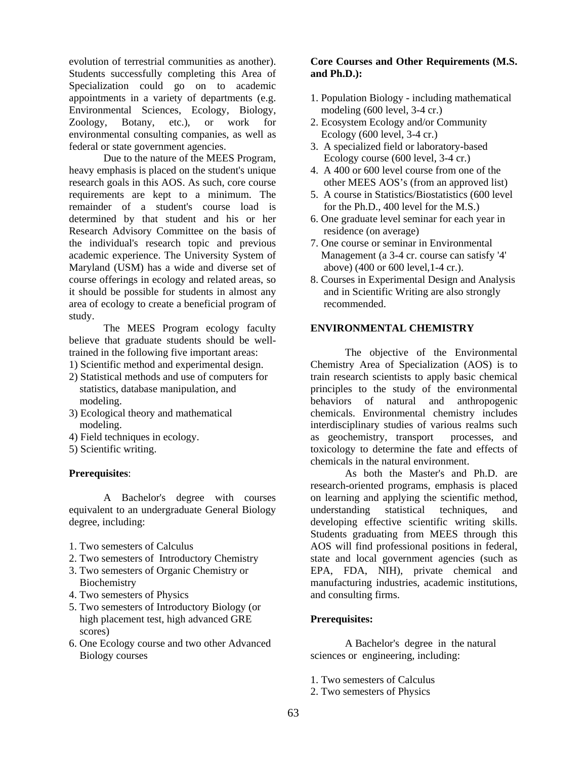evolution of terrestrial communities as another). Students successfully completing this Area of Specialization could go on to academic appointments in a variety of departments (e.g. Environmental Sciences, Ecology, Biology, Zoology, Botany, etc.), or work for environmental consulting companies, as well as federal or state government agencies.

Due to the nature of the MEES Program, heavy emphasis is placed on the student's unique research goals in this AOS. As such, core course requirements are kept to a minimum. The remainder of a student's course load is determined by that student and his or her Research Advisory Committee on the basis of the individual's research topic and previous academic experience. The University System of Maryland (USM) has a wide and diverse set of course offerings in ecology and related areas, so it should be possible for students in almost any area of ecology to create a beneficial program of study.

The MEES Program ecology faculty believe that graduate students should be welltrained in the following five important areas:

- 1) Scientific method and experimental design.
- 2) Statistical methods and use of computers for statistics, database manipulation, and modeling.
- 3) Ecological theory and mathematical modeling.
- 4) Field techniques in ecology.
- 5) Scientific writing.

#### **Prerequisites**:

 A Bachelor's degree with courses equivalent to an undergraduate General Biology degree, including:

- 1. Two semesters of Calculus
- 2. Two semesters of Introductory Chemistry
- 3. Two semesters of Organic Chemistry or **Biochemistry**
- 4. Two semesters of Physics
- 5. Two semesters of Introductory Biology (or high placement test, high advanced GRE scores)
- 6. One Ecology course and two other Advanced Biology courses

### **Core Courses and Other Requirements (M.S. and Ph.D.):**

- 1. Population Biology including mathematical modeling (600 level, 3-4 cr.)
- 2. Ecosystem Ecology and/or Community Ecology (600 level, 3-4 cr.)
- 3. A specialized field or laboratory-based Ecology course (600 level, 3-4 cr.)
- 4. A 400 or 600 level course from one of the other MEES AOS's (from an approved list)
- 5. A course in Statistics/Biostatistics (600 level for the Ph.D., 400 level for the M.S.)
- 6. One graduate level seminar for each year in residence (on average)
- 7. One course or seminar in Environmental Management (a 3-4 cr. course can satisfy '4' above) (400 or 600 level,1-4 cr.).
- 8. Courses in Experimental Design and Analysis and in Scientific Writing are also strongly recommended.

#### **ENVIRONMENTAL CHEMISTRY**

The objective of the Environmental Chemistry Area of Specialization (AOS) is to train research scientists to apply basic chemical principles to the study of the environmental behaviors of natural and anthropogenic chemicals. Environmental chemistry includes interdisciplinary studies of various realms such as geochemistry, transport processes, and toxicology to determine the fate and effects of chemicals in the natural environment.

As both the Master's and Ph.D. are research-oriented programs, emphasis is placed on learning and applying the scientific method, understanding statistical techniques, and developing effective scientific writing skills. Students graduating from MEES through this AOS will find professional positions in federal, state and local government agencies (such as EPA, FDA, NIH), private chemical and manufacturing industries, academic institutions, and consulting firms.

#### **Prerequisites:**

 A Bachelor's degree in the natural sciences or engineering, including:

- 1. Two semesters of Calculus
- 2. Two semesters of Physics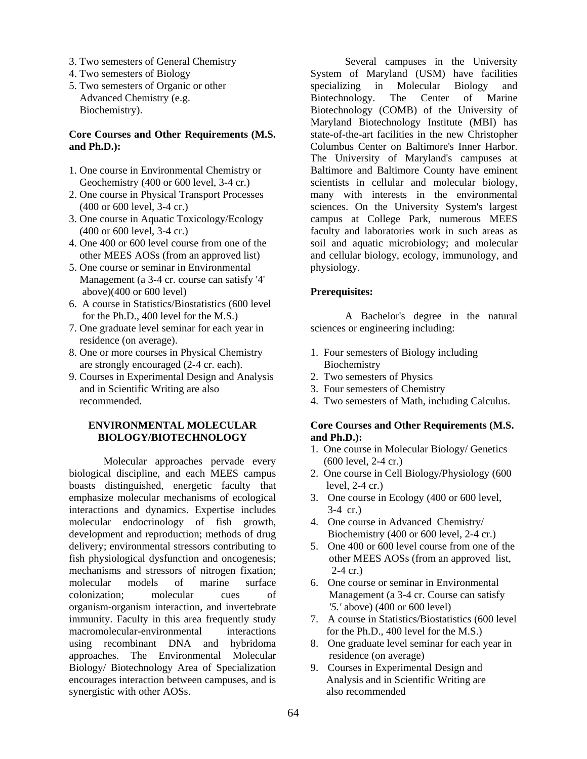- 3. Two semesters of General Chemistry
- 4. Two semesters of Biology
- 5. Two semesters of Organic or other Advanced Chemistry (e.g. Biochemistry).

#### **Core Courses and Other Requirements (M.S. and Ph.D.):**

- 1. One course in Environmental Chemistry or Geochemistry (400 or 600 level, 3-4 cr.)
- 2. One course in Physical Transport Processes (400 or 600 level, 3-4 cr.)
- 3. One course in Aquatic Toxicology/Ecology (400 or 600 level, 3-4 cr.)
- 4. One 400 or 600 level course from one of the other MEES AOSs (from an approved list)
- 5. One course or seminar in Environmental Management (a 3-4 cr. course can satisfy '4' above)(400 or 600 level)
- 6. A course in Statistics/Biostatistics (600 level for the Ph.D., 400 level for the M.S.)
- 7. One graduate level seminar for each year in residence (on average).
- 8. One or more courses in Physical Chemistry are strongly encouraged (2-4 cr. each).
- 9. Courses in Experimental Design and Analysis and in Scientific Writing are also recommended.

### **ENVIRONMENTAL MOLECULAR BIOLOGY/BIOTECHNOLOGY**

Molecular approaches pervade every biological discipline, and each MEES campus boasts distinguished, energetic faculty that emphasize molecular mechanisms of ecological interactions and dynamics. Expertise includes molecular endocrinology of fish growth, development and reproduction; methods of drug delivery; environmental stressors contributing to fish physiological dysfunction and oncogenesis; mechanisms and stressors of nitrogen fixation; molecular models of marine surface colonization; molecular cues of organism-organism interaction, and invertebrate immunity. Faculty in this area frequently study macromolecular-environmental interactions using recombinant DNA and hybridoma approaches. The Environmental Molecular Biology/ Biotechnology Area of Specialization encourages interaction between campuses, and is synergistic with other AOSs.

Several campuses in the University System of Maryland (USM) have facilities specializing in Molecular Biology and Biotechnology. The Center of Marine Biotechnology (COMB) of the University of Maryland Biotechnology Institute (MBI) has state-of-the-art facilities in the new Christopher Columbus Center on Baltimore's Inner Harbor. The University of Maryland's campuses at Baltimore and Baltimore County have eminent scientists in cellular and molecular biology, many with interests in the environmental sciences. On the University System's largest campus at College Park, numerous MEES faculty and laboratories work in such areas as soil and aquatic microbiology; and molecular and cellular biology, ecology, immunology, and physiology.

### **Prerequisites:**

A Bachelor's degree in the natural sciences or engineering including:

- 1. Four semesters of Biology including Biochemistry
- 2. Two semesters of Physics
- 3. Four semesters of Chemistry
- 4. Two semesters of Math, including Calculus.

#### **Core Courses and Other Requirements (M.S. and Ph.D.):**

- 1. One course in Molecular Biology/ Genetics (600 level, 2-4 cr.)
- 2. One course in Cell Biology/Physiology (600 level, 2-4 cr.)
- 3. One course in Ecology (400 or 600 level, 3-4 cr.)
- 4. One course in Advanced Chemistry/ Biochemistry (400 or 600 level, 2-4 cr.)
- 5. One 400 or 600 level course from one of the other MEES AOSs (from an approved list, 2-4 cr.)
- 6. One course or seminar in Environmental Management (a 3-4 cr. Course can satisfy *'5.'* above) (400 or 600 level)
- 7. A course in Statistics/Biostatistics (600 level for the Ph.D., 400 level for the M.S.)
- 8. One graduate level seminar for each year in residence (on average)
- 9. Courses in Experimental Design and Analysis and in Scientific Writing are also recommended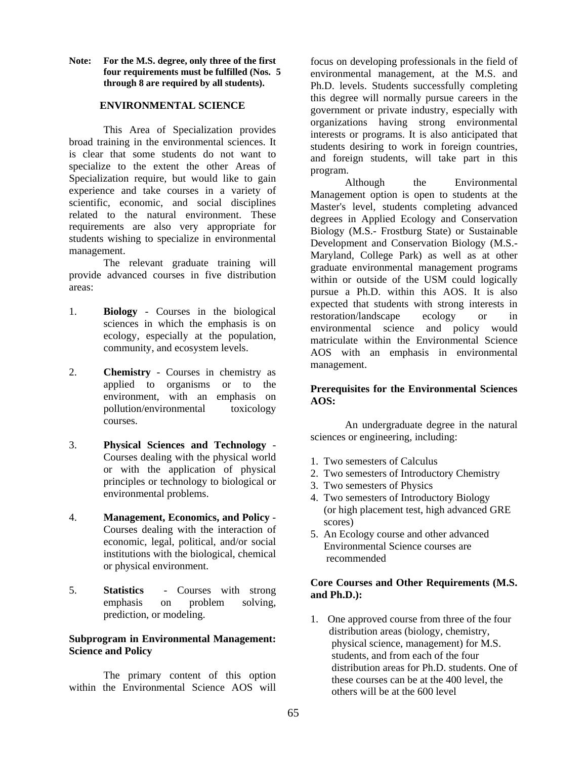**Note: For the M.S. degree, only three of the first four requirements must be fulfilled (Nos. 5 through 8 are required by all students).** 

#### **ENVIRONMENTAL SCIENCE**

This Area of Specialization provides broad training in the environmental sciences. It is clear that some students do not want to specialize to the extent the other Areas of Specialization require, but would like to gain experience and take courses in a variety of scientific, economic, and social disciplines related to the natural environment. These requirements are also very appropriate for students wishing to specialize in environmental management.

The relevant graduate training will provide advanced courses in five distribution areas:

- 1. **Biology** Courses in the biological sciences in which the emphasis is on ecology, especially at the population, community, and ecosystem levels.
- 2. **Chemistry** Courses in chemistry as applied to organisms or to the environment, with an emphasis on pollution/environmental toxicology courses.
- 3. **Physical Sciences and Technology** Courses dealing with the physical world or with the application of physical principles or technology to biological or environmental problems.
- 4. **Management, Economics, and Policy** Courses dealing with the interaction of economic, legal, political, and/or social institutions with the biological, chemical or physical environment.
- 5. **Statistics** Courses with strong emphasis on problem solving, prediction, or modeling.

#### **Subprogram in Environmental Management: Science and Policy**

The primary content of this option within the Environmental Science AOS will

focus on developing professionals in the field of environmental management, at the M.S. and Ph.D. levels. Students successfully completing this degree will normally pursue careers in the government or private industry, especially with organizations having strong environmental interests or programs. It is also anticipated that students desiring to work in foreign countries, and foreign students, will take part in this program.

Although the Environmental Management option is open to students at the Master's level, students completing advanced degrees in Applied Ecology and Conservation Biology (M.S.- Frostburg State) or Sustainable Development and Conservation Biology (M.S.- Maryland, College Park) as well as at other graduate environmental management programs within or outside of the USM could logically pursue a Ph.D. within this AOS. It is also expected that students with strong interests in restoration/landscape ecology or in environmental science and policy would matriculate within the Environmental Science AOS with an emphasis in environmental management.

#### **Prerequisites for the Environmental Sciences AOS:**

 An undergraduate degree in the natural sciences or engineering, including:

- 1. Two semesters of Calculus
- 2. Two semesters of Introductory Chemistry
- 3. Two semesters of Physics
- 4. Two semesters of Introductory Biology (or high placement test, high advanced GRE scores)
- 5. An Ecology course and other advanced Environmental Science courses are recommended

#### **Core Courses and Other Requirements (M.S. and Ph.D.):**

1. One approved course from three of the four distribution areas (biology, chemistry, physical science, management) for M.S. students, and from each of the four distribution areas for Ph.D. students. One of these courses can be at the 400 level, the others will be at the 600 level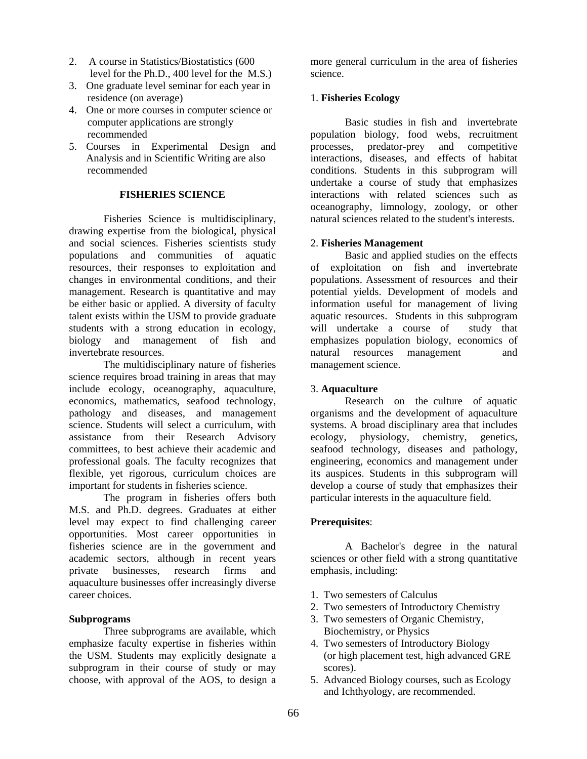- 2. A course in Statistics/Biostatistics (600 level for the Ph.D., 400 level for the M.S.)
- 3. One graduate level seminar for each year in residence (on average)
- 4. One or more courses in computer science or computer applications are strongly recommended
- 5. Courses in Experimental Design and Analysis and in Scientific Writing are also recommended

#### **FISHERIES SCIENCE**

Fisheries Science is multidisciplinary, drawing expertise from the biological, physical and social sciences. Fisheries scientists study populations and communities of aquatic resources, their responses to exploitation and changes in environmental conditions, and their management. Research is quantitative and may be either basic or applied. A diversity of faculty talent exists within the USM to provide graduate students with a strong education in ecology, biology and management of fish and invertebrate resources.

The multidisciplinary nature of fisheries science requires broad training in areas that may include ecology, oceanography, aquaculture, economics, mathematics, seafood technology, pathology and diseases, and management science. Students will select a curriculum, with assistance from their Research Advisory committees, to best achieve their academic and professional goals. The faculty recognizes that flexible, yet rigorous, curriculum choices are important for students in fisheries science.

The program in fisheries offers both M.S. and Ph.D. degrees. Graduates at either level may expect to find challenging career opportunities. Most career opportunities in fisheries science are in the government and academic sectors, although in recent years private businesses, research firms and aquaculture businesses offer increasingly diverse career choices.

#### **Subprograms**

Three subprograms are available, which emphasize faculty expertise in fisheries within the USM. Students may explicitly designate a subprogram in their course of study or may choose, with approval of the AOS, to design a

more general curriculum in the area of fisheries science.

#### 1. **Fisheries Ecology**

 Basic studies in fish and invertebrate population biology, food webs, recruitment processes, predator-prey and competitive interactions, diseases, and effects of habitat conditions. Students in this subprogram will undertake a course of study that emphasizes interactions with related sciences such as oceanography, limnology, zoology, or other natural sciences related to the student's interests.

#### 2. **Fisheries Management**

Basic and applied studies on the effects of exploitation on fish and invertebrate populations. Assessment of resources and their potential yields. Development of models and information useful for management of living aquatic resources. Students in this subprogram will undertake a course of study that emphasizes population biology, economics of natural resources management and management science.

#### 3. **Aquaculture**

Research on the culture of aquatic organisms and the development of aquaculture systems. A broad disciplinary area that includes ecology, physiology, chemistry, genetics, seafood technology, diseases and pathology, engineering, economics and management under its auspices. Students in this subprogram will develop a course of study that emphasizes their particular interests in the aquaculture field.

#### **Prerequisites**:

A Bachelor's degree in the natural sciences or other field with a strong quantitative emphasis, including:

- 1. Two semesters of Calculus
- 2. Two semesters of Introductory Chemistry
- 3. Two semesters of Organic Chemistry, Biochemistry, or Physics
- 4. Two semesters of Introductory Biology (or high placement test, high advanced GRE scores).
- 5. Advanced Biology courses, such as Ecology and Ichthyology, are recommended.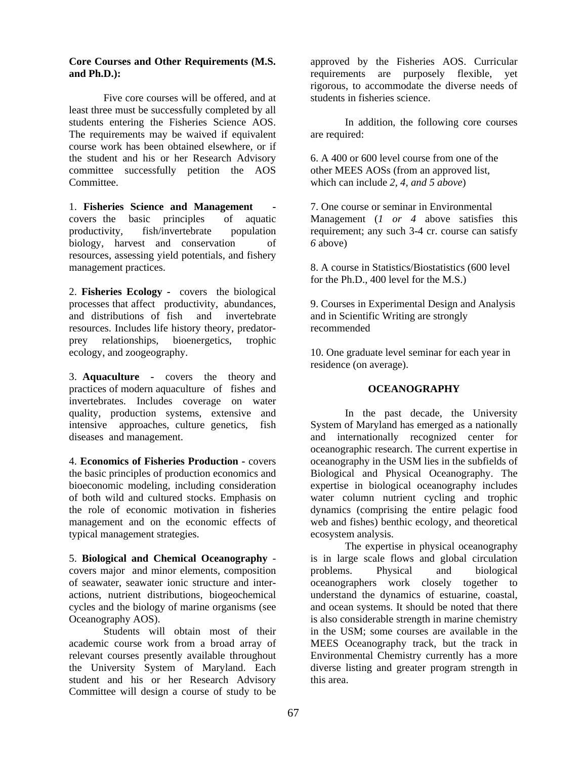#### **Core Courses and Other Requirements (M.S. and Ph.D.):**

Five core courses will be offered, and at least three must be successfully completed by all students entering the Fisheries Science AOS. The requirements may be waived if equivalent course work has been obtained elsewhere, or if the student and his or her Research Advisory committee successfully petition the AOS Committee.

1. **Fisheries Science and Management**  covers the basic principles of aquatic productivity, fish/invertebrate population biology, harvest and conservation of resources, assessing yield potentials, and fishery management practices.

2. **Fisheries Ecology -** covers the biological processes that affect productivity, abundances, and distributions of fish and invertebrate resources. Includes life history theory, predatorprey relationships, bioenergetics, trophic ecology, and zoogeography.

3. **Aquaculture -** covers the theory and practices of modern aquaculture of fishes and invertebrates. Includes coverage on water quality, production systems, extensive and intensive approaches, culture genetics, fish diseases and management.

4. **Economics of Fisheries Production -** covers the basic principles of production economics and bioeconomic modeling, including consideration of both wild and cultured stocks. Emphasis on the role of economic motivation in fisheries management and on the economic effects of typical management strategies.

5. **Biological and Chemical Oceanography** covers major and minor elements, composition of seawater, seawater ionic structure and interactions, nutrient distributions, biogeochemical cycles and the biology of marine organisms (see Oceanography AOS).

Students will obtain most of their academic course work from a broad array of relevant courses presently available throughout the University System of Maryland. Each student and his or her Research Advisory Committee will design a course of study to be

approved by the Fisheries AOS. Curricular requirements are purposely flexible, yet rigorous, to accommodate the diverse needs of students in fisheries science.

In addition, the following core courses are required:

6. A 400 or 600 level course from one of the other MEES AOSs (from an approved list, which can include *2, 4, and 5 above*)

7. One course or seminar in Environmental Management (*1 or 4* above satisfies this requirement; any such 3-4 cr. course can satisfy *6* above)

8. A course in Statistics/Biostatistics (600 level for the Ph.D., 400 level for the M.S.)

9. Courses in Experimental Design and Analysis and in Scientific Writing are strongly recommended

10. One graduate level seminar for each year in residence (on average).

#### **OCEANOGRAPHY**

In the past decade, the University System of Maryland has emerged as a nationally and internationally recognized center for oceanographic research. The current expertise in oceanography in the USM lies in the subfields of Biological and Physical Oceanography. The expertise in biological oceanography includes water column nutrient cycling and trophic dynamics (comprising the entire pelagic food web and fishes) benthic ecology, and theoretical ecosystem analysis.

The expertise in physical oceanography is in large scale flows and global circulation problems. Physical and biological oceanographers work closely together to understand the dynamics of estuarine, coastal, and ocean systems. It should be noted that there is also considerable strength in marine chemistry in the USM; some courses are available in the MEES Oceanography track, but the track in Environmental Chemistry currently has a more diverse listing and greater program strength in this area.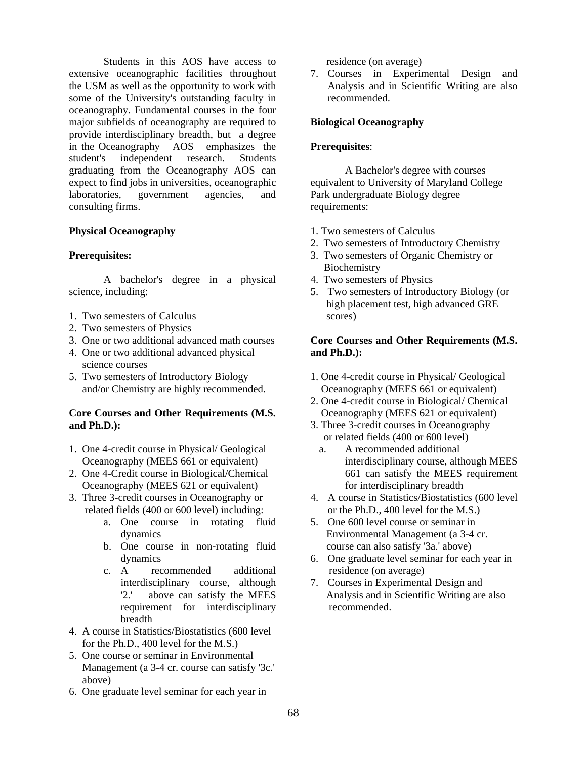Students in this AOS have access to extensive oceanographic facilities throughout the USM as well as the opportunity to work with some of the University's outstanding faculty in oceanography. Fundamental courses in the four major subfields of oceanography are required to provide interdisciplinary breadth, but a degree in the Oceanography AOS emphasizes the student's independent research. Students graduating from the Oceanography AOS can expect to find jobs in universities, oceanographic laboratories, government agencies, and consulting firms.

#### **Physical Oceanography**

#### **Prerequisites:**

 A bachelor's degree in a physical science, including:

- 1. Two semesters of Calculus
- 2. Two semesters of Physics
- 3. One or two additional advanced math courses
- 4. One or two additional advanced physical science courses
- 5. Two semesters of Introductory Biology and/or Chemistry are highly recommended.

#### **Core Courses and Other Requirements (M.S. and Ph.D.):**

- 1. One 4-credit course in Physical/ Geological Oceanography (MEES 661 or equivalent)
- 2. One 4-Credit course in Biological/Chemical Oceanography (MEES 621 or equivalent)
- 3. Three 3-credit courses in Oceanography or related fields (400 or 600 level) including:
	- a. One course in rotating fluid dynamics
	- b. One course in non-rotating fluid dynamics
	- c. A recommended additional interdisciplinary course, although '2.' above can satisfy the MEES requirement for interdisciplinary breadth
- 4. A course in Statistics/Biostatistics (600 level for the Ph.D., 400 level for the M.S.)
- 5. One course or seminar in Environmental Management (a 3-4 cr. course can satisfy '3c.' above)
- 6. One graduate level seminar for each year in

residence (on average)

7. Courses in Experimental Design and Analysis and in Scientific Writing are also recommended.

#### **Biological Oceanography**

#### **Prerequisites**:

 A Bachelor's degree with courses equivalent to University of Maryland College Park undergraduate Biology degree requirements:

- 1. Two semesters of Calculus
- 2. Two semesters of Introductory Chemistry
- 3. Two semesters of Organic Chemistry or Biochemistry
- 4. Two semesters of Physics
- 5. Two semesters of Introductory Biology (or high placement test, high advanced GRE scores)

#### **Core Courses and Other Requirements (M.S. and Ph.D.):**

- 1. One 4-credit course in Physical/ Geological Oceanography (MEES 661 or equivalent)
- 2. One 4-credit course in Biological/ Chemical Oceanography (MEES 621 or equivalent)
- 3. Three 3-credit courses in Oceanography or related fields (400 or 600 level)
	- a. A recommended additional interdisciplinary course, although MEES 661 can satisfy the MEES requirement for interdisciplinary breadth
- 4. A course in Statistics/Biostatistics (600 level or the Ph.D., 400 level for the M.S.)
- 5. One 600 level course or seminar in Environmental Management (a 3-4 cr. course can also satisfy '3a.' above)
- 6. One graduate level seminar for each year in residence (on average)
- 7. Courses in Experimental Design and Analysis and in Scientific Writing are also recommended.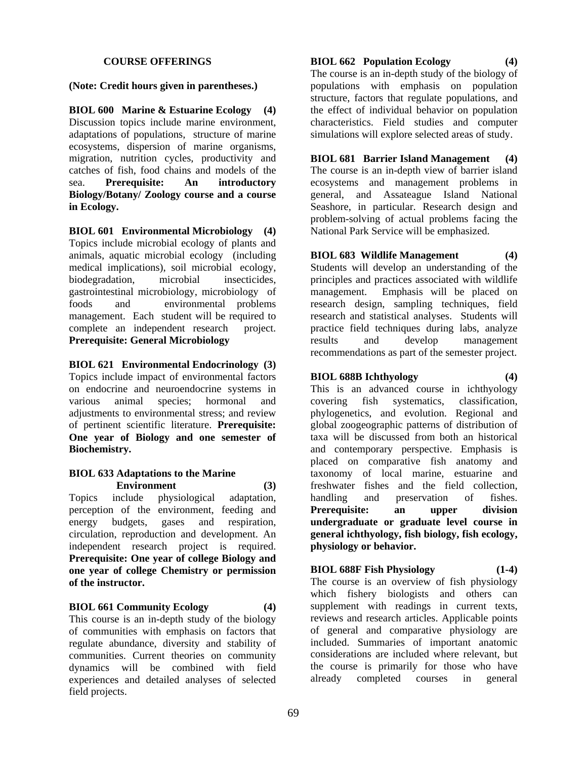#### **COURSE OFFERINGS**

#### **(Note: Credit hours given in parentheses.)**

**BIOL 600 Marine & Estuarine Ecology (4)** Discussion topics include marine environment, adaptations of populations, structure of marine ecosystems, dispersion of marine organisms, migration, nutrition cycles, productivity and catches of fish, food chains and models of the sea. **Prerequisite: An introductory Biology/Botany/ Zoology course and a course in Ecology.** 

**BIOL 601 Environmental Microbiology (4)** Topics include microbial ecology of plants and animals, aquatic microbial ecology (including medical implications), soil microbial ecology, biodegradation, microbial insecticides, gastrointestinal microbiology, microbiology of foods and environmental problems management. Each student will be required to complete an independent research project. **Prerequisite: General Microbiology** 

**BIOL 621 Environmental Endocrinology (3)** Topics include impact of environmental factors on endocrine and neuroendocrine systems in various animal species; hormonal and adjustments to environmental stress; and review of pertinent scientific literature. **Prerequisite: One year of Biology and one semester of Biochemistry.** 

#### **BIOL 633 Adaptations to the Marine Environment (3)**

Topics include physiological adaptation, perception of the environment, feeding and energy budgets, gases and respiration, circulation, reproduction and development. An independent research project is required. **Prerequisite: One year of college Biology and one year of college Chemistry or permission of the instructor.**

#### **BIOL 661 Community Ecology (4)**

This course is an in-depth study of the biology of communities with emphasis on factors that regulate abundance, diversity and stability of communities. Current theories on community dynamics will be combined with field experiences and detailed analyses of selected field projects.

**BIOL 662 Population Ecology (4)** The course is an in-depth study of the biology of populations with emphasis on population structure, factors that regulate populations, and the effect of individual behavior on population characteristics. Field studies and computer simulations will explore selected areas of study.

**BIOL 681 Barrier Island Management (4)** The course is an in-depth view of barrier island ecosystems and management problems in general, and Assateague Island National Seashore, in particular. Research design and problem-solving of actual problems facing the National Park Service will be emphasized.

**BIOL 683 Wildlife Management (4)**  Students will develop an understanding of the principles and practices associated with wildlife management. Emphasis will be placed on research design, sampling techniques, field research and statistical analyses. Students will practice field techniques during labs, analyze results and develop management recommendations as part of the semester project.

### **BIOL 688B Ichthyology (4)**

This is an advanced course in ichthyology covering fish systematics, classification, phylogenetics, and evolution. Regional and global zoogeographic patterns of distribution of taxa will be discussed from both an historical and contemporary perspective. Emphasis is placed on comparative fish anatomy and taxonomy of local marine, estuarine and freshwater fishes and the field collection, handling and preservation of fishes. **Prerequisite: an upper division undergraduate or graduate level course in general ichthyology, fish biology, fish ecology, physiology or behavior.**

**BIOL 688F Fish Physiology (1-4)**  The course is an overview of fish physiology which fishery biologists and others can supplement with readings in current texts, reviews and research articles. Applicable points of general and comparative physiology are included. Summaries of important anatomic considerations are included where relevant, but the course is primarily for those who have

already completed courses in general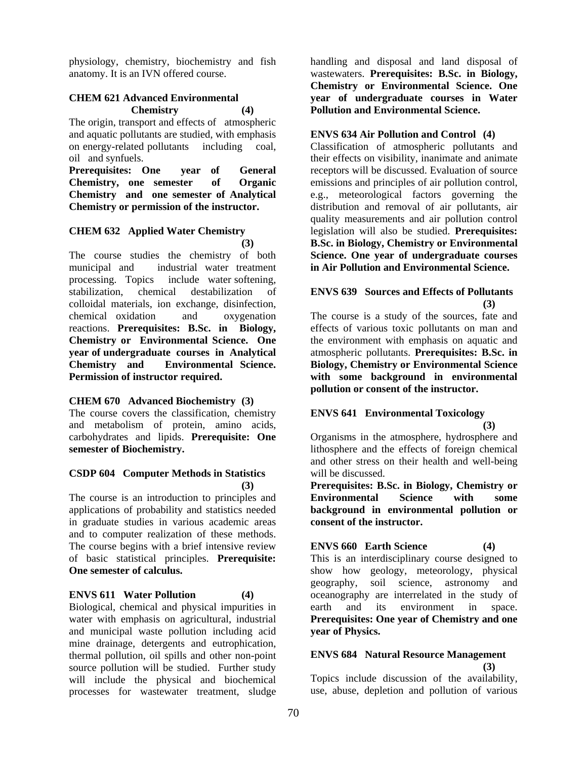physiology, chemistry, biochemistry and fish anatomy. It is an IVN offered course.

### **CHEM 621 Advanced Environmental Chemistry (4)**

The origin, transport and effects of atmospheric and aquatic pollutants are studied, with emphasis on energy-related pollutants including coal, oil and synfuels.

**Prerequisites: One year of General Chemistry, one semester of Organic Chemistry and one semester of Analytical Chemistry or permission of the instructor.** 

#### **CHEM 632 Applied Water Chemistry (3)**

The course studies the chemistry of both municipal and industrial water treatment processing. Topics include water softening, stabilization, chemical destabilization of colloidal materials, ion exchange, disinfection, chemical oxidation and oxygenation reactions. **Prerequisites: B.Sc. in Biology, Chemistry or Environmental Science. One year of undergraduate courses in Analytical Chemistry and Environmental Science. Permission of instructor required.**

## **CHEM 670 Advanced Biochemistry (3)**

The course covers the classification, chemistry and metabolism of protein, amino acids, carbohydrates and lipids. **Prerequisite: One semester of Biochemistry.**

#### **CSDP 604 Computer Methods in Statistics (3)**

The course is an introduction to principles and applications of probability and statistics needed in graduate studies in various academic areas and to computer realization of these methods. The course begins with a brief intensive review of basic statistical principles. **Prerequisite: One semester of calculus.** 

#### **ENVS 611 Water Pollution (4)**

Biological, chemical and physical impurities in water with emphasis on agricultural, industrial and municipal waste pollution including acid mine drainage, detergents and eutrophication, thermal pollution, oil spills and other non-point source pollution will be studied. Further study will include the physical and biochemical processes for wastewater treatment, sludge

handling and disposal and land disposal of wastewaters. **Prerequisites: B.Sc. in Biology, Chemistry or Environmental Science. One year of undergraduate courses in Water Pollution and Environmental Science.** 

### **ENVS 634 Air Pollution and Control (4)**

Classification of atmospheric pollutants and their effects on visibility, inanimate and animate receptors will be discussed. Evaluation of source emissions and principles of air pollution control, e.g., meteorological factors governing the distribution and removal of air pollutants, air quality measurements and air pollution control legislation will also be studied. **Prerequisites: B.Sc. in Biology, Chemistry or Environmental Science. One year of undergraduate courses in Air Pollution and Environmental Science.** 

#### **ENVS 639 Sources and Effects of Pollutants (3)**

The course is a study of the sources, fate and effects of various toxic pollutants on man and the environment with emphasis on aquatic and atmospheric pollutants. **Prerequisites: B.Sc. in Biology, Chemistry or Environmental Science with some background in environmental pollution or consent of the instructor.** 

## **ENVS 641 Environmental Toxicology**

**(3)**

Organisms in the atmosphere, hydrosphere and lithosphere and the effects of foreign chemical and other stress on their health and well-being will be discussed.

**Prerequisites: B.Sc. in Biology, Chemistry or Environmental Science with some background in environmental pollution or consent of the instructor.** 

## **ENVS 660 Earth Science (4)**

This is an interdisciplinary course designed to show how geology, meteorology, physical geography, soil science, astronomy and oceanography are interrelated in the study of earth and its environment in space. **Prerequisites: One year of Chemistry and one year of Physics.** 

## **ENVS 684 Natural Resource Management (3)**

Topics include discussion of the availability, use, abuse, depletion and pollution of various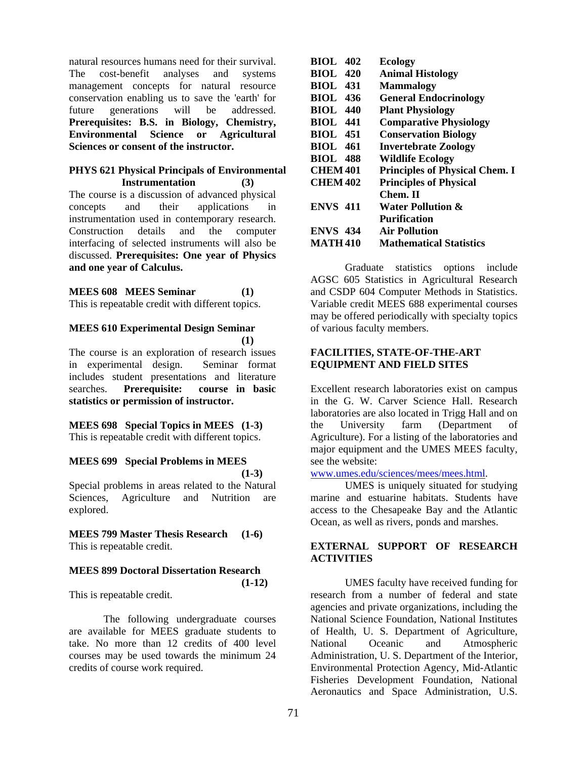natural resources humans need for their survival. The cost-benefit analyses and systems management concepts for natural resource conservation enabling us to save the 'earth' for future generations will be addressed. **Prerequisites: B.S. in Biology, Chemistry, Environmental Science or Agricultural Sciences or consent of the instructor.** 

#### **PHYS 621 Physical Principals of Environmental Instrumentation (3)**

The course is a discussion of advanced physical concepts and their applications in instrumentation used in contemporary research. Construction details and the computer interfacing of selected instruments will also be discussed. **Prerequisites: One year of Physics and one year of Calculus.**

### **MEES 608 MEES Seminar (1)**

This is repeatable credit with different topics.

#### **MEES 610 Experimental Design Seminar (1)**

The course is an exploration of research issues in experimental design. Seminar format includes student presentations and literature searches. **Prerequisite: course in basic statistics or permission of instructor.** 

# **MEES 698 Special Topics in MEES (1-3)**

This is repeatable credit with different topics.

### **MEES 699 Special Problems in MEES (1-3)**

Special problems in areas related to the Natural Sciences, Agriculture and Nutrition are explored.

# **MEES 799 Master Thesis Research (1-6)**

This is repeatable credit.

## **MEES 899 Doctoral Dissertation Research**

This is repeatable credit.

 The following undergraduate courses are available for MEES graduate students to take. No more than 12 credits of 400 level courses may be used towards the minimum 24 credits of course work required.

| <b>BIOL</b> 402 | <b>Ecology</b>                        |
|-----------------|---------------------------------------|
| <b>BIOL 420</b> | <b>Animal Histology</b>               |
| <b>BIOL 431</b> | <b>Mammalogy</b>                      |
| <b>BIOL 436</b> | <b>General Endocrinology</b>          |
| <b>BIOL</b> 440 | <b>Plant Physiology</b>               |
| <b>BIOL</b> 441 | <b>Comparative Physiology</b>         |
| <b>BIOL</b> 451 | <b>Conservation Biology</b>           |
| <b>BIOL</b> 461 | <b>Invertebrate Zoology</b>           |
| <b>BIOL 488</b> | <b>Wildlife Ecology</b>               |
| <b>CHEM 401</b> | <b>Principles of Physical Chem. I</b> |
| <b>CHEM 402</b> | <b>Principles of Physical</b>         |
|                 | Chem. II                              |
| <b>ENVS 411</b> | <b>Water Pollution &amp;</b>          |
|                 | <b>Purification</b>                   |
| <b>ENVS 434</b> | <b>Air Pollution</b>                  |
| <b>MATH 410</b> | <b>Mathematical Statistics</b>        |

 Graduate statistics options include AGSC 605 Statistics in Agricultural Research and CSDP 604 Computer Methods in Statistics. Variable credit MEES 688 experimental courses may be offered periodically with specialty topics of various faculty members.

### **FACILITIES, STATE-OF-THE-ART EQUIPMENT AND FIELD SITES**

Excellent research laboratories exist on campus in the G. W. Carver Science Hall. Research laboratories are also located in Trigg Hall and on the University farm (Department of Agriculture). For a listing of the laboratories and major equipment and the UMES MEES faculty, see the website:

www.umes.edu/sciences/mees/mees.html.

UMES is uniquely situated for studying marine and estuarine habitats. Students have access to the Chesapeake Bay and the Atlantic Ocean, as well as rivers, ponds and marshes.

## **EXTERNAL SUPPORT OF RESEARCH ACTIVITIES**

UMES faculty have received funding for research from a number of federal and state agencies and private organizations, including the National Science Foundation, National Institutes of Health, U. S. Department of Agriculture, National Oceanic and Atmospheric Administration, U. S. Department of the Interior, Environmental Protection Agency, Mid-Atlantic Fisheries Development Foundation, National Aeronautics and Space Administration, U.S.

**(1-12)**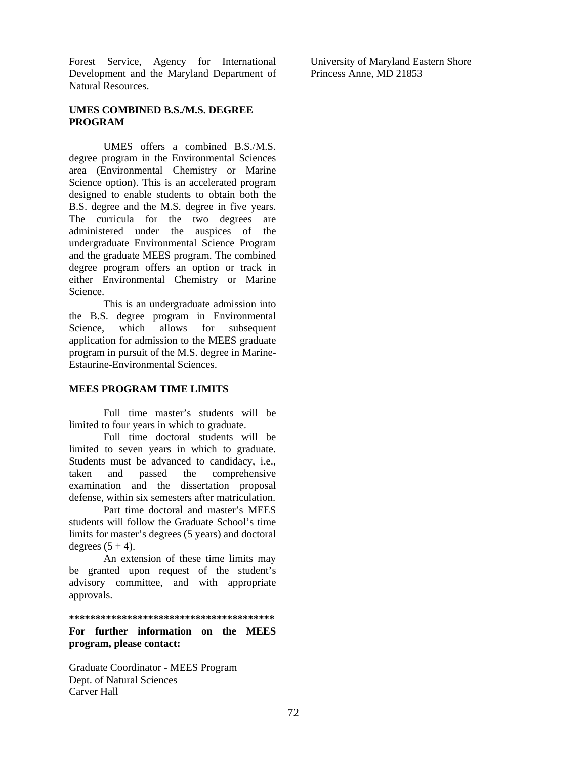Forest Service, Agency for International Development and the Maryland Department of Natural Resources.

**UMES COMBINED B.S./M.S. DEGREE PROGRAM** 

UMES offers a combined B.S./M.S. degree program in the Environmental Sciences area (Environmental Chemistry or Marine Science option). This is an accelerated program designed to enable students to obtain both the B.S. degree and the M.S. degree in five years. The curricula for the two degrees are administered under the auspices of the undergraduate Environmental Science Program and the graduate MEES program. The combined degree program offers an option or track in either Environmental Chemistry or Marine Science.

This is an undergraduate admission into the B.S. degree program in Environmental Science, which allows for subsequent application for admission to the MEES graduate program in pursuit of the M.S. degree in Marine-Estaurine-Environmental Sciences.

#### **MEES PROGRAM TIME LIMITS**

 Full time master's students will be limited to four years in which to graduate.

 Full time doctoral students will be limited to seven years in which to graduate. Students must be advanced to candidacy, i.e., taken and passed the comprehensive examination and the dissertation proposal defense, within six semesters after matriculation.

 Part time doctoral and master's MEES students will follow the Graduate School's time limits for master's degrees (5 years) and doctoral degrees  $(5 + 4)$ .

 An extension of these time limits may be granted upon request of the student's advisory committee, and with appropriate approvals.

**\*\*\*\*\*\*\*\*\*\*\*\*\*\*\*\*\*\*\*\*\*\*\*\*\*\*\*\*\*\*\*\*\*\*\*\*\*\*\*** 

#### **For further information on the MEES program, please contact:**

Graduate Coordinator - MEES Program Dept. of Natural Sciences Carver Hall

University of Maryland Eastern Shore Princess Anne, MD 21853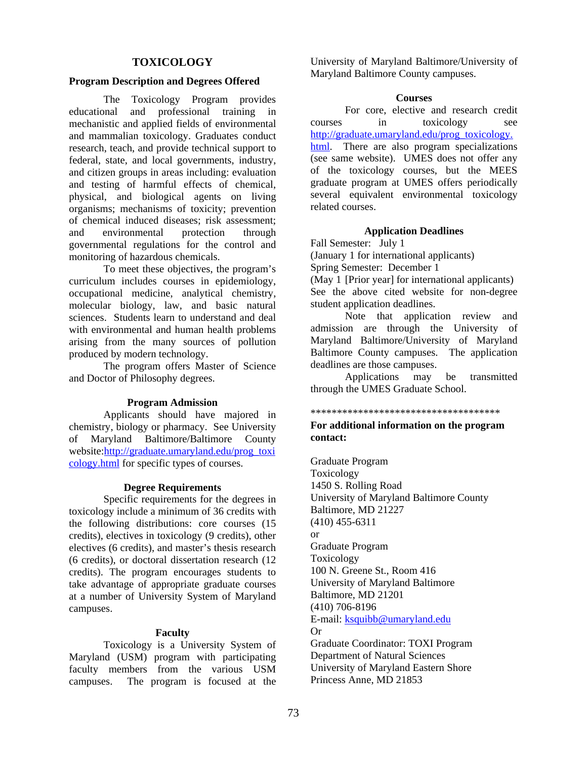## **TOXICOLOGY**

#### **Program Description and Degrees Offered**

 The Toxicology Program provides educational and professional training in mechanistic and applied fields of environmental and mammalian toxicology. Graduates conduct research, teach, and provide technical support to federal, state, and local governments, industry, and citizen groups in areas including: evaluation and testing of harmful effects of chemical, physical, and biological agents on living organisms; mechanisms of toxicity; prevention of chemical induced diseases; risk assessment; and environmental protection through governmental regulations for the control and monitoring of hazardous chemicals.

 To meet these objectives, the program's curriculum includes courses in epidemiology, occupational medicine, analytical chemistry, molecular biology, law, and basic natural sciences. Students learn to understand and deal with environmental and human health problems arising from the many sources of pollution produced by modern technology.

 The program offers Master of Science and Doctor of Philosophy degrees.

#### **Program Admission**

 Applicants should have majored in chemistry, biology or pharmacy. See University of Maryland Baltimore/Baltimore County website:http://graduate.umaryland.edu/prog\_toxi cology.html for specific types of courses.

#### **Degree Requirements**

Specific requirements for the degrees in toxicology include a minimum of 36 credits with the following distributions: core courses (15 credits), electives in toxicology (9 credits), other electives (6 credits), and master's thesis research (6 credits), or doctoral dissertation research (12 credits). The program encourages students to take advantage of appropriate graduate courses at a number of University System of Maryland campuses.

#### **Faculty**

 Toxicology is a University System of Maryland (USM) program with participating faculty members from the various USM campuses. The program is focused at the

University of Maryland Baltimore/University of Maryland Baltimore County campuses.

#### **Courses**

 For core, elective and research credit courses in toxicology see http://graduate.umaryland.edu/prog\_toxicology. html. There are also program specializations (see same website). UMES does not offer any of the toxicology courses, but the MEES graduate program at UMES offers periodically several equivalent environmental toxicology related courses.

#### **Application Deadlines**

Fall Semester: July 1

(January 1 for international applicants)

Spring Semester: December 1

(May 1 [Prior year] for international applicants) See the above cited website for non-degree student application deadlines.

Note that application review and admission are through the University of Maryland Baltimore/University of Maryland Baltimore County campuses. The application deadlines are those campuses.

 Applications may be transmitted through the UMES Graduate School.

#### \*\*\*\*\*\*\*\*\*\*\*\*\*\*\*\*\*\*\*\*\*\*\*\*\*\*\*\*\*\*\*\*\*\*\*\*

#### **For additional information on the program contact:**

Graduate Program Toxicology 1450 S. Rolling Road University of Maryland Baltimore County Baltimore, MD 21227 (410) 455-6311 or Graduate Program Toxicology 100 N. Greene St., Room 416 University of Maryland Baltimore Baltimore, MD 21201 (410) 706-8196 E-mail: ksquibb@umaryland.edu Or Graduate Coordinator: TOXI Program Department of Natural Sciences University of Maryland Eastern Shore Princess Anne, MD 21853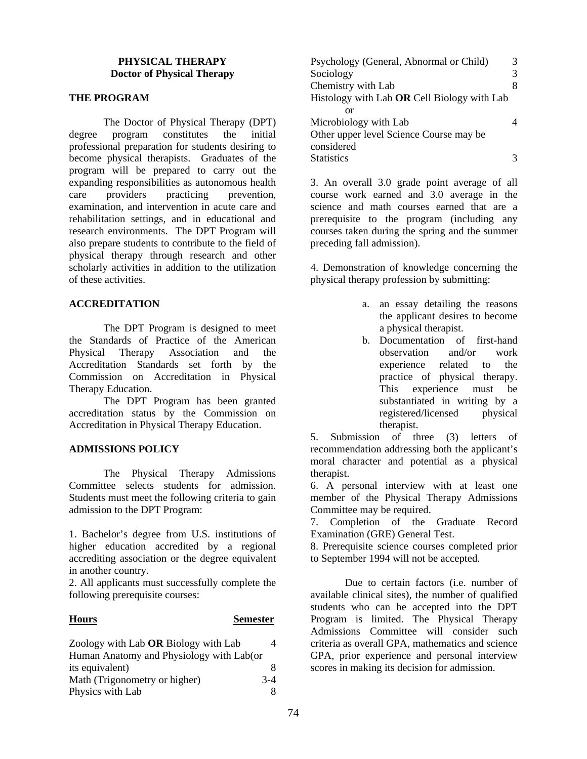## **PHYSICAL THERAPY Doctor of Physical Therapy**

## **THE PROGRAM**

 The Doctor of Physical Therapy (DPT) degree program constitutes the initial professional preparation for students desiring to become physical therapists. Graduates of the program will be prepared to carry out the expanding responsibilities as autonomous health care providers practicing prevention. examination, and intervention in acute care and rehabilitation settings, and in educational and research environments. The DPT Program will also prepare students to contribute to the field of physical therapy through research and other scholarly activities in addition to the utilization of these activities.

## **ACCREDITATION**

 The DPT Program is designed to meet the Standards of Practice of the American Physical Therapy Association and the Accreditation Standards set forth by the Commission on Accreditation in Physical Therapy Education.

 The DPT Program has been granted accreditation status by the Commission on Accreditation in Physical Therapy Education.

## **ADMISSIONS POLICY**

 The Physical Therapy Admissions Committee selects students for admission. Students must meet the following criteria to gain admission to the DPT Program:

1. Bachelor's degree from U.S. institutions of higher education accredited by a regional accrediting association or the degree equivalent in another country.

2. All applicants must successfully complete the following prerequisite courses:

#### **Hours Semester**

| Zoology with Lab OR Biology with Lab     |       |
|------------------------------------------|-------|
| Human Anatomy and Physiology with Lab(or |       |
| its equivalent)                          | 8     |
| Math (Trigonometry or higher)            | $3-4$ |
| Physics with Lab                         | 8     |

| Psychology (General, Abnormal or Child)     |   |
|---------------------------------------------|---|
| Sociology                                   | 3 |
| Chemistry with Lab                          | 8 |
| Histology with Lab OR Cell Biology with Lab |   |
| or                                          |   |
| Microbiology with Lab                       |   |
| Other upper level Science Course may be     |   |
| considered                                  |   |
| <b>Statistics</b>                           |   |

3. An overall 3.0 grade point average of all course work earned and 3.0 average in the science and math courses earned that are a prerequisite to the program (including any courses taken during the spring and the summer preceding fall admission).

4. Demonstration of knowledge concerning the physical therapy profession by submitting:

- a. an essay detailing the reasons the applicant desires to become a physical therapist.
- b. Documentation of first-hand observation and/or work experience related to the practice of physical therapy. This experience must be substantiated in writing by a registered/licensed physical therapist.

5. Submission of three (3) letters of recommendation addressing both the applicant's moral character and potential as a physical therapist.

6. A personal interview with at least one member of the Physical Therapy Admissions Committee may be required.

7. Completion of the Graduate Record Examination (GRE) General Test.

8. Prerequisite science courses completed prior to September 1994 will not be accepted.

Due to certain factors (i.e. number of available clinical sites), the number of qualified students who can be accepted into the DPT Program is limited. The Physical Therapy Admissions Committee will consider such criteria as overall GPA, mathematics and science GPA, prior experience and personal interview scores in making its decision for admission.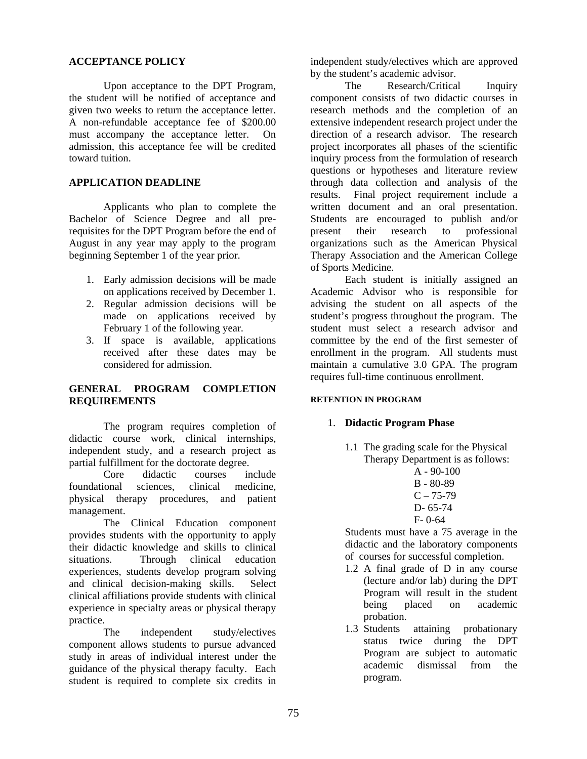#### **ACCEPTANCE POLICY**

Upon acceptance to the DPT Program, the student will be notified of acceptance and given two weeks to return the acceptance letter. A non-refundable acceptance fee of \$200.00 must accompany the acceptance letter. On admission, this acceptance fee will be credited toward tuition.

#### **APPLICATION DEADLINE**

Applicants who plan to complete the Bachelor of Science Degree and all prerequisites for the DPT Program before the end of August in any year may apply to the program beginning September 1 of the year prior.

- 1. Early admission decisions will be made on applications received by December 1.
- 2. Regular admission decisions will be made on applications received by February 1 of the following year.
- 3. If space is available, applications received after these dates may be considered for admission.

## **GENERAL PROGRAM COMPLETION REQUIREMENTS**

The program requires completion of didactic course work, clinical internships, independent study, and a research project as partial fulfillment for the doctorate degree.

Core didactic courses include foundational sciences, clinical medicine, physical therapy procedures, and patient management.

The Clinical Education component provides students with the opportunity to apply their didactic knowledge and skills to clinical situations. Through clinical education experiences, students develop program solving and clinical decision-making skills. Select clinical affiliations provide students with clinical experience in specialty areas or physical therapy practice.

The independent study/electives component allows students to pursue advanced study in areas of individual interest under the guidance of the physical therapy faculty. Each student is required to complete six credits in

independent study/electives which are approved by the student's academic advisor.

The Research/Critical Inquiry component consists of two didactic courses in research methods and the completion of an extensive independent research project under the direction of a research advisor. The research project incorporates all phases of the scientific inquiry process from the formulation of research questions or hypotheses and literature review through data collection and analysis of the results. Final project requirement include a written document and an oral presentation. Students are encouraged to publish and/or present their research to professional organizations such as the American Physical Therapy Association and the American College of Sports Medicine.

Each student is initially assigned an Academic Advisor who is responsible for advising the student on all aspects of the student's progress throughout the program. The student must select a research advisor and committee by the end of the first semester of enrollment in the program. All students must maintain a cumulative 3.0 GPA. The program requires full-time continuous enrollment.

#### **RETENTION IN PROGRAM**

## 1. **Didactic Program Phase**

1.1 The grading scale for the Physical Therapy Department is as follows:

$$
\begin{array}{c}\n A - 90-100 \\
B - 80-89 \\
C - 75-79 \\
D - 65-74 \\
F - 0-64\n\end{array}
$$

Students must have a 75 average in the didactic and the laboratory components of courses for successful completion.

- 1.2 A final grade of D in any course (lecture and/or lab) during the DPT Program will result in the student being placed on academic probation.
- 1.3 Students attaining probationary status twice during the DPT Program are subject to automatic academic dismissal from the program.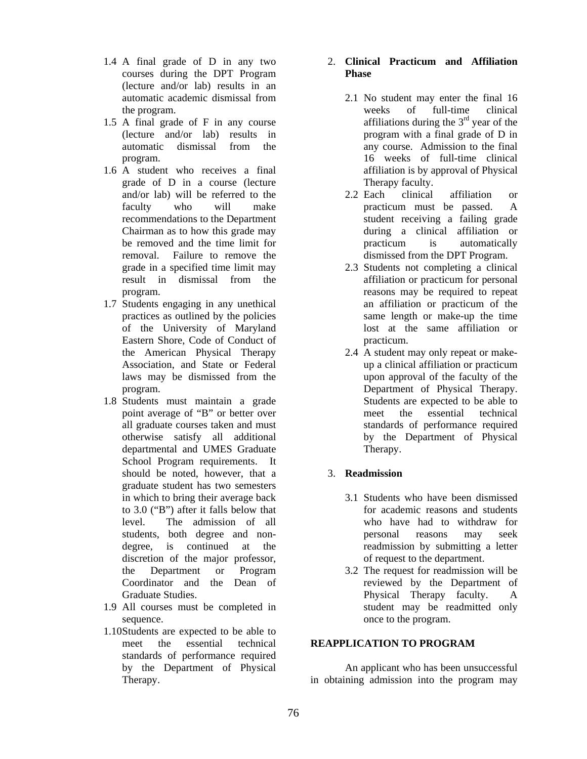- 1.4 A final grade of D in any two courses during the DPT Program (lecture and/or lab) results in an automatic academic dismissal from the program.
- 1.5 A final grade of F in any course (lecture and/or lab) results in automatic dismissal from the program.
- 1.6 A student who receives a final grade of D in a course (lecture and/or lab) will be referred to the faculty who will make recommendations to the Department Chairman as to how this grade may be removed and the time limit for removal. Failure to remove the grade in a specified time limit may result in dismissal from the program.
- 1.7 Students engaging in any unethical practices as outlined by the policies of the University of Maryland Eastern Shore, Code of Conduct of the American Physical Therapy Association, and State or Federal laws may be dismissed from the program.
- 1.8 Students must maintain a grade point average of "B" or better over all graduate courses taken and must otherwise satisfy all additional departmental and UMES Graduate School Program requirements. It should be noted, however, that a graduate student has two semesters in which to bring their average back to 3.0 ("B") after it falls below that level. The admission of all students, both degree and nondegree, is continued at the discretion of the major professor, the Department or Program Coordinator and the Dean of Graduate Studies.
- 1.9 All courses must be completed in sequence.
- 1.10Students are expected to be able to meet the essential technical standards of performance required by the Department of Physical Therapy.

## 2. **Clinical Practicum and Affiliation Phase**

- 2.1 No student may enter the final 16 weeks of full-time clinical affiliations during the  $3<sup>rd</sup>$  year of the program with a final grade of D in any course. Admission to the final 16 weeks of full-time clinical affiliation is by approval of Physical Therapy faculty.
- 2.2 Each clinical affiliation or practicum must be passed. A student receiving a failing grade during a clinical affiliation or practicum is automatically dismissed from the DPT Program.
- 2.3 Students not completing a clinical affiliation or practicum for personal reasons may be required to repeat an affiliation or practicum of the same length or make-up the time lost at the same affiliation or practicum.
- 2.4 A student may only repeat or makeup a clinical affiliation or practicum upon approval of the faculty of the Department of Physical Therapy. Students are expected to be able to meet the essential technical standards of performance required by the Department of Physical Therapy.

## 3. **Readmission**

- 3.1 Students who have been dismissed for academic reasons and students who have had to withdraw for personal reasons may seek readmission by submitting a letter of request to the department.
- 3.2 The request for readmission will be reviewed by the Department of Physical Therapy faculty. A student may be readmitted only once to the program.

## **REAPPLICATION TO PROGRAM**

 An applicant who has been unsuccessful in obtaining admission into the program may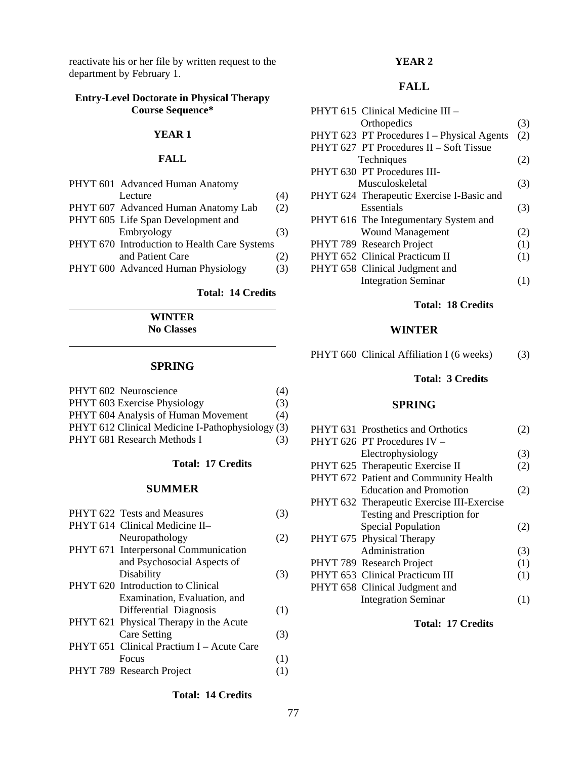reactivate his or her file by written request to the department by February 1.

## **Entry-Level Doctorate in Physical Therapy Course Sequence\***

#### **YEAR 1**

#### **FALL**

| PHYT 601 Advanced Human Anatomy              |     |
|----------------------------------------------|-----|
| Lecture                                      | (4) |
| PHYT 607 Advanced Human Anatomy Lab          | (2) |
| PHYT 605 Life Span Development and           |     |
| Embryology                                   | (3) |
| PHYT 670 Introduction to Health Care Systems |     |
| and Patient Care                             | (2) |
| PHYT 600 Advanced Human Physiology           | (3) |
|                                              |     |

## **Total: 14 Credits**

**WINTER No Classes** 

#### **SPRING**

 $\overline{a}$ 

| PHYT 602 Neuroscience                            | (4) |
|--------------------------------------------------|-----|
| PHYT 603 Exercise Physiology                     | (3) |
| PHYT 604 Analysis of Human Movement              | (4) |
| PHYT 612 Clinical Medicine I-Pathophysiology (3) |     |
| PHYT 681 Research Methods I                      | (3) |

#### **Total: 17 Credits**

## **SUMMER**

| PHYT 622 Tests and Measures               | (3) |
|-------------------------------------------|-----|
| PHYT 614 Clinical Medicine II-            |     |
| Neuropathology                            | (2) |
| PHYT 671 Interpersonal Communication      |     |
| and Psychosocial Aspects of               |     |
| Disability                                | (3) |
| PHYT 620 Introduction to Clinical         |     |
| Examination, Evaluation, and              |     |
| Differential Diagnosis                    | (1) |
| PHYT 621 Physical Therapy in the Acute    |     |
| Care Setting                              | (3) |
| PHYT 651 Clinical Practium I - Acute Care |     |
| Focus                                     | (1) |
| PHYT 789 Research Project                 | (1) |
|                                           |     |

#### **YEAR 2**

# **FALL**

| PHYT 615 Clinical Medicine III -           |     |
|--------------------------------------------|-----|
| Orthopedics                                | (3) |
| PHYT 623 PT Procedures I - Physical Agents | (2) |
| PHYT 627 PT Procedures II – Soft Tissue    |     |
| Techniques                                 | (2) |
| PHYT 630 PT Procedures III-                |     |
| Musculoskeletal                            | (3) |
| PHYT 624 Therapeutic Exercise I-Basic and  |     |
| Essentials                                 | (3) |
| PHYT 616 The Integumentary System and      |     |
| <b>Wound Management</b>                    | (2) |
| PHYT 789 Research Project                  | (1) |
| PHYT 652 Clinical Practicum II             | (1) |
| PHYT 658 Clinical Judgment and             |     |
| <b>Integration Seminar</b>                 |     |
|                                            |     |

#### **Total: 18 Credits**

#### **WINTER**

| PHYT 660 Clinical Affiliation I (6 weeks)<br>(3) |  |  |
|--------------------------------------------------|--|--|
|--------------------------------------------------|--|--|

## **Total: 3 Credits**

## **SPRING**

|  | PHYT 631 Prosthetics and Orthotics         |     |
|--|--------------------------------------------|-----|
|  | PHYT 626 PT Procedures IV $-$              |     |
|  | Electrophysiology                          | (3) |
|  | PHYT 625 Therapeutic Exercise II           | (2) |
|  | PHYT 672 Patient and Community Health      |     |
|  | <b>Education and Promotion</b>             | (2) |
|  | PHYT 632 Therapeutic Exercise III-Exercise |     |
|  | Testing and Prescription for               |     |
|  | <b>Special Population</b>                  | (2) |
|  | PHYT 675 Physical Therapy                  |     |
|  | Administration                             | (3) |
|  | PHYT 789 Research Project                  | (1) |
|  | PHYT 653 Clinical Practicum III            | (1) |
|  | PHYT 658 Clinical Judgment and             |     |
|  | <b>Integration Seminar</b>                 |     |
|  |                                            |     |

#### **Total: 17 Credits**

#### **Total: 14 Credits**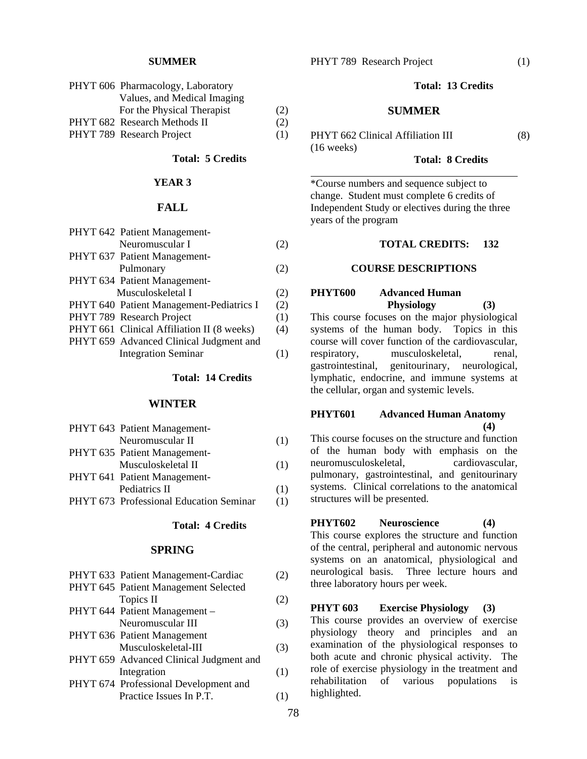#### **SUMMER**

| PHYT 606 Pharmacology, Laboratory |     |
|-----------------------------------|-----|
| Values, and Medical Imaging       |     |
| For the Physical Therapist        | (2) |
| PHYT 682 Research Methods II      | (2) |
| PHYT 789 Research Project         | (1) |

## **Total: 5 Credits**

#### **YEAR 3**

## **FALL**

| PHYT 642 Patient Management-               |     |
|--------------------------------------------|-----|
| Neuromuscular I                            | (2) |
| PHYT 637 Patient Management-               |     |
| Pulmonary                                  | (2) |
| PHYT 634 Patient Management-               |     |
| Musculoskeletal I                          | (2) |
| PHYT 640 Patient Management-Pediatrics I   | (2) |
| PHYT 789 Research Project                  | (1) |
| PHYT 661 Clinical Affiliation II (8 weeks) | (4) |
| PHYT 659 Advanced Clinical Judgment and    |     |
| <b>Integration Seminar</b>                 |     |

#### **Total: 14 Credits**

#### **WINTER**

| PHYT 643 Patient Management-            |     |
|-----------------------------------------|-----|
| Neuromuscular II                        | (1) |
| PHYT 635 Patient Management-            |     |
| Musculoskeletal II                      | (1) |
| PHYT 641 Patient Management-            |     |
| Pediatrics II                           | (1) |
| PHYT 673 Professional Education Seminar | (1) |

## **Total: 4 Credits**

## **SPRING**

| PHYT 633 Patient Management-Cardiac     | 2)  |
|-----------------------------------------|-----|
| PHYT 645 Patient Management Selected    |     |
| Topics II                               | (2) |
| PHYT 644 Patient Management -           |     |
| Neuromuscular III                       | (3) |
| PHYT 636 Patient Management             |     |
| Musculoskeletal-III                     | (3) |
| PHYT 659 Advanced Clinical Judgment and |     |
| Integration                             | (1) |
| PHYT 674 Professional Development and   |     |
| Practice Issues In P.T.                 |     |
|                                         |     |

#### **Total: 13 Credits**

#### **SUMMER**

PHYT 662 Clinical Affiliation III (8) (16 weeks)

l

#### **Total: 8 Credits**

\*Course numbers and sequence subject to change. Student must complete 6 credits of Independent Study or electives during the three years of the program

#### **TOTAL CREDITS: 132**

#### **COURSE DESCRIPTIONS**

## **PHYT600 Advanced Human Physiology (3)**

This course focuses on the major physiological systems of the human body. Topics in this course will cover function of the cardiovascular, respiratory, musculoskeletal, renal, gastrointestinal, genitourinary, neurological, lymphatic, endocrine, and immune systems at the cellular, organ and systemic levels.

## **PHYT601 Advanced Human Anatomy (4)**

This course focuses on the structure and function of the human body with emphasis on the neuromusculoskeletal, cardiovascular, pulmonary, gastrointestinal, and genitourinary systems. Clinical correlations to the anatomical structures will be presented.

## **PHYT602 Neuroscience (4)**

This course explores the structure and function of the central, peripheral and autonomic nervous systems on an anatomical, physiological and neurological basis. Three lecture hours and three laboratory hours per week.

## **PHYT 603 Exercise Physiology (3)**

This course provides an overview of exercise physiology theory and principles and an examination of the physiological responses to both acute and chronic physical activity. The role of exercise physiology in the treatment and rehabilitation of various populations is highlighted.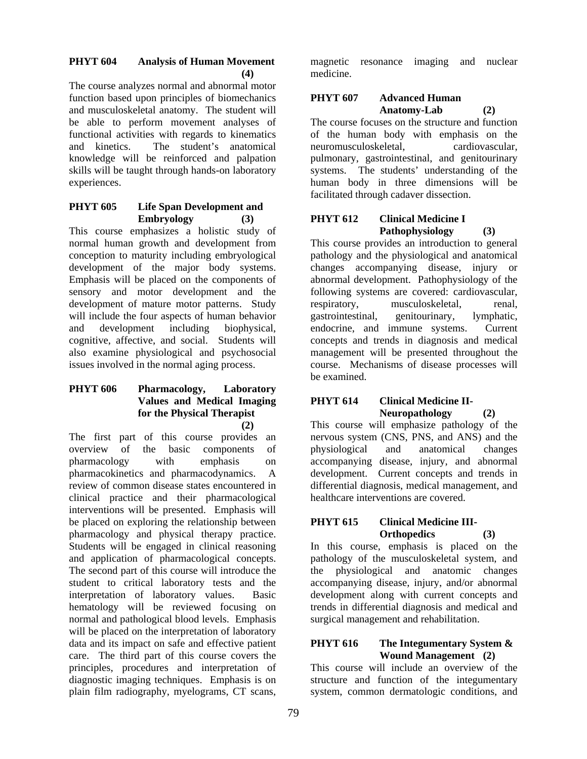## **PHYT 604 Analysis of Human Movement (4)**

The course analyzes normal and abnormal motor function based upon principles of biomechanics and musculoskeletal anatomy. The student will be able to perform movement analyses of functional activities with regards to kinematics and kinetics. The student's anatomical knowledge will be reinforced and palpation skills will be taught through hands-on laboratory experiences.

## **PHYT 605 Life Span Development and Embryology (3)**

This course emphasizes a holistic study of normal human growth and development from conception to maturity including embryological development of the major body systems. Emphasis will be placed on the components of sensory and motor development and the development of mature motor patterns. Study will include the four aspects of human behavior and development including biophysical, cognitive, affective, and social. Students will also examine physiological and psychosocial issues involved in the normal aging process.

#### **PHYT 606 Pharmacology, Laboratory Values and Medical Imaging for the Physical Therapist (2)**

The first part of this course provides an overview of the basic components of pharmacology with emphasis on pharmacokinetics and pharmacodynamics. A review of common disease states encountered in clinical practice and their pharmacological interventions will be presented. Emphasis will be placed on exploring the relationship between pharmacology and physical therapy practice. Students will be engaged in clinical reasoning and application of pharmacological concepts. The second part of this course will introduce the student to critical laboratory tests and the interpretation of laboratory values. Basic hematology will be reviewed focusing on normal and pathological blood levels. Emphasis will be placed on the interpretation of laboratory data and its impact on safe and effective patient care. The third part of this course covers the principles, procedures and interpretation of diagnostic imaging techniques. Emphasis is on plain film radiography, myelograms, CT scans,

magnetic resonance imaging and nuclear medicine.

# **PHYT 607 Advanced Human Anatomy-Lab (2)**

The course focuses on the structure and function of the human body with emphasis on the neuromusculoskeletal, cardiovascular, pulmonary, gastrointestinal, and genitourinary systems. The students' understanding of the human body in three dimensions will be facilitated through cadaver dissection.

## **PHYT 612 Clinical Medicine I Pathophysiology (3)**

This course provides an introduction to general pathology and the physiological and anatomical changes accompanying disease, injury or abnormal development. Pathophysiology of the following systems are covered: cardiovascular, respiratory, musculoskeletal, renal, gastrointestinal, genitourinary, lymphatic, endocrine, and immune systems. Current concepts and trends in diagnosis and medical management will be presented throughout the course. Mechanisms of disease processes will be examined.

# **PHYT 614 Clinical Medicine II-Neuropathology (2)**

This course will emphasize pathology of the nervous system (CNS, PNS, and ANS) and the physiological and anatomical changes accompanying disease, injury, and abnormal development. Current concepts and trends in differential diagnosis, medical management, and healthcare interventions are covered.

## **PHYT 615 Clinical Medicine III-Orthopedics (3)**

In this course, emphasis is placed on the pathology of the musculoskeletal system, and the physiological and anatomic changes accompanying disease, injury, and/or abnormal development along with current concepts and trends in differential diagnosis and medical and surgical management and rehabilitation.

## **PHYT 616 The Integumentary System & Wound Management (2)**

This course will include an overview of the structure and function of the integumentary system, common dermatologic conditions, and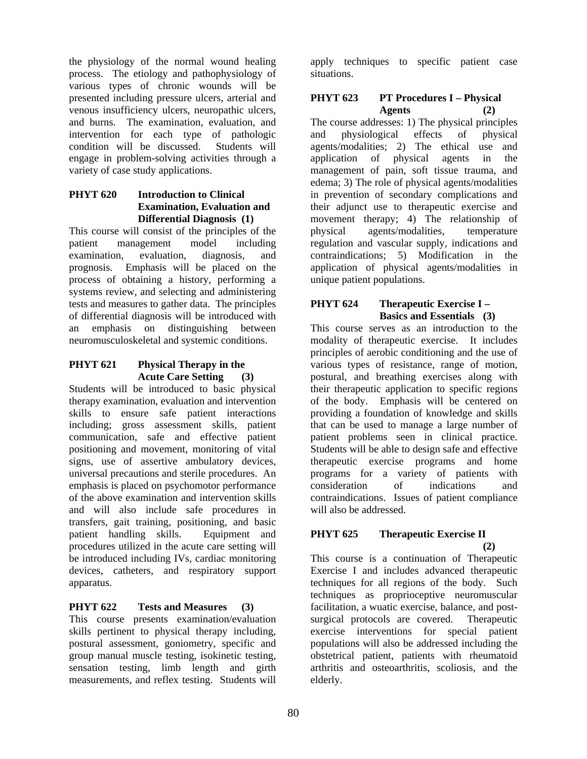the physiology of the normal wound healing process. The etiology and pathophysiology of various types of chronic wounds will be presented including pressure ulcers, arterial and venous insufficiency ulcers, neuropathic ulcers, and burns. The examination, evaluation, and intervention for each type of pathologic condition will be discussed. Students will engage in problem-solving activities through a variety of case study applications.

## **PHYT 620 Introduction to Clinical Examination, Evaluation and Differential Diagnosis (1)**

This course will consist of the principles of the patient management model including examination, evaluation, diagnosis, and prognosis. Emphasis will be placed on the process of obtaining a history, performing a systems review, and selecting and administering tests and measures to gather data. The principles of differential diagnosis will be introduced with an emphasis on distinguishing between neuromusculoskeletal and systemic conditions.

## **PHYT 621 Physical Therapy in the Acute Care Setting (3)**

Students will be introduced to basic physical therapy examination, evaluation and intervention skills to ensure safe patient interactions including; gross assessment skills, patient communication, safe and effective patient positioning and movement, monitoring of vital signs, use of assertive ambulatory devices, universal precautions and sterile procedures. An emphasis is placed on psychomotor performance of the above examination and intervention skills and will also include safe procedures in transfers, gait training, positioning, and basic patient handling skills. Equipment and procedures utilized in the acute care setting will be introduced including IVs, cardiac monitoring devices, catheters, and respiratory support apparatus.

# **PHYT 622 Tests and Measures (3)**

This course presents examination/evaluation skills pertinent to physical therapy including, postural assessment, goniometry, specific and group manual muscle testing, isokinetic testing, sensation testing, limb length and girth measurements, and reflex testing. Students will

apply techniques to specific patient case situations.

## **PHYT 623 PT Procedures I – Physical Agents (2)**

The course addresses: 1) The physical principles and physiological effects of physical agents/modalities; 2) The ethical use and application of physical agents in the management of pain, soft tissue trauma, and edema; 3) The role of physical agents/modalities in prevention of secondary complications and their adjunct use to therapeutic exercise and movement therapy; 4) The relationship of physical agents/modalities, temperature regulation and vascular supply, indications and contraindications; 5) Modification in the application of physical agents/modalities in unique patient populations.

# **PHYT 624 Therapeutic Exercise I – Basics and Essentials (3)**

This course serves as an introduction to the modality of therapeutic exercise. It includes principles of aerobic conditioning and the use of various types of resistance, range of motion, postural, and breathing exercises along with their therapeutic application to specific regions of the body. Emphasis will be centered on providing a foundation of knowledge and skills that can be used to manage a large number of patient problems seen in clinical practice. Students will be able to design safe and effective therapeutic exercise programs and home programs for a variety of patients with consideration of indications and contraindications. Issues of patient compliance will also be addressed.

#### **PHYT 625 Therapeutic Exercise II (2)**

This course is a continuation of Therapeutic Exercise I and includes advanced therapeutic techniques for all regions of the body. Such techniques as proprioceptive neuromuscular facilitation, a wuatic exercise, balance, and postsurgical protocols are covered. Therapeutic exercise interventions for special patient populations will also be addressed including the obstetrical patient, patients with rheumatoid arthritis and osteoarthritis, scoliosis, and the elderly.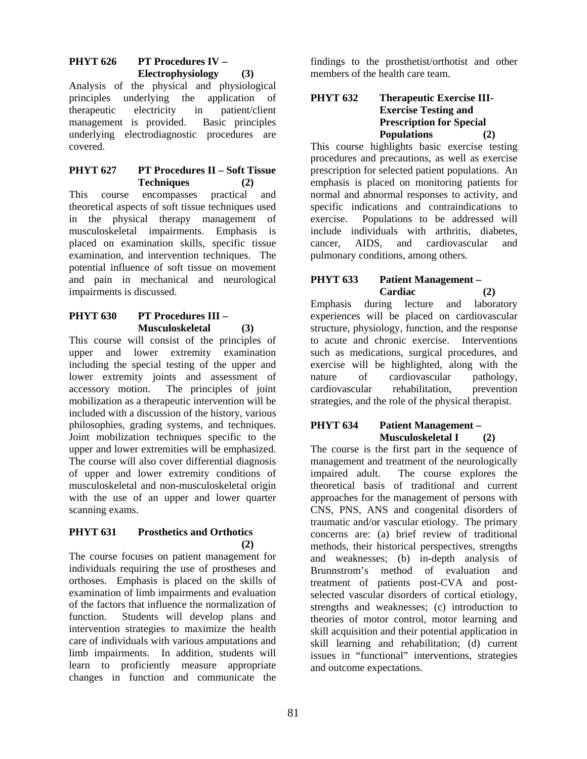# **PHYT 626 PT Procedures IV – Electrophysiology (3)**

Analysis of the physical and physiological principles underlying the application of therapeutic electricity in patient/client management is provided. Basic principles underlying electrodiagnostic procedures are covered.

## **PHYT 627 PT Procedures II – Soft Tissue Techniques (2)**

This course encompasses practical and theoretical aspects of soft tissue techniques used in the physical therapy management of musculoskeletal impairments. Emphasis is placed on examination skills, specific tissue examination, and intervention techniques. The potential influence of soft tissue on movement and pain in mechanical and neurological impairments is discussed.

# **PHYT 630 PT Procedures III – Musculoskeletal (3)**

This course will consist of the principles of upper and lower extremity examination including the special testing of the upper and lower extremity joints and assessment of accessory motion. The principles of joint mobilization as a therapeutic intervention will be included with a discussion of the history, various philosophies, grading systems, and techniques. Joint mobilization techniques specific to the upper and lower extremities will be emphasized. The course will also cover differential diagnosis of upper and lower extremity conditions of musculoskeletal and non-musculoskeletal origin with the use of an upper and lower quarter scanning exams.

## **PHYT 631 Prosthetics and Orthotics**   $(2)$

The course focuses on patient management for individuals requiring the use of prostheses and orthoses. Emphasis is placed on the skills of examination of limb impairments and evaluation of the factors that influence the normalization of function. Students will develop plans and intervention strategies to maximize the health care of individuals with various amputations and limb impairments. In addition, students will learn to proficiently measure appropriate changes in function and communicate the

findings to the prosthetist/orthotist and other members of the health care team.

## **PHYT 632 Therapeutic Exercise III-Exercise Testing and Prescription for Special Populations (2)**

This course highlights basic exercise testing procedures and precautions, as well as exercise prescription for selected patient populations. An emphasis is placed on monitoring patients for normal and abnormal responses to activity, and specific indications and contraindications to exercise. Populations to be addressed will include individuals with arthritis, diabetes, cancer, AIDS, and cardiovascular and pulmonary conditions, among others.

## **PHYT 633 Patient Management – Cardiac (2)**

Emphasis during lecture and laboratory experiences will be placed on cardiovascular structure, physiology, function, and the response to acute and chronic exercise. Interventions such as medications, surgical procedures, and exercise will be highlighted, along with the nature of cardiovascular pathology, cardiovascular rehabilitation, prevention strategies, and the role of the physical therapist.

## **PHYT 634 Patient Management – Musculoskeletal I (2)**

The course is the first part in the sequence of management and treatment of the neurologically impaired adult. The course explores the theoretical basis of traditional and current approaches for the management of persons with CNS, PNS, ANS and congenital disorders of traumatic and/or vascular etiology. The primary concerns are: (a) brief review of traditional methods, their historical perspectives, strengths and weaknesses; (b) in-depth analysis of Brunnstrom's method of evaluation and treatment of patients post-CVA and postselected vascular disorders of cortical etiology, strengths and weaknesses; (c) introduction to theories of motor control, motor learning and skill acquisition and their potential application in skill learning and rehabilitation; (d) current issues in "functional" interventions, strategies and outcome expectations.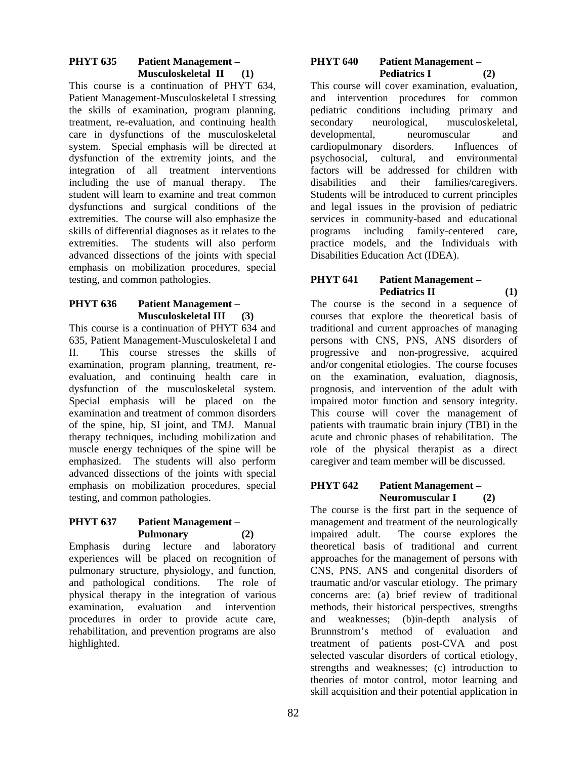# **PHYT 635 Patient Management – Musculoskeletal II (1)**

This course is a continuation of PHYT 634, Patient Management-Musculoskeletal I stressing the skills of examination, program planning, treatment, re-evaluation, and continuing health care in dysfunctions of the musculoskeletal system. Special emphasis will be directed at dysfunction of the extremity joints, and the integration of all treatment interventions including the use of manual therapy. The student will learn to examine and treat common dysfunctions and surgical conditions of the extremities. The course will also emphasize the skills of differential diagnoses as it relates to the extremities. The students will also perform advanced dissections of the joints with special emphasis on mobilization procedures, special testing, and common pathologies.

#### **PHYT 636 Patient Management – Musculoskeletal III (3)**

This course is a continuation of PHYT 634 and 635, Patient Management-Musculoskeletal I and II. This course stresses the skills of examination, program planning, treatment, reevaluation, and continuing health care in dysfunction of the musculoskeletal system. Special emphasis will be placed on the examination and treatment of common disorders of the spine, hip, SI joint, and TMJ. Manual therapy techniques, including mobilization and muscle energy techniques of the spine will be emphasized. The students will also perform advanced dissections of the joints with special emphasis on mobilization procedures, special testing, and common pathologies.

## **PHYT 637 Patient Management – Pulmonary (2)**

Emphasis during lecture and laboratory experiences will be placed on recognition of pulmonary structure, physiology, and function, and pathological conditions. The role of physical therapy in the integration of various examination, evaluation and intervention procedures in order to provide acute care, rehabilitation, and prevention programs are also highlighted.

#### **PHYT 640 Patient Management –**  Pediatrics I (2)

This course will cover examination, evaluation, and intervention procedures for common pediatric conditions including primary and secondary neurological, musculoskeletal, developmental, neuromuscular and cardiopulmonary disorders. Influences of psychosocial, cultural, and environmental factors will be addressed for children with disabilities and their families/caregivers. Students will be introduced to current principles and legal issues in the provision of pediatric services in community-based and educational programs including family-centered care, practice models, and the Individuals with Disabilities Education Act (IDEA).

# **PHYT 641 Patient Management –**  Pediatrics II (1)

The course is the second in a sequence of courses that explore the theoretical basis of traditional and current approaches of managing persons with CNS, PNS, ANS disorders of progressive and non-progressive, acquired and/or congenital etiologies. The course focuses on the examination, evaluation, diagnosis, prognosis, and intervention of the adult with impaired motor function and sensory integrity. This course will cover the management of patients with traumatic brain injury (TBI) in the acute and chronic phases of rehabilitation. The role of the physical therapist as a direct caregiver and team member will be discussed.

## **PHYT 642 Patient Management – Neuromuscular I (2)**

The course is the first part in the sequence of management and treatment of the neurologically impaired adult. The course explores the theoretical basis of traditional and current approaches for the management of persons with CNS, PNS, ANS and congenital disorders of traumatic and/or vascular etiology. The primary concerns are: (a) brief review of traditional methods, their historical perspectives, strengths and weaknesses; (b)in-depth analysis of Brunnstrom's method of evaluation and treatment of patients post-CVA and post selected vascular disorders of cortical etiology, strengths and weaknesses; (c) introduction to theories of motor control, motor learning and skill acquisition and their potential application in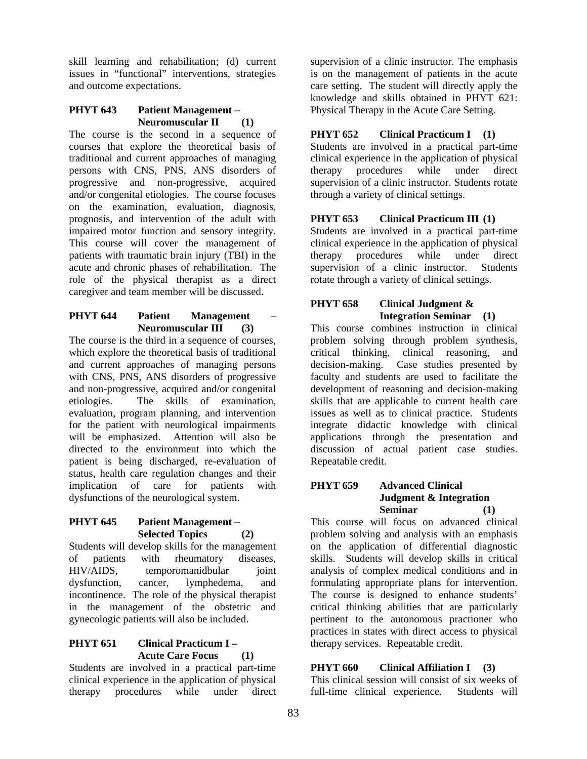skill learning and rehabilitation; (d) current issues in "functional" interventions, strategies and outcome expectations.

## **PHYT 643 Patient Management – Neuromuscular II (1)**

The course is the second in a sequence of courses that explore the theoretical basis of traditional and current approaches of managing persons with CNS, PNS, ANS disorders of progressive and non-progressive, acquired and/or congenital etiologies. The course focuses on the examination, evaluation, diagnosis, prognosis, and intervention of the adult with impaired motor function and sensory integrity. This course will cover the management of patients with traumatic brain injury (TBI) in the acute and chronic phases of rehabilitation. The role of the physical therapist as a direct caregiver and team member will be discussed.

## **PHYT 644** Patient Management **Neuromuscular III (3)**

The course is the third in a sequence of courses, which explore the theoretical basis of traditional and current approaches of managing persons with CNS, PNS, ANS disorders of progressive and non-progressive, acquired and/or congenital etiologies. The skills of examination, evaluation, program planning, and intervention for the patient with neurological impairments will be emphasized. Attention will also be directed to the environment into which the patient is being discharged, re-evaluation of status, health care regulation changes and their implication of care for patients with dysfunctions of the neurological system.

## **PHYT 645 Patient Management – Selected Topics (2)**

Students will develop skills for the management of patients with rheumatory diseases, HIV/AIDS, temporomanidbular joint dysfunction, cancer, lymphedema, and incontinence. The role of the physical therapist in the management of the obstetric and gynecologic patients will also be included.

## **PHYT 651 Clinical Practicum I – Acute Care Focus (1)**

Students are involved in a practical part-time clinical experience in the application of physical therapy procedures while under direct

supervision of a clinic instructor. The emphasis is on the management of patients in the acute care setting. The student will directly apply the knowledge and skills obtained in PHYT 621: Physical Therapy in the Acute Care Setting.

# **PHYT 652 Clinical Practicum I (1)**

Students are involved in a practical part-time clinical experience in the application of physical therapy procedures while under direct supervision of a clinic instructor. Students rotate through a variety of clinical settings.

# **PHYT 653 Clinical Practicum III (1)**

Students are involved in a practical part-time clinical experience in the application of physical therapy procedures while under direct supervision of a clinic instructor. Students rotate through a variety of clinical settings.

# **PHYT 658 Clinical Judgment & Integration Seminar (1)**

This course combines instruction in clinical problem solving through problem synthesis, critical thinking, clinical reasoning, and decision-making. Case studies presented by faculty and students are used to facilitate the development of reasoning and decision-making skills that are applicable to current health care issues as well as to clinical practice. Students integrate didactic knowledge with clinical applications through the presentation and discussion of actual patient case studies. Repeatable credit.

#### **PHYT 659 Advanced Clinical Judgment & Integration Seminar (1)**

This course will focus on advanced clinical problem solving and analysis with an emphasis on the application of differential diagnostic skills. Students will develop skills in critical analysis of complex medical conditions and in formulating appropriate plans for intervention. The course is designed to enhance students' critical thinking abilities that are particularly pertinent to the autonomous practioner who practices in states with direct access to physical therapy services. Repeatable credit.

# **PHYT 660 Clinical Affiliation I (3)**

This clinical session will consist of six weeks of full-time clinical experience. Students will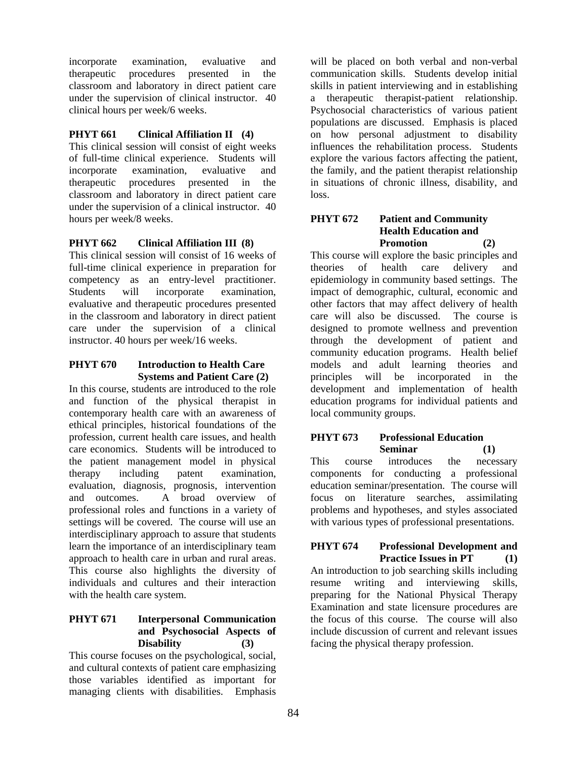incorporate examination, evaluative and therapeutic procedures presented in the classroom and laboratory in direct patient care under the supervision of clinical instructor. 40 clinical hours per week/6 weeks.

# **PHYT 661 Clinical Affiliation II (4)**

This clinical session will consist of eight weeks of full-time clinical experience. Students will incorporate examination, evaluative and therapeutic procedures presented in the classroom and laboratory in direct patient care under the supervision of a clinical instructor. 40 hours per week/8 weeks.

# **PHYT 662 Clinical Affiliation III (8)**

This clinical session will consist of 16 weeks of full-time clinical experience in preparation for competency as an entry-level practitioner. Students will incorporate examination, evaluative and therapeutic procedures presented in the classroom and laboratory in direct patient care under the supervision of a clinical instructor. 40 hours per week/16 weeks.

# **PHYT 670 Introduction to Health Care Systems and Patient Care (2)**

In this course, students are introduced to the role and function of the physical therapist in contemporary health care with an awareness of ethical principles, historical foundations of the profession, current health care issues, and health care economics. Students will be introduced to the patient management model in physical therapy including patent examination, evaluation, diagnosis, prognosis, intervention and outcomes. A broad overview of professional roles and functions in a variety of settings will be covered. The course will use an interdisciplinary approach to assure that students learn the importance of an interdisciplinary team approach to health care in urban and rural areas. This course also highlights the diversity of individuals and cultures and their interaction with the health care system.

## **PHYT 671 Interpersonal Communication and Psychosocial Aspects of Disability (3)**

This course focuses on the psychological, social, and cultural contexts of patient care emphasizing those variables identified as important for managing clients with disabilities. Emphasis

will be placed on both verbal and non-verbal communication skills. Students develop initial skills in patient interviewing and in establishing a therapeutic therapist-patient relationship. Psychosocial characteristics of various patient populations are discussed. Emphasis is placed on how personal adjustment to disability influences the rehabilitation process. Students explore the various factors affecting the patient, the family, and the patient therapist relationship in situations of chronic illness, disability, and loss.

#### **PHYT 672 Patient and Community Health Education and Promotion (2)**

This course will explore the basic principles and theories of health care delivery and epidemiology in community based settings. The impact of demographic, cultural, economic and other factors that may affect delivery of health care will also be discussed. The course is designed to promote wellness and prevention through the development of patient and community education programs. Health belief models and adult learning theories and principles will be incorporated in the development and implementation of health education programs for individual patients and local community groups.

## **PHYT 673 Professional Education Seminar (1)**

This course introduces the necessary components for conducting a professional education seminar/presentation. The course will focus on literature searches, assimilating problems and hypotheses, and styles associated with various types of professional presentations.

## **PHYT 674 Professional Development and Practice Issues in PT (1)**

An introduction to job searching skills including resume writing and interviewing skills, preparing for the National Physical Therapy Examination and state licensure procedures are the focus of this course. The course will also include discussion of current and relevant issues facing the physical therapy profession.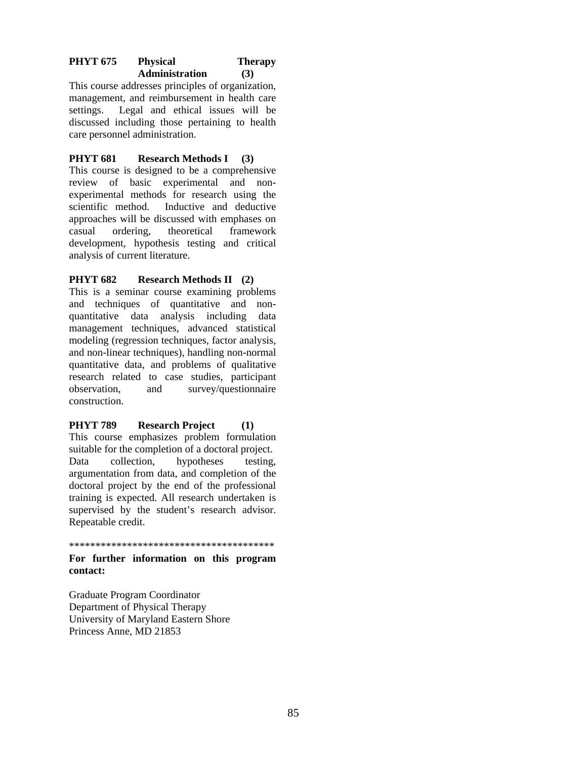## PHYT 675 Physical Therapy **Administration (3)**

This course addresses principles of organization, management, and reimbursement in health care settings. Legal and ethical issues will be discussed including those pertaining to health care personnel administration.

# **PHYT 681 Research Methods I (3)**

This course is designed to be a comprehensive review of basic experimental and nonexperimental methods for research using the scientific method. Inductive and deductive approaches will be discussed with emphases on casual ordering, theoretical framework development, hypothesis testing and critical analysis of current literature.

# **PHYT 682 Research Methods II (2)**

This is a seminar course examining problems and techniques of quantitative and nonquantitative data analysis including data management techniques, advanced statistical modeling (regression techniques, factor analysis, and non-linear techniques), handling non-normal quantitative data, and problems of qualitative research related to case studies, participant observation, and survey/questionnaire construction.

## **PHYT 789 Research Project (1)**

This course emphasizes problem formulation suitable for the completion of a doctoral project. Data collection, hypotheses testing, argumentation from data, and completion of the doctoral project by the end of the professional training is expected. All research undertaken is supervised by the student's research advisor. Repeatable credit.

\*\*\*\*\*\*\*\*\*\*\*\*\*\*\*\*\*\*\*\*\*\*\*\*\*\*\*\*\*\*\*\*\*\*\*\*\*\*\*

#### **For further information on this program contact:**

Graduate Program Coordinator Department of Physical Therapy University of Maryland Eastern Shore Princess Anne, MD 21853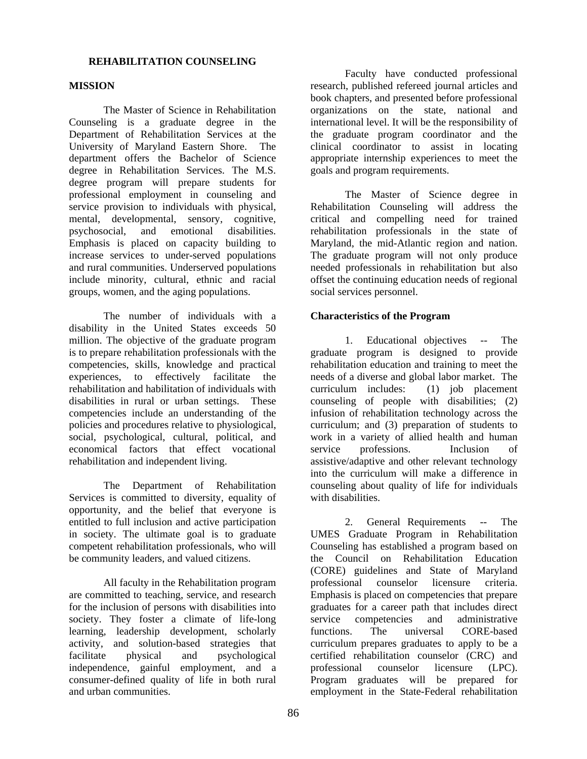#### **REHABILITATION COUNSELING**

#### **MISSION**

The Master of Science in Rehabilitation Counseling is a graduate degree in the Department of Rehabilitation Services at the University of Maryland Eastern Shore. The department offers the Bachelor of Science degree in Rehabilitation Services. The M.S. degree program will prepare students for professional employment in counseling and service provision to individuals with physical, mental, developmental, sensory, cognitive, psychosocial, and emotional disabilities. Emphasis is placed on capacity building to increase services to under-served populations and rural communities. Underserved populations include minority, cultural, ethnic and racial groups, women, and the aging populations.

The number of individuals with a disability in the United States exceeds 50 million. The objective of the graduate program is to prepare rehabilitation professionals with the competencies, skills, knowledge and practical experiences, to effectively facilitate the rehabilitation and habilitation of individuals with disabilities in rural or urban settings. These competencies include an understanding of the policies and procedures relative to physiological, social, psychological, cultural, political, and economical factors that effect vocational rehabilitation and independent living.

The Department of Rehabilitation Services is committed to diversity, equality of opportunity, and the belief that everyone is entitled to full inclusion and active participation in society. The ultimate goal is to graduate competent rehabilitation professionals, who will be community leaders, and valued citizens.

All faculty in the Rehabilitation program are committed to teaching, service, and research for the inclusion of persons with disabilities into society. They foster a climate of life-long learning, leadership development, scholarly activity, and solution-based strategies that facilitate physical and psychological independence, gainful employment, and a consumer-defined quality of life in both rural and urban communities.

 Faculty have conducted professional research, published refereed journal articles and book chapters, and presented before professional organizations on the state, national and international level. It will be the responsibility of the graduate program coordinator and the clinical coordinator to assist in locating appropriate internship experiences to meet the goals and program requirements.

The Master of Science degree in Rehabilitation Counseling will address the critical and compelling need for trained rehabilitation professionals in the state of Maryland, the mid-Atlantic region and nation. The graduate program will not only produce needed professionals in rehabilitation but also offset the continuing education needs of regional social services personnel.

## **Characteristics of the Program**

1. Educational objectives -- The graduate program is designed to provide rehabilitation education and training to meet the needs of a diverse and global labor market. The curriculum includes: (1) job placement counseling of people with disabilities; (2) infusion of rehabilitation technology across the curriculum; and (3) preparation of students to work in a variety of allied health and human service professions. Inclusion of assistive/adaptive and other relevant technology into the curriculum will make a difference in counseling about quality of life for individuals with disabilities.

2. General Requirements -- The UMES Graduate Program in Rehabilitation Counseling has established a program based on the Council on Rehabilitation Education (CORE) guidelines and State of Maryland professional counselor licensure criteria. Emphasis is placed on competencies that prepare graduates for a career path that includes direct service competencies and administrative functions. The universal CORE-based curriculum prepares graduates to apply to be a certified rehabilitation counselor (CRC) and professional counselor licensure (LPC). Program graduates will be prepared for employment in the State-Federal rehabilitation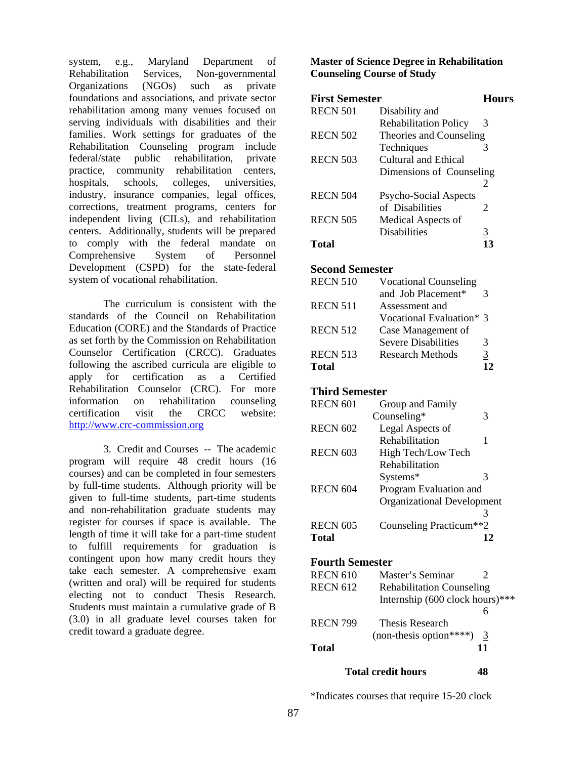system, e.g., Maryland Department of Rehabilitation Services, Non-governmental Organizations (NGOs) such as private foundations and associations, and private sector rehabilitation among many venues focused on serving individuals with disabilities and their families. Work settings for graduates of the Rehabilitation Counseling program include federal/state public rehabilitation, private practice, community rehabilitation centers, hospitals, schools, colleges, universities, industry, insurance companies, legal offices, corrections, treatment programs, centers for independent living (CILs), and rehabilitation centers. Additionally, students will be prepared to comply with the federal mandate on Comprehensive System of Personnel Development (CSPD) for the state-federal system of vocational rehabilitation.

The curriculum is consistent with the standards of the Council on Rehabilitation Education (CORE) and the Standards of Practice as set forth by the Commission on Rehabilitation Counselor Certification (CRCC). Graduates following the ascribed curricula are eligible to apply for certification as a Certified Rehabilitation Counselor (CRC). For more information on rehabilitation counseling certification visit the CRCC website: http://www.crc-commission.org

3. Credit and Courses -- The academic program will require 48 credit hours (16 courses) and can be completed in four semesters by full-time students. Although priority will be given to full-time students, part-time students and non-rehabilitation graduate students may register for courses if space is available. The length of time it will take for a part-time student to fulfill requirements for graduation is contingent upon how many credit hours they take each semester. A comprehensive exam (written and oral) will be required for students electing not to conduct Thesis Research. Students must maintain a cumulative grade of B (3.0) in all graduate level courses taken for credit toward a graduate degree.

## **Master of Science Degree in Rehabilitation Counseling Course of Study**

| <b>First Semester</b> |                              | Hours    |
|-----------------------|------------------------------|----------|
| <b>RECN 501</b>       | Disability and               |          |
|                       | <b>Rehabilitation Policy</b> | 3        |
| <b>RECN 502</b>       | Theories and Counseling      |          |
|                       | Techniques                   | 3        |
| <b>RECN 503</b>       | Cultural and Ethical         |          |
|                       | Dimensions of Counseling     |          |
|                       |                              | 2        |
| <b>RECN 504</b>       | Psycho-Social Aspects        |          |
|                       | of Disabilities              | 2        |
| <b>RECN 505</b>       | Medical Aspects of           |          |
|                       | <b>Disabilities</b>          | <u>3</u> |
| Total                 |                              |          |

## **Second Semester**

| <b>RECN 510</b> | <b>Vocational Counseling</b> |    |
|-----------------|------------------------------|----|
|                 | and Job Placement*           | 3  |
| <b>RECN 511</b> | Assessment and               |    |
|                 | Vocational Evaluation* 3     |    |
| <b>RECN 512</b> | Case Management of           |    |
|                 | <b>Severe Disabilities</b>   | 3  |
| <b>RECN 513</b> | Research Methods             | 3  |
| <b>Total</b>    |                              | 12 |
|                 |                              |    |

# **Third Semester**

| <b>RECN 601</b> | Group and Family                  |   |
|-----------------|-----------------------------------|---|
|                 | Counseling*                       | 3 |
| <b>RECN 602</b> | Legal Aspects of                  |   |
|                 | Rehabilitation                    | 1 |
| <b>RECN 603</b> | High Tech/Low Tech                |   |
|                 | Rehabilitation                    |   |
|                 | Systems*                          | 3 |
| <b>RECN 604</b> | Program Evaluation and            |   |
|                 | <b>Organizational Development</b> |   |
|                 |                                   | ΄ |
| <b>RECN 605</b> | Counseling Practicum**2           |   |
| Total           |                                   |   |

# **Fourth Semester**

| <b>RECN 610</b> | Master's Seminar                  |    |
|-----------------|-----------------------------------|----|
| <b>RECN 612</b> | <b>Rehabilitation Counseling</b>  |    |
|                 | Internship $(600$ clock hours)*** |    |
|                 |                                   |    |
| <b>RECN 799</b> | Thesis Research                   |    |
|                 | $(non-thesis option****)$         | 3  |
| <b>Total</b>    |                                   | 11 |

## **Total credit hours 48**

\*Indicates courses that require 15-20 clock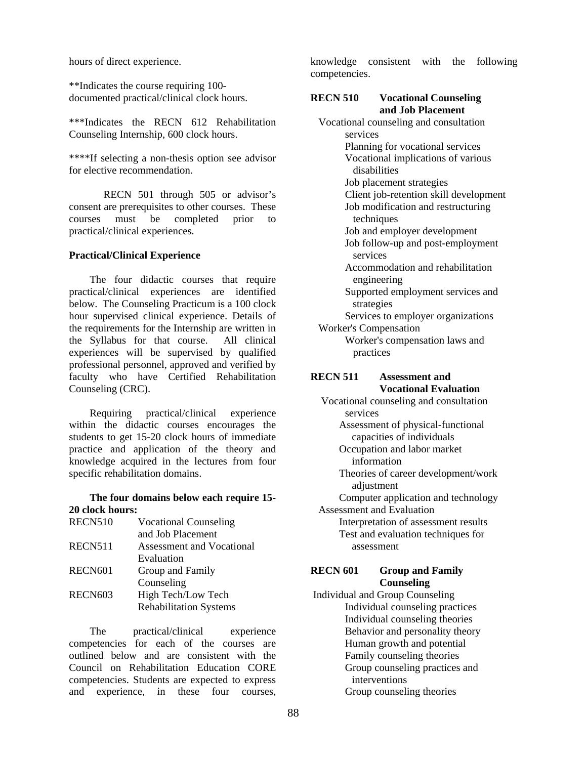hours of direct experience.

\*\*Indicates the course requiring 100 documented practical/clinical clock hours.

\*\*\*Indicates the RECN 612 Rehabilitation Counseling Internship, 600 clock hours.

\*\*\*\*If selecting a non-thesis option see advisor for elective recommendation.

RECN 501 through 505 or advisor's consent are prerequisites to other courses. These courses must be completed prior to practical/clinical experiences.

#### **Practical/Clinical Experience**

The four didactic courses that require practical/clinical experiences are identified below. The Counseling Practicum is a 100 clock hour supervised clinical experience. Details of the requirements for the Internship are written in the Syllabus for that course. All clinical experiences will be supervised by qualified professional personnel, approved and verified by faculty who have Certified Rehabilitation Counseling (CRC).

Requiring practical/clinical experience within the didactic courses encourages the students to get 15-20 clock hours of immediate practice and application of the theory and knowledge acquired in the lectures from four specific rehabilitation domains.

#### **The four domains below each require 15- 20 clock hours:**

| <b>RECN510</b>      | <b>Vocational Counseling</b>  |
|---------------------|-------------------------------|
|                     | and Job Placement             |
| RECN511             | Assessment and Vocational     |
|                     | Evaluation                    |
| RECN <sub>601</sub> | Group and Family              |
|                     | Counseling                    |
| RECN <sub>603</sub> | High Tech/Low Tech            |
|                     | <b>Rehabilitation Systems</b> |
|                     |                               |

The practical/clinical experience competencies for each of the courses are outlined below and are consistent with the Council on Rehabilitation Education CORE competencies. Students are expected to express and experience, in these four courses,

knowledge consistent with the following competencies.

#### **RECN 510 Vocational Counseling and Job Placement**

 Vocational counseling and consultation services Planning for vocational services Vocational implications of various disabilities Job placement strategies Client job-retention skill development Job modification and restructuring techniques Job and employer development Job follow-up and post-employment services Accommodation and rehabilitation engineering Supported employment services and strategies Services to employer organizations Worker's Compensation Worker's compensation laws and practices **RECN 511 Assessment and Vocational Evaluation**  Vocational counseling and consultation services

 Assessment of physical-functional capacities of individuals

 Occupation and labor market information

 Theories of career development/work adjustment

 Computer application and technology Assessment and Evaluation Interpretation of assessment results

 Test and evaluation techniques for assessment

## **RECN 601 Group and Family Counseling**

 Individual and Group Counseling Individual counseling practices Individual counseling theories Behavior and personality theory Human growth and potential Family counseling theories Group counseling practices and interventions Group counseling theories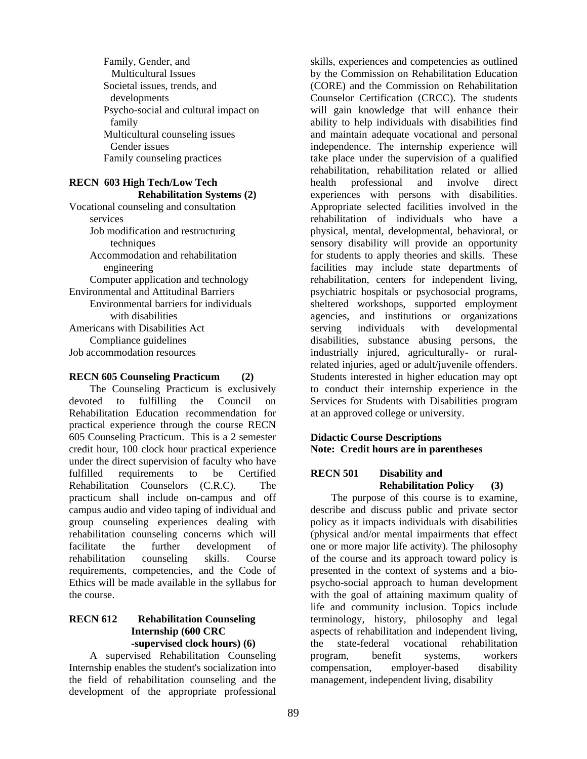Family, Gender, and Multicultural Issues Societal issues, trends, and developments Psycho-social and cultural impact on family Multicultural counseling issues Gender issues Family counseling practices

## **RECN 603 High Tech/Low Tech Rehabilitation Systems (2)**

Vocational counseling and consultation services Job modification and restructuring techniques Accommodation and rehabilitation engineering Computer application and technology Environmental and Attitudinal Barriers Environmental barriers for individuals with disabilities Americans with Disabilities Act Compliance guidelines Job accommodation resources

# **RECN 605 Counseling Practicum (2)**

The Counseling Practicum is exclusively devoted to fulfilling the Council on Rehabilitation Education recommendation for practical experience through the course RECN 605 Counseling Practicum. This is a 2 semester credit hour, 100 clock hour practical experience under the direct supervision of faculty who have fulfilled requirements to be Certified Rehabilitation Counselors (C.R.C). The practicum shall include on-campus and off campus audio and video taping of individual and group counseling experiences dealing with rehabilitation counseling concerns which will facilitate the further development of rehabilitation counseling skills. Course requirements, competencies, and the Code of Ethics will be made available in the syllabus for the course.

## **RECN 612 Rehabilitation Counseling Internship (600 CRC -supervised clock hours) (6)**

A supervised Rehabilitation Counseling Internship enables the student's socialization into the field of rehabilitation counseling and the development of the appropriate professional

skills, experiences and competencies as outlined by the Commission on Rehabilitation Education (CORE) and the Commission on Rehabilitation Counselor Certification (CRCC). The students will gain knowledge that will enhance their ability to help individuals with disabilities find and maintain adequate vocational and personal independence. The internship experience will take place under the supervision of a qualified rehabilitation, rehabilitation related or allied health professional and involve direct experiences with persons with disabilities. Appropriate selected facilities involved in the rehabilitation of individuals who have a physical, mental, developmental, behavioral, or sensory disability will provide an opportunity for students to apply theories and skills. These facilities may include state departments of rehabilitation, centers for independent living, psychiatric hospitals or psychosocial programs, sheltered workshops, supported employment agencies, and institutions or organizations serving individuals with developmental disabilities, substance abusing persons, the industrially injured, agriculturally- or ruralrelated injuries, aged or adult/juvenile offenders. Students interested in higher education may opt to conduct their internship experience in the Services for Students with Disabilities program at an approved college or university.

## **Didactic Course Descriptions Note: Credit hours are in parentheses**

## **RECN 501 Disability and Rehabilitation Policy (3)**

The purpose of this course is to examine, describe and discuss public and private sector policy as it impacts individuals with disabilities (physical and/or mental impairments that effect one or more major life activity). The philosophy of the course and its approach toward policy is presented in the context of systems and a biopsycho-social approach to human development with the goal of attaining maximum quality of life and community inclusion. Topics include terminology, history, philosophy and legal aspects of rehabilitation and independent living, the state-federal vocational rehabilitation program, benefit systems, workers compensation, employer-based disability management, independent living, disability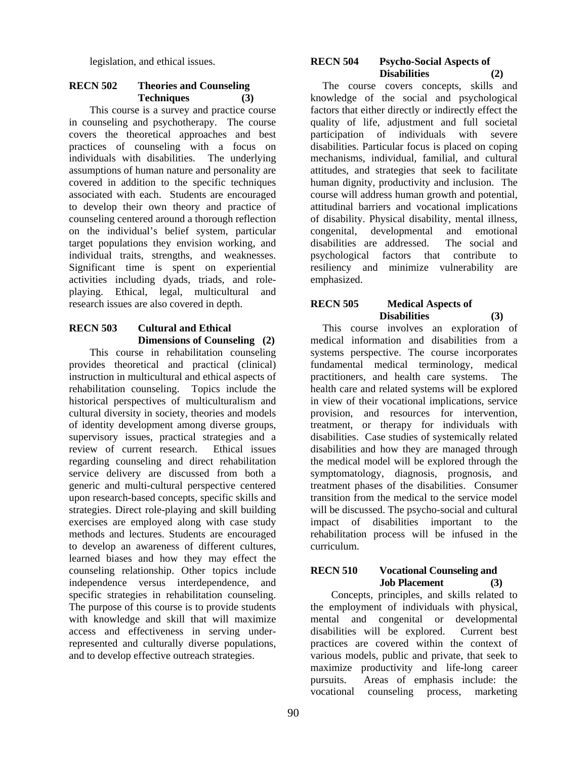legislation, and ethical issues.

## **RECN 502 Theories and Counseling Techniques (3)**

This course is a survey and practice course in counseling and psychotherapy. The course covers the theoretical approaches and best practices of counseling with a focus on individuals with disabilities. The underlying assumptions of human nature and personality are covered in addition to the specific techniques associated with each. Students are encouraged to develop their own theory and practice of counseling centered around a thorough reflection on the individual's belief system, particular target populations they envision working, and individual traits, strengths, and weaknesses. Significant time is spent on experiential activities including dyads, triads, and roleplaying. Ethical, legal, multicultural and research issues are also covered in depth.

# **RECN 503 Cultural and Ethical Dimensions of Counseling (2)**

This course in rehabilitation counseling provides theoretical and practical (clinical) instruction in multicultural and ethical aspects of rehabilitation counseling. Topics include the historical perspectives of multiculturalism and cultural diversity in society, theories and models of identity development among diverse groups, supervisory issues, practical strategies and a review of current research. Ethical issues regarding counseling and direct rehabilitation service delivery are discussed from both a generic and multi-cultural perspective centered upon research-based concepts, specific skills and strategies. Direct role-playing and skill building exercises are employed along with case study methods and lectures. Students are encouraged to develop an awareness of different cultures, learned biases and how they may effect the counseling relationship. Other topics include independence versus interdependence, and specific strategies in rehabilitation counseling. The purpose of this course is to provide students with knowledge and skill that will maximize access and effectiveness in serving underrepresented and culturally diverse populations, and to develop effective outreach strategies.

#### **RECN 504 Psycho-Social Aspects of Disabilities (2)**

 The course covers concepts, skills and knowledge of the social and psychological factors that either directly or indirectly effect the quality of life, adjustment and full societal participation of individuals with severe disabilities. Particular focus is placed on coping mechanisms, individual, familial, and cultural attitudes, and strategies that seek to facilitate human dignity, productivity and inclusion. The course will address human growth and potential, attitudinal barriers and vocational implications of disability. Physical disability, mental illness, congenital, developmental and emotional disabilities are addressed. The social and psychological factors that contribute to resiliency and minimize vulnerability are emphasized.

## **RECN 505 Medical Aspects of Disabilities (3)**

 This course involves an exploration of medical information and disabilities from a systems perspective. The course incorporates fundamental medical terminology, medical practitioners, and health care systems. The health care and related systems will be explored in view of their vocational implications, service provision, and resources for intervention, treatment, or therapy for individuals with disabilities. Case studies of systemically related disabilities and how they are managed through the medical model will be explored through the symptomatology, diagnosis, prognosis, and treatment phases of the disabilities. Consumer transition from the medical to the service model will be discussed. The psycho-social and cultural impact of disabilities important to the rehabilitation process will be infused in the curriculum.

## **RECN 510 Vocational Counseling and Job Placement (3)**

Concepts, principles, and skills related to the employment of individuals with physical, mental and congenital or developmental disabilities will be explored. Current best practices are covered within the context of various models, public and private, that seek to maximize productivity and life-long career pursuits. Areas of emphasis include: the vocational counseling process, marketing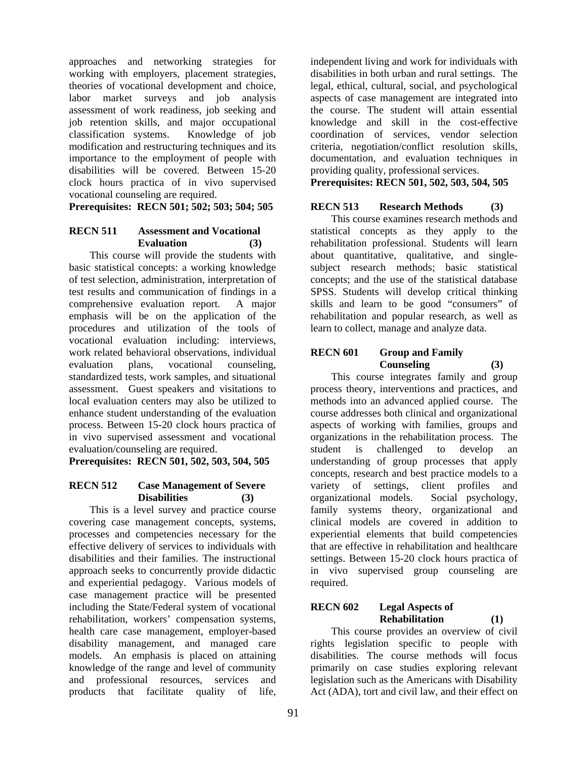approaches and networking strategies for working with employers, placement strategies, theories of vocational development and choice, labor market surveys and job analysis assessment of work readiness, job seeking and job retention skills, and major occupational classification systems. Knowledge of job modification and restructuring techniques and its importance to the employment of people with disabilities will be covered. Between 15-20 clock hours practica of in vivo supervised vocational counseling are required.

**Prerequisites: RECN 501; 502; 503; 504; 505** 

# **RECN 511 Assessment and Vocational Evaluation (3)**

This course will provide the students with basic statistical concepts: a working knowledge of test selection, administration, interpretation of test results and communication of findings in a comprehensive evaluation report. A major emphasis will be on the application of the procedures and utilization of the tools of vocational evaluation including: interviews, work related behavioral observations, individual evaluation plans, vocational counseling, standardized tests, work samples, and situational assessment. Guest speakers and visitations to local evaluation centers may also be utilized to enhance student understanding of the evaluation process. Between 15-20 clock hours practica of in vivo supervised assessment and vocational evaluation/counseling are required.

**Prerequisites: RECN 501, 502, 503, 504, 505** 

## **RECN 512 Case Management of Severe Disabilities (3)**

This is a level survey and practice course covering case management concepts, systems, processes and competencies necessary for the effective delivery of services to individuals with disabilities and their families. The instructional approach seeks to concurrently provide didactic and experiential pedagogy. Various models of case management practice will be presented including the State/Federal system of vocational rehabilitation, workers' compensation systems, health care case management, employer-based disability management, and managed care models. An emphasis is placed on attaining knowledge of the range and level of community and professional resources, services and products that facilitate quality of life,

independent living and work for individuals with disabilities in both urban and rural settings. The legal, ethical, cultural, social, and psychological aspects of case management are integrated into the course. The student will attain essential knowledge and skill in the cost-effective coordination of services, vendor selection criteria, negotiation/conflict resolution skills, documentation, and evaluation techniques in providing quality, professional services.

**Prerequisites: RECN 501, 502, 503, 504, 505** 

# **RECN 513 Research Methods (3)**

This course examines research methods and statistical concepts as they apply to the rehabilitation professional. Students will learn about quantitative, qualitative, and singlesubject research methods; basic statistical concepts; and the use of the statistical database SPSS. Students will develop critical thinking skills and learn to be good "consumers" of rehabilitation and popular research, as well as learn to collect, manage and analyze data.

# **RECN 601 Group and Family Counseling (3)**

This course integrates family and group process theory, interventions and practices, and methods into an advanced applied course. The course addresses both clinical and organizational aspects of working with families, groups and organizations in the rehabilitation process. The student is challenged to develop an understanding of group processes that apply concepts, research and best practice models to a variety of settings, client profiles and organizational models. Social psychology, family systems theory, organizational and clinical models are covered in addition to experiential elements that build competencies that are effective in rehabilitation and healthcare settings. Between 15-20 clock hours practica of in vivo supervised group counseling are required.

# **RECN 602 Legal Aspects of Rehabilitation (1)**

This course provides an overview of civil rights legislation specific to people with disabilities. The course methods will focus primarily on case studies exploring relevant legislation such as the Americans with Disability Act (ADA), tort and civil law, and their effect on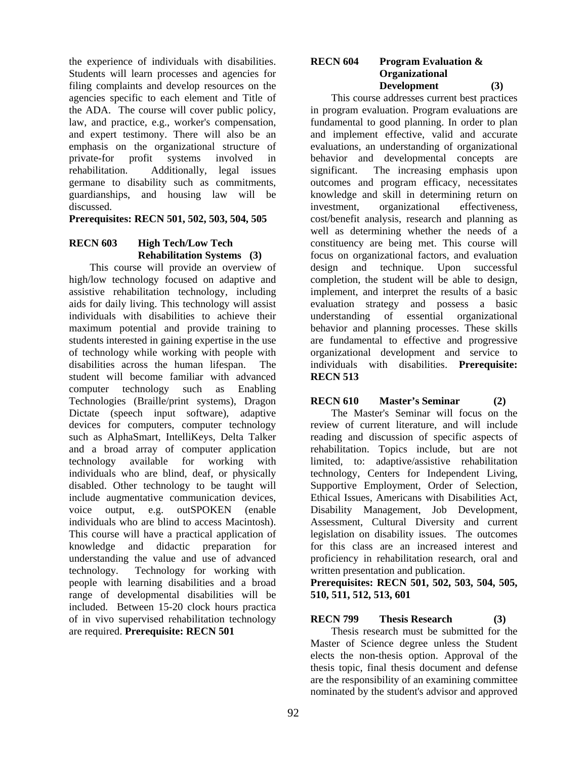the experience of individuals with disabilities. Students will learn processes and agencies for filing complaints and develop resources on the agencies specific to each element and Title of the ADA. The course will cover public policy, law, and practice, e.g., worker's compensation, and expert testimony. There will also be an emphasis on the organizational structure of private-for profit systems involved in private-for profit systems involved in rehabilitation. Additionally, legal issues germane to disability such as commitments, guardianships, and housing law will be discussed.

#### **Prerequisites: RECN 501, 502, 503, 504, 505**

## **RECN 603 High Tech/Low Tech Rehabilitation Systems (3)**

This course will provide an overview of high/low technology focused on adaptive and assistive rehabilitation technology, including aids for daily living. This technology will assist individuals with disabilities to achieve their maximum potential and provide training to students interested in gaining expertise in the use of technology while working with people with disabilities across the human lifespan. The student will become familiar with advanced computer technology such as Enabling Technologies (Braille/print systems), Dragon Dictate (speech input software), adaptive devices for computers, computer technology such as AlphaSmart, IntelliKeys, Delta Talker and a broad array of computer application technology available for working with individuals who are blind, deaf, or physically disabled. Other technology to be taught will include augmentative communication devices, voice output, e.g. outSPOKEN (enable individuals who are blind to access Macintosh). This course will have a practical application of knowledge and didactic preparation for understanding the value and use of advanced technology. Technology for working with people with learning disabilities and a broad range of developmental disabilities will be included. Between 15-20 clock hours practica of in vivo supervised rehabilitation technology are required. **Prerequisite: RECN 501** 

#### **RECN 604 Program Evaluation & Organizational Development (3)**

This course addresses current best practices in program evaluation. Program evaluations are fundamental to good planning. In order to plan and implement effective, valid and accurate evaluations, an understanding of organizational behavior and developmental concepts are significant. The increasing emphasis upon outcomes and program efficacy, necessitates knowledge and skill in determining return on investment, organizational effectiveness, cost/benefit analysis, research and planning as well as determining whether the needs of a constituency are being met. This course will focus on organizational factors, and evaluation design and technique. Upon successful completion, the student will be able to design, implement, and interpret the results of a basic evaluation strategy and possess a basic understanding of essential organizational behavior and planning processes. These skills are fundamental to effective and progressive organizational development and service to individuals with disabilities. **Prerequisite: RECN 513** 

## **RECN 610 Master's Seminar (2)**

The Master's Seminar will focus on the review of current literature, and will include reading and discussion of specific aspects of rehabilitation. Topics include, but are not limited, to: adaptive/assistive rehabilitation technology, Centers for Independent Living, Supportive Employment, Order of Selection, Ethical Issues, Americans with Disabilities Act, Disability Management, Job Development, Assessment, Cultural Diversity and current legislation on disability issues. The outcomes for this class are an increased interest and proficiency in rehabilitation research, oral and written presentation and publication.

**Prerequisites: RECN 501, 502, 503, 504, 505, 510, 511, 512, 513, 601** 

## **RECN 799 Thesis Research (3)**  Thesis research must be submitted for the Master of Science degree unless the Student elects the non-thesis option. Approval of the thesis topic, final thesis document and defense are the responsibility of an examining committee nominated by the student's advisor and approved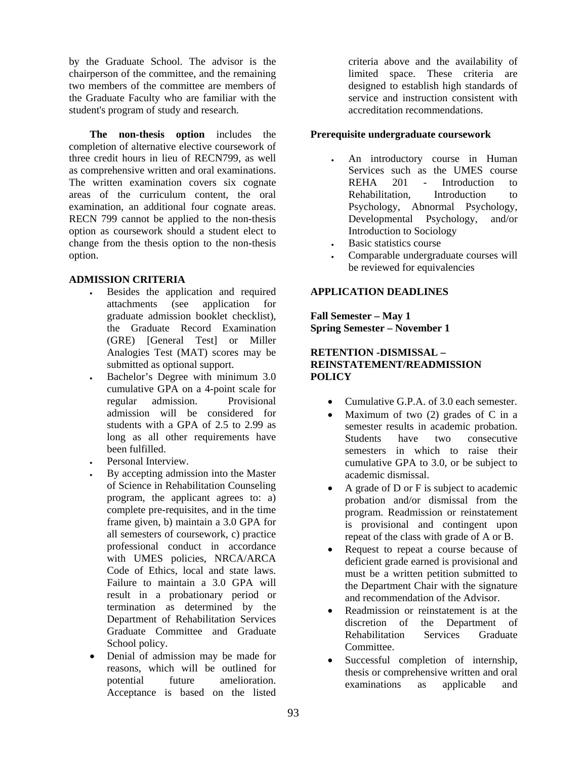by the Graduate School. The advisor is the chairperson of the committee, and the remaining two members of the committee are members of the Graduate Faculty who are familiar with the student's program of study and research.

**The non-thesis option** includes the completion of alternative elective coursework of three credit hours in lieu of RECN799, as well as comprehensive written and oral examinations. The written examination covers six cognate areas of the curriculum content, the oral examination, an additional four cognate areas. RECN 799 cannot be applied to the non-thesis option as coursework should a student elect to change from the thesis option to the non-thesis option.

## **ADMISSION CRITERIA**

- Besides the application and required attachments (see application for graduate admission booklet checklist), the Graduate Record Examination (GRE) [General Test] or Miller Analogies Test (MAT) scores may be submitted as optional support.
- Bachelor's Degree with minimum 3.0 cumulative GPA on a 4-point scale for regular admission. Provisional admission will be considered for students with a GPA of 2.5 to 2.99 as long as all other requirements have been fulfilled.
- Personal Interview.
- By accepting admission into the Master of Science in Rehabilitation Counseling program, the applicant agrees to: a) complete pre-requisites, and in the time frame given, b) maintain a 3.0 GPA for all semesters of coursework, c) practice professional conduct in accordance with UMES policies, NRCA/ARCA Code of Ethics, local and state laws. Failure to maintain a 3.0 GPA will result in a probationary period or termination as determined by the Department of Rehabilitation Services Graduate Committee and Graduate School policy.
- Denial of admission may be made for reasons, which will be outlined for potential future amelioration. Acceptance is based on the listed

criteria above and the availability of limited space. These criteria are designed to establish high standards of service and instruction consistent with accreditation recommendations.

## **Prerequisite undergraduate coursework**

- An introductory course in Human Services such as the UMES course REHA 201 - Introduction to Rehabilitation, Introduction to Psychology, Abnormal Psychology, Developmental Psychology, and/or Introduction to Sociology
- Basic statistics course
- Comparable undergraduate courses will be reviewed for equivalencies

## **APPLICATION DEADLINES**

**Fall Semester – May 1 Spring Semester – November 1** 

## **RETENTION -DISMISSAL – REINSTATEMENT/READMISSION POLICY**

- Cumulative G.P.A. of 3.0 each semester.
- Maximum of two  $(2)$  grades of C in a semester results in academic probation. Students have two consecutive semesters in which to raise their cumulative GPA to 3.0, or be subject to academic dismissal.
- A grade of D or F is subject to academic probation and/or dismissal from the program. Readmission or reinstatement is provisional and contingent upon repeat of the class with grade of A or B.
- Request to repeat a course because of deficient grade earned is provisional and must be a written petition submitted to the Department Chair with the signature and recommendation of the Advisor.
- Readmission or reinstatement is at the discretion of the Department of Rehabilitation Services Graduate Committee.
- Successful completion of internship, thesis or comprehensive written and oral examinations as applicable and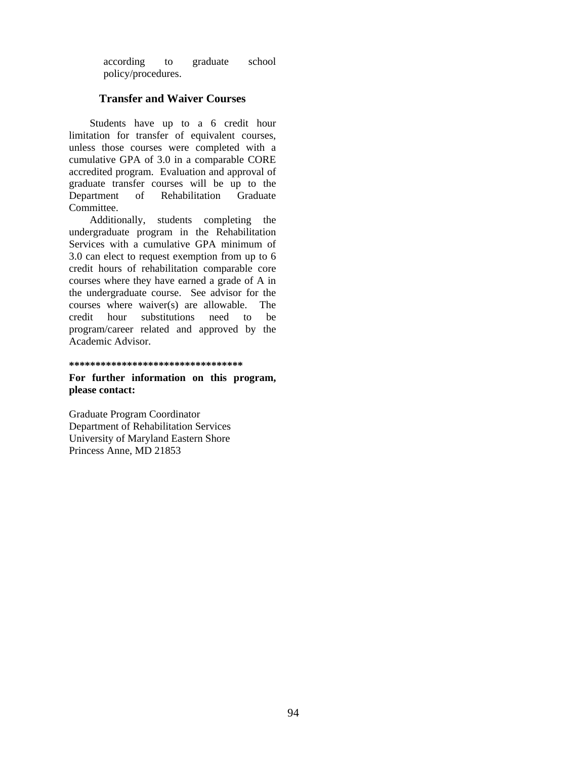according to graduate school policy/procedures.

## **Transfer and Waiver Courses**

Students have up to a 6 credit hour limitation for transfer of equivalent courses, unless those courses were completed with a cumulative GPA of 3.0 in a comparable CORE accredited program. Evaluation and approval of graduate transfer courses will be up to the Department of Rehabilitation Graduate Committee.

Additionally, students completing the undergraduate program in the Rehabilitation Services with a cumulative GPA minimum of 3.0 can elect to request exemption from up to 6 credit hours of rehabilitation comparable core courses where they have earned a grade of A in the undergraduate course. See advisor for the courses where waiver(s) are allowable. The credit hour substitutions need to be program/career related and approved by the Academic Advisor.

#### **\*\*\*\*\*\*\*\*\*\*\*\*\*\*\*\*\*\*\*\*\*\*\*\*\*\*\*\*\*\*\*\*\***

**For further information on this program, please contact:** 

Graduate Program Coordinator Department of Rehabilitation Services University of Maryland Eastern Shore Princess Anne, MD 21853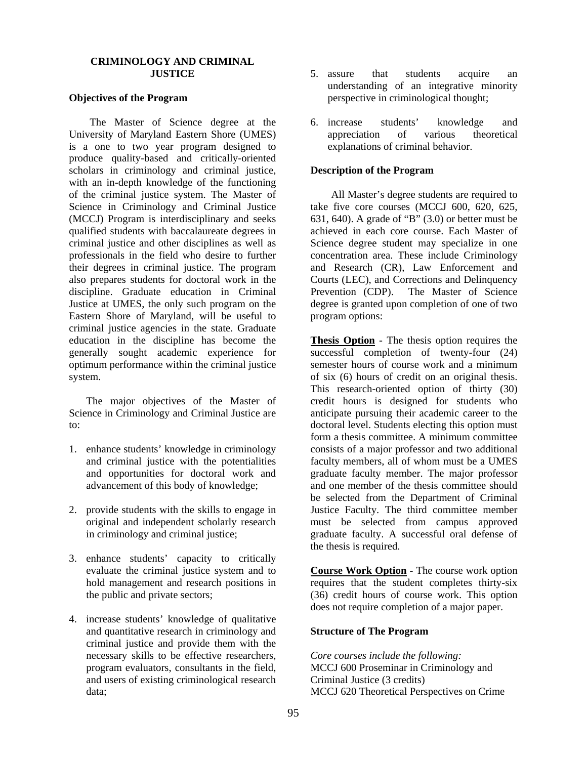#### **CRIMINOLOGY AND CRIMINAL JUSTICE**

#### **Objectives of the Program**

The Master of Science degree at the University of Maryland Eastern Shore (UMES) is a one to two year program designed to produce quality-based and critically-oriented scholars in criminology and criminal justice, with an in-depth knowledge of the functioning of the criminal justice system. The Master of Science in Criminology and Criminal Justice (MCCJ) Program is interdisciplinary and seeks qualified students with baccalaureate degrees in criminal justice and other disciplines as well as professionals in the field who desire to further their degrees in criminal justice. The program also prepares students for doctoral work in the discipline. Graduate education in Criminal Justice at UMES, the only such program on the Eastern Shore of Maryland, will be useful to criminal justice agencies in the state. Graduate education in the discipline has become the generally sought academic experience for optimum performance within the criminal justice system.

The major objectives of the Master of Science in Criminology and Criminal Justice are to:

- 1. enhance students' knowledge in criminology and criminal justice with the potentialities and opportunities for doctoral work and advancement of this body of knowledge;
- 2. provide students with the skills to engage in original and independent scholarly research in criminology and criminal justice;
- 3. enhance students' capacity to critically evaluate the criminal justice system and to hold management and research positions in the public and private sectors;
- 4. increase students' knowledge of qualitative and quantitative research in criminology and criminal justice and provide them with the necessary skills to be effective researchers, program evaluators, consultants in the field, and users of existing criminological research data;
- 5. assure that students acquire an understanding of an integrative minority perspective in criminological thought;
- 6. increase students' knowledge and appreciation of various theoretical explanations of criminal behavior.

#### **Description of the Program**

All Master's degree students are required to take five core courses (MCCJ 600, 620, 625, 631, 640). A grade of "B" (3.0) or better must be achieved in each core course. Each Master of Science degree student may specialize in one concentration area. These include Criminology and Research (CR), Law Enforcement and Courts (LEC), and Corrections and Delinquency Prevention (CDP).The Master of Science degree is granted upon completion of one of two program options:

**Thesis Option** - The thesis option requires the successful completion of twenty-four (24) semester hours of course work and a minimum of six (6) hours of credit on an original thesis. This research-oriented option of thirty (30) credit hours is designed for students who anticipate pursuing their academic career to the doctoral level. Students electing this option must form a thesis committee. A minimum committee consists of a major professor and two additional faculty members, all of whom must be a UMES graduate faculty member. The major professor and one member of the thesis committee should be selected from the Department of Criminal Justice Faculty. The third committee member must be selected from campus approved graduate faculty. A successful oral defense of the thesis is required.

**Course Work Option** - The course work option requires that the student completes thirty-six (36) credit hours of course work. This option does not require completion of a major paper.

#### **Structure of The Program**

*Core courses include the following:*  MCCJ 600 Proseminar in Criminology and Criminal Justice (3 credits) MCCJ 620 Theoretical Perspectives on Crime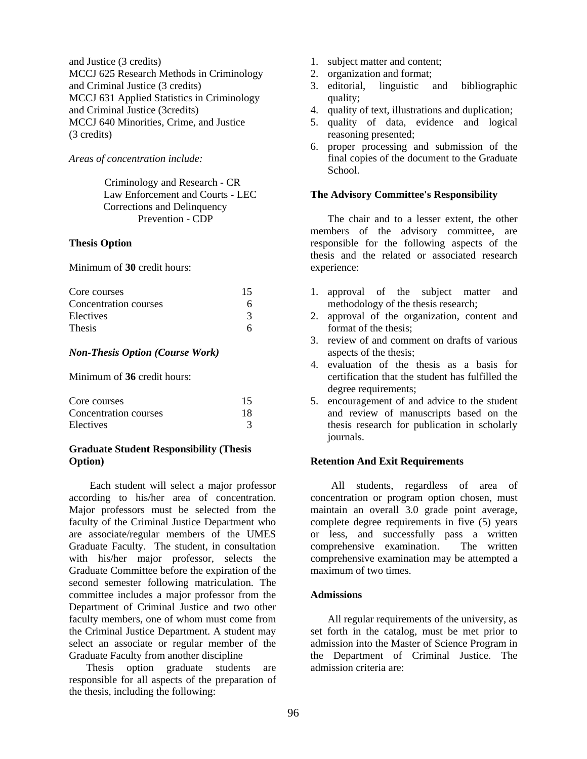and Justice (3 credits) MCCJ 625 Research Methods in Criminology and Criminal Justice (3 credits) MCCJ 631 Applied Statistics in Criminology and Criminal Justice (3credits) MCCJ 640 Minorities, Crime, and Justice (3 credits)

*Areas of concentration include:* 

Criminology and Research - CR Law Enforcement and Courts - LEC Corrections and Delinquency Prevention - CDP

#### **Thesis Option**

Minimum of **30** credit hours:

| Core courses          | 15 |
|-----------------------|----|
| Concentration courses |    |
| Electives             |    |
| <b>Thesis</b>         |    |

## *Non-Thesis Option (Course Work)*

Minimum of **36** credit hours:

| Core courses          | 15 |
|-----------------------|----|
| Concentration courses | 18 |
| Electives             |    |

#### **Graduate Student Responsibility (Thesis Option)**

Each student will select a major professor according to his/her area of concentration. Major professors must be selected from the faculty of the Criminal Justice Department who are associate/regular members of the UMES Graduate Faculty. The student, in consultation with his/her major professor, selects the Graduate Committee before the expiration of the second semester following matriculation. The committee includes a major professor from the Department of Criminal Justice and two other faculty members, one of whom must come from the Criminal Justice Department. A student may select an associate or regular member of the Graduate Faculty from another discipline

Thesis option graduate students are responsible for all aspects of the preparation of the thesis, including the following:

- 1. subject matter and content;
- 2. organization and format;
- 3. editorial, linguistic and bibliographic quality;
- 4. quality of text, illustrations and duplication;
- 5. quality of data, evidence and logical reasoning presented;
- 6. proper processing and submission of the final copies of the document to the Graduate School.

#### **The Advisory Committee's Responsibility**

The chair and to a lesser extent, the other members of the advisory committee, are responsible for the following aspects of the thesis and the related or associated research experience:

- 1. approval of the subject matter and methodology of the thesis research;
- 2. approval of the organization, content and format of the thesis;
- 3. review of and comment on drafts of various aspects of the thesis;
- 4. evaluation of the thesis as a basis for certification that the student has fulfilled the degree requirements;
- 5. encouragement of and advice to the student and review of manuscripts based on the thesis research for publication in scholarly journals.

#### **Retention And Exit Requirements**

All students, regardless of area of concentration or program option chosen, must maintain an overall 3.0 grade point average, complete degree requirements in five (5) years or less, and successfully pass a written comprehensive examination. The written comprehensive examination may be attempted a maximum of two times.

#### **Admissions**

All regular requirements of the university, as set forth in the catalog, must be met prior to admission into the Master of Science Program in the Department of Criminal Justice. The admission criteria are: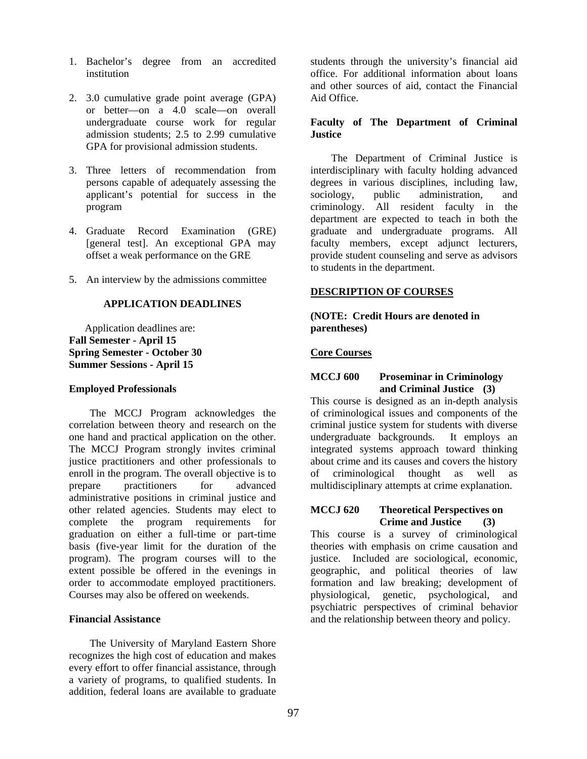- 1. Bachelor's degree from an accredited institution
- 2. 3.0 cumulative grade point average (GPA) or better—on a 4.0 scale—on overall undergraduate course work for regular admission students; 2.5 to 2.99 cumulative GPA for provisional admission students.
- 3. Three letters of recommendation from persons capable of adequately assessing the applicant's potential for success in the program
- 4. Graduate Record Examination (GRE) [general test]. An exceptional GPA may offset a weak performance on the GRE
- 5. An interview by the admissions committee

#### **APPLICATION DEADLINES**

 Application deadlines are: **Fall Semester - April 15 Spring Semester - October 30 Summer Sessions - April 15** 

#### **Employed Professionals**

The MCCJ Program acknowledges the correlation between theory and research on the one hand and practical application on the other. The MCCJ Program strongly invites criminal justice practitioners and other professionals to enroll in the program. The overall objective is to prepare practitioners for advanced administrative positions in criminal justice and other related agencies. Students may elect to complete the program requirements for graduation on either a full-time or part-time basis (five-year limit for the duration of the program). The program courses will to the extent possible be offered in the evenings in order to accommodate employed practitioners. Courses may also be offered on weekends.

#### **Financial Assistance**

The University of Maryland Eastern Shore recognizes the high cost of education and makes every effort to offer financial assistance, through a variety of programs, to qualified students. In addition, federal loans are available to graduate

students through the university's financial aid office. For additional information about loans and other sources of aid, contact the Financial Aid Office.

#### **Faculty of The Department of Criminal Justice**

The Department of Criminal Justice is interdisciplinary with faculty holding advanced degrees in various disciplines, including law, sociology, public administration, and criminology. All resident faculty in the department are expected to teach in both the graduate and undergraduate programs. All faculty members, except adjunct lecturers, provide student counseling and serve as advisors to students in the department.

#### **DESCRIPTION OF COURSES**

**(NOTE: Credit Hours are denoted in parentheses)** 

#### **Core Courses**

#### **MCCJ 600 Proseminar in Criminology and Criminal Justice (3)**

This course is designed as an in-depth analysis of criminological issues and components of the criminal justice system for students with diverse undergraduate backgrounds. It employs an integrated systems approach toward thinking about crime and its causes and covers the history of criminological thought as well as multidisciplinary attempts at crime explanation.

#### **MCCJ 620 Theoretical Perspectives on Crime and Justice (3)**

This course is a survey of criminological theories with emphasis on crime causation and justice. Included are sociological, economic, geographic, and political theories of law formation and law breaking; development of physiological, genetic, psychological, and psychiatric perspectives of criminal behavior and the relationship between theory and policy.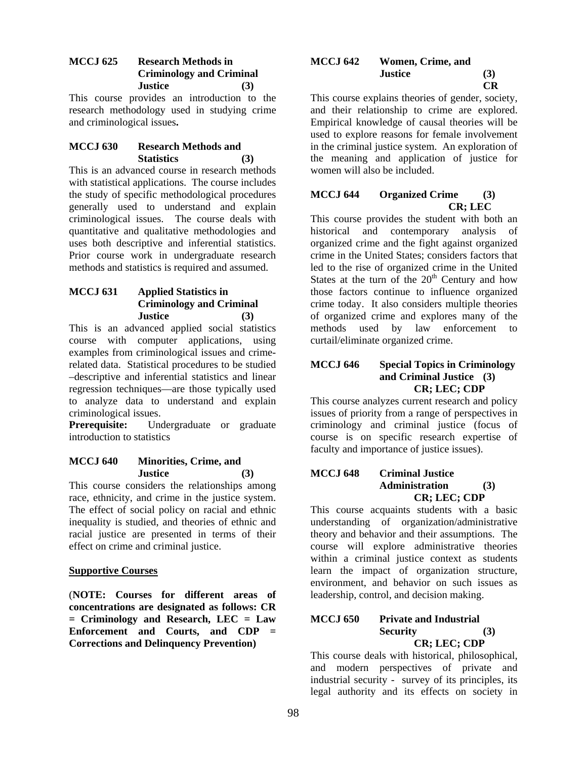## **MCCJ 625 Research Methods in Criminology and Criminal Justice (3)**

This course provides an introduction to the research methodology used in studying crime and criminological issues**.** 

## **MCCJ 630 Research Methods and Statistics (3)**

This is an advanced course in research methods with statistical applications. The course includes the study of specific methodological procedures generally used to understand and explain criminological issues. The course deals with quantitative and qualitative methodologies and uses both descriptive and inferential statistics. Prior course work in undergraduate research methods and statistics is required and assumed.

## **MCCJ 631 Applied Statistics in Criminology and Criminal Justice (3)**

This is an advanced applied social statistics course with computer applications, using examples from criminological issues and crimerelated data. Statistical procedures to be studied –descriptive and inferential statistics and linear regression techniques—are those typically used to analyze data to understand and explain criminological issues.

**Prerequisite:** Undergraduate or graduate introduction to statistics

## **MCCJ 640 Minorities, Crime, and Justice (3)**

This course considers the relationships among race, ethnicity, and crime in the justice system. The effect of social policy on racial and ethnic inequality is studied, and theories of ethnic and racial justice are presented in terms of their effect on crime and criminal justice.

## **Supportive Courses**

(**NOTE: Courses for different areas of concentrations are designated as follows: CR = Criminology and Research, LEC = Law Enforcement and Courts, and CDP = Corrections and Delinquency Prevention)** 

#### **MCCJ 642 Women, Crime, and Justice (3) CR**

This course explains theories of gender, society, and their relationship to crime are explored. Empirical knowledge of causal theories will be used to explore reasons for female involvement in the criminal justice system. An exploration of the meaning and application of justice for women will also be included.

# **MCCJ 644 Organized Crime (3) CR; LEC**

This course provides the student with both an historical and contemporary analysis of organized crime and the fight against organized crime in the United States; considers factors that led to the rise of organized crime in the United States at the turn of the  $20<sup>th</sup>$  Century and how those factors continue to influence organized crime today. It also considers multiple theories of organized crime and explores many of the methods used by law enforcement to curtail/eliminate organized crime.

## **MCCJ 646 Special Topics in Criminology and Criminal Justice (3) CR; LEC; CDP**

This course analyzes current research and policy issues of priority from a range of perspectives in criminology and criminal justice (focus of course is on specific research expertise of faculty and importance of justice issues).

## **MCCJ 648 Criminal Justice Administration (3) CR; LEC; CDP**

This course acquaints students with a basic understanding of organization/administrative theory and behavior and their assumptions. The course will explore administrative theories within a criminal justice context as students learn the impact of organization structure, environment, and behavior on such issues as leadership, control, and decision making.

## **MCCJ 650 Private and Industrial Security (3) CR; LEC; CDP**

This course deals with historical, philosophical, and modern perspectives of private and industrial security - survey of its principles, its legal authority and its effects on society in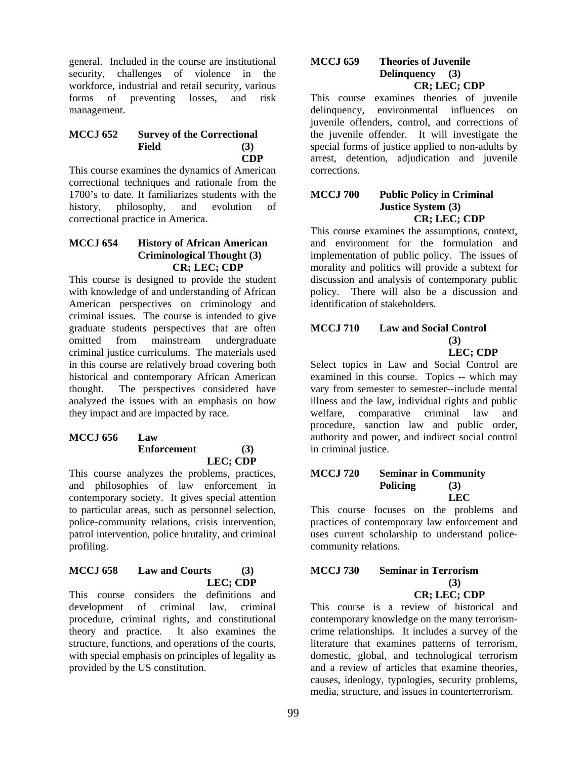general. Included in the course are institutional security, challenges of violence in the workforce, industrial and retail security, various forms of preventing losses, and risk management.

#### **MCCJ 652 Survey of the Correctional Field (3) CDP**

This course examines the dynamics of American correctional techniques and rationale from the 1700's to date. It familiarizes students with the history, philosophy, and evolution of correctional practice in America.

## **MCCJ 654 History of African American Criminological Thought (3) CR; LEC; CDP**

This course is designed to provide the student with knowledge of and understanding of African American perspectives on criminology and criminal issues. The course is intended to give graduate students perspectives that are often omitted from mainstream undergraduate criminal justice curriculums. The materials used in this course are relatively broad covering both historical and contemporary African American thought. The perspectives considered have analyzed the issues with an emphasis on how they impact and are impacted by race.

#### **MCCJ 656 Law Enforcement (3) LEC; CDP**

This course analyzes the problems, practices, and philosophies of law enforcement in contemporary society. It gives special attention to particular areas, such as personnel selection, police-community relations, crisis intervention, patrol intervention, police brutality, and criminal profiling.

## **MCCJ 658 Law and Courts (3) LEC; CDP**

This course considers the definitions and development of criminal law, criminal procedure, criminal rights, and constitutional theory and practice. It also examines the structure, functions, and operations of the courts, with special emphasis on principles of legality as provided by the US constitution.

#### **MCCJ 659 Theories of Juvenile Delinquency (3) CR; LEC; CDP**

This course examines theories of juvenile delinquency, environmental influences on juvenile offenders, control, and corrections of the juvenile offender. It will investigate the special forms of justice applied to non-adults by arrest, detention, adjudication and juvenile corrections.

#### **MCCJ 700 Public Policy in Criminal Justice System (3) CR; LEC; CDP**

This course examines the assumptions, context, and environment for the formulation and implementation of public policy. The issues of morality and politics will provide a subtext for discussion and analysis of contemporary public policy. There will also be a discussion and identification of stakeholders.

#### **MCCJ 710 Law and Social Control (3) LEC; CDP**

Select topics in Law and Social Control are examined in this course. Topics -- which may vary from semester to semester--include mental illness and the law, individual rights and public welfare, comparative criminal law and procedure, sanction law and public order, authority and power, and indirect social control in criminal justice.

#### **MCCJ 720 Seminar in Community Policing (3) LEC**

This course focuses on the problems and practices of contemporary law enforcement and uses current scholarship to understand policecommunity relations.

#### **MCCJ 730 Seminar in Terrorism (3) CR; LEC; CDP**

This course is a review of historical and contemporary knowledge on the many terrorismcrime relationships. It includes a survey of the literature that examines patterns of terrorism, domestic, global, and technological terrorism and a review of articles that examine theories, causes, ideology, typologies, security problems, media, structure, and issues in counterterrorism.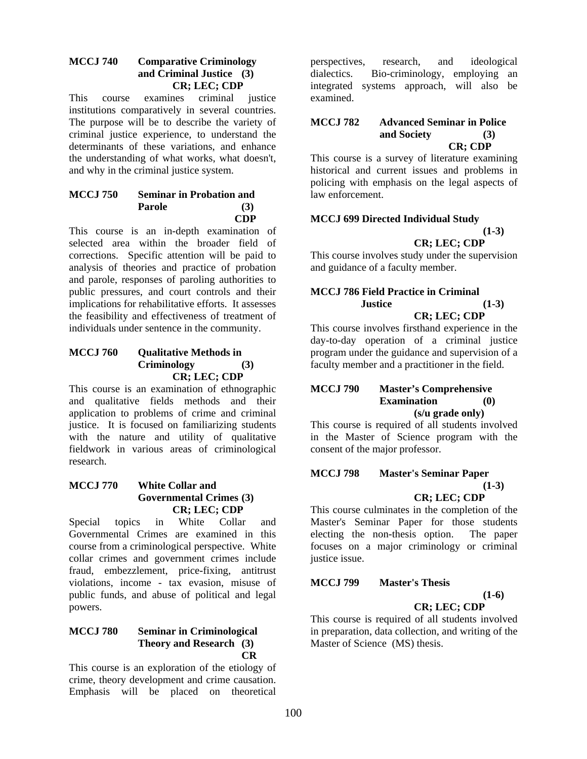#### **MCCJ 740 Comparative Criminology and Criminal Justice (3) CR; LEC; CDP**

This course examines criminal justice institutions comparatively in several countries. The purpose will be to describe the variety of criminal justice experience, to understand the determinants of these variations, and enhance the understanding of what works, what doesn't, and why in the criminal justice system.

#### **MCCJ 750 Seminar in Probation and Parole (3) CDP**

This course is an in-depth examination of selected area within the broader field of corrections. Specific attention will be paid to analysis of theories and practice of probation and parole, responses of paroling authorities to public pressures, and court controls and their implications for rehabilitative efforts. It assesses the feasibility and effectiveness of treatment of individuals under sentence in the community.

## **MCCJ 760 Qualitative Methods in Criminology (3) CR; LEC; CDP**

This course is an examination of ethnographic and qualitative fields methods and their application to problems of crime and criminal justice. It is focused on familiarizing students with the nature and utility of qualitative fieldwork in various areas of criminological research.

## **MCCJ 770 White Collar and Governmental Crimes (3) CR; LEC; CDP**

Special topics in White Collar and Governmental Crimes are examined in this course from a criminological perspective. White collar crimes and government crimes include fraud, embezzlement, price-fixing, antitrust violations, income - tax evasion, misuse of public funds, and abuse of political and legal powers.

#### **MCCJ 780 Seminar in Criminological Theory and Research (3) CR**

This course is an exploration of the etiology of crime, theory development and crime causation. Emphasis will be placed on theoretical

perspectives, research, and ideological dialectics. Bio-criminology, employing an integrated systems approach, will also be examined.

#### **MCCJ 782 Advanced Seminar in Police and Society (3) CR; CDP**

This course is a survey of literature examining historical and current issues and problems in policing with emphasis on the legal aspects of law enforcement.

#### **MCCJ 699 Directed Individual Study**   $(1-3)$ **CR; LEC; CDP**

This course involves study under the supervision and guidance of a faculty member.

# **MCCJ 786 Field Practice in Criminal Justice (1-3)**

# **CR; LEC; CDP**

This course involves firsthand experience in the day-to-day operation of a criminal justice program under the guidance and supervision of a faculty member and a practitioner in the field.

#### **MCCJ 790 Master's Comprehensive Examination (0) (s/u grade only)**

This course is required of all students involved in the Master of Science program with the consent of the major professor.

#### **MCCJ 798 Master's Seminar Paper (1-3)**

## **CR; LEC; CDP**

This course culminates in the completion of the Master's Seminar Paper for those students electing the non-thesis option. The paper focuses on a major criminology or criminal justice issue.

## **MCCJ 799 Master's Thesis**

**(1-6)** 

# **CR; LEC; CDP**

This course is required of all students involved in preparation, data collection, and writing of the Master of Science (MS) thesis.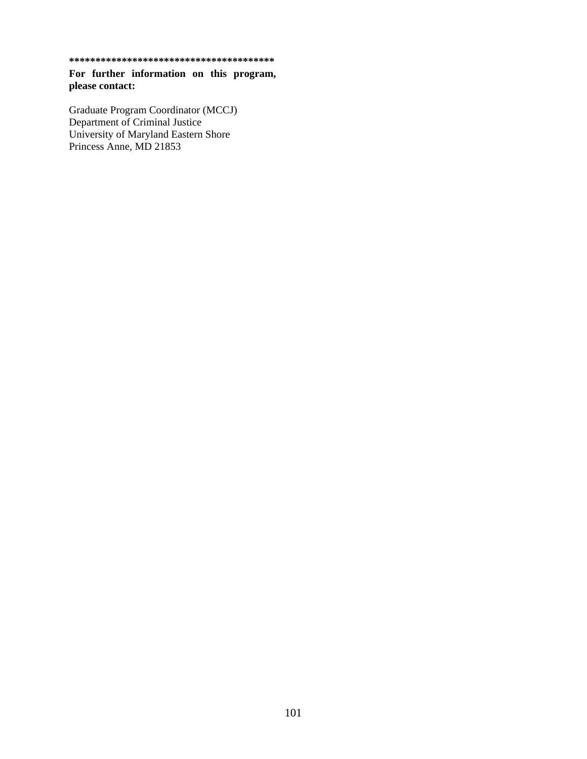**\*\*\*\*\*\*\*\*\*\*\*\*\*\*\*\*\*\*\*\*\*\*\*\*\*\*\*\*\*\*\*\*\*\*\*\*\*\*\*** 

**For further information on this program, please contact:** 

Graduate Program Coordinator (MCCJ) Department of Criminal Justice University of Maryland Eastern Shore Princess Anne, MD 21853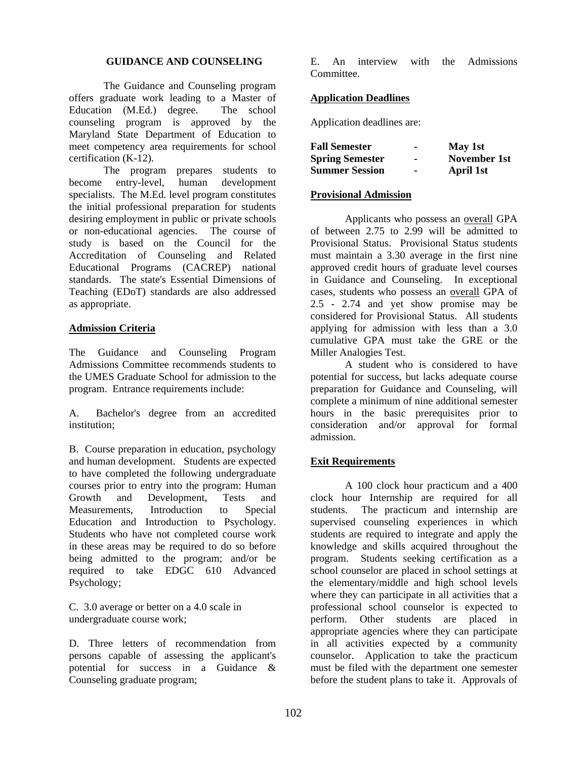## **GUIDANCE AND COUNSELING**

The Guidance and Counseling program offers graduate work leading to a Master of Education (M.Ed.) degree. The school counseling program is approved by the Maryland State Department of Education to meet competency area requirements for school certification (K-12).

The program prepares students to become entry-level, human development specialists. The M.Ed. level program constitutes the initial professional preparation for students desiring employment in public or private schools or non-educational agencies. The course of study is based on the Council for the Accreditation of Counseling and Related Educational Programs (CACREP) national standards. The state's Essential Dimensions of Teaching (EDoT) standards are also addressed as appropriate.

## **Admission Criteria**

The Guidance and Counseling Program Admissions Committee recommends students to the UMES Graduate School for admission to the program. Entrance requirements include:

A. Bachelor's degree from an accredited institution;

B. Course preparation in education, psychology and human development. Students are expected to have completed the following undergraduate courses prior to entry into the program: Human Growth and Development, Tests and Measurements, Introduction to Special Education and Introduction to Psychology. Students who have not completed course work in these areas may be required to do so before being admitted to the program; and/or be required to take EDGC 610 Advanced Psychology;

C. 3.0 average or better on a 4.0 scale in undergraduate course work;

D. Three letters of recommendation from persons capable of assessing the applicant's potential for success in a Guidance & Counseling graduate program;

E. An interview with the Admissions Committee.

## **Application Deadlines**

Application deadlines are:

| <b>Fall Semester</b>   |                | May 1st      |
|------------------------|----------------|--------------|
| <b>Spring Semester</b> |                | November 1st |
| <b>Summer Session</b>  | $\blacksquare$ | April 1st    |

## **Provisional Admission**

Applicants who possess an overall GPA of between 2.75 to 2.99 will be admitted to Provisional Status. Provisional Status students must maintain a 3.30 average in the first nine approved credit hours of graduate level courses in Guidance and Counseling. In exceptional cases, students who possess an overall GPA of 2.5 - 2.74 and yet show promise may be considered for Provisional Status. All students applying for admission with less than a 3.0 cumulative GPA must take the GRE or the Miller Analogies Test.

A student who is considered to have potential for success, but lacks adequate course preparation for Guidance and Counseling, will complete a minimum of nine additional semester hours in the basic prerequisites prior to consideration and/or approval for formal admission.

# **Exit Requirements**

A 100 clock hour practicum and a 400 clock hour Internship are required for all students. The practicum and internship are supervised counseling experiences in which students are required to integrate and apply the knowledge and skills acquired throughout the program. Students seeking certification as a school counselor are placed in school settings at the elementary/middle and high school levels where they can participate in all activities that a professional school counselor is expected to perform. Other students are placed in appropriate agencies where they can participate in all activities expected by a community counselor. Application to take the practicum must be filed with the department one semester before the student plans to take it. Approvals of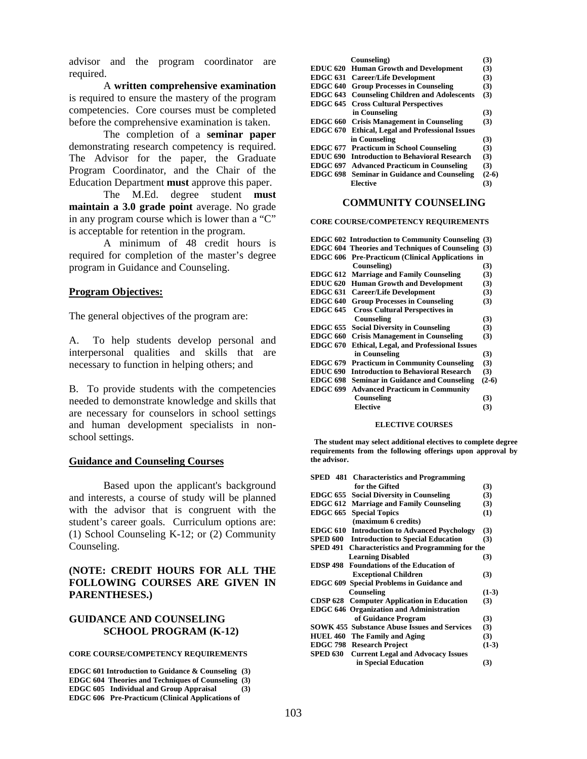advisor and the program coordinator are required.

A **written comprehensive examination** is required to ensure the mastery of the program competencies. Core courses must be completed before the comprehensive examination is taken.

The completion of a **seminar paper** demonstrating research competency is required. The Advisor for the paper, the Graduate Program Coordinator, and the Chair of the Education Department **must** approve this paper.

The M.Ed. degree student **must maintain a 3.0 grade point** average. No grade in any program course which is lower than a "C" is acceptable for retention in the program.

A minimum of 48 credit hours is required for completion of the master's degree program in Guidance and Counseling.

#### **Program Objectives:**

The general objectives of the program are:

A. To help students develop personal and interpersonal qualities and skills that are necessary to function in helping others; and

B. To provide students with the competencies needed to demonstrate knowledge and skills that are necessary for counselors in school settings and human development specialists in nonschool settings.

#### **Guidance and Counseling Courses**

Based upon the applicant's background and interests, a course of study will be planned with the advisor that is congruent with the student's career goals. Curriculum options are: (1) School Counseling K-12; or (2) Community Counseling.

## **(NOTE: CREDIT HOURS FOR ALL THE FOLLOWING COURSES ARE GIVEN IN PARENTHESES.)**

#### **GUIDANCE AND COUNSELING SCHOOL PROGRAM (K-12)**

#### **CORE COURSE/COMPETENCY REQUIREMENTS**

**EDGC 601 Introduction to Guidance & Counseling (3) EDGC 604 Theories and Techniques of Counseling (3) EDGC 605 Individual and Group Appraisal (3) EDGC 606 Pre-Practicum (Clinical Applications of** 

|                 | Counseling)                                            | (3)      |
|-----------------|--------------------------------------------------------|----------|
|                 | <b>EDUC 620 Human Growth and Development</b>           | (3)      |
|                 | <b>EDGC 631 Career/Life Development</b>                | (3)      |
|                 | <b>EDGC 640 Group Processes in Counseling</b>          | (3)      |
|                 | <b>EDGC 643</b> Counseling Children and Adolescents    | (3)      |
|                 | <b>EDGC 645</b> Cross Cultural Perspectives            |          |
|                 | in Counseling                                          | (3)      |
|                 | <b>EDGC 660 Crisis Management in Counseling</b>        | (3)      |
|                 | <b>EDGC 670 Ethical, Legal and Professional Issues</b> |          |
|                 | in Counseling                                          | (3)      |
|                 | <b>EDGC 677 Practicum in School Counseling</b>         | (3)      |
| <b>EDUC 690</b> | <b>Introduction to Behavioral Research</b>             | (3)      |
| <b>EDGC 697</b> | <b>Advanced Practicum in Counseling</b>                | (3)      |
| <b>EDGC 698</b> | <b>Seminar in Guidance and Counseling</b>              | $(2-6)$  |
|                 | Elective                                               | $\bf(3)$ |

#### **COMMUNITY COUNSELING**

#### **CORE COURSE/COMPETENCY REQUIREMENTS**

|                 | <b>EDGC 602 Introduction to Community Counseling (3)</b>  |         |
|-----------------|-----------------------------------------------------------|---------|
|                 | <b>EDGC 604 Theories and Techniques of Counseling (3)</b> |         |
| <b>EDGC 606</b> | <b>Pre-Practicum (Clinical Applications in</b>            |         |
|                 | Counseling)                                               | (3)     |
| <b>EDGC 612</b> | <b>Marriage and Family Counseling</b>                     | (3)     |
| <b>EDUC 620</b> | <b>Human Growth and Development</b>                       | (3)     |
| EDGC 631        | <b>Career/Life Development</b>                            | (3)     |
| <b>EDGC 640</b> | <b>Group Processes in Counseling</b>                      | (3)     |
| <b>EDGC 645</b> | <b>Cross Cultural Perspectives in</b>                     |         |
|                 | Counseling                                                | (3)     |
| <b>EDGC 655</b> | <b>Social Diversity in Counseling</b>                     | (3)     |
| <b>EDGC 660</b> | <b>Crisis Management in Counseling</b>                    | (3)     |
| <b>EDGC 670</b> | <b>Ethical, Legal, and Professional Issues</b>            |         |
|                 | in Counseling                                             | (3)     |
| <b>EDGC 679</b> | <b>Practicum in Community Counseling</b>                  | (3)     |
| <b>EDUC 690</b> | <b>Introduction to Behavioral Research</b>                | (3)     |
| <b>EDGC 698</b> | <b>Seminar in Guidance and Counseling</b>                 | $(2-6)$ |
| <b>EDGC 699</b> | <b>Advanced Practicum in Community</b>                    |         |
|                 | Counseling                                                | (3)     |
|                 | <b>Elective</b>                                           | (3)     |
|                 |                                                           |         |

#### **ELECTIVE COURSES**

 **The student may select additional electives to complete degree requirements from the following offerings upon approval by the advisor.** 

| <b>SPED</b> 481 Characteristics and Programming                   |         |
|-------------------------------------------------------------------|---------|
| for the Gifted                                                    | (3)     |
| <b>EDGC 655</b><br><b>Social Diversity in Counseling</b>          | (3)     |
| <b>Marriage and Family Counseling</b><br><b>EDGC 612</b>          | (3)     |
| <b>EDGC 665</b><br><b>Special Topics</b>                          | (1)     |
| (maximum 6 credits)                                               |         |
| <b>Introduction to Advanced Psychology</b><br><b>EDGC 610</b>     | (3)     |
| SPED 600<br><b>Introduction to Special Education</b>              | (3)     |
| <b>SPED 491</b><br><b>Characteristics and Programming for the</b> |         |
| <b>Learning Disabled</b>                                          | (3)     |
| <b>EDSP 498</b> Foundations of the Education of                   |         |
| <b>Exceptional Children</b>                                       | (3)     |
| EDGC 609 Special Problems in Guidance and                         |         |
| Counseling                                                        | $(1-3)$ |
| <b>CDSP 628 Computer Application in Education</b>                 | (3)     |
| <b>EDGC 646 Organization and Administration</b>                   |         |
| of Guidance Program                                               | (3)     |
| <b>SOWK 455 Substance Abuse Issues and Services</b>               | (3)     |
| <b>HUEL 460 The Family and Aging</b>                              | (3)     |
| <b>EDGC 798 Research Project</b>                                  | $(1-3)$ |
| SPED 630<br><b>Current Legal and Advocacy Issues</b>              |         |
| in Special Education                                              | (3)     |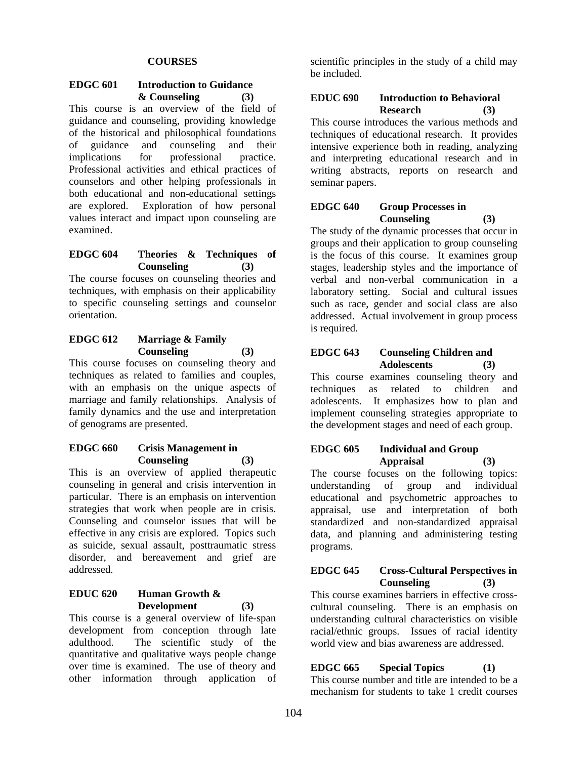## **COURSES**

#### **EDGC 601 Introduction to Guidance & Counseling (3)**

This course is an overview of the field of guidance and counseling, providing knowledge of the historical and philosophical foundations of guidance and counseling and their implications for professional practice. Professional activities and ethical practices of counselors and other helping professionals in both educational and non-educational settings are explored. Exploration of how personal values interact and impact upon counseling are examined.

## **EDGC 604 Theories & Techniques of Counseling (3)**

The course focuses on counseling theories and techniques, with emphasis on their applicability to specific counseling settings and counselor orientation.

## **EDGC 612 Marriage & Family Counseling (3)**

This course focuses on counseling theory and techniques as related to families and couples, with an emphasis on the unique aspects of marriage and family relationships. Analysis of family dynamics and the use and interpretation of genograms are presented.

#### **EDGC 660 Crisis Management in Counseling (3)**

This is an overview of applied therapeutic counseling in general and crisis intervention in particular. There is an emphasis on intervention strategies that work when people are in crisis. Counseling and counselor issues that will be effective in any crisis are explored. Topics such as suicide, sexual assault, posttraumatic stress disorder, and bereavement and grief are addressed.

## **EDUC 620 Human Growth & Development (3)**

This course is a general overview of life-span development from conception through late adulthood. The scientific study of the quantitative and qualitative ways people change over time is examined. The use of theory and other information through application of

scientific principles in the study of a child may be included.

## **EDUC 690 Introduction to Behavioral Research (3)**

This course introduces the various methods and techniques of educational research. It provides intensive experience both in reading, analyzing and interpreting educational research and in writing abstracts, reports on research and seminar papers.

#### **EDGC 640 Group Processes in Counseling (3)**

The study of the dynamic processes that occur in groups and their application to group counseling is the focus of this course. It examines group stages, leadership styles and the importance of verbal and non-verbal communication in a laboratory setting. Social and cultural issues such as race, gender and social class are also addressed. Actual involvement in group process is required.

## **EDGC 643 Counseling Children and Adolescents (3)**

This course examines counseling theory and techniques as related to children and adolescents. It emphasizes how to plan and implement counseling strategies appropriate to the development stages and need of each group.

## **EDGC 605 Individual and Group Appraisal (3)**

The course focuses on the following topics: understanding of group and individual educational and psychometric approaches to appraisal, use and interpretation of both standardized and non-standardized appraisal data, and planning and administering testing programs.

## **EDGC 645 Cross-Cultural Perspectives in Counseling (3)**

This course examines barriers in effective crosscultural counseling. There is an emphasis on understanding cultural characteristics on visible racial/ethnic groups. Issues of racial identity world view and bias awareness are addressed.

**EDGC 665 Special Topics (1)** This course number and title are intended to be a mechanism for students to take 1 credit courses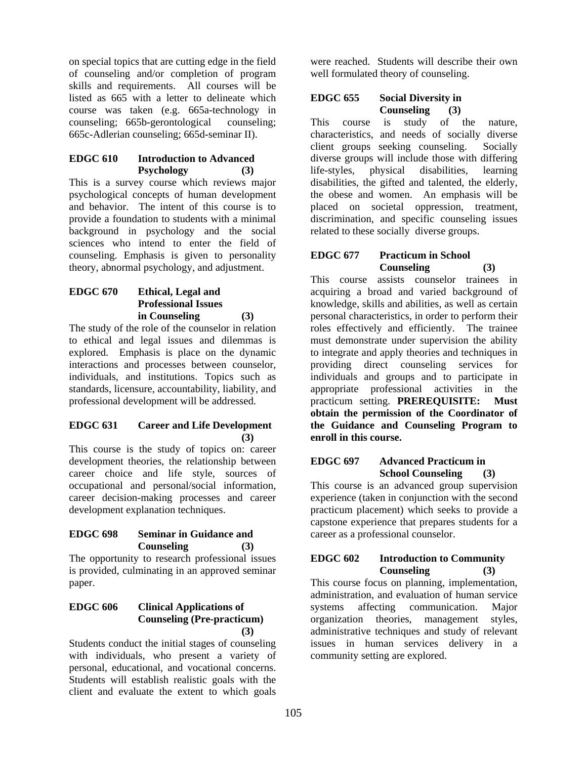on special topics that are cutting edge in the field of counseling and/or completion of program skills and requirements. All courses will be listed as 665 with a letter to delineate which course was taken (e.g. 665a-technology in counseling; 665b-gerontological counseling; 665c-Adlerian counseling; 665d-seminar II).

## **EDGC 610 Introduction to Advanced Psychology (3)**

This is a survey course which reviews major psychological concepts of human development and behavior. The intent of this course is to provide a foundation to students with a minimal background in psychology and the social sciences who intend to enter the field of counseling. Emphasis is given to personality theory, abnormal psychology, and adjustment.

## **EDGC 670 Ethical, Legal and Professional Issues in Counseling (3)**

The study of the role of the counselor in relation to ethical and legal issues and dilemmas is explored. Emphasis is place on the dynamic interactions and processes between counselor, individuals, and institutions. Topics such as standards, licensure, accountability, liability, and professional development will be addressed.

#### **EDGC 631 Career and Life Development (3)**

This course is the study of topics on: career development theories, the relationship between career choice and life style, sources of occupational and personal/social information, career decision-making processes and career development explanation techniques.

## **EDGC 698 Seminar in Guidance and Counseling (3)**

The opportunity to research professional issues is provided, culminating in an approved seminar paper.

## **EDGC 606 Clinical Applications of Counseling (Pre-practicum) (3)**

Students conduct the initial stages of counseling with individuals, who present a variety of personal, educational, and vocational concerns. Students will establish realistic goals with the client and evaluate the extent to which goals

were reached. Students will describe their own well formulated theory of counseling.

## **EDGC 655 Social Diversity in Counseling (3)**

This course is study of the nature, characteristics, and needs of socially diverse client groups seeking counseling. Socially diverse groups will include those with differing life-styles, physical disabilities, learning disabilities, the gifted and talented, the elderly, the obese and women. An emphasis will be placed on societal oppression, treatment, discrimination, and specific counseling issues related to these socially diverse groups.

# **EDGC 677 Practicum in School Counseling (3)**

This course assists counselor trainees in acquiring a broad and varied background of knowledge, skills and abilities, as well as certain personal characteristics, in order to perform their roles effectively and efficiently. The trainee must demonstrate under supervision the ability to integrate and apply theories and techniques in providing direct counseling services for individuals and groups and to participate in appropriate professional activities in the practicum setting. **PREREQUISITE: Must obtain the permission of the Coordinator of the Guidance and Counseling Program to enroll in this course.** 

## **EDGC 697 Advanced Practicum in School Counseling (3)**

This course is an advanced group supervision experience (taken in conjunction with the second practicum placement) which seeks to provide a capstone experience that prepares students for a career as a professional counselor.

# **EDGC 602 Introduction to Community Counseling (3)**

This course focus on planning, implementation, administration, and evaluation of human service systems affecting communication. Major organization theories, management styles, administrative techniques and study of relevant issues in human services delivery in a community setting are explored.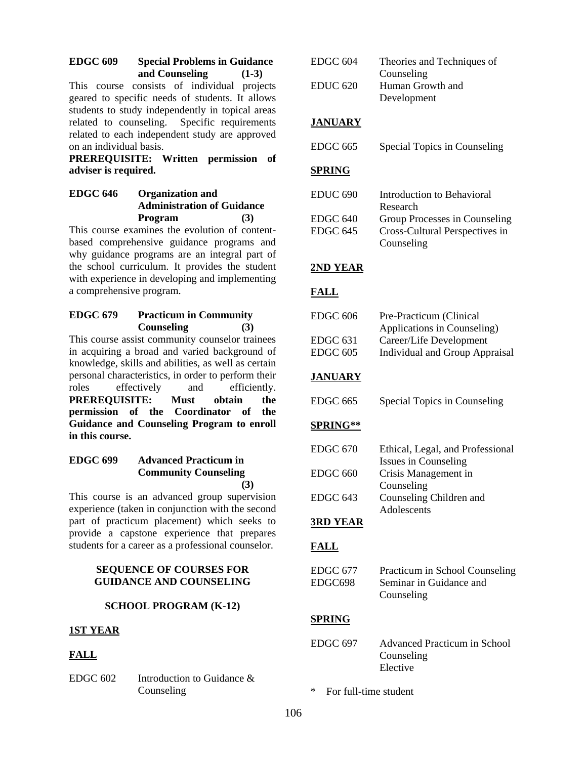## **EDGC 609 Special Problems in Guidance and Counseling (1-3)**

This course consists of individual projects geared to specific needs of students. It allows students to study independently in topical areas related to counseling. Specific requirements related to each independent study are approved on an individual basis.

**PREREQUISITE: Written permission of adviser is required.** 

# **EDGC 646 Organization and Administration of Guidance Program (3)**

This course examines the evolution of contentbased comprehensive guidance programs and why guidance programs are an integral part of the school curriculum. It provides the student with experience in developing and implementing a comprehensive program.

# **EDGC 679 Practicum in Community Counseling (3)**

This course assist community counselor trainees in acquiring a broad and varied background of knowledge, skills and abilities, as well as certain personal characteristics, in order to perform their roles effectively and efficiently. **PREREQUISITE: Must obtain the permission of the Coordinator of the Guidance and Counseling Program to enroll in this course.**

## **EDGC 699 Advanced Practicum in Community Counseling (3)**

This course is an advanced group supervision experience (taken in conjunction with the second part of practicum placement) which seeks to provide a capstone experience that prepares students for a career as a professional counselor.

## **SEQUENCE OF COURSES FOR GUIDANCE AND COUNSELING**

# **SCHOOL PROGRAM (K-12)**

## **1ST YEAR**

# **FALL**

EDGC 602 Introduction to Guidance & Counseling

| EDGC <sub>604</sub>             | Theories and Techniques of                                                    |
|---------------------------------|-------------------------------------------------------------------------------|
| <b>EDUC 620</b>                 | Counseling<br>Human Growth and<br>Development                                 |
| <u>JANUARY</u>                  |                                                                               |
| EDGC 665                        | Special Topics in Counseling                                                  |
| <b>SPRING</b>                   |                                                                               |
| <b>EDUC 690</b>                 | Introduction to Behavioral<br>Research                                        |
| EDGC <sub>640</sub><br>EDGC 645 | Group Processes in Counseling<br>Cross-Cultural Perspectives in<br>Counseling |
| <b>2ND YEAR</b>                 |                                                                               |
| <b>FALL</b>                     |                                                                               |
| EDGC <sub>606</sub>             | Pre-Practicum (Clinical                                                       |
| EDGC 631                        | Applications in Counseling)<br>Career/Life Development                        |
| <b>EDGC 605</b>                 | <b>Individual and Group Appraisal</b>                                         |
|                                 |                                                                               |
| <b>JANUARY</b>                  |                                                                               |
| EDGC 665                        | Special Topics in Counseling                                                  |
| <b>SPRING**</b>                 |                                                                               |
| <b>EDGC 670</b>                 | Ethical, Legal, and Professional<br>Issues in Counseling                      |
| <b>EDGC 660</b>                 | Crisis Management in                                                          |
| EDGC 643                        | Counseling<br>Counseling Children and                                         |
| <b>3RD YEAR</b>                 | Adolescents                                                                   |
| <b>FALL</b>                     |                                                                               |
| EDGC 677                        | Practicum in School Counseling                                                |
| EDGC698                         | Seminar in Guidance and<br>Counseling                                         |
| <b>SPRING</b>                   |                                                                               |
| EDGC 697                        | <b>Advanced Practicum in School</b><br>Counseling<br>Elective                 |
| ∗<br>For full-time student      |                                                                               |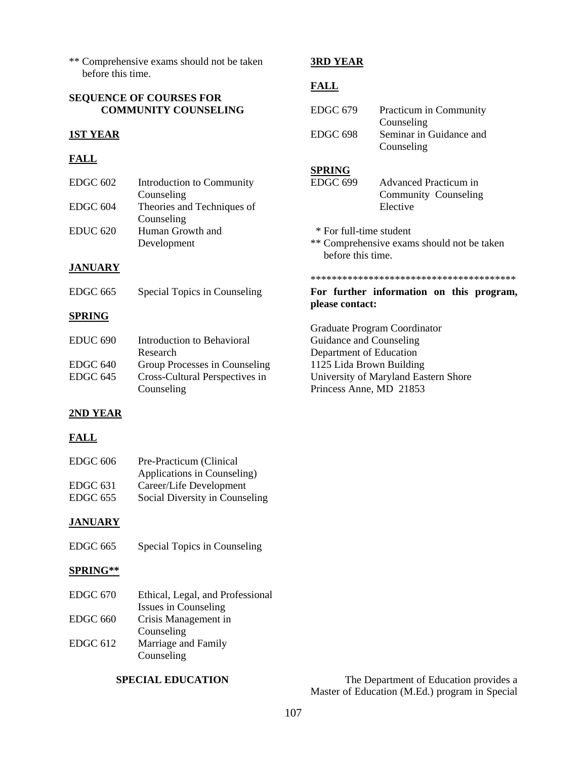\*\* Comprehensive exams should not be taken before this time.

## **SEQUENCE OF COURSES FOR COMMUNITY COUNSELING**

# **1ST YEAR**

# **FALL**

| EDGC <sub>602</sub> | Introduction to Community  |
|---------------------|----------------------------|
|                     | Counseling                 |
| EDGC <sub>604</sub> | Theories and Techniques of |
|                     | Counseling                 |
| <b>EDUC 620</b>     | Human Growth and           |
|                     | Development                |

# **3RD YEAR**

# **FALL**

| EDGC 679            | Practicum in Community  |
|---------------------|-------------------------|
|                     | Counseling              |
| EDGC <sub>698</sub> | Seminar in Guidance and |
|                     | Counseling              |

## **SPRING**

| $EDGC$ 699 | Advanced Practicum in |
|------------|-----------------------|
|            | Community Counseling  |
|            | Elective              |

\* For full-time student

Graduate Program Coordinator Guidance and Counseling Department of Education 1125 Lida Brown Building

Princess Anne, MD 21853

University of Maryland Eastern Shore

**please contact:** 

\*\* Comprehensive exams should not be taken before this time.

\*\*\*\*\*\*\*\*\*\*\*\*\*\*\*\*\*\*\*\*\*\*\*\*\*\*\*\*\*\*\*\*\*\*\*\*\*\*\* **For further information on this program,** 

## **JANUARY**

## **SPRING**

| EDUC <sub>690</sub> | Introduction to Behavioral     |
|---------------------|--------------------------------|
|                     | Research                       |
| EDGC 640            | Group Processes in Counseling  |
| EDGC 645            | Cross-Cultural Perspectives in |
|                     | Counseling                     |

# **2ND YEAR**

# **FALL**

| EDGC <sub>606</sub> | Pre-Practicum (Clinical        |
|---------------------|--------------------------------|
|                     | Applications in Counseling)    |
| EDGC 631            | Career/Life Development        |
| EDGC 655            | Social Diversity in Counseling |

# **JANUARY**

EDGC 665 Special Topics in Counseling

## **SPRING\*\***

| EDGC 670 | Ethical, Legal, and Professional                              |
|----------|---------------------------------------------------------------|
|          | Issues in Counseling                                          |
| EDGC 660 | Crisis Management in                                          |
|          | Counseling                                                    |
| FDCC 612 | $M_{\text{e}}$ and a second $L_{\text{e}}$ and $L_{\text{e}}$ |

EDGC 612 Marriage and Family Counseling

**SPECIAL EDUCATION** The Department of Education provides a Master of Education (M.Ed.) program in Special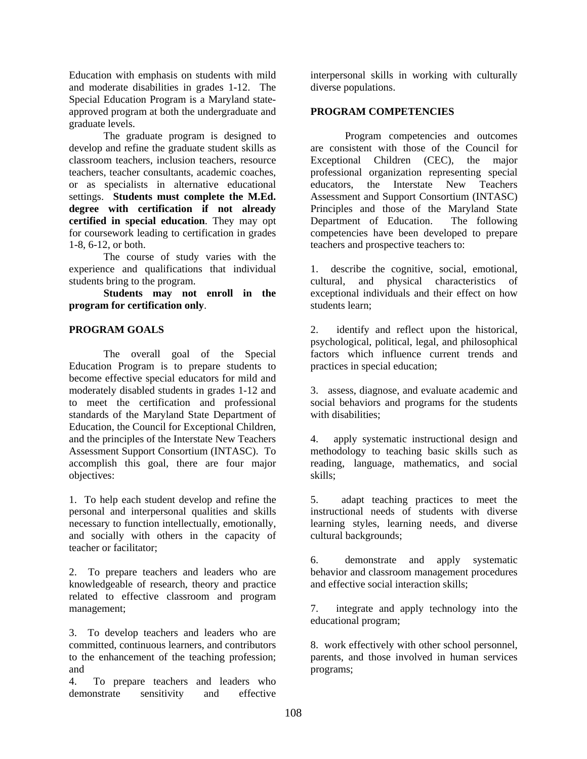Education with emphasis on students with mild and moderate disabilities in grades 1-12. The Special Education Program is a Maryland stateapproved program at both the undergraduate and graduate levels.

The graduate program is designed to develop and refine the graduate student skills as classroom teachers, inclusion teachers, resource teachers, teacher consultants, academic coaches, or as specialists in alternative educational settings. **Students must complete the M.Ed. degree with certification if not already certified in special education**. They may opt for coursework leading to certification in grades 1-8, 6-12, or both.

The course of study varies with the experience and qualifications that individual students bring to the program.

**Students may not enroll in the program for certification only**.

## **PROGRAM GOALS**

The overall goal of the Special Education Program is to prepare students to become effective special educators for mild and moderately disabled students in grades 1-12 and to meet the certification and professional standards of the Maryland State Department of Education, the Council for Exceptional Children, and the principles of the Interstate New Teachers Assessment Support Consortium (INTASC). To accomplish this goal, there are four major objectives:

1. To help each student develop and refine the personal and interpersonal qualities and skills necessary to function intellectually, emotionally, and socially with others in the capacity of teacher or facilitator;

2. To prepare teachers and leaders who are knowledgeable of research, theory and practice related to effective classroom and program management;

3. To develop teachers and leaders who are committed, continuous learners, and contributors to the enhancement of the teaching profession; and

4. To prepare teachers and leaders who demonstrate sensitivity and effective interpersonal skills in working with culturally diverse populations.

## **PROGRAM COMPETENCIES**

Program competencies and outcomes are consistent with those of the Council for Exceptional Children (CEC), the major professional organization representing special educators, the Interstate New Teachers Assessment and Support Consortium (INTASC) Principles and those of the Maryland State Department of Education. The following competencies have been developed to prepare teachers and prospective teachers to:

1. describe the cognitive, social, emotional, cultural, and physical characteristics of exceptional individuals and their effect on how students learn;

2. identify and reflect upon the historical, psychological, political, legal, and philosophical factors which influence current trends and practices in special education;

3. assess, diagnose, and evaluate academic and social behaviors and programs for the students with disabilities;

4. apply systematic instructional design and methodology to teaching basic skills such as reading, language, mathematics, and social skills;

5. adapt teaching practices to meet the instructional needs of students with diverse learning styles, learning needs, and diverse cultural backgrounds;

6. demonstrate and apply systematic behavior and classroom management procedures and effective social interaction skills;

7. integrate and apply technology into the educational program;

8. work effectively with other school personnel, parents, and those involved in human services programs;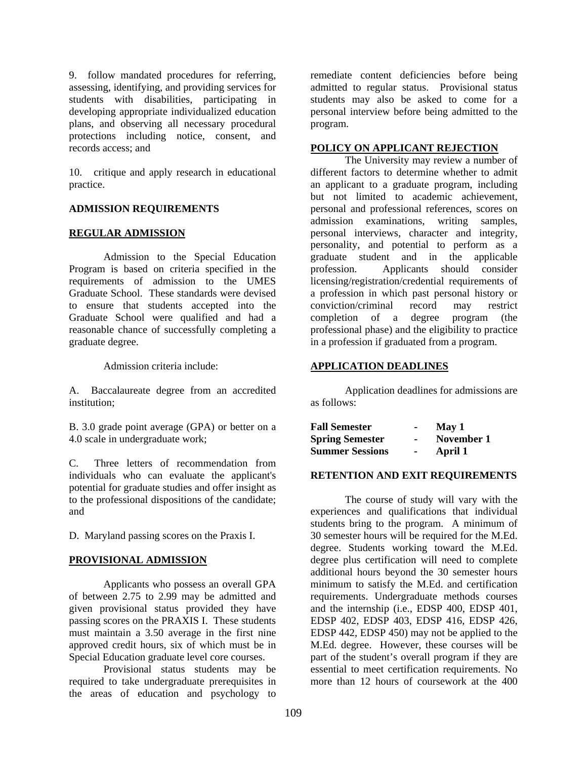9. follow mandated procedures for referring, assessing, identifying, and providing services for students with disabilities, participating in developing appropriate individualized education plans, and observing all necessary procedural protections including notice, consent, and records access; and

10. critique and apply research in educational practice.

#### **ADMISSION REQUIREMENTS**

#### **REGULAR ADMISSION**

Admission to the Special Education Program is based on criteria specified in the requirements of admission to the UMES Graduate School. These standards were devised to ensure that students accepted into the Graduate School were qualified and had a reasonable chance of successfully completing a graduate degree.

Admission criteria include:

A. Baccalaureate degree from an accredited institution;

B. 3.0 grade point average (GPA) or better on a 4.0 scale in undergraduate work;

C. Three letters of recommendation from individuals who can evaluate the applicant's potential for graduate studies and offer insight as to the professional dispositions of the candidate; and

D. Maryland passing scores on the Praxis I.

#### **PROVISIONAL ADMISSION**

Applicants who possess an overall GPA of between 2.75 to 2.99 may be admitted and given provisional status provided they have passing scores on the PRAXIS I. These students must maintain a 3.50 average in the first nine approved credit hours, six of which must be in Special Education graduate level core courses.

Provisional status students may be required to take undergraduate prerequisites in the areas of education and psychology to

remediate content deficiencies before being admitted to regular status. Provisional status students may also be asked to come for a personal interview before being admitted to the program.

#### **POLICY ON APPLICANT REJECTION**

 The University may review a number of different factors to determine whether to admit an applicant to a graduate program, including but not limited to academic achievement, personal and professional references, scores on admission examinations, writing samples, personal interviews, character and integrity, personality, and potential to perform as a graduate student and in the applicable profession. Applicants should consider licensing/registration/credential requirements of a profession in which past personal history or conviction/criminal record may restrict completion of a degree program (the professional phase) and the eligibility to practice in a profession if graduated from a program.

#### **APPLICATION DEADLINES**

Application deadlines for admissions are as follows:

| <b>Fall Semester</b>   |                | May 1      |
|------------------------|----------------|------------|
| <b>Spring Semester</b> |                | November 1 |
| <b>Summer Sessions</b> | $\blacksquare$ | April 1    |

#### **RETENTION AND EXIT REQUIREMENTS**

The course of study will vary with the experiences and qualifications that individual students bring to the program. A minimum of 30 semester hours will be required for the M.Ed. degree. Students working toward the M.Ed. degree plus certification will need to complete additional hours beyond the 30 semester hours minimum to satisfy the M.Ed. and certification requirements. Undergraduate methods courses and the internship (i.e., EDSP 400, EDSP 401, EDSP 402, EDSP 403, EDSP 416, EDSP 426, EDSP 442, EDSP 450) may not be applied to the M.Ed. degree. However, these courses will be part of the student's overall program if they are essential to meet certification requirements. No more than 12 hours of coursework at the 400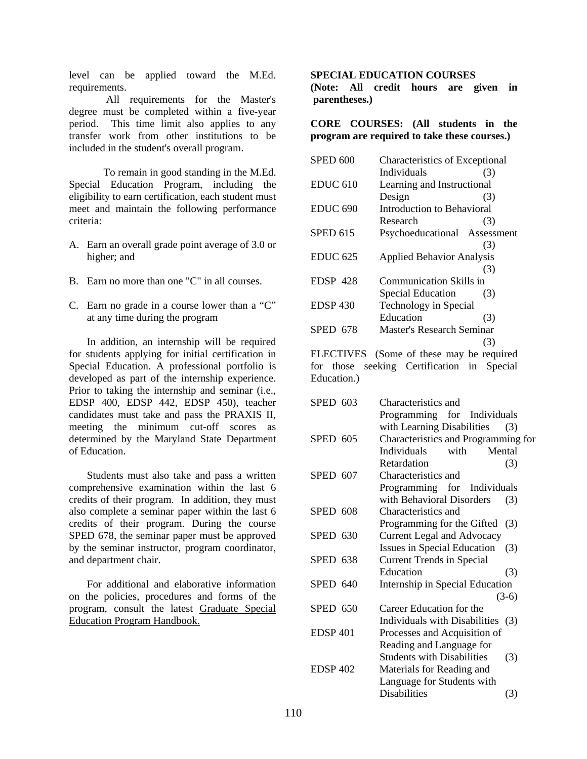level can be applied toward the M.Ed. requirements.

 All requirements for the Master's degree must be completed within a five-year period. This time limit also applies to any transfer work from other institutions to be included in the student's overall program.

To remain in good standing in the M.Ed. Special Education Program, including the eligibility to earn certification, each student must meet and maintain the following performance criteria:

- A. Earn an overall grade point average of 3.0 or higher; and
- B. Earn no more than one "C" in all courses.
- C. Earn no grade in a course lower than a "C" at any time during the program

In addition, an internship will be required for students applying for initial certification in Special Education. A professional portfolio is developed as part of the internship experience. Prior to taking the internship and seminar (i.e., EDSP 400, EDSP 442, EDSP 450), teacher candidates must take and pass the PRAXIS II, meeting the minimum cut-off scores as determined by the Maryland State Department of Education.

Students must also take and pass a written comprehensive examination within the last 6 credits of their program. In addition, they must also complete a seminar paper within the last 6 credits of their program. During the course SPED 678, the seminar paper must be approved by the seminar instructor, program coordinator, and department chair.

For additional and elaborative information on the policies, procedures and forms of the program, consult the latest Graduate Special Education Program Handbook.

#### **SPECIAL EDUCATION COURSES**

**(Note: All credit hours are given in parentheses.)** 

**CORE COURSES: (All students in the program are required to take these courses.)**

| <b>SPED 600</b>     | <b>Characteristics of Exceptional</b> |                            |  |
|---------------------|---------------------------------------|----------------------------|--|
|                     | Individuals                           | (3)                        |  |
| <b>EDUC 610</b>     | Learning and Instructional            |                            |  |
|                     | Design                                | (3)                        |  |
| EDUC <sub>690</sub> |                                       | Introduction to Behavioral |  |
|                     | Research                              | (3)                        |  |
| <b>SPED 615</b>     | Psychoeducational Assessment          |                            |  |
|                     |                                       | (3)                        |  |
| <b>EDUC 625</b>     | <b>Applied Behavior Analysis</b>      |                            |  |
|                     |                                       | (3)                        |  |
| EDSP 428            | Communication Skills in               |                            |  |
|                     | Special Education                     | (3)                        |  |
| <b>EDSP 430</b>     | Technology in Special                 |                            |  |
|                     | Education                             | (3)                        |  |
| SPED 678            | Master's Research Seminar             |                            |  |
|                     |                                       | (3)                        |  |
| EI ECTIVES          | Same of these may be required         |                            |  |

ELECTIVES (Some of these may be required for those seeking Certification in Special Education.)

| <b>SPED 603</b> | Characteristics and                      |
|-----------------|------------------------------------------|
|                 | Programming for Individuals              |
|                 | with Learning Disabilities<br>(3)        |
| <b>SPED 605</b> | Characteristics and Programming for      |
|                 | Mental<br>Individuals<br>with            |
|                 | Retardation<br>(3)                       |
| <b>SPED 607</b> | Characteristics and                      |
|                 | Programming for Individuals              |
|                 | with Behavioral Disorders<br>(3)         |
| SPED 608        | Characteristics and                      |
|                 | Programming for the Gifted<br>(3)        |
| SPED 630        | <b>Current Legal and Advocacy</b>        |
|                 | Issues in Special Education<br>(3)       |
| SPED 638        | <b>Current Trends in Special</b>         |
|                 | Education<br>(3)                         |
| SPED 640        | Internship in Special Education          |
|                 | $(3-6)$                                  |
| <b>SPED 650</b> | Career Education for the                 |
|                 | Individuals with Disabilities (3)        |
| <b>EDSP 401</b> | Processes and Acquisition of             |
|                 | Reading and Language for                 |
|                 | <b>Students with Disabilities</b><br>(3) |
| <b>EDSP 402</b> | Materials for Reading and                |
|                 | Language for Students with               |
|                 | <b>Disabilities</b><br>(3)               |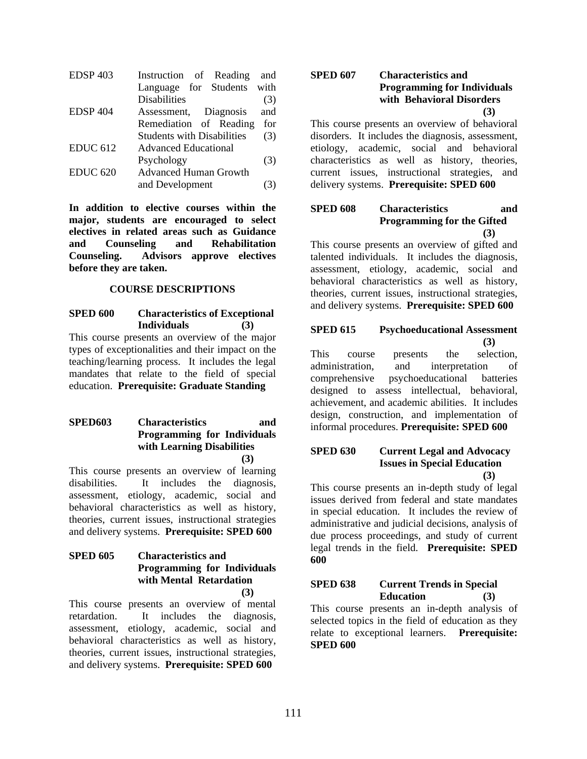| <b>EDSP 403</b> | Instruction of Reading            | and |
|-----------------|-----------------------------------|-----|
|                 | Language for Students with        |     |
|                 | <b>Disabilities</b>               | (3) |
| <b>EDSP 404</b> | Assessment, Diagnosis             | and |
|                 | Remediation of Reading            | for |
|                 | <b>Students with Disabilities</b> | (3) |
| <b>EDUC 612</b> | <b>Advanced Educational</b>       |     |
|                 | Psychology                        | (3) |
| <b>EDUC 620</b> | <b>Advanced Human Growth</b>      |     |
|                 | and Development                   |     |

**In addition to elective courses within the major, students are encouraged to select electives in related areas such as Guidance and Counseling and Rehabilitation Counseling. Advisors approve electives before they are taken.** 

#### **COURSE DESCRIPTIONS**

**SPED 600 Characteristics of Exceptional Individuals (3)**  This course presents an overview of the major types of exceptionalities and their impact on the teaching/learning process. It includes the legal mandates that relate to the field of special education. **Prerequisite: Graduate Standing**

#### **SPED603 Characteristics and Programming for Individuals with Learning Disabilities (3)**

This course presents an overview of learning disabilities. It includes the diagnosis, assessment, etiology, academic, social and behavioral characteristics as well as history, theories, current issues, instructional strategies and delivery systems. **Prerequisite: SPED 600**

## **SPED 605 Characteristics and Programming for Individuals with Mental Retardation (3)**

This course presents an overview of mental retardation. It includes the diagnosis, assessment, etiology, academic, social and behavioral characteristics as well as history, theories, current issues, instructional strategies, and delivery systems. **Prerequisite: SPED 600**

#### **SPED 607 Characteristics and Programming for Individuals with Behavioral Disorders (3)**

This course presents an overview of behavioral disorders. It includes the diagnosis, assessment, etiology, academic, social and behavioral characteristics as well as history, theories, current issues, instructional strategies, and delivery systems. **Prerequisite: SPED 600** 

## **SPED 608 Characteristics and Programming for the Gifted (3)**

This course presents an overview of gifted and talented individuals. It includes the diagnosis, assessment, etiology, academic, social and behavioral characteristics as well as history, theories, current issues, instructional strategies, and delivery systems. **Prerequisite: SPED 600** 

#### **SPED 615 Psychoeducational Assessment (3)**

This course presents the selection, administration, and interpretation of comprehensive psychoeducational batteries designed to assess intellectual, behavioral, achievement, and academic abilities. It includes design, construction, and implementation of informal procedures. **Prerequisite: SPED 600**

#### **SPED 630 Current Legal and Advocacy Issues in Special Education (3)**

This course presents an in-depth study of legal issues derived from federal and state mandates in special education. It includes the review of administrative and judicial decisions, analysis of due process proceedings, and study of current legal trends in the field. **Prerequisite: SPED 600** 

#### **SPED 638 Current Trends in Special Education (3)**

This course presents an in-depth analysis of selected topics in the field of education as they relate to exceptional learners. **Prerequisite: SPED 600**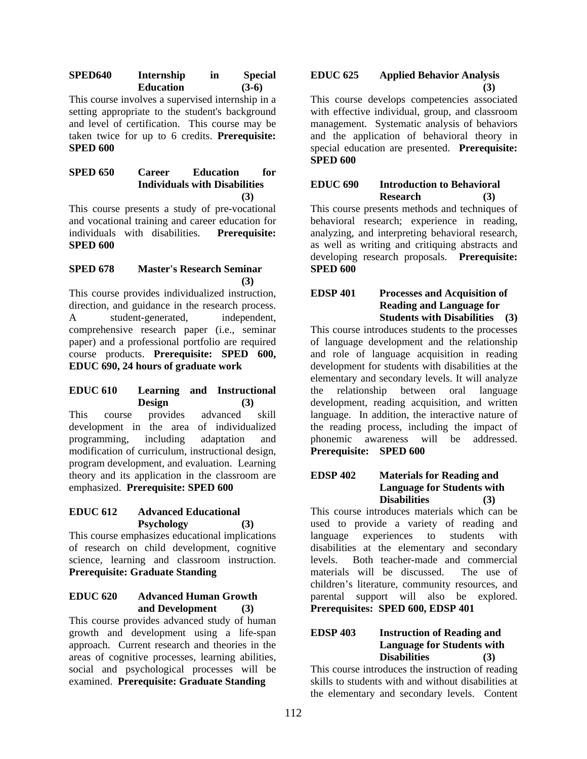**SPED640 Internship in Special Education (3-6)** 

This course involves a supervised internship in a setting appropriate to the student's background and level of certification. This course may be taken twice for up to 6 credits. **Prerequisite: SPED 600** 

## **SPED 650 Career Education for Individuals with Disabilities (3)**

This course presents a study of pre-vocational and vocational training and career education for individuals with disabilities. **Prerequisite: SPED 600** 

# **SPED 678 Master's Research Seminar (3)**

This course provides individualized instruction, direction, and guidance in the research process. A student-generated, independent, comprehensive research paper (i.e., seminar paper) and a professional portfolio are required course products. **Prerequisite: SPED 600, EDUC 690, 24 hours of graduate work** 

#### **EDUC 610 Learning and Instructional Design (3)**

This course provides advanced skill development in the area of individualized programming, including adaptation and modification of curriculum, instructional design, program development, and evaluation. Learning theory and its application in the classroom are emphasized. **Prerequisite: SPED 600** 

## **EDUC 612 Advanced Educational Psychology (3)**

This course emphasizes educational implications of research on child development, cognitive science, learning and classroom instruction. **Prerequisite: Graduate Standing** 

## **EDUC 620 Advanced Human Growth and Development (3)**

This course provides advanced study of human growth and development using a life-span approach. Current research and theories in the areas of cognitive processes, learning abilities, social and psychological processes will be examined. **Prerequisite: Graduate Standing** 

# **EDUC 625 Applied Behavior Analysis (3)**

This course develops competencies associated with effective individual, group, and classroom management. Systematic analysis of behaviors and the application of behavioral theory in special education are presented. **Prerequisite: SPED 600** 

## **EDUC 690 Introduction to Behavioral Research (3)**

This course presents methods and techniques of behavioral research; experience in reading, analyzing, and interpreting behavioral research, as well as writing and critiquing abstracts and developing research proposals. **Prerequisite: SPED 600** 

#### **EDSP 401 Processes and Acquisition of Reading and Language for Students with Disabilities (3)**

This course introduces students to the processes of language development and the relationship and role of language acquisition in reading development for students with disabilities at the elementary and secondary levels. It will analyze the relationship between oral language development, reading acquisition, and written language. In addition, the interactive nature of the reading process, including the impact of phonemic awareness will be addressed. **Prerequisite: SPED 600** 

## **EDSP 402 Materials for Reading and Language for Students with Disabilities (3)**

This course introduces materials which can be used to provide a variety of reading and language experiences to students with disabilities at the elementary and secondary levels. Both teacher-made and commercial materials will be discussed. The use of children's literature, community resources, and parental support will also be explored. **Prerequisites: SPED 600, EDSP 401** 

## **EDSP 403 Instruction of Reading and Language for Students with Disabilities (3)**

This course introduces the instruction of reading skills to students with and without disabilities at the elementary and secondary levels. Content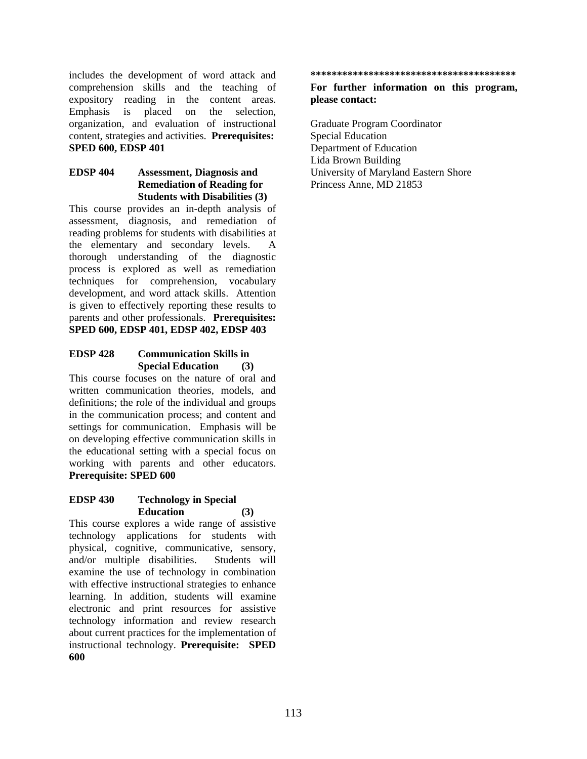includes the development of word attack and comprehension skills and the teaching of expository reading in the content areas. Emphasis is placed on the selection, organization, and evaluation of instructional content, strategies and activities. **Prerequisites: SPED 600, EDSP 401** 

## **EDSP 404 Assessment, Diagnosis and Remediation of Reading for Students with Disabilities (3)**

This course provides an in-depth analysis of assessment, diagnosis, and remediation of reading problems for students with disabilities at the elementary and secondary levels. A thorough understanding of the diagnostic process is explored as well as remediation techniques for comprehension, vocabulary development, and word attack skills. Attention is given to effectively reporting these results to parents and other professionals. **Prerequisites: SPED 600, EDSP 401, EDSP 402, EDSP 403** 

#### **EDSP 428 Communication Skills in Special Education (3)**

This course focuses on the nature of oral and written communication theories, models, and definitions; the role of the individual and groups in the communication process; and content and settings for communication. Emphasis will be on developing effective communication skills in the educational setting with a special focus on working with parents and other educators. **Prerequisite: SPED 600** 

#### **EDSP 430 Technology in Special Education (3)**

This course explores a wide range of assistive technology applications for students with physical, cognitive, communicative, sensory, and/or multiple disabilities. Students will examine the use of technology in combination with effective instructional strategies to enhance learning. In addition, students will examine electronic and print resources for assistive technology information and review research about current practices for the implementation of instructional technology. **Prerequisite: SPED 600** 

**\*\*\*\*\*\*\*\*\*\*\*\*\*\*\*\*\*\*\*\*\*\*\*\*\*\*\*\*\*\*\*\*\*\*\*\*\*\*\*** 

#### **For further information on this program, please contact:**

Graduate Program Coordinator Special Education Department of Education Lida Brown Building University of Maryland Eastern Shore Princess Anne, MD 21853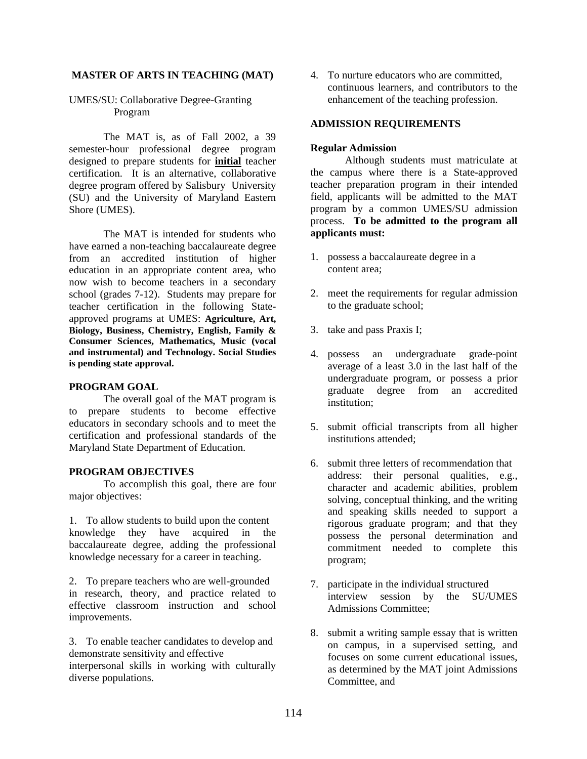#### **MASTER OF ARTS IN TEACHING (MAT)**

#### UMES/SU: Collaborative Degree-Granting Program

The MAT is, as of Fall 2002, a 39 semester-hour professional degree program designed to prepare students for **initial** teacher certification. It is an alternative, collaborative degree program offered by Salisbury University (SU) and the University of Maryland Eastern Shore (UMES).

 The MAT is intended for students who have earned a non-teaching baccalaureate degree from an accredited institution of higher education in an appropriate content area, who now wish to become teachers in a secondary school (grades 7-12). Students may prepare for teacher certification in the following Stateapproved programs at UMES: **Agriculture, Art, Biology, Business, Chemistry, English, Family & Consumer Sciences, Mathematics, Music (vocal and instrumental) and Technology. Social Studies is pending state approval.** 

#### **PROGRAM GOAL**

The overall goal of the MAT program is to prepare students to become effective educators in secondary schools and to meet the certification and professional standards of the Maryland State Department of Education.

#### **PROGRAM OBJECTIVES**

To accomplish this goal, there are four major objectives:

1. To allow students to build upon the content knowledge they have acquired in the baccalaureate degree, adding the professional knowledge necessary for a career in teaching.

2. To prepare teachers who are well-grounded in research, theory, and practice related to effective classroom instruction and school improvements.

3. To enable teacher candidates to develop and demonstrate sensitivity and effective interpersonal skills in working with culturally diverse populations.

4. To nurture educators who are committed, continuous learners, and contributors to the enhancement of the teaching profession.

#### **ADMISSION REQUIREMENTS**

#### **Regular Admission**

 Although students must matriculate at the campus where there is a State-approved teacher preparation program in their intended field, applicants will be admitted to the MAT program by a common UMES/SU admission process. **To be admitted to the program all applicants must:**

- 1. possess a baccalaureate degree in a content area;
- 2. meet the requirements for regular admission to the graduate school;
- 3. take and pass Praxis I;
- 4. possess an undergraduate grade-point average of a least 3.0 in the last half of the undergraduate program, or possess a prior graduate degree from an accredited institution;
- 5. submit official transcripts from all higher institutions attended;
- 6. submit three letters of recommendation that address: their personal qualities, e.g., character and academic abilities, problem solving, conceptual thinking, and the writing and speaking skills needed to support a rigorous graduate program; and that they possess the personal determination and commitment needed to complete this program;
- 7. participate in the individual structured interview session by the SU/UMES Admissions Committee;
- 8. submit a writing sample essay that is written on campus, in a supervised setting, and focuses on some current educational issues, as determined by the MAT joint Admissions Committee, and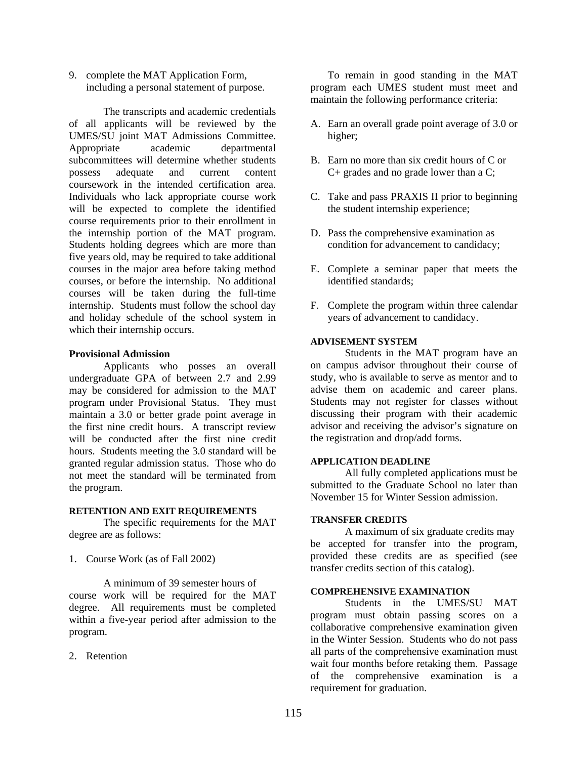9. complete the MAT Application Form, including a personal statement of purpose.

The transcripts and academic credentials of all applicants will be reviewed by the UMES/SU joint MAT Admissions Committee. Appropriate academic departmental subcommittees will determine whether students possess adequate and current content coursework in the intended certification area. Individuals who lack appropriate course work will be expected to complete the identified course requirements prior to their enrollment in the internship portion of the MAT program. Students holding degrees which are more than five years old, may be required to take additional courses in the major area before taking method courses, or before the internship. No additional courses will be taken during the full-time internship. Students must follow the school day and holiday schedule of the school system in which their internship occurs.

#### **Provisional Admission**

Applicants who posses an overall undergraduate GPA of between 2.7 and 2.99 may be considered for admission to the MAT program under Provisional Status. They must maintain a 3.0 or better grade point average in the first nine credit hours. A transcript review will be conducted after the first nine credit hours. Students meeting the 3.0 standard will be granted regular admission status. Those who do not meet the standard will be terminated from the program.

#### **RETENTION AND EXIT REQUIREMENTS**

 The specific requirements for the MAT degree are as follows:

1. Course Work (as of Fall 2002)

A minimum of 39 semester hours of course work will be required for the MAT degree. All requirements must be completed within a five-year period after admission to the program.

2. Retention

To remain in good standing in the MAT program each UMES student must meet and maintain the following performance criteria:

- A. Earn an overall grade point average of 3.0 or higher;
- B. Earn no more than six credit hours of C or C+ grades and no grade lower than a C;
- C. Take and pass PRAXIS II prior to beginning the student internship experience;
- D. Pass the comprehensive examination as condition for advancement to candidacy;
- E. Complete a seminar paper that meets the identified standards;
- F. Complete the program within three calendar years of advancement to candidacy.

#### **ADVISEMENT SYSTEM**

Students in the MAT program have an on campus advisor throughout their course of study, who is available to serve as mentor and to advise them on academic and career plans. Students may not register for classes without discussing their program with their academic advisor and receiving the advisor's signature on the registration and drop/add forms.

#### **APPLICATION DEADLINE**

All fully completed applications must be submitted to the Graduate School no later than November 15 for Winter Session admission.

#### **TRANSFER CREDITS**

 A maximum of six graduate credits may be accepted for transfer into the program, provided these credits are as specified (see transfer credits section of this catalog).

#### **COMPREHENSIVE EXAMINATION**

Students in the UMES/SU MAT program must obtain passing scores on a collaborative comprehensive examination given in the Winter Session. Students who do not pass all parts of the comprehensive examination must wait four months before retaking them. Passage of the comprehensive examination is a requirement for graduation.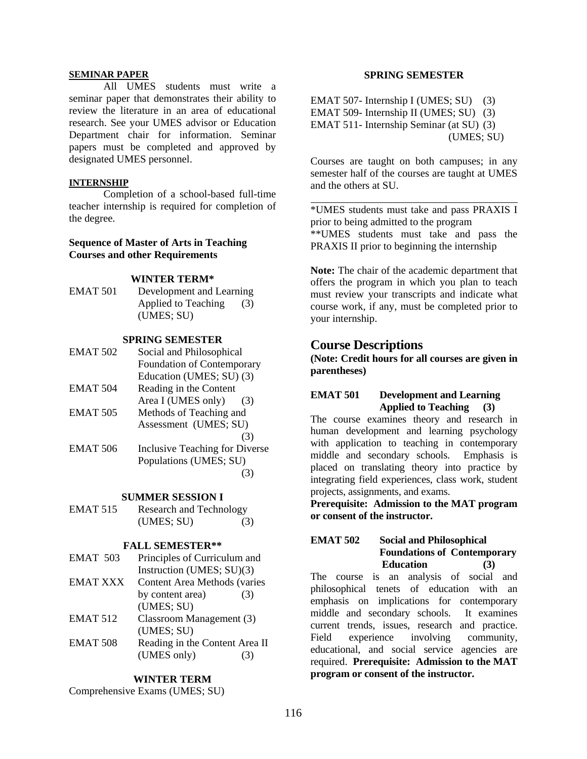#### **SEMINAR PAPER**

All UMES students must write a seminar paper that demonstrates their ability to review the literature in an area of educational research. See your UMES advisor or Education Department chair for information. Seminar papers must be completed and approved by designated UMES personnel.

#### **INTERNSHIP**

Completion of a school-based full-time teacher internship is required for completion of the degree.

#### **Sequence of Master of Arts in Teaching Courses and other Requirements**

#### **WINTER TERM\***

EMAT 501 Development and Learning Applied to Teaching (3) (UMES; SU)

#### **SPRING SEMESTER**

| <b>EMAT 502</b> | Social and Philosophical       |
|-----------------|--------------------------------|
|                 | Foundation of Contemporary     |
|                 | Education (UMES; SU) (3)       |
| EMAT 504        | Reading in the Content         |
|                 | Area I (UMES only)<br>(3)      |
| <b>EMAT 505</b> | Methods of Teaching and        |
|                 | Assessment (UMES; SU)          |
|                 | (3)                            |
| EMAT 506        | Inclusive Teaching for Diverse |
|                 | Populations (UMES; SU)         |
|                 |                                |

#### **SUMMER SESSION I**

| EMAT 515 | Research and Technology |     |  |
|----------|-------------------------|-----|--|
|          | (UMES; SU)              | (3) |  |

#### **FALL SEMESTER\*\***

- EMAT 503 Principles of Curriculum and Instruction (UMES; SU)(3)
- EMAT XXX Content Area Methods (varies by content area) (3) (UMES; SU)
- EMAT 512 Classroom Management (3) (UMES; SU) EMAT 508 Reading in the Content Area II

 $(UMES only)$  (3)

#### **WINTER TERM**

Comprehensive Exams (UMES; SU)

#### **SPRING SEMESTER**

EMAT 507- Internship I (UMES; SU) (3) EMAT 509- Internship II (UMES; SU) (3) EMAT 511- Internship Seminar (at SU) (3) (UMES; SU)

Courses are taught on both campuses; in any semester half of the courses are taught at UMES and the others at SU.

\*UMES students must take and pass PRAXIS I prior to being admitted to the program \*\*UMES students must take and pass the PRAXIS II prior to beginning the internship

**Note:** The chair of the academic department that offers the program in which you plan to teach must review your transcripts and indicate what course work, if any, must be completed prior to your internship.

## **Course Descriptions**

**(Note: Credit hours for all courses are given in parentheses)** 

## **EMAT 501 Development and Learning Applied to Teaching (3)**

The course examines theory and research in human development and learning psychology with application to teaching in contemporary middle and secondary schools. Emphasis is placed on translating theory into practice by integrating field experiences, class work, student projects, assignments, and exams.

**Prerequisite: Admission to the MAT program or consent of the instructor.**

#### **EMAT 502 Social and Philosophical Foundations of Contemporary Education (3)**

The course is an analysis of social and philosophical tenets of education with an emphasis on implications for contemporary middle and secondary schools. It examines current trends, issues, research and practice. Field experience involving community, educational, and social service agencies are required. **Prerequisite: Admission to the MAT program or consent of the instructor.**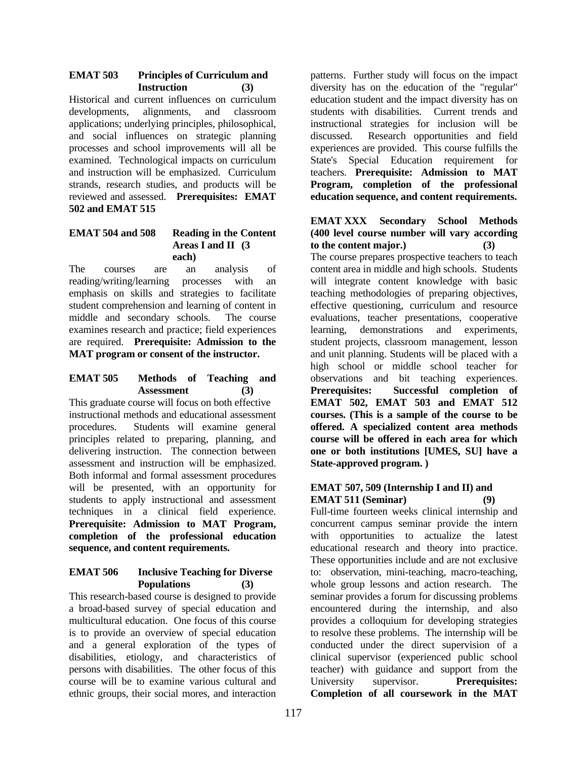#### **EMAT 503 Principles of Curriculum and Instruction (3)**

Historical and current influences on curriculum developments, alignments, and classroom applications; underlying principles, philosophical, and social influences on strategic planning processes and school improvements will all be examined. Technological impacts on curriculum and instruction will be emphasized. Curriculum strands, research studies, and products will be reviewed and assessed. **Prerequisites: EMAT 502 and EMAT 515**

# **EMAT 504 and 508 Reading in the Content Areas I and II (3 each)**

The courses are an analysis of reading/writing/learning processes with an emphasis on skills and strategies to facilitate student comprehension and learning of content in middle and secondary schools. The course examines research and practice; field experiences are required. **Prerequisite: Admission to the MAT program or consent of the instructor.**

## **EMAT 505 Methods of Teaching and Assessment (3)**

This graduate course will focus on both effective instructional methods and educational assessment procedures. Students will examine general principles related to preparing, planning, and delivering instruction. The connection between assessment and instruction will be emphasized. Both informal and formal assessment procedures will be presented, with an opportunity for students to apply instructional and assessment techniques in a clinical field experience. **Prerequisite: Admission to MAT Program, completion of the professional education sequence, and content requirements.** 

## **EMAT 506 Inclusive Teaching for Diverse Populations (3)**

This research-based course is designed to provide a broad-based survey of special education and multicultural education. One focus of this course is to provide an overview of special education and a general exploration of the types of disabilities, etiology, and characteristics of persons with disabilities. The other focus of this course will be to examine various cultural and ethnic groups, their social mores, and interaction

patterns. Further study will focus on the impact diversity has on the education of the "regular" education student and the impact diversity has on students with disabilities. Current trends and instructional strategies for inclusion will be discussed. Research opportunities and field experiences are provided. This course fulfills the State's Special Education requirement for teachers. **Prerequisite: Admission to MAT Program, completion of the professional education sequence, and content requirements.**

## **EMAT XXX Secondary School Methods (400 level course number will vary according to the content major.) (3)**

The course prepares prospective teachers to teach content area in middle and high schools. Students will integrate content knowledge with basic teaching methodologies of preparing objectives, effective questioning, curriculum and resource evaluations, teacher presentations, cooperative learning, demonstrations and experiments, student projects, classroom management, lesson and unit planning. Students will be placed with a high school or middle school teacher for observations and bit teaching experiences. **Prerequisites: Successful completion of EMAT 502, EMAT 503 and EMAT 512 courses. (This is a sample of the course to be offered. A specialized content area methods course will be offered in each area for which one or both institutions [UMES, SU] have a State-approved program. )** 

## **EMAT 507, 509 (Internship I and II) and EMAT 511 (Seminar) (9)**

Full-time fourteen weeks clinical internship and concurrent campus seminar provide the intern with opportunities to actualize the latest educational research and theory into practice. These opportunities include and are not exclusive to: observation, mini-teaching, macro-teaching, whole group lessons and action research. The seminar provides a forum for discussing problems encountered during the internship, and also provides a colloquium for developing strategies to resolve these problems. The internship will be conducted under the direct supervision of a clinical supervisor (experienced public school teacher) with guidance and support from the University supervisor. **Prerequisites: Completion of all coursework in the MAT**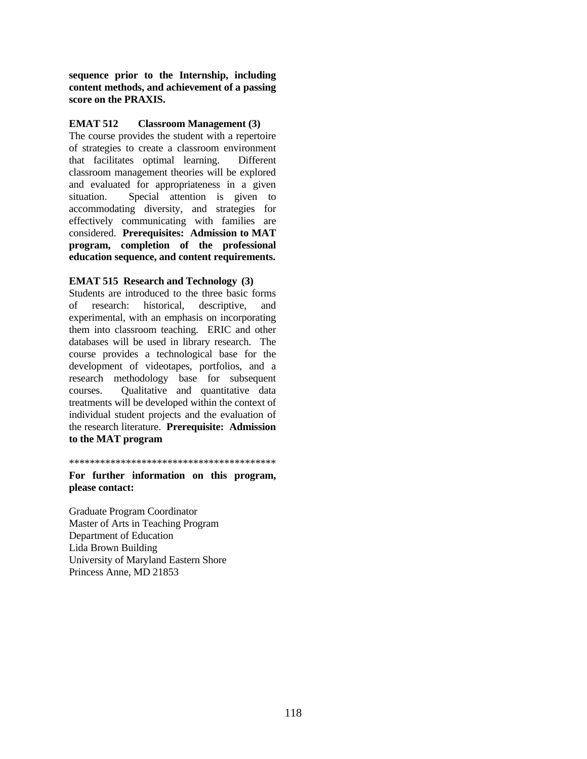**sequence prior to the Internship, including content methods, and achievement of a passing score on the PRAXIS.**

#### **EMAT 512 Classroom Management (3)**

The course provides the student with a repertoire of strategies to create a classroom environment that facilitates optimal learning. Different classroom management theories will be explored and evaluated for appropriateness in a given situation. Special attention is given to accommodating diversity, and strategies for effectively communicating with families are considered. **Prerequisites: Admission to MAT program, completion of the professional education sequence, and content requirements.** 

#### **EMAT 515 Research and Technology (3)**

Students are introduced to the three basic forms of research: historical, descriptive, and experimental, with an emphasis on incorporating them into classroom teaching. ERIC and other databases will be used in library research. The course provides a technological base for the development of videotapes, portfolios, and a research methodology base for subsequent courses. Qualitative and quantitative data treatments will be developed within the context of individual student projects and the evaluation of the research literature. **Prerequisite: Admission to the MAT program**

\*\*\*\*\*\*\*\*\*\*\*\*\*\*\*\*\*\*\*\*\*\*\*\*\*\*\*\*\*\*\*\*\*\*\*\*\*\*\*\*

**For further information on this program, please contact:** 

Graduate Program Coordinator Master of Arts in Teaching Program Department of Education Lida Brown Building University of Maryland Eastern Shore Princess Anne, MD 21853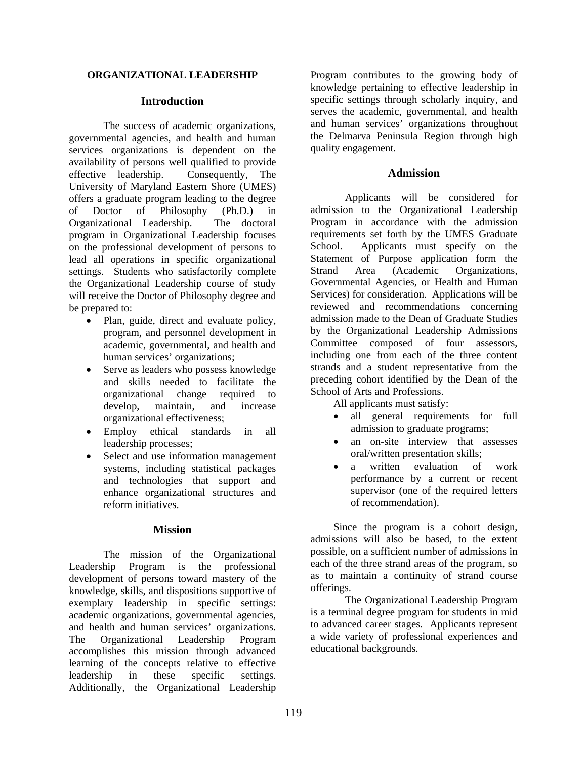#### **ORGANIZATIONAL LEADERSHIP**

#### **Introduction**

 The success of academic organizations, governmental agencies, and health and human services organizations is dependent on the availability of persons well qualified to provide effective leadership. Consequently, The University of Maryland Eastern Shore (UMES) offers a graduate program leading to the degree of Doctor of Philosophy (Ph.D.) in Organizational Leadership. The doctoral program in Organizational Leadership focuses on the professional development of persons to lead all operations in specific organizational settings. Students who satisfactorily complete the Organizational Leadership course of study will receive the Doctor of Philosophy degree and be prepared to:

- Plan, guide, direct and evaluate policy, program, and personnel development in academic, governmental, and health and human services' organizations;
- Serve as leaders who possess knowledge and skills needed to facilitate the organizational change required to develop, maintain, and increase organizational effectiveness;
- Employ ethical standards in all leadership processes;
- Select and use information management systems, including statistical packages and technologies that support and enhance organizational structures and reform initiatives.

#### **Mission**

The mission of the Organizational Leadership Program is the professional development of persons toward mastery of the knowledge, skills, and dispositions supportive of exemplary leadership in specific settings: academic organizations, governmental agencies, and health and human services' organizations. The Organizational Leadership Program accomplishes this mission through advanced learning of the concepts relative to effective leadership in these specific settings. Additionally, the Organizational Leadership

Program contributes to the growing body of knowledge pertaining to effective leadership in specific settings through scholarly inquiry, and serves the academic, governmental, and health and human services' organizations throughout the Delmarva Peninsula Region through high quality engagement.

#### **Admission**

 Applicants will be considered for admission to the Organizational Leadership Program in accordance with the admission requirements set forth by the UMES Graduate School. Applicants must specify on the Statement of Purpose application form the Strand Area (Academic Organizations, Governmental Agencies, or Health and Human Services) for consideration. Applications will be reviewed and recommendations concerning admission made to the Dean of Graduate Studies by the Organizational Leadership Admissions Committee composed of four assessors, including one from each of the three content strands and a student representative from the preceding cohort identified by the Dean of the School of Arts and Professions.

All applicants must satisfy:

- all general requirements for full admission to graduate programs;
- an on-site interview that assesses oral/written presentation skills;
- a written evaluation of work performance by a current or recent supervisor (one of the required letters of recommendation).

Since the program is a cohort design, admissions will also be based, to the extent possible, on a sufficient number of admissions in each of the three strand areas of the program, so as to maintain a continuity of strand course offerings.

The Organizational Leadership Program is a terminal degree program for students in mid to advanced career stages. Applicants represent a wide variety of professional experiences and educational backgrounds.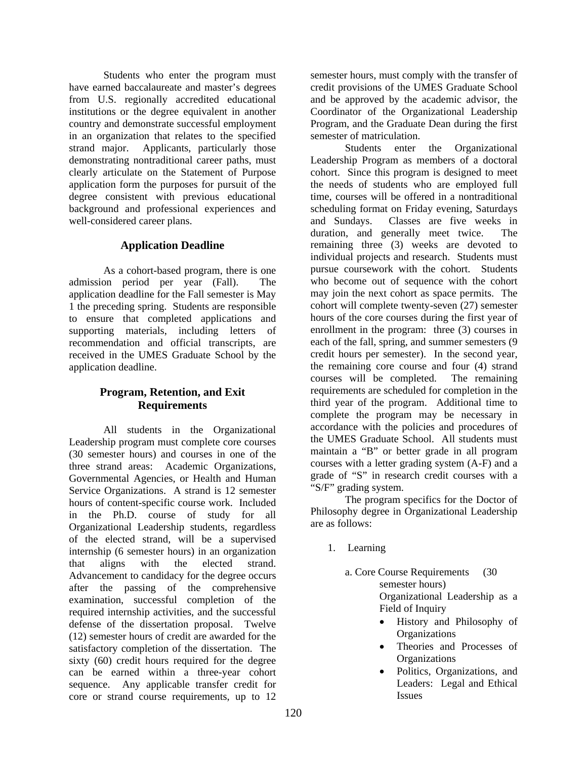Students who enter the program must have earned baccalaureate and master's degrees from U.S. regionally accredited educational institutions or the degree equivalent in another country and demonstrate successful employment in an organization that relates to the specified strand major. Applicants, particularly those demonstrating nontraditional career paths, must clearly articulate on the Statement of Purpose application form the purposes for pursuit of the degree consistent with previous educational background and professional experiences and well-considered career plans.

# **Application Deadline**

 As a cohort-based program, there is one admission period per year (Fall). The application deadline for the Fall semester is May 1 the preceding spring. Students are responsible to ensure that completed applications and supporting materials, including letters of recommendation and official transcripts, are received in the UMES Graduate School by the application deadline.

# **Program, Retention, and Exit Requirements**

 All students in the Organizational Leadership program must complete core courses (30 semester hours) and courses in one of the three strand areas: Academic Organizations, Governmental Agencies, or Health and Human Service Organizations. A strand is 12 semester hours of content-specific course work. Included in the Ph.D. course of study for all Organizational Leadership students, regardless of the elected strand, will be a supervised internship (6 semester hours) in an organization that aligns with the elected strand. Advancement to candidacy for the degree occurs after the passing of the comprehensive examination, successful completion of the required internship activities, and the successful defense of the dissertation proposal. Twelve (12) semester hours of credit are awarded for the satisfactory completion of the dissertation. The sixty (60) credit hours required for the degree can be earned within a three-year cohort sequence. Any applicable transfer credit for core or strand course requirements, up to 12

semester hours, must comply with the transfer of credit provisions of the UMES Graduate School and be approved by the academic advisor, the Coordinator of the Organizational Leadership Program, and the Graduate Dean during the first semester of matriculation.

Students enter the Organizational Leadership Program as members of a doctoral cohort. Since this program is designed to meet the needs of students who are employed full time, courses will be offered in a nontraditional scheduling format on Friday evening, Saturdays and Sundays. Classes are five weeks in duration, and generally meet twice. The remaining three (3) weeks are devoted to individual projects and research. Students must pursue coursework with the cohort. Students who become out of sequence with the cohort may join the next cohort as space permits. The cohort will complete twenty-seven (27) semester hours of the core courses during the first year of enrollment in the program: three (3) courses in each of the fall, spring, and summer semesters (9 credit hours per semester). In the second year, the remaining core course and four (4) strand courses will be completed. The remaining requirements are scheduled for completion in the third year of the program. Additional time to complete the program may be necessary in accordance with the policies and procedures of the UMES Graduate School. All students must maintain a "B" or better grade in all program courses with a letter grading system (A-F) and a grade of "S" in research credit courses with a "S/F" grading system.

 The program specifics for the Doctor of Philosophy degree in Organizational Leadership are as follows:

- 1. Learning
	- a. Core Course Requirements (30 semester hours) Organizational Leadership as a Field of Inquiry
		- History and Philosophy of **Organizations**
		- Theories and Processes of **Organizations**
		- Politics, Organizations, and Leaders: Legal and Ethical Issues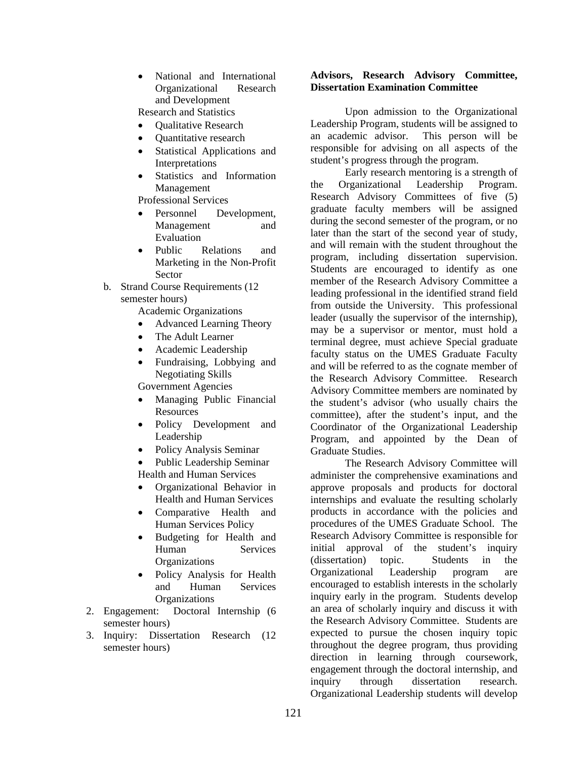• National and International Organizational Research and Development

Research and Statistics

- Qualitative Research
- Quantitative research
- Statistical Applications and Interpretations
- Statistics and Information Management

Professional Services

- Personnel Development, Management and Evaluation
- Public Relations and Marketing in the Non-Profit Sector
- b. Strand Course Requirements (12 semester hours)

Academic Organizations

- Advanced Learning Theory
- The Adult Learner
- Academic Leadership
- Fundraising, Lobbying and Negotiating Skills

Government Agencies

- Managing Public Financial **Resources**
- Policy Development and Leadership
- Policy Analysis Seminar
- Public Leadership Seminar Health and Human Services
- Organizational Behavior in Health and Human Services
- Comparative Health and Human Services Policy
- Budgeting for Health and Human Services **Organizations**
- Policy Analysis for Health and Human Services **Organizations**
- 2. Engagement: Doctoral Internship (6 semester hours)
- 3. Inquiry: Dissertation Research (12 semester hours)

#### **Advisors, Research Advisory Committee, Dissertation Examination Committee**

 Upon admission to the Organizational Leadership Program, students will be assigned to an academic advisor. This person will be responsible for advising on all aspects of the student's progress through the program.

Early research mentoring is a strength of the Organizational Leadership Program. Research Advisory Committees of five (5) graduate faculty members will be assigned during the second semester of the program, or no later than the start of the second year of study, and will remain with the student throughout the program, including dissertation supervision. Students are encouraged to identify as one member of the Research Advisory Committee a leading professional in the identified strand field from outside the University. This professional leader (usually the supervisor of the internship), may be a supervisor or mentor, must hold a terminal degree, must achieve Special graduate faculty status on the UMES Graduate Faculty and will be referred to as the cognate member of the Research Advisory Committee. Research Advisory Committee members are nominated by the student's advisor (who usually chairs the committee), after the student's input, and the Coordinator of the Organizational Leadership Program, and appointed by the Dean of Graduate Studies.

The Research Advisory Committee will administer the comprehensive examinations and approve proposals and products for doctoral internships and evaluate the resulting scholarly products in accordance with the policies and procedures of the UMES Graduate School. The Research Advisory Committee is responsible for initial approval of the student's inquiry (dissertation) topic. Students in the Organizational Leadership program are encouraged to establish interests in the scholarly inquiry early in the program. Students develop an area of scholarly inquiry and discuss it with the Research Advisory Committee. Students are expected to pursue the chosen inquiry topic throughout the degree program, thus providing direction in learning through coursework, engagement through the doctoral internship, and inquiry through dissertation research. Organizational Leadership students will develop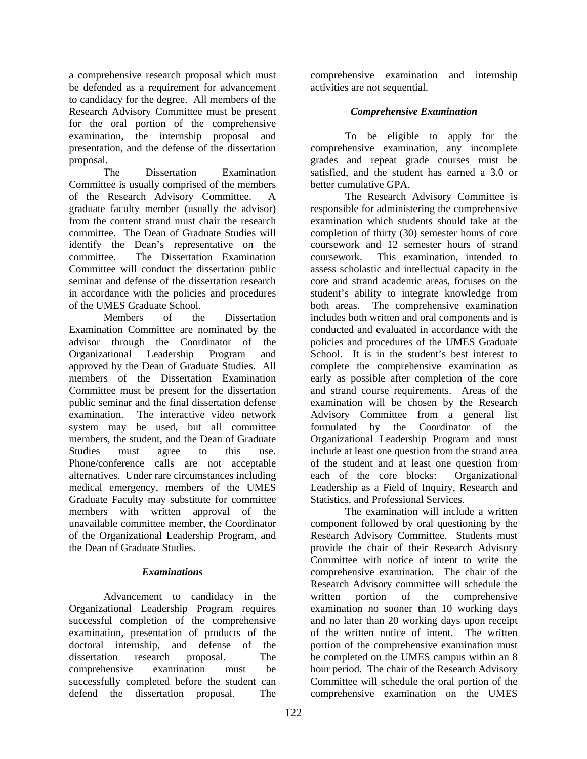a comprehensive research proposal which must be defended as a requirement for advancement to candidacy for the degree. All members of the Research Advisory Committee must be present for the oral portion of the comprehensive examination, the internship proposal and presentation, and the defense of the dissertation proposal.

The Dissertation Examination Committee is usually comprised of the members of the Research Advisory Committee. A graduate faculty member (usually the advisor) from the content strand must chair the research committee. The Dean of Graduate Studies will identify the Dean's representative on the committee. The Dissertation Examination Committee will conduct the dissertation public seminar and defense of the dissertation research in accordance with the policies and procedures of the UMES Graduate School.

Members of the Dissertation Examination Committee are nominated by the advisor through the Coordinator of the Organizational Leadership Program and approved by the Dean of Graduate Studies. All members of the Dissertation Examination Committee must be present for the dissertation public seminar and the final dissertation defense examination. The interactive video network system may be used, but all committee members, the student, and the Dean of Graduate Studies must agree to this use. Phone/conference calls are not acceptable alternatives. Under rare circumstances including medical emergency, members of the UMES Graduate Faculty may substitute for committee members with written approval of the unavailable committee member, the Coordinator of the Organizational Leadership Program, and the Dean of Graduate Studies.

## *Examinations*

 Advancement to candidacy in the Organizational Leadership Program requires successful completion of the comprehensive examination, presentation of products of the doctoral internship, and defense of the dissertation research proposal. The comprehensive examination must be successfully completed before the student can defend the dissertation proposal. The

comprehensive examination and internship activities are not sequential.

# *Comprehensive Examination*

 To be eligible to apply for the comprehensive examination, any incomplete grades and repeat grade courses must be satisfied, and the student has earned a 3.0 or better cumulative GPA.

 The Research Advisory Committee is responsible for administering the comprehensive examination which students should take at the completion of thirty (30) semester hours of core coursework and 12 semester hours of strand coursework. This examination, intended to assess scholastic and intellectual capacity in the core and strand academic areas, focuses on the student's ability to integrate knowledge from both areas. The comprehensive examination includes both written and oral components and is conducted and evaluated in accordance with the policies and procedures of the UMES Graduate School. It is in the student's best interest to complete the comprehensive examination as early as possible after completion of the core and strand course requirements. Areas of the examination will be chosen by the Research Advisory Committee from a general list formulated by the Coordinator of the Organizational Leadership Program and must include at least one question from the strand area of the student and at least one question from each of the core blocks: Organizational Leadership as a Field of Inquiry, Research and Statistics, and Professional Services.

 The examination will include a written component followed by oral questioning by the Research Advisory Committee. Students must provide the chair of their Research Advisory Committee with notice of intent to write the comprehensive examination. The chair of the Research Advisory committee will schedule the written portion of the comprehensive examination no sooner than 10 working days and no later than 20 working days upon receipt of the written notice of intent. The written portion of the comprehensive examination must be completed on the UMES campus within an 8 hour period. The chair of the Research Advisory Committee will schedule the oral portion of the comprehensive examination on the UMES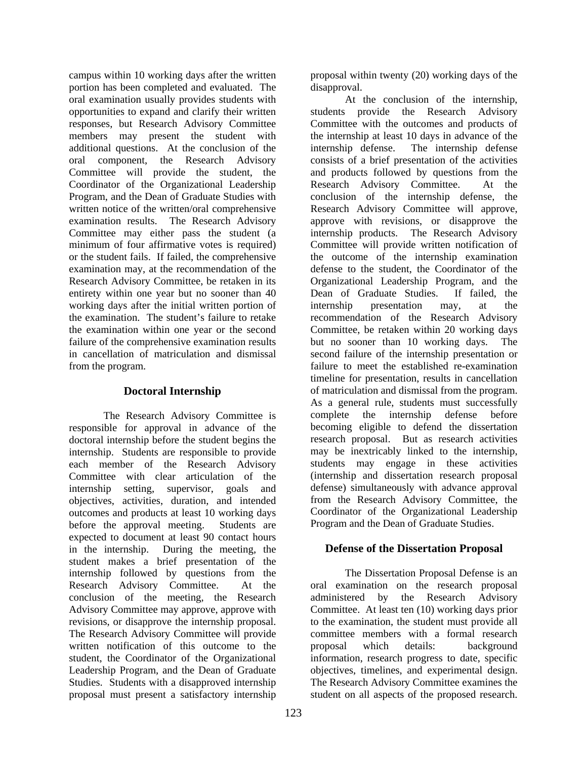campus within 10 working days after the written portion has been completed and evaluated. The oral examination usually provides students with opportunities to expand and clarify their written responses, but Research Advisory Committee members may present the student with additional questions. At the conclusion of the oral component, the Research Advisory Committee will provide the student, the Coordinator of the Organizational Leadership Program, and the Dean of Graduate Studies with written notice of the written/oral comprehensive examination results. The Research Advisory Committee may either pass the student (a minimum of four affirmative votes is required) or the student fails. If failed, the comprehensive examination may, at the recommendation of the Research Advisory Committee, be retaken in its entirety within one year but no sooner than 40 working days after the initial written portion of the examination. The student's failure to retake the examination within one year or the second failure of the comprehensive examination results in cancellation of matriculation and dismissal from the program.

## **Doctoral Internship**

 The Research Advisory Committee is responsible for approval in advance of the doctoral internship before the student begins the internship. Students are responsible to provide each member of the Research Advisory Committee with clear articulation of the internship setting, supervisor, goals and objectives, activities, duration, and intended outcomes and products at least 10 working days before the approval meeting. Students are expected to document at least 90 contact hours in the internship. During the meeting, the student makes a brief presentation of the internship followed by questions from the Research Advisory Committee. At the conclusion of the meeting, the Research Advisory Committee may approve, approve with revisions, or disapprove the internship proposal. The Research Advisory Committee will provide written notification of this outcome to the student, the Coordinator of the Organizational Leadership Program, and the Dean of Graduate Studies. Students with a disapproved internship proposal must present a satisfactory internship

proposal within twenty (20) working days of the disapproval.

At the conclusion of the internship, students provide the Research Advisory Committee with the outcomes and products of the internship at least 10 days in advance of the internship defense. The internship defense consists of a brief presentation of the activities and products followed by questions from the Research Advisory Committee. At the conclusion of the internship defense, the Research Advisory Committee will approve, approve with revisions, or disapprove the internship products. The Research Advisory Committee will provide written notification of the outcome of the internship examination defense to the student, the Coordinator of the Organizational Leadership Program, and the Dean of Graduate Studies. If failed, the internship presentation may, at the recommendation of the Research Advisory Committee, be retaken within 20 working days but no sooner than 10 working days. The second failure of the internship presentation or failure to meet the established re-examination timeline for presentation, results in cancellation of matriculation and dismissal from the program. As a general rule, students must successfully complete the internship defense before becoming eligible to defend the dissertation research proposal. But as research activities may be inextricably linked to the internship, students may engage in these activities (internship and dissertation research proposal defense) simultaneously with advance approval from the Research Advisory Committee, the Coordinator of the Organizational Leadership Program and the Dean of Graduate Studies.

# **Defense of the Dissertation Proposal**

 The Dissertation Proposal Defense is an oral examination on the research proposal administered by the Research Advisory Committee. At least ten (10) working days prior to the examination, the student must provide all committee members with a formal research proposal which details: background information, research progress to date, specific objectives, timelines, and experimental design. The Research Advisory Committee examines the student on all aspects of the proposed research.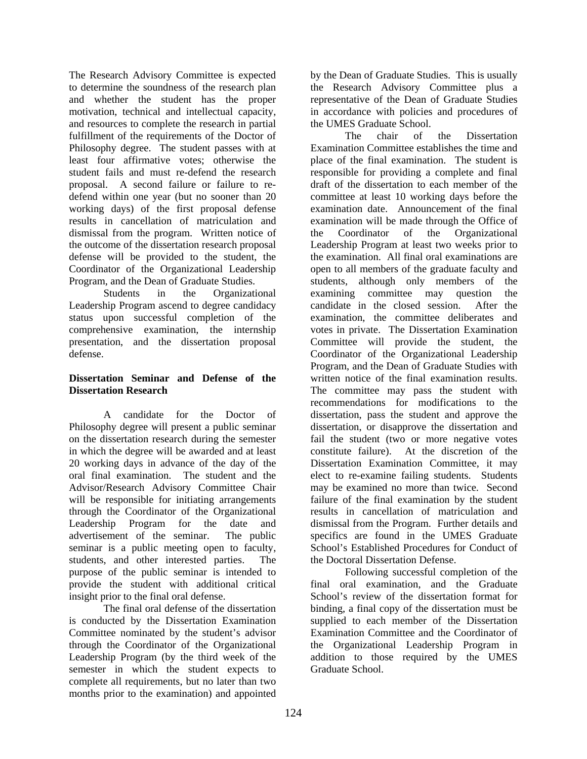The Research Advisory Committee is expected to determine the soundness of the research plan and whether the student has the proper motivation, technical and intellectual capacity, and resources to complete the research in partial fulfillment of the requirements of the Doctor of Philosophy degree. The student passes with at least four affirmative votes; otherwise the student fails and must re-defend the research proposal. A second failure or failure to redefend within one year (but no sooner than 20 working days) of the first proposal defense results in cancellation of matriculation and dismissal from the program. Written notice of the outcome of the dissertation research proposal defense will be provided to the student, the Coordinator of the Organizational Leadership Program, and the Dean of Graduate Studies.

 Students in the Organizational Leadership Program ascend to degree candidacy status upon successful completion of the comprehensive examination, the internship presentation, and the dissertation proposal defense.

## **Dissertation Seminar and Defense of the Dissertation Research**

 A candidate for the Doctor of Philosophy degree will present a public seminar on the dissertation research during the semester in which the degree will be awarded and at least 20 working days in advance of the day of the oral final examination. The student and the Advisor/Research Advisory Committee Chair will be responsible for initiating arrangements through the Coordinator of the Organizational Leadership Program for the date and advertisement of the seminar. The public seminar is a public meeting open to faculty, students, and other interested parties. The purpose of the public seminar is intended to provide the student with additional critical insight prior to the final oral defense.

 The final oral defense of the dissertation is conducted by the Dissertation Examination Committee nominated by the student's advisor through the Coordinator of the Organizational Leadership Program (by the third week of the semester in which the student expects to complete all requirements, but no later than two months prior to the examination) and appointed

by the Dean of Graduate Studies. This is usually the Research Advisory Committee plus a representative of the Dean of Graduate Studies in accordance with policies and procedures of the UMES Graduate School.

 The chair of the Dissertation Examination Committee establishes the time and place of the final examination. The student is responsible for providing a complete and final draft of the dissertation to each member of the committee at least 10 working days before the examination date. Announcement of the final examination will be made through the Office of the Coordinator of the Organizational Leadership Program at least two weeks prior to the examination. All final oral examinations are open to all members of the graduate faculty and students, although only members of the examining committee may question the candidate in the closed session. After the examination, the committee deliberates and votes in private. The Dissertation Examination Committee will provide the student, the Coordinator of the Organizational Leadership Program, and the Dean of Graduate Studies with written notice of the final examination results. The committee may pass the student with recommendations for modifications to the dissertation, pass the student and approve the dissertation, or disapprove the dissertation and fail the student (two or more negative votes constitute failure). At the discretion of the Dissertation Examination Committee, it may elect to re-examine failing students. Students may be examined no more than twice. Second failure of the final examination by the student results in cancellation of matriculation and dismissal from the Program. Further details and specifics are found in the UMES Graduate School's Established Procedures for Conduct of the Doctoral Dissertation Defense.

 Following successful completion of the final oral examination, and the Graduate School's review of the dissertation format for binding, a final copy of the dissertation must be supplied to each member of the Dissertation Examination Committee and the Coordinator of the Organizational Leadership Program in addition to those required by the UMES Graduate School.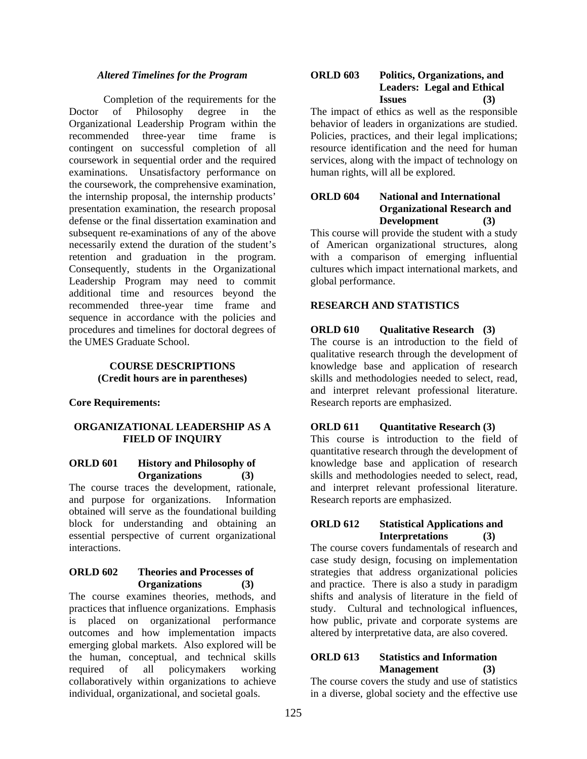#### *Altered Timelines for the Program*

 Completion of the requirements for the Doctor of Philosophy degree in the Organizational Leadership Program within the recommended three-year time frame is contingent on successful completion of all coursework in sequential order and the required examinations. Unsatisfactory performance on the coursework, the comprehensive examination, the internship proposal, the internship products' presentation examination, the research proposal defense or the final dissertation examination and subsequent re-examinations of any of the above necessarily extend the duration of the student's retention and graduation in the program. Consequently, students in the Organizational Leadership Program may need to commit additional time and resources beyond the recommended three-year time frame and sequence in accordance with the policies and procedures and timelines for doctoral degrees of the UMES Graduate School.

#### **COURSE DESCRIPTIONS (Credit hours are in parentheses)**

#### **Core Requirements:**

#### **ORGANIZATIONAL LEADERSHIP AS A FIELD OF INQUIRY**

#### **ORLD 601 History and Philosophy of Organizations (3)**

The course traces the development, rationale, and purpose for organizations. Information obtained will serve as the foundational building block for understanding and obtaining an essential perspective of current organizational interactions.

#### **ORLD 602 Theories and Processes of Organizations (3)**

The course examines theories, methods, and practices that influence organizations. Emphasis is placed on organizational performance outcomes and how implementation impacts emerging global markets. Also explored will be the human, conceptual, and technical skills required of all policymakers working collaboratively within organizations to achieve individual, organizational, and societal goals.

## **ORLD 603 Politics, Organizations, and Leaders: Legal and Ethical Issues (3)**

The impact of ethics as well as the responsible behavior of leaders in organizations are studied. Policies, practices, and their legal implications; resource identification and the need for human services, along with the impact of technology on human rights, will all be explored.

## **ORLD 604 National and International Organizational Research and Development (3)**

This course will provide the student with a study of American organizational structures, along with a comparison of emerging influential cultures which impact international markets, and global performance.

## **RESEARCH AND STATISTICS**

## **ORLD 610 Qualitative Research (3)**

The course is an introduction to the field of qualitative research through the development of knowledge base and application of research skills and methodologies needed to select, read, and interpret relevant professional literature. Research reports are emphasized.

#### **ORLD 611 Quantitative Research (3)**

This course is introduction to the field of quantitative research through the development of knowledge base and application of research skills and methodologies needed to select, read, and interpret relevant professional literature. Research reports are emphasized.

#### **ORLD 612 Statistical Applications and Interpretations (3)**

The course covers fundamentals of research and case study design, focusing on implementation strategies that address organizational policies and practice. There is also a study in paradigm shifts and analysis of literature in the field of study. Cultural and technological influences, how public, private and corporate systems are altered by interpretative data, are also covered.

## **ORLD 613 Statistics and Information Management (3)**

The course covers the study and use of statistics in a diverse, global society and the effective use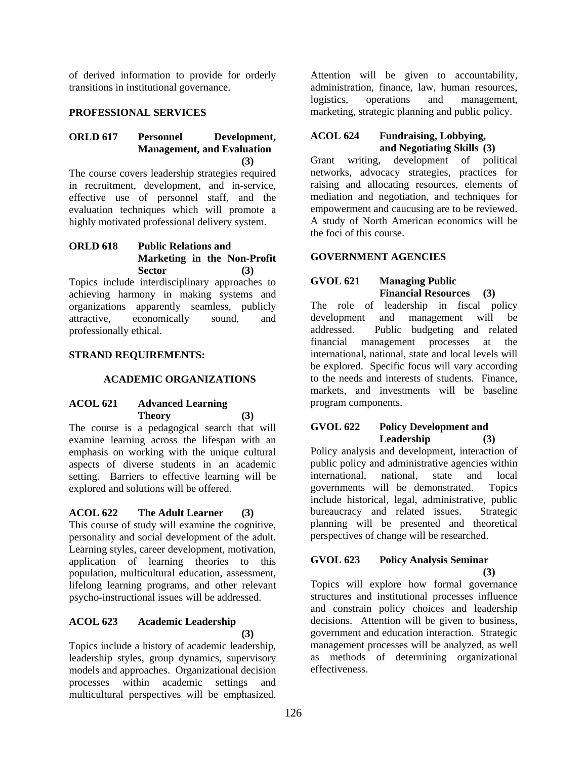of derived information to provide for orderly transitions in institutional governance.

## **PROFESSIONAL SERVICES**

#### **ORLD 617 Personnel Development, Management, and Evaluation (3)**

The course covers leadership strategies required in recruitment, development, and in-service, effective use of personnel staff, and the evaluation techniques which will promote a highly motivated professional delivery system.

#### **ORLD 618 Public Relations and Marketing in the Non-Profit Sector (3)**

Topics include interdisciplinary approaches to achieving harmony in making systems and organizations apparently seamless, publicly attractive, economically sound, and professionally ethical.

## **STRAND REQUIREMENTS:**

#### **ACADEMIC ORGANIZATIONS**

# **ACOL 621 Advanced Learning Theory (3)**

The course is a pedagogical search that will examine learning across the lifespan with an emphasis on working with the unique cultural aspects of diverse students in an academic setting. Barriers to effective learning will be explored and solutions will be offered.

## **ACOL 622 The Adult Learner (3)**

This course of study will examine the cognitive, personality and social development of the adult. Learning styles, career development, motivation, application of learning theories to this population, multicultural education, assessment, lifelong learning programs, and other relevant psycho-instructional issues will be addressed.

## **ACOL 623 Academic Leadership (3)**

Topics include a history of academic leadership, leadership styles, group dynamics, supervisory models and approaches. Organizational decision processes within academic settings and multicultural perspectives will be emphasized.

Attention will be given to accountability, administration, finance, law, human resources, logistics, operations and management, marketing, strategic planning and public policy.

## **ACOL 624 Fundraising, Lobbying, and Negotiating Skills (3)**

Grant writing, development of political networks, advocacy strategies, practices for raising and allocating resources, elements of mediation and negotiation, and techniques for empowerment and caucusing are to be reviewed. A study of North American economics will be the foci of this course.

#### **GOVERNMENT AGENCIES**

## **GVOL 621 Managing Public Financial Resources (3)**

The role of leadership in fiscal policy development and management will be addressed. Public budgeting and related financial management processes at the international, national, state and local levels will be explored. Specific focus will vary according to the needs and interests of students. Finance, markets, and investments will be baseline program components.

## **GVOL 622 Policy Development and Leadership (3)**

Policy analysis and development, interaction of public policy and administrative agencies within international, national, state and local governments will be demonstrated. Topics include historical, legal, administrative, public bureaucracy and related issues. Strategic planning will be presented and theoretical perspectives of change will be researched.

## **GVOL 623 Policy Analysis Seminar (3)**

Topics will explore how formal governance structures and institutional processes influence and constrain policy choices and leadership decisions. Attention will be given to business, government and education interaction. Strategic management processes will be analyzed, as well as methods of determining organizational effectiveness.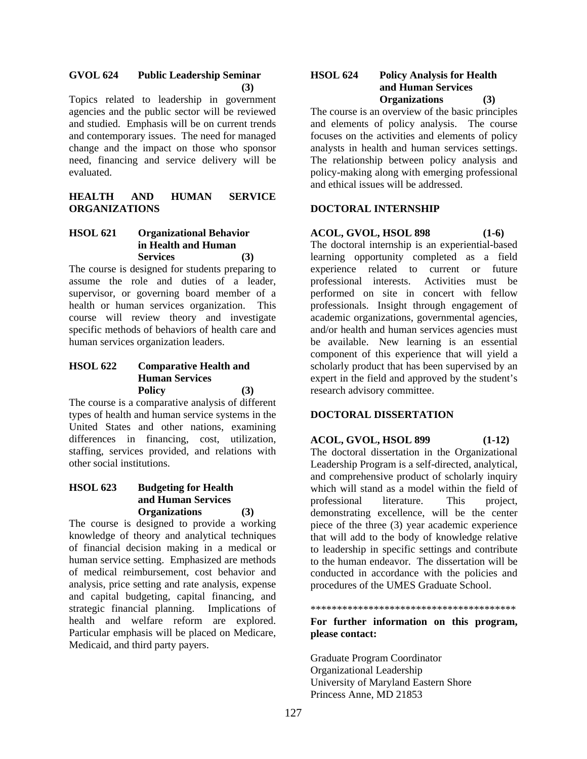#### **GVOL 624 Public Leadership Seminar (3)**

Topics related to leadership in government agencies and the public sector will be reviewed and studied. Emphasis will be on current trends and contemporary issues. The need for managed change and the impact on those who sponsor need, financing and service delivery will be evaluated.

## **HEALTH AND HUMAN SERVICE ORGANIZATIONS**

## **HSOL 621 Organizational Behavior in Health and Human Services (3)**

The course is designed for students preparing to assume the role and duties of a leader, supervisor, or governing board member of a health or human services organization. This course will review theory and investigate specific methods of behaviors of health care and human services organization leaders.

#### **HSOL 622 Comparative Health and Human Services Policy (3)**

The course is a comparative analysis of different types of health and human service systems in the United States and other nations, examining differences in financing, cost, utilization, staffing, services provided, and relations with other social institutions.

#### **HSOL 623 Budgeting for Health and Human Services Organizations (3)**

The course is designed to provide a working knowledge of theory and analytical techniques of financial decision making in a medical or human service setting. Emphasized are methods of medical reimbursement, cost behavior and analysis, price setting and rate analysis, expense and capital budgeting, capital financing, and strategic financial planning. Implications of health and welfare reform are explored. Particular emphasis will be placed on Medicare, Medicaid, and third party payers.

#### **HSOL 624 Policy Analysis for Health and Human Services Organizations (3)**

The course is an overview of the basic principles and elements of policy analysis. The course focuses on the activities and elements of policy analysts in health and human services settings. The relationship between policy analysis and policy-making along with emerging professional and ethical issues will be addressed.

## **DOCTORAL INTERNSHIP**

# **ACOL, GVOL, HSOL 898 (1-6)**

The doctoral internship is an experiential-based learning opportunity completed as a field experience related to current or future professional interests. Activities must be performed on site in concert with fellow professionals. Insight through engagement of academic organizations, governmental agencies, and/or health and human services agencies must be available. New learning is an essential component of this experience that will yield a scholarly product that has been supervised by an expert in the field and approved by the student's research advisory committee.

## **DOCTORAL DISSERTATION**

**ACOL, GVOL, HSOL 899 (1-12)**  The doctoral dissertation in the Organizational Leadership Program is a self-directed, analytical, and comprehensive product of scholarly inquiry which will stand as a model within the field of professional literature. This project, demonstrating excellence, will be the center piece of the three (3) year academic experience that will add to the body of knowledge relative to leadership in specific settings and contribute to the human endeavor. The dissertation will be conducted in accordance with the policies and procedures of the UMES Graduate School.

\*\*\*\*\*\*\*\*\*\*\*\*\*\*\*\*\*\*\*\*\*\*\*\*\*\*\*\*\*\*\*\*\*\*\*\*\*\*\*

## **For further information on this program, please contact:**

Graduate Program Coordinator Organizational Leadership University of Maryland Eastern Shore Princess Anne, MD 21853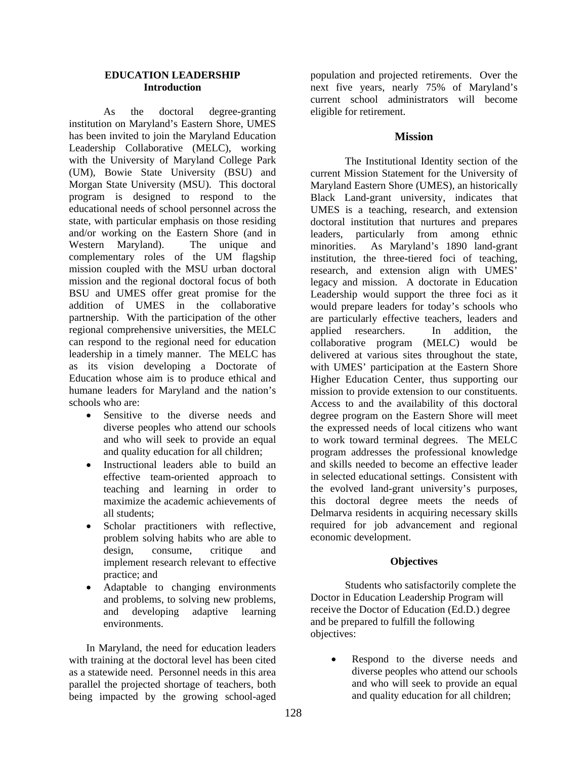#### **EDUCATION LEADERSHIP Introduction**

 As the doctoral degree-granting institution on Maryland's Eastern Shore, UMES has been invited to join the Maryland Education Leadership Collaborative (MELC), working with the University of Maryland College Park (UM), Bowie State University (BSU) and Morgan State University (MSU). This doctoral program is designed to respond to the educational needs of school personnel across the state, with particular emphasis on those residing and/or working on the Eastern Shore (and in Western Maryland). The unique and complementary roles of the UM flagship mission coupled with the MSU urban doctoral mission and the regional doctoral focus of both BSU and UMES offer great promise for the addition of UMES in the collaborative partnership. With the participation of the other regional comprehensive universities, the MELC can respond to the regional need for education leadership in a timely manner. The MELC has as its vision developing a Doctorate of Education whose aim is to produce ethical and humane leaders for Maryland and the nation's schools who are:

- Sensitive to the diverse needs and diverse peoples who attend our schools and who will seek to provide an equal and quality education for all children;
- Instructional leaders able to build an effective team-oriented approach to teaching and learning in order to maximize the academic achievements of all students;
- Scholar practitioners with reflective, problem solving habits who are able to design, consume, critique and implement research relevant to effective practice; and
- Adaptable to changing environments and problems, to solving new problems, and developing adaptive learning environments.

In Maryland, the need for education leaders with training at the doctoral level has been cited as a statewide need. Personnel needs in this area parallel the projected shortage of teachers, both being impacted by the growing school-aged

population and projected retirements. Over the next five years, nearly 75% of Maryland's current school administrators will become eligible for retirement.

#### **Mission**

The Institutional Identity section of the current Mission Statement for the University of Maryland Eastern Shore (UMES), an historically Black Land-grant university, indicates that UMES is a teaching, research, and extension doctoral institution that nurtures and prepares leaders, particularly from among ethnic minorities. As Maryland's 1890 land-grant institution, the three-tiered foci of teaching, research, and extension align with UMES' legacy and mission. A doctorate in Education Leadership would support the three foci as it would prepare leaders for today's schools who are particularly effective teachers, leaders and applied researchers. In addition, the collaborative program (MELC) would be delivered at various sites throughout the state, with UMES' participation at the Eastern Shore Higher Education Center, thus supporting our mission to provide extension to our constituents. Access to and the availability of this doctoral degree program on the Eastern Shore will meet the expressed needs of local citizens who want to work toward terminal degrees. The MELC program addresses the professional knowledge and skills needed to become an effective leader in selected educational settings. Consistent with the evolved land-grant university's purposes, this doctoral degree meets the needs of Delmarva residents in acquiring necessary skills required for job advancement and regional economic development.

#### **Objectives**

 Students who satisfactorily complete the Doctor in Education Leadership Program will receive the Doctor of Education (Ed.D.) degree and be prepared to fulfill the following objectives:

• Respond to the diverse needs and diverse peoples who attend our schools and who will seek to provide an equal and quality education for all children;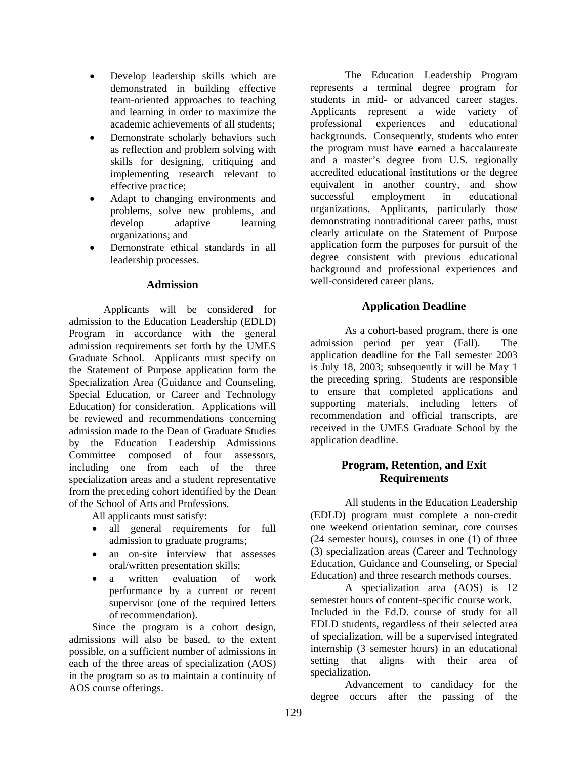- Develop leadership skills which are demonstrated in building effective team-oriented approaches to teaching and learning in order to maximize the academic achievements of all students;
- Demonstrate scholarly behaviors such as reflection and problem solving with skills for designing, critiquing and implementing research relevant to effective practice;
- Adapt to changing environments and problems, solve new problems, and develop adaptive learning organizations; and
- Demonstrate ethical standards in all leadership processes.

#### **Admission**

 Applicants will be considered for admission to the Education Leadership (EDLD) Program in accordance with the general admission requirements set forth by the UMES Graduate School. Applicants must specify on the Statement of Purpose application form the Specialization Area (Guidance and Counseling, Special Education, or Career and Technology Education) for consideration. Applications will be reviewed and recommendations concerning admission made to the Dean of Graduate Studies by the Education Leadership Admissions Committee composed of four assessors, including one from each of the three specialization areas and a student representative from the preceding cohort identified by the Dean of the School of Arts and Professions.

All applicants must satisfy:

- all general requirements for full admission to graduate programs;
- an on-site interview that assesses oral/written presentation skills;
- a written evaluation of work performance by a current or recent supervisor (one of the required letters of recommendation).

Since the program is a cohort design, admissions will also be based, to the extent possible, on a sufficient number of admissions in each of the three areas of specialization (AOS) in the program so as to maintain a continuity of AOS course offerings.

The Education Leadership Program represents a terminal degree program for students in mid- or advanced career stages. Applicants represent a wide variety of professional experiences and educational backgrounds. Consequently, students who enter the program must have earned a baccalaureate and a master's degree from U.S. regionally accredited educational institutions or the degree equivalent in another country, and show successful employment in educational organizations. Applicants, particularly those demonstrating nontraditional career paths, must clearly articulate on the Statement of Purpose application form the purposes for pursuit of the degree consistent with previous educational background and professional experiences and well-considered career plans.

## **Application Deadline**

 As a cohort-based program, there is one admission period per year (Fall). The application deadline for the Fall semester 2003 is July 18, 2003; subsequently it will be May 1 the preceding spring. Students are responsible to ensure that completed applications and supporting materials, including letters of recommendation and official transcripts, are received in the UMES Graduate School by the application deadline.

# **Program, Retention, and Exit Requirements**

 All students in the Education Leadership (EDLD) program must complete a non-credit one weekend orientation seminar, core courses (24 semester hours), courses in one (1) of three (3) specialization areas (Career and Technology Education, Guidance and Counseling, or Special Education) and three research methods courses.

 A specialization area (AOS) is 12 semester hours of content-specific course work. Included in the Ed.D. course of study for all EDLD students, regardless of their selected area of specialization, will be a supervised integrated internship (3 semester hours) in an educational setting that aligns with their area of specialization.

Advancement to candidacy for the degree occurs after the passing of the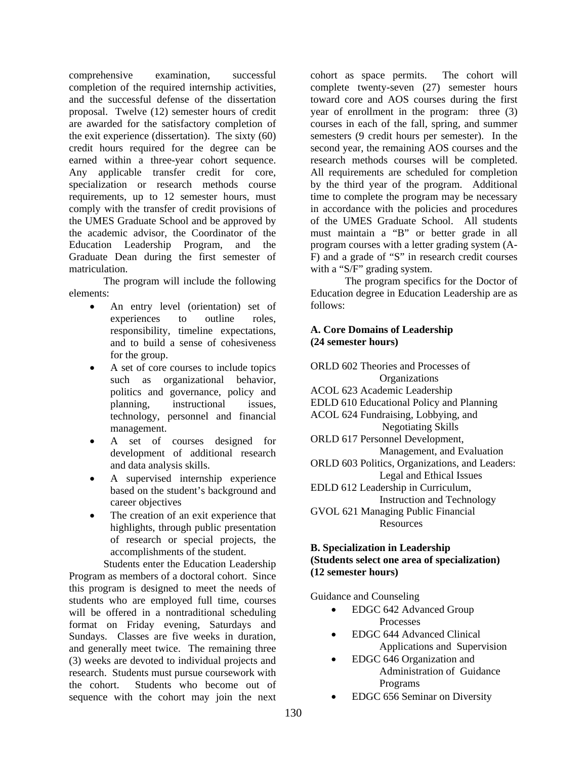comprehensive examination, successful completion of the required internship activities, and the successful defense of the dissertation proposal. Twelve (12) semester hours of credit are awarded for the satisfactory completion of the exit experience (dissertation). The sixty (60) credit hours required for the degree can be earned within a three-year cohort sequence. Any applicable transfer credit for core, specialization or research methods course requirements, up to 12 semester hours, must comply with the transfer of credit provisions of the UMES Graduate School and be approved by the academic advisor, the Coordinator of the Education Leadership Program, and the Graduate Dean during the first semester of matriculation.

The program will include the following elements:

- An entry level (orientation) set of experiences to outline roles, responsibility, timeline expectations, and to build a sense of cohesiveness for the group.
- A set of core courses to include topics such as organizational behavior, politics and governance, policy and planning, instructional issues, technology, personnel and financial management.
- A set of courses designed for development of additional research and data analysis skills.
- A supervised internship experience based on the student's background and career objectives
- The creation of an exit experience that highlights, through public presentation of research or special projects, the accomplishments of the student.

Students enter the Education Leadership Program as members of a doctoral cohort. Since this program is designed to meet the needs of students who are employed full time, courses will be offered in a nontraditional scheduling format on Friday evening, Saturdays and Sundays. Classes are five weeks in duration, and generally meet twice. The remaining three (3) weeks are devoted to individual projects and research. Students must pursue coursework with the cohort. Students who become out of sequence with the cohort may join the next

cohort as space permits. The cohort will complete twenty-seven (27) semester hours toward core and AOS courses during the first year of enrollment in the program: three (3) courses in each of the fall, spring, and summer semesters (9 credit hours per semester). In the second year, the remaining AOS courses and the research methods courses will be completed. All requirements are scheduled for completion by the third year of the program. Additional time to complete the program may be necessary in accordance with the policies and procedures of the UMES Graduate School. All students must maintain a "B" or better grade in all program courses with a letter grading system (A-F) and a grade of "S" in research credit courses with a "S/F" grading system.

 The program specifics for the Doctor of Education degree in Education Leadership are as follows:

# **A. Core Domains of Leadership (24 semester hours)**

ORLD 602 Theories and Processes of **Organizations** ACOL 623 Academic Leadership EDLD 610 Educational Policy and Planning ACOL 624 Fundraising, Lobbying, and Negotiating Skills ORLD 617 Personnel Development, Management, and Evaluation ORLD 603 Politics, Organizations, and Leaders: Legal and Ethical Issues EDLD 612 Leadership in Curriculum, Instruction and Technology GVOL 621 Managing Public Financial Resources

## **B. Specialization in Leadership (Students select one area of specialization) (12 semester hours)**

Guidance and Counseling

- EDGC 642 Advanced Group Processes
- EDGC 644 Advanced Clinical Applications and Supervision
- EDGC 646 Organization and Administration of Guidance Programs
- EDGC 656 Seminar on Diversity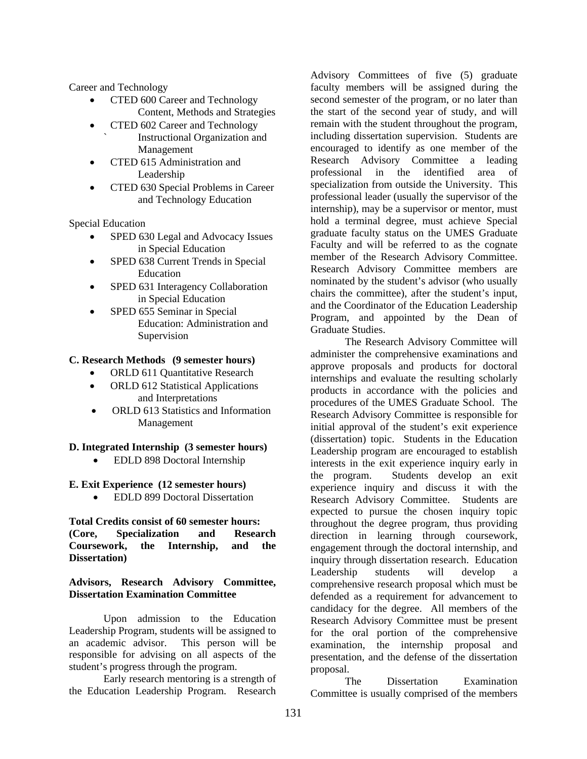Career and Technology

- CTED 600 Career and Technology Content, Methods and Strategies
- CTED 602 Career and Technology ` Instructional Organization and
	- Management
- CTED 615 Administration and Leadership
- CTED 630 Special Problems in Career and Technology Education

Special Education

- SPED 630 Legal and Advocacy Issues in Special Education
- SPED 638 Current Trends in Special Education
- SPED 631 Interagency Collaboration in Special Education
- SPED 655 Seminar in Special Education: Administration and Supervision

## **C. Research Methods (9 semester hours)**

- ORLD 611 Quantitative Research
- ORLD 612 Statistical Applications and Interpretations
- ORLD 613 Statistics and Information Management

## **D. Integrated Internship (3 semester hours)**

• EDLD 898 Doctoral Internship

#### **E. Exit Experience (12 semester hours)**

• EDLD 899 Doctoral Dissertation

## **Total Credits consist of 60 semester hours: (Core, Specialization and Research Coursework, the Internship, and the Dissertation)**

## **Advisors, Research Advisory Committee, Dissertation Examination Committee**

 Upon admission to the Education Leadership Program, students will be assigned to an academic advisor. This person will be responsible for advising on all aspects of the student's progress through the program.

Early research mentoring is a strength of the Education Leadership Program. Research

Advisory Committees of five (5) graduate faculty members will be assigned during the second semester of the program, or no later than the start of the second year of study, and will remain with the student throughout the program, including dissertation supervision. Students are encouraged to identify as one member of the Research Advisory Committee a leading professional in the identified area of specialization from outside the University. This professional leader (usually the supervisor of the internship), may be a supervisor or mentor, must hold a terminal degree, must achieve Special graduate faculty status on the UMES Graduate Faculty and will be referred to as the cognate member of the Research Advisory Committee. Research Advisory Committee members are nominated by the student's advisor (who usually chairs the committee), after the student's input, and the Coordinator of the Education Leadership Program, and appointed by the Dean of Graduate Studies.

The Research Advisory Committee will administer the comprehensive examinations and approve proposals and products for doctoral internships and evaluate the resulting scholarly products in accordance with the policies and procedures of the UMES Graduate School. The Research Advisory Committee is responsible for initial approval of the student's exit experience (dissertation) topic. Students in the Education Leadership program are encouraged to establish interests in the exit experience inquiry early in the program. Students develop an exit experience inquiry and discuss it with the Research Advisory Committee. Students are expected to pursue the chosen inquiry topic throughout the degree program, thus providing direction in learning through coursework, engagement through the doctoral internship, and inquiry through dissertation research. Education Leadership students will develop a comprehensive research proposal which must be defended as a requirement for advancement to candidacy for the degree. All members of the Research Advisory Committee must be present for the oral portion of the comprehensive examination, the internship proposal and presentation, and the defense of the dissertation proposal.

The Dissertation Examination Committee is usually comprised of the members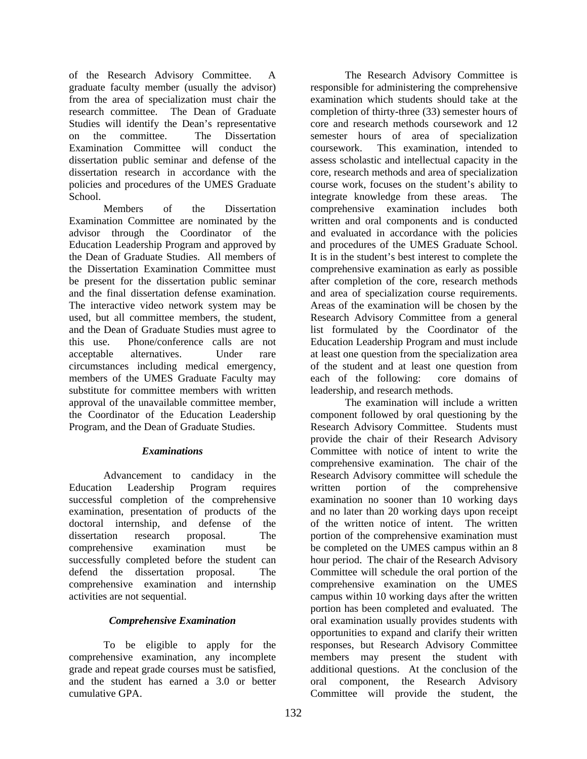of the Research Advisory Committee. A graduate faculty member (usually the advisor) from the area of specialization must chair the research committee. The Dean of Graduate Studies will identify the Dean's representative on the committee. The Dissertation Examination Committee will conduct the dissertation public seminar and defense of the dissertation research in accordance with the policies and procedures of the UMES Graduate School.

Members of the Dissertation Examination Committee are nominated by the advisor through the Coordinator of the Education Leadership Program and approved by the Dean of Graduate Studies. All members of the Dissertation Examination Committee must be present for the dissertation public seminar and the final dissertation defense examination. The interactive video network system may be used, but all committee members, the student, and the Dean of Graduate Studies must agree to this use. Phone/conference calls are not acceptable alternatives. Under rare circumstances including medical emergency, members of the UMES Graduate Faculty may substitute for committee members with written approval of the unavailable committee member, the Coordinator of the Education Leadership Program, and the Dean of Graduate Studies.

#### *Examinations*

 Advancement to candidacy in the Education Leadership Program requires successful completion of the comprehensive examination, presentation of products of the doctoral internship, and defense of the dissertation research proposal. The comprehensive examination must be successfully completed before the student can defend the dissertation proposal. The comprehensive examination and internship activities are not sequential.

## *Comprehensive Examination*

 To be eligible to apply for the comprehensive examination, any incomplete grade and repeat grade courses must be satisfied, and the student has earned a 3.0 or better cumulative GPA.

 The Research Advisory Committee is responsible for administering the comprehensive examination which students should take at the completion of thirty-three (33) semester hours of core and research methods coursework and 12 semester hours of area of specialization coursework. This examination, intended to assess scholastic and intellectual capacity in the core, research methods and area of specialization course work, focuses on the student's ability to integrate knowledge from these areas. The comprehensive examination includes both written and oral components and is conducted and evaluated in accordance with the policies and procedures of the UMES Graduate School. It is in the student's best interest to complete the comprehensive examination as early as possible after completion of the core, research methods and area of specialization course requirements. Areas of the examination will be chosen by the Research Advisory Committee from a general list formulated by the Coordinator of the Education Leadership Program and must include at least one question from the specialization area of the student and at least one question from each of the following: core domains of leadership, and research methods.

 The examination will include a written component followed by oral questioning by the Research Advisory Committee. Students must provide the chair of their Research Advisory Committee with notice of intent to write the comprehensive examination. The chair of the Research Advisory committee will schedule the written portion of the comprehensive examination no sooner than 10 working days and no later than 20 working days upon receipt of the written notice of intent. The written portion of the comprehensive examination must be completed on the UMES campus within an 8 hour period. The chair of the Research Advisory Committee will schedule the oral portion of the comprehensive examination on the UMES campus within 10 working days after the written portion has been completed and evaluated. The oral examination usually provides students with opportunities to expand and clarify their written responses, but Research Advisory Committee members may present the student with additional questions. At the conclusion of the oral component, the Research Advisory Committee will provide the student, the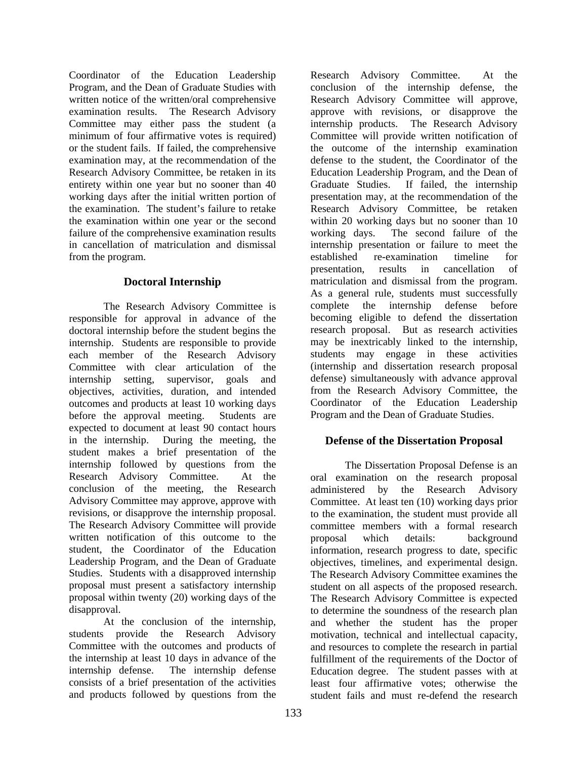Coordinator of the Education Leadership Program, and the Dean of Graduate Studies with written notice of the written/oral comprehensive examination results. The Research Advisory Committee may either pass the student (a minimum of four affirmative votes is required) or the student fails. If failed, the comprehensive examination may, at the recommendation of the Research Advisory Committee, be retaken in its entirety within one year but no sooner than 40 working days after the initial written portion of the examination. The student's failure to retake the examination within one year or the second failure of the comprehensive examination results in cancellation of matriculation and dismissal from the program.

# **Doctoral Internship**

 The Research Advisory Committee is responsible for approval in advance of the doctoral internship before the student begins the internship. Students are responsible to provide each member of the Research Advisory Committee with clear articulation of the internship setting, supervisor, goals and objectives, activities, duration, and intended outcomes and products at least 10 working days before the approval meeting. Students are expected to document at least 90 contact hours in the internship. During the meeting, the student makes a brief presentation of the internship followed by questions from the Research Advisory Committee. At the conclusion of the meeting, the Research Advisory Committee may approve, approve with revisions, or disapprove the internship proposal. The Research Advisory Committee will provide written notification of this outcome to the student, the Coordinator of the Education Leadership Program, and the Dean of Graduate Studies. Students with a disapproved internship proposal must present a satisfactory internship proposal within twenty (20) working days of the disapproval.

At the conclusion of the internship, students provide the Research Advisory Committee with the outcomes and products of the internship at least 10 days in advance of the internship defense. The internship defense consists of a brief presentation of the activities and products followed by questions from the

Research Advisory Committee. At the conclusion of the internship defense, the Research Advisory Committee will approve, approve with revisions, or disapprove the internship products. The Research Advisory Committee will provide written notification of the outcome of the internship examination defense to the student, the Coordinator of the Education Leadership Program, and the Dean of Graduate Studies. If failed, the internship presentation may, at the recommendation of the Research Advisory Committee, be retaken within 20 working days but no sooner than 10 working days. The second failure of the internship presentation or failure to meet the established re-examination timeline for presentation, results in cancellation of matriculation and dismissal from the program. As a general rule, students must successfully complete the internship defense before becoming eligible to defend the dissertation research proposal. But as research activities may be inextricably linked to the internship, students may engage in these activities (internship and dissertation research proposal defense) simultaneously with advance approval from the Research Advisory Committee, the Coordinator of the Education Leadership Program and the Dean of Graduate Studies.

# **Defense of the Dissertation Proposal**

 The Dissertation Proposal Defense is an oral examination on the research proposal administered by the Research Advisory Committee. At least ten (10) working days prior to the examination, the student must provide all committee members with a formal research<br>proposal which details: background proposal which details: background information, research progress to date, specific objectives, timelines, and experimental design. The Research Advisory Committee examines the student on all aspects of the proposed research. The Research Advisory Committee is expected to determine the soundness of the research plan and whether the student has the proper motivation, technical and intellectual capacity, and resources to complete the research in partial fulfillment of the requirements of the Doctor of Education degree. The student passes with at least four affirmative votes; otherwise the student fails and must re-defend the research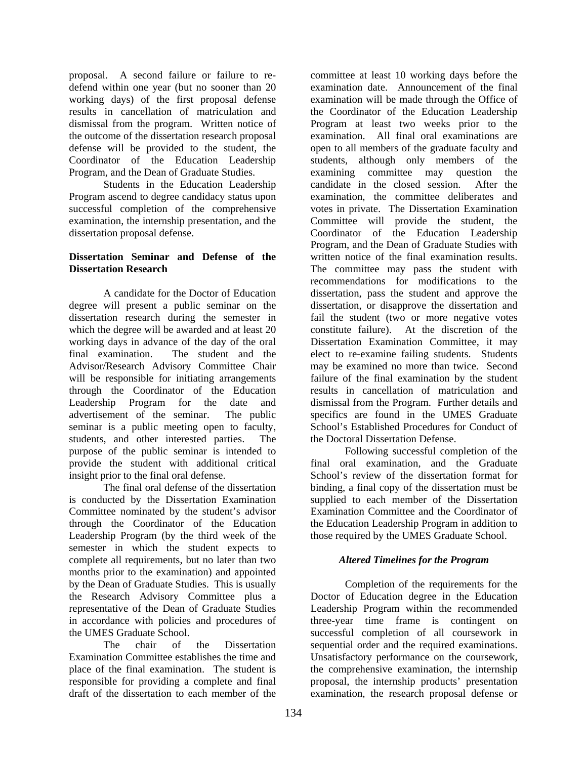proposal. A second failure or failure to redefend within one year (but no sooner than 20 working days) of the first proposal defense results in cancellation of matriculation and dismissal from the program. Written notice of the outcome of the dissertation research proposal defense will be provided to the student, the Coordinator of the Education Leadership Program, and the Dean of Graduate Studies.

 Students in the Education Leadership Program ascend to degree candidacy status upon successful completion of the comprehensive examination, the internship presentation, and the dissertation proposal defense.

#### **Dissertation Seminar and Defense of the Dissertation Research**

 A candidate for the Doctor of Education degree will present a public seminar on the dissertation research during the semester in which the degree will be awarded and at least 20 working days in advance of the day of the oral final examination. The student and the Advisor/Research Advisory Committee Chair will be responsible for initiating arrangements through the Coordinator of the Education Leadership Program for the date and advertisement of the seminar. The public seminar is a public meeting open to faculty, students, and other interested parties. The purpose of the public seminar is intended to provide the student with additional critical insight prior to the final oral defense.

 The final oral defense of the dissertation is conducted by the Dissertation Examination Committee nominated by the student's advisor through the Coordinator of the Education Leadership Program (by the third week of the semester in which the student expects to complete all requirements, but no later than two months prior to the examination) and appointed by the Dean of Graduate Studies. This is usually the Research Advisory Committee plus a representative of the Dean of Graduate Studies in accordance with policies and procedures of the UMES Graduate School.

 The chair of the Dissertation Examination Committee establishes the time and place of the final examination. The student is responsible for providing a complete and final draft of the dissertation to each member of the

committee at least 10 working days before the examination date. Announcement of the final examination will be made through the Office of the Coordinator of the Education Leadership Program at least two weeks prior to the examination. All final oral examinations are open to all members of the graduate faculty and students, although only members of the examining committee may question the candidate in the closed session. After the examination, the committee deliberates and votes in private. The Dissertation Examination Committee will provide the student, the Coordinator of the Education Leadership Program, and the Dean of Graduate Studies with written notice of the final examination results. The committee may pass the student with recommendations for modifications to the dissertation, pass the student and approve the dissertation, or disapprove the dissertation and fail the student (two or more negative votes constitute failure). At the discretion of the Dissertation Examination Committee, it may elect to re-examine failing students. Students may be examined no more than twice. Second failure of the final examination by the student results in cancellation of matriculation and dismissal from the Program. Further details and specifics are found in the UMES Graduate School's Established Procedures for Conduct of the Doctoral Dissertation Defense.

 Following successful completion of the final oral examination, and the Graduate School's review of the dissertation format for binding, a final copy of the dissertation must be supplied to each member of the Dissertation Examination Committee and the Coordinator of the Education Leadership Program in addition to those required by the UMES Graduate School.

## *Altered Timelines for the Program*

 Completion of the requirements for the Doctor of Education degree in the Education Leadership Program within the recommended three-year time frame is contingent on successful completion of all coursework in sequential order and the required examinations. Unsatisfactory performance on the coursework, the comprehensive examination, the internship proposal, the internship products' presentation examination, the research proposal defense or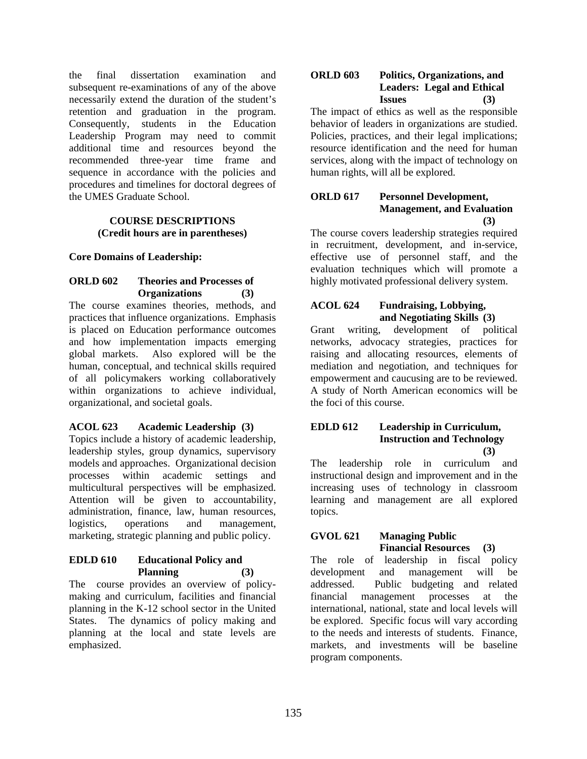the final dissertation examination and subsequent re-examinations of any of the above necessarily extend the duration of the student's retention and graduation in the program. Consequently, students in the Education Leadership Program may need to commit additional time and resources beyond the recommended three-year time frame and sequence in accordance with the policies and procedures and timelines for doctoral degrees of the UMES Graduate School.

## **COURSE DESCRIPTIONS (Credit hours are in parentheses)**

#### **Core Domains of Leadership:**

#### **ORLD 602 Theories and Processes of Organizations (3)**

The course examines theories, methods, and practices that influence organizations. Emphasis is placed on Education performance outcomes and how implementation impacts emerging global markets. Also explored will be the human, conceptual, and technical skills required of all policymakers working collaboratively within organizations to achieve individual, organizational, and societal goals.

## **ACOL 623 Academic Leadership (3)**

Topics include a history of academic leadership, leadership styles, group dynamics, supervisory models and approaches. Organizational decision processes within academic settings and multicultural perspectives will be emphasized. Attention will be given to accountability, administration, finance, law, human resources, logistics, operations and management, marketing, strategic planning and public policy.

## **EDLD 610 Educational Policy and Planning (3)**

The course provides an overview of policymaking and curriculum, facilities and financial planning in the K-12 school sector in the United States. The dynamics of policy making and planning at the local and state levels are emphasized.

## **ORLD 603 Politics, Organizations, and Leaders: Legal and Ethical Issues (3)**

The impact of ethics as well as the responsible behavior of leaders in organizations are studied. Policies, practices, and their legal implications; resource identification and the need for human services, along with the impact of technology on human rights, will all be explored.

## **ORLD 617 Personnel Development, Management, and Evaluation (3)**

The course covers leadership strategies required in recruitment, development, and in-service, effective use of personnel staff, and the evaluation techniques which will promote a highly motivated professional delivery system.

# **ACOL 624 Fundraising, Lobbying, and Negotiating Skills (3)**

Grant writing, development of political networks, advocacy strategies, practices for raising and allocating resources, elements of mediation and negotiation, and techniques for empowerment and caucusing are to be reviewed. A study of North American economics will be the foci of this course.

#### **EDLD 612 Leadership in Curriculum, Instruction and Technology (3)**

The leadership role in curriculum and instructional design and improvement and in the increasing uses of technology in classroom learning and management are all explored topics.

# **GVOL 621 Managing Public Financial Resources (3)**

The role of leadership in fiscal policy development and management will be addressed. Public budgeting and related financial management processes at the international, national, state and local levels will be explored. Specific focus will vary according to the needs and interests of students. Finance, markets, and investments will be baseline program components.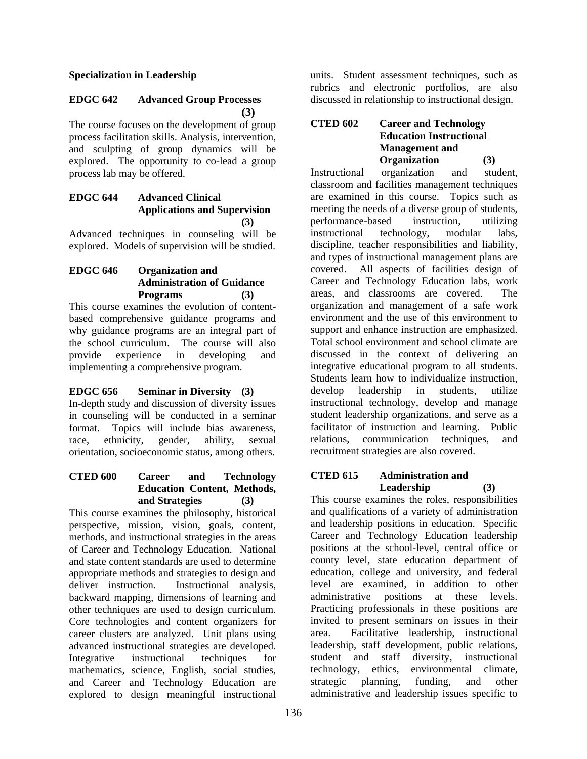#### **Specialization in Leadership**

## **EDGC 642 Advanced Group Processes (3)**

The course focuses on the development of group process facilitation skills. Analysis, intervention, and sculpting of group dynamics will be explored. The opportunity to co-lead a group process lab may be offered.

## **EDGC 644 Advanced Clinical Applications and Supervision (3)**

Advanced techniques in counseling will be explored. Models of supervision will be studied.

# **EDGC 646 Organization and Administration of Guidance Programs (3)**

This course examines the evolution of contentbased comprehensive guidance programs and why guidance programs are an integral part of the school curriculum. The course will also provide experience in developing and implementing a comprehensive program.

# **EDGC 656 Seminar in Diversity (3)**

In-depth study and discussion of diversity issues in counseling will be conducted in a seminar format. Topics will include bias awareness, race, ethnicity, gender, ability, sexual orientation, socioeconomic status, among others.

#### **CTED 600 Career and Technology Education Content, Methods, and Strategies (3)**

This course examines the philosophy, historical perspective, mission, vision, goals, content, methods, and instructional strategies in the areas of Career and Technology Education. National and state content standards are used to determine appropriate methods and strategies to design and deliver instruction. Instructional analysis, backward mapping, dimensions of learning and other techniques are used to design curriculum. Core technologies and content organizers for career clusters are analyzed. Unit plans using advanced instructional strategies are developed. Integrative instructional techniques for mathematics, science, English, social studies, and Career and Technology Education are explored to design meaningful instructional

units. Student assessment techniques, such as rubrics and electronic portfolios, are also discussed in relationship to instructional design.

## **CTED 602 Career and Technology Education Instructional Management and Organization (3)**

Instructional organization and student, classroom and facilities management techniques are examined in this course. Topics such as meeting the needs of a diverse group of students, performance-based instruction, utilizing instructional technology, modular labs, discipline, teacher responsibilities and liability, and types of instructional management plans are covered. All aspects of facilities design of Career and Technology Education labs, work areas, and classrooms are covered. The organization and management of a safe work environment and the use of this environment to support and enhance instruction are emphasized. Total school environment and school climate are discussed in the context of delivering an integrative educational program to all students. Students learn how to individualize instruction, develop leadership in students, utilize instructional technology, develop and manage student leadership organizations, and serve as a facilitator of instruction and learning. Public relations, communication techniques, and recruitment strategies are also covered.

## **CTED 615 Administration and Leadership (3)**

This course examines the roles, responsibilities and qualifications of a variety of administration and leadership positions in education. Specific Career and Technology Education leadership positions at the school-level, central office or county level, state education department of education, college and university, and federal level are examined, in addition to other administrative positions at these levels. Practicing professionals in these positions are invited to present seminars on issues in their area. Facilitative leadership, instructional leadership, staff development, public relations, student and staff diversity, instructional technology, ethics, environmental climate, strategic planning, funding, and other administrative and leadership issues specific to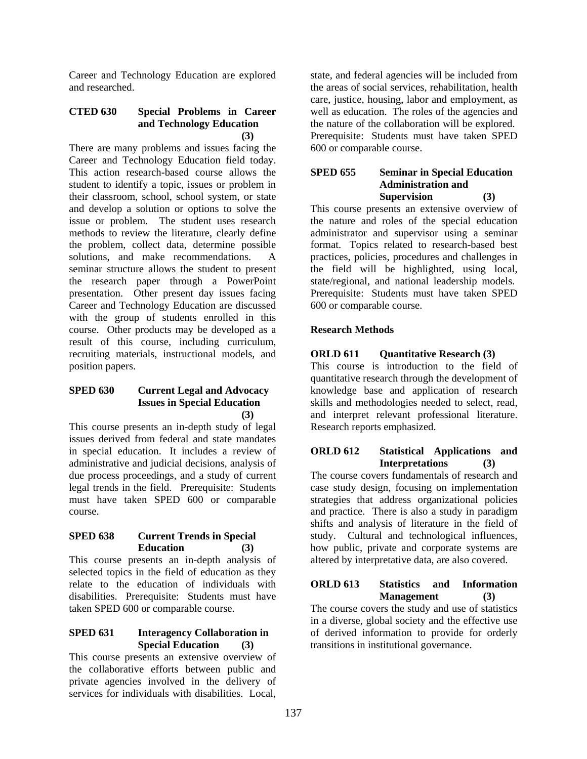Career and Technology Education are explored and researched.

## **CTED 630 Special Problems in Career and Technology Education (3)**

There are many problems and issues facing the Career and Technology Education field today. This action research-based course allows the student to identify a topic, issues or problem in their classroom, school, school system, or state and develop a solution or options to solve the issue or problem. The student uses research methods to review the literature, clearly define the problem, collect data, determine possible solutions, and make recommendations. A seminar structure allows the student to present the research paper through a PowerPoint presentation. Other present day issues facing Career and Technology Education are discussed with the group of students enrolled in this course. Other products may be developed as a result of this course, including curriculum, recruiting materials, instructional models, and position papers.

## **SPED 630 Current Legal and Advocacy Issues in Special Education (3)**

This course presents an in-depth study of legal issues derived from federal and state mandates in special education. It includes a review of administrative and judicial decisions, analysis of due process proceedings, and a study of current legal trends in the field. Prerequisite: Students must have taken SPED 600 or comparable course.

#### **SPED 638 Current Trends in Special Education (3)**

This course presents an in-depth analysis of selected topics in the field of education as they relate to the education of individuals with disabilities. Prerequisite: Students must have taken SPED 600 or comparable course.

#### **SPED 631 Interagency Collaboration in Special Education (3)**

This course presents an extensive overview of the collaborative efforts between public and private agencies involved in the delivery of services for individuals with disabilities. Local, state, and federal agencies will be included from the areas of social services, rehabilitation, health care, justice, housing, labor and employment, as well as education. The roles of the agencies and the nature of the collaboration will be explored. Prerequisite: Students must have taken SPED 600 or comparable course.

## **SPED 655 Seminar in Special Education Administration and Supervision (3)**

This course presents an extensive overview of the nature and roles of the special education administrator and supervisor using a seminar format. Topics related to research-based best practices, policies, procedures and challenges in the field will be highlighted, using local, state/regional, and national leadership models. Prerequisite: Students must have taken SPED 600 or comparable course.

# **Research Methods**

## **ORLD 611** Ouantitative Research (3)

This course is introduction to the field of quantitative research through the development of knowledge base and application of research skills and methodologies needed to select, read, and interpret relevant professional literature. Research reports emphasized.

## **ORLD 612 Statistical Applications and Interpretations (3)**

The course covers fundamentals of research and case study design, focusing on implementation strategies that address organizational policies and practice. There is also a study in paradigm shifts and analysis of literature in the field of study. Cultural and technological influences, how public, private and corporate systems are altered by interpretative data, are also covered.

#### **ORLD 613 Statistics and Information Management (3)**

The course covers the study and use of statistics in a diverse, global society and the effective use of derived information to provide for orderly transitions in institutional governance.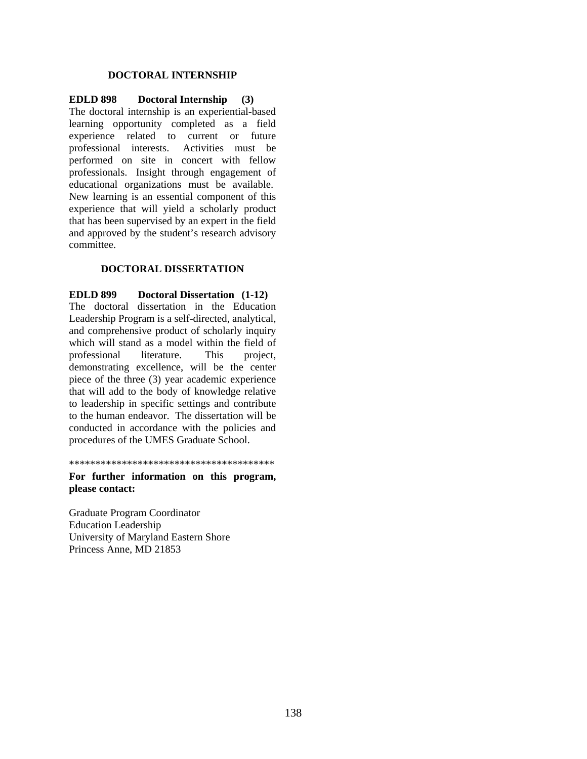#### **DOCTORAL INTERNSHIP**

#### **EDLD 898 Doctoral Internship (3)**  The doctoral internship is an experiential-based learning opportunity completed as a field experience related to current or future professional interests. Activities must be performed on site in concert with fellow professionals. Insight through engagement of educational organizations must be available. New learning is an essential component of this experience that will yield a scholarly product that has been supervised by an expert in the field and approved by the student's research advisory committee.

#### **DOCTORAL DISSERTATION**

**EDLD 899 Doctoral Dissertation (1-12)**  The doctoral dissertation in the Education Leadership Program is a self-directed, analytical, and comprehensive product of scholarly inquiry which will stand as a model within the field of professional literature. This project, demonstrating excellence, will be the center piece of the three (3) year academic experience that will add to the body of knowledge relative to leadership in specific settings and contribute to the human endeavor. The dissertation will be conducted in accordance with the policies and procedures of the UMES Graduate School.

\*\*\*\*\*\*\*\*\*\*\*\*\*\*\*\*\*\*\*\*\*\*\*\*\*\*\*\*\*\*\*\*\*\*\*\*\*\*\*

**For further information on this program, please contact:** 

Graduate Program Coordinator Education Leadership University of Maryland Eastern Shore Princess Anne, MD 21853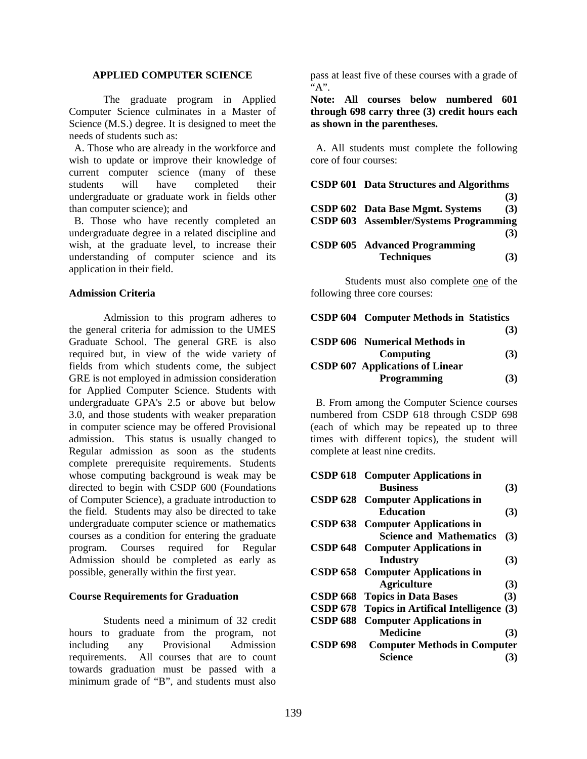#### **APPLIED COMPUTER SCIENCE**

The graduate program in Applied Computer Science culminates in a Master of Science (M.S.) degree. It is designed to meet the needs of students such as:

 A. Those who are already in the workforce and wish to update or improve their knowledge of current computer science (many of these students will have completed their undergraduate or graduate work in fields other than computer science); and

 B. Those who have recently completed an undergraduate degree in a related discipline and wish, at the graduate level, to increase their understanding of computer science and its application in their field.

#### **Admission Criteria**

 Admission to this program adheres to the general criteria for admission to the UMES Graduate School. The general GRE is also required but, in view of the wide variety of fields from which students come, the subject GRE is not employed in admission consideration for Applied Computer Science. Students with undergraduate GPA's 2.5 or above but below 3.0, and those students with weaker preparation in computer science may be offered Provisional admission. This status is usually changed to Regular admission as soon as the students complete prerequisite requirements. Students whose computing background is weak may be directed to begin with CSDP 600 (Foundations of Computer Science), a graduate introduction to the field. Students may also be directed to take undergraduate computer science or mathematics courses as a condition for entering the graduate program. Courses required for Regular Admission should be completed as early as possible, generally within the first year.

#### **Course Requirements for Graduation**

 Students need a minimum of 32 credit hours to graduate from the program, not including any Provisional Admission requirements. All courses that are to count towards graduation must be passed with a minimum grade of "B", and students must also

pass at least five of these courses with a grade of  $A$ ".

**Note: All courses below numbered 601 through 698 carry three (3) credit hours each as shown in the parentheses.**

 A. All students must complete the following core of four courses:

| CSDP 601 Data Structures and Algorithms |     |
|-----------------------------------------|-----|
|                                         | (3) |
| CSDP 602 Data Base Mgmt. Systems        | (3) |
| CSDP 603 Assembler/Systems Programming  |     |
|                                         | (3) |
| <b>CSDP 605</b> Advanced Programming    |     |
| <b>Techniques</b>                       | (3) |

Students must also complete one of the following three core courses:

| <b>CSDP 604 Computer Methods in Statistics</b> |     |
|------------------------------------------------|-----|
|                                                | (3) |
| <b>CSDP 606</b> Numerical Methods in           |     |
| Computing                                      | (3) |
| <b>CSDP 607 Applications of Linear</b>         |     |
| Programming                                    | (3) |

 B. From among the Computer Science courses numbered from CSDP 618 through CSDP 698 (each of which may be repeated up to three times with different topics), the student will complete at least nine credits.

|                 | <b>CSDP 618</b> Computer Applications in  |     |
|-----------------|-------------------------------------------|-----|
|                 | <b>Business</b>                           | (3) |
|                 | <b>CSDP 628</b> Computer Applications in  |     |
|                 | <b>Education</b>                          | (3) |
|                 | CSDP 638 Computer Applications in         |     |
|                 | <b>Science and Mathematics</b>            | (3) |
|                 | <b>CSDP 648</b> Computer Applications in  |     |
|                 | Industry                                  | (3) |
| <b>CSDP 658</b> | <b>Computer Applications in</b>           |     |
|                 | <b>Agriculture</b>                        | (3) |
|                 | <b>CSDP 668 Topics in Data Bases</b>      | (3) |
|                 | CSDP 678 Topics in Artifical Intelligence | (3) |
| <b>CSDP 688</b> | <b>Computer Applications in</b>           |     |
|                 | <b>Medicine</b>                           | (3) |
| <b>CSDP 698</b> | <b>Computer Methods in Computer</b>       |     |
|                 | <b>Science</b>                            | 3)  |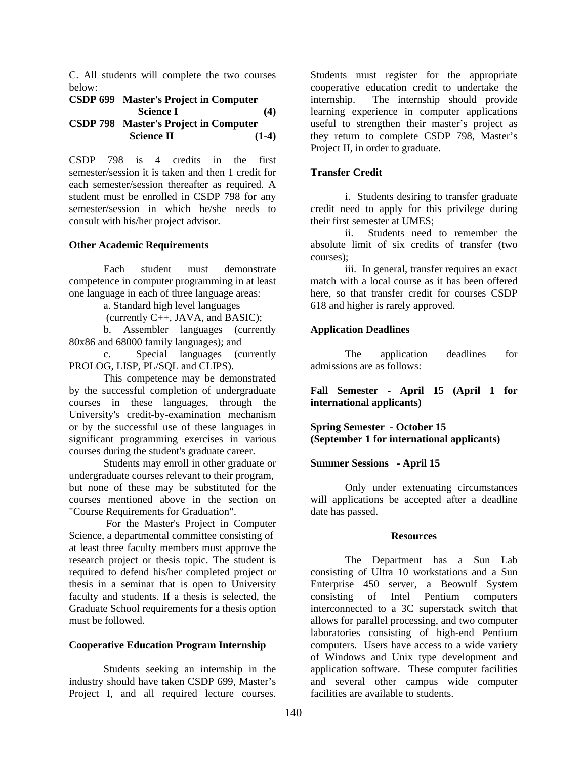C. All students will complete the two courses below:

#### **CSDP 699 Master's Project in Computer Science I** (4) **CSDP 798 Master's Project in Computer Science II** (1-4)

CSDP 798 is 4 credits in the first semester/session it is taken and then 1 credit for each semester/session thereafter as required. A student must be enrolled in CSDP 798 for any semester/session in which he/she needs to consult with his/her project advisor.

#### **Other Academic Requirements**

Each student must demonstrate competence in computer programming in at least one language in each of three language areas:

a. Standard high level languages

(currently C++, JAVA, and BASIC);

 b. Assembler languages (currently 80x86 and 68000 family languages); and

 c. Special languages (currently PROLOG, LISP, PL/SOL and CLIPS).

This competence may be demonstrated by the successful completion of undergraduate courses in these languages, through the University's credit-by-examination mechanism or by the successful use of these languages in significant programming exercises in various courses during the student's graduate career.

Students may enroll in other graduate or undergraduate courses relevant to their program, but none of these may be substituted for the courses mentioned above in the section on "Course Requirements for Graduation".

 For the Master's Project in Computer Science, a departmental committee consisting of at least three faculty members must approve the research project or thesis topic. The student is required to defend his/her completed project or thesis in a seminar that is open to University faculty and students. If a thesis is selected, the Graduate School requirements for a thesis option must be followed.

#### **Cooperative Education Program Internship**

 Students seeking an internship in the industry should have taken CSDP 699, Master's Project I, and all required lecture courses.

Students must register for the appropriate cooperative education credit to undertake the internship. The internship should provide learning experience in computer applications useful to strengthen their master's project as they return to complete CSDP 798, Master's Project II, in order to graduate.

#### **Transfer Credit**

 i. Students desiring to transfer graduate credit need to apply for this privilege during their first semester at UMES;

 ii. Students need to remember the absolute limit of six credits of transfer (two courses);

 iii. In general, transfer requires an exact match with a local course as it has been offered here, so that transfer credit for courses CSDP 618 and higher is rarely approved.

#### **Application Deadlines**

The application deadlines for admissions are as follows:

**Fall Semester - April 15 (April 1 for international applicants)** 

**Spring Semester - October 15 (September 1 for international applicants)** 

#### **Summer Sessions - April 15**

Only under extenuating circumstances will applications be accepted after a deadline date has passed.

#### **Resources**

The Department has a Sun Lab consisting of Ultra 10 workstations and a Sun Enterprise 450 server, a Beowulf System consisting of Intel Pentium computers interconnected to a 3C superstack switch that allows for parallel processing, and two computer laboratories consisting of high-end Pentium computers. Users have access to a wide variety of Windows and Unix type development and application software. These computer facilities and several other campus wide computer facilities are available to students.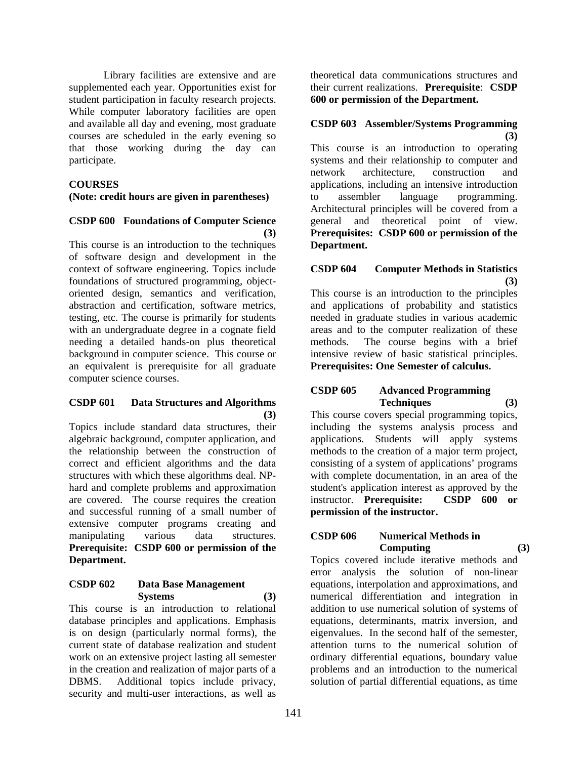Library facilities are extensive and are supplemented each year. Opportunities exist for student participation in faculty research projects. While computer laboratory facilities are open and available all day and evening, most graduate courses are scheduled in the early evening so that those working during the day can participate.

#### **COURSES**

**(Note: credit hours are given in parentheses)** 

# **CSDP 600 Foundations of Computer Science (3)**

This course is an introduction to the techniques of software design and development in the context of software engineering. Topics include foundations of structured programming, objectoriented design, semantics and verification, abstraction and certification, software metrics, testing, etc. The course is primarily for students with an undergraduate degree in a cognate field needing a detailed hands-on plus theoretical background in computer science. This course or an equivalent is prerequisite for all graduate computer science courses.

## **CSDP 601 Data Structures and Algorithms (3)**

Topics include standard data structures, their algebraic background, computer application, and the relationship between the construction of correct and efficient algorithms and the data structures with which these algorithms deal. NPhard and complete problems and approximation are covered. The course requires the creation and successful running of a small number of extensive computer programs creating and manipulating various data structures. **Prerequisite: CSDP 600 or permission of the Department.**

#### **CSDP 602 Data Base Management Systems (3)**

This course is an introduction to relational database principles and applications. Emphasis is on design (particularly normal forms), the current state of database realization and student work on an extensive project lasting all semester in the creation and realization of major parts of a DBMS. Additional topics include privacy, security and multi-user interactions, as well as

theoretical data communications structures and their current realizations. **Prerequisite**: **CSDP 600 or permission of the Department.** 

## **CSDP 603 Assembler/Systems Programming (3)**

This course is an introduction to operating systems and their relationship to computer and network architecture, construction and applications, including an intensive introduction<br>to assembler language programming. to assembler language programming. Architectural principles will be covered from a general and theoretical point of view. **Prerequisites: CSDP 600 or permission of the Department.**

# **CSDP 604 Computer Methods in Statistics (3)**

This course is an introduction to the principles and applications of probability and statistics needed in graduate studies in various academic areas and to the computer realization of these methods. The course begins with a brief intensive review of basic statistical principles. **Prerequisites: One Semester of calculus.** 

## **CSDP 605 Advanced Programming Techniques (3)**

This course covers special programming topics, including the systems analysis process and applications. Students will apply systems methods to the creation of a major term project, consisting of a system of applications' programs with complete documentation, in an area of the student's application interest as approved by the instructor. **Prerequisite: CSDP 600 or permission of the instructor.**

# **CSDP 606 Numerical Methods in Computing (3)**

Topics covered include iterative methods and error analysis the solution of non-linear equations, interpolation and approximations, and numerical differentiation and integration in addition to use numerical solution of systems of equations, determinants, matrix inversion, and eigenvalues. In the second half of the semester, attention turns to the numerical solution of ordinary differential equations, boundary value problems and an introduction to the numerical solution of partial differential equations, as time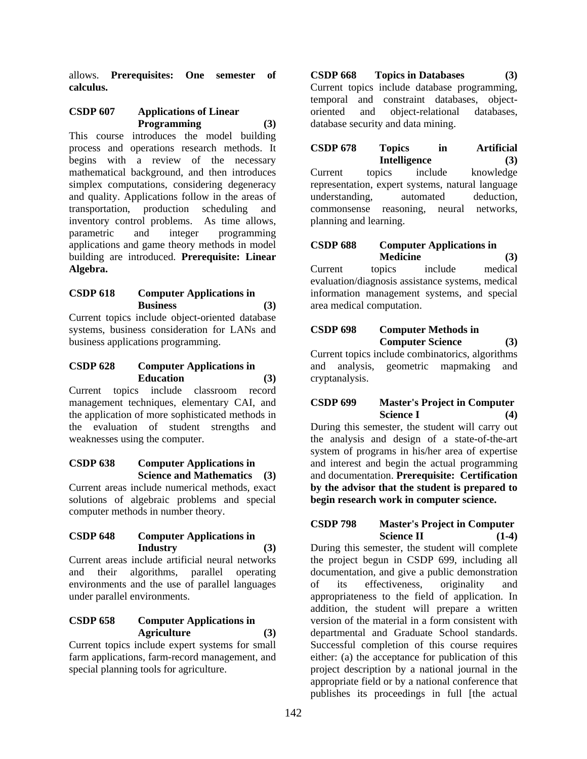allows. **Prerequisites: One semester of calculus.** 

## **CSDP 607 Applications of Linear Programming (3)**

This course introduces the model building process and operations research methods. It begins with a review of the necessary mathematical background, and then introduces simplex computations, considering degeneracy and quality. Applications follow in the areas of transportation, production scheduling and inventory control problems. As time allows, parametric and integer programming applications and game theory methods in model building are introduced. **Prerequisite: Linear Algebra.** 

## **CSDP 618 Computer Applications in Business (3)**

Current topics include object-oriented database systems, business consideration for LANs and business applications programming.

# **CSDP 628 Computer Applications in Education (3)**

Current topics include classroom record management techniques, elementary CAI, and the application of more sophisticated methods in the evaluation of student strengths and weaknesses using the computer.

# **CSDP 638 Computer Applications in Science and Mathematics (3)**

Current areas include numerical methods, exact solutions of algebraic problems and special computer methods in number theory.

#### **CSDP 648 Computer Applications in Industry (3)**

Current areas include artificial neural networks and their algorithms, parallel operating environments and the use of parallel languages under parallel environments.

# **CSDP 658 Computer Applications in Agriculture (3)**

Current topics include expert systems for small farm applications, farm-record management, and special planning tools for agriculture.

**CSDP 668 Topics in Databases (3)**  Current topics include database programming, temporal and constraint databases, objectoriented and object-relational databases, database security and data mining.

**CSDP 678 Topics in Artificial Intelligence (3)** Current topics include knowledge representation, expert systems, natural language understanding, automated deduction, commonsense reasoning, neural networks, planning and learning.

# **CSDP 688 Computer Applications in Medicine (3)**

Current topics include medical evaluation/diagnosis assistance systems, medical information management systems, and special area medical computation.

# **CSDP 698 Computer Methods in Computer Science (3)**

Current topics include combinatorics, algorithms geometric mapmaking and cryptanalysis.

## **CSDP 699 Master's Project in Computer Science I**

During this semester, the student will carry out the analysis and design of a state-of-the-art system of programs in his/her area of expertise and interest and begin the actual programming and documentation. **Prerequisite: Certification by the advisor that the student is prepared to begin research work in computer science.**

## **CSDP 798 Master's Project in Computer Science II** (1-4)

During this semester, the student will complete the project begun in CSDP 699, including all documentation, and give a public demonstration of its effectiveness, originality and appropriateness to the field of application. In addition, the student will prepare a written version of the material in a form consistent with departmental and Graduate School standards. Successful completion of this course requires either: (a) the acceptance for publication of this project description by a national journal in the appropriate field or by a national conference that publishes its proceedings in full [the actual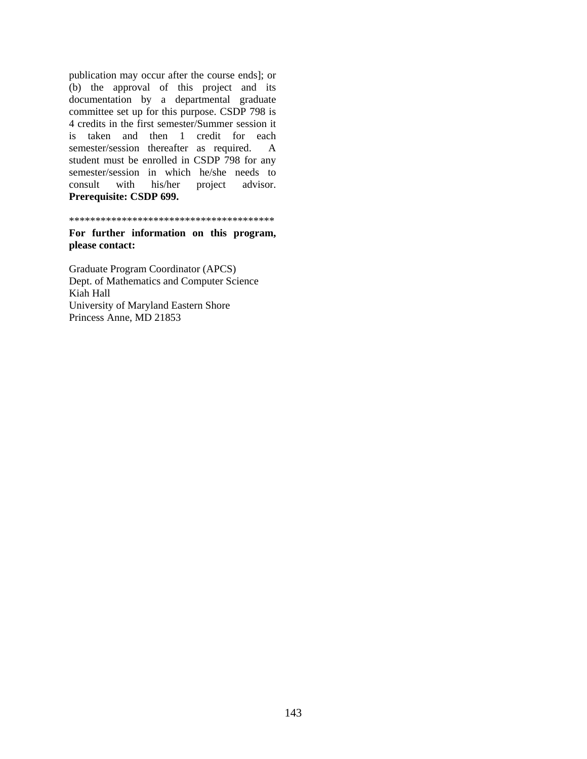publication may occur after the course ends]; or (b) the approval of this project and its documentation by a departmental graduate committee set up for this purpose. CSDP 798 is 4 credits in the first semester/Summer session it is taken and then 1 credit for each semester/session thereafter as required. A student must be enrolled in CSDP 798 for any semester/session in which he/she needs to consult with his/her project advisor. **Prerequisite: CSDP 699.**

\*\*\*\*\*\*\*\*\*\*\*\*\*\*\*\*\*\*\*\*\*\*\*\*\*\*\*\*\*\*\*\*\*\*\*\*\*\*\*

**For further information on this program, please contact:**

Graduate Program Coordinator (APCS) Dept. of Mathematics and Computer Science Kiah Hall University of Maryland Eastern Shore Princess Anne, MD 21853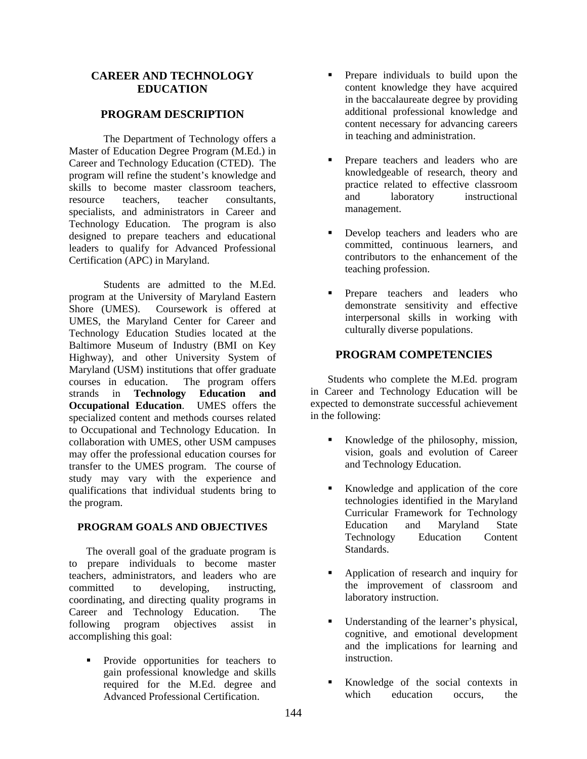## **CAREER AND TECHNOLOGY EDUCATION**

#### **PROGRAM DESCRIPTION**

The Department of Technology offers a Master of Education Degree Program (M.Ed.) in Career and Technology Education (CTED). The program will refine the student's knowledge and skills to become master classroom teachers, resource teachers, teacher consultants, specialists, and administrators in Career and Technology Education. The program is also designed to prepare teachers and educational leaders to qualify for Advanced Professional Certification (APC) in Maryland.

Students are admitted to the M.Ed. program at the University of Maryland Eastern Shore (UMES). Coursework is offered at UMES, the Maryland Center for Career and Technology Education Studies located at the Baltimore Museum of Industry (BMI on Key Highway), and other University System of Maryland (USM) institutions that offer graduate courses in education. The program offers strands in **Technology Education and Occupational Education**. UMES offers the specialized content and methods courses related to Occupational and Technology Education. In collaboration with UMES, other USM campuses may offer the professional education courses for transfer to the UMES program. The course of study may vary with the experience and qualifications that individual students bring to the program.

#### **PROGRAM GOALS AND OBJECTIVES**

The overall goal of the graduate program is to prepare individuals to become master teachers, administrators, and leaders who are committed to developing, instructing, coordinating, and directing quality programs in Career and Technology Education. The following program objectives assist in accomplishing this goal:

 Provide opportunities for teachers to gain professional knowledge and skills required for the M.Ed. degree and Advanced Professional Certification.

- **Prepare individuals to build upon the** content knowledge they have acquired in the baccalaureate degree by providing additional professional knowledge and content necessary for advancing careers in teaching and administration.
- Prepare teachers and leaders who are knowledgeable of research, theory and practice related to effective classroom and laboratory instructional management.
- Develop teachers and leaders who are committed, continuous learners, and contributors to the enhancement of the teaching profession.
- **Prepare teachers and leaders who** demonstrate sensitivity and effective interpersonal skills in working with culturally diverse populations.

# **PROGRAM COMPETENCIES**

Students who complete the M.Ed. program in Career and Technology Education will be expected to demonstrate successful achievement in the following:

- Knowledge of the philosophy, mission, vision, goals and evolution of Career and Technology Education.
- Knowledge and application of the core technologies identified in the Maryland Curricular Framework for Technology Education and Maryland State Technology Education Content Standards.
- Application of research and inquiry for the improvement of classroom and laboratory instruction.
- Understanding of the learner's physical, cognitive, and emotional development and the implications for learning and instruction.
- Knowledge of the social contexts in which education occurs, the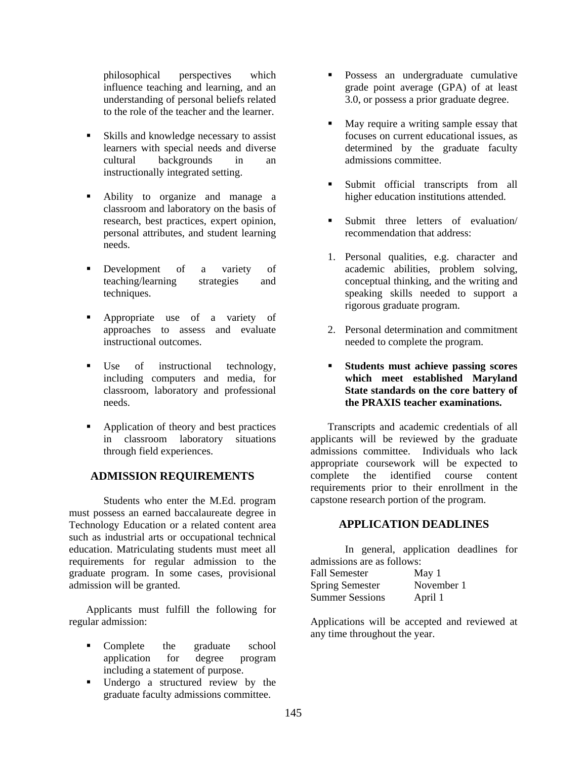philosophical perspectives which influence teaching and learning, and an understanding of personal beliefs related to the role of the teacher and the learner.

- Skills and knowledge necessary to assist learners with special needs and diverse cultural backgrounds in an instructionally integrated setting.
- Ability to organize and manage a classroom and laboratory on the basis of research, best practices, expert opinion, personal attributes, and student learning needs.
- **Development** of a variety of teaching/learning strategies and techniques.
- Appropriate use of a variety of approaches to assess and evaluate instructional outcomes.
- Use of instructional technology, including computers and media, for classroom, laboratory and professional needs.
- Application of theory and best practices in classroom laboratory situations through field experiences.

# **ADMISSION REQUIREMENTS**

Students who enter the M.Ed. program must possess an earned baccalaureate degree in Technology Education or a related content area such as industrial arts or occupational technical education. Matriculating students must meet all requirements for regular admission to the graduate program. In some cases, provisional admission will be granted.

Applicants must fulfill the following for regular admission:

- Complete the graduate school application for degree program including a statement of purpose.
- Undergo a structured review by the graduate faculty admissions committee.
- Possess an undergraduate cumulative grade point average (GPA) of at least 3.0, or possess a prior graduate degree.
- May require a writing sample essay that focuses on current educational issues, as determined by the graduate faculty admissions committee.
- **Submit** official transcripts from all higher education institutions attended.
- Submit three letters of evaluation/ recommendation that address:
- 1. Personal qualities, e.g. character and academic abilities, problem solving, conceptual thinking, and the writing and speaking skills needed to support a rigorous graduate program.
- 2. Personal determination and commitment needed to complete the program.
- **Students must achieve passing scores which meet established Maryland State standards on the core battery of the PRAXIS teacher examinations.**

Transcripts and academic credentials of all applicants will be reviewed by the graduate admissions committee. Individuals who lack appropriate coursework will be expected to complete the identified course content requirements prior to their enrollment in the capstone research portion of the program.

## **APPLICATION DEADLINES**

In general, application deadlines for admissions are as follows:

| <b>Fall Semester</b>   | May 1      |
|------------------------|------------|
| <b>Spring Semester</b> | November 1 |
| <b>Summer Sessions</b> | April 1    |

Applications will be accepted and reviewed at any time throughout the year.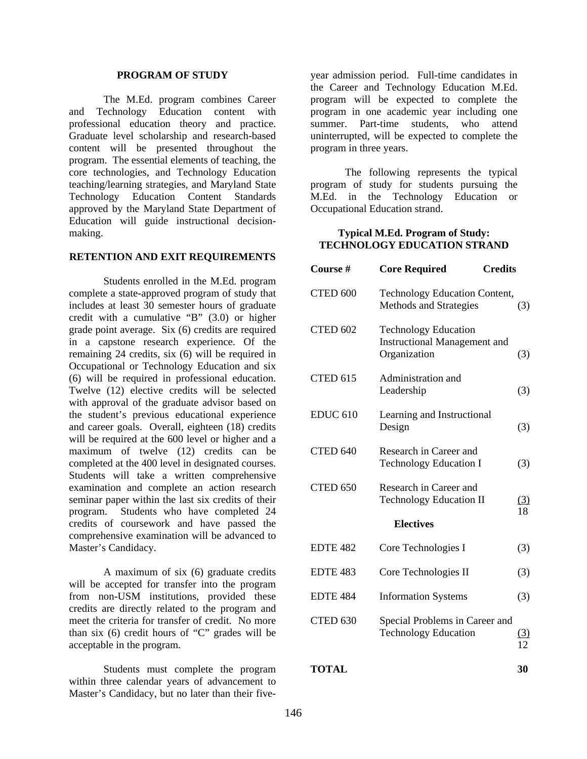#### **PROGRAM OF STUDY**

The M.Ed. program combines Career and Technology Education content with professional education theory and practice. Graduate level scholarship and research-based content will be presented throughout the program. The essential elements of teaching, the core technologies, and Technology Education teaching/learning strategies, and Maryland State Technology Education Content Standards approved by the Maryland State Department of Education will guide instructional decisionmaking.

#### **RETENTION AND EXIT REQUIREMENTS**

Students enrolled in the M.Ed. program complete a state-approved program of study that includes at least 30 semester hours of graduate credit with a cumulative "B" (3.0) or higher grade point average. Six (6) credits are required in a capstone research experience. Of the remaining 24 credits, six (6) will be required in Occupational or Technology Education and six (6) will be required in professional education. Twelve (12) elective credits will be selected with approval of the graduate advisor based on the student's previous educational experience and career goals. Overall, eighteen (18) credits will be required at the 600 level or higher and a maximum of twelve (12) credits can be completed at the 400 level in designated courses. Students will take a written comprehensive examination and complete an action research seminar paper within the last six credits of their program. Students who have completed 24 credits of coursework and have passed the comprehensive examination will be advanced to Master's Candidacy.

A maximum of six (6) graduate credits will be accepted for transfer into the program from non-USM institutions, provided these credits are directly related to the program and meet the criteria for transfer of credit. No more than six (6) credit hours of "C" grades will be acceptable in the program.

Students must complete the program within three calendar years of advancement to Master's Candidacy, but no later than their five-

year admission period. Full-time candidates in the Career and Technology Education M.Ed. program will be expected to complete the program in one academic year including one summer. Part-time students, who attend uninterrupted, will be expected to complete the program in three years.

The following represents the typical program of study for students pursuing the M.Ed. in the Technology Education or Occupational Education strand.

#### **Typical M.Ed. Program of Study: TECHNOLOGY EDUCATION STRAND**

| Course #            | <b>Core Required</b><br><b>Credits</b>                                             |                  |
|---------------------|------------------------------------------------------------------------------------|------------------|
| CTED 600            | <b>Technology Education Content,</b><br>Methods and Strategies                     | (3)              |
| <b>CTED 602</b>     | <b>Technology Education</b><br><b>Instructional Management and</b><br>Organization | (3)              |
| CTED <sub>615</sub> | Administration and<br>Leadership                                                   | (3)              |
| <b>EDUC 610</b>     | Learning and Instructional<br>Design                                               | (3)              |
| CTED 640            | Research in Career and<br><b>Technology Education I</b>                            | (3)              |
| CTED 650            | Research in Career and<br><b>Technology Education II</b>                           | <u>(3)</u><br>18 |
|                     | <b>Electives</b>                                                                   |                  |
| <b>EDTE 482</b>     | Core Technologies I                                                                | (3)              |
| <b>EDTE 483</b>     | Core Technologies II                                                               | (3)              |
| <b>EDTE 484</b>     | <b>Information Systems</b>                                                         | (3)              |
| CTED 630            | Special Problems in Career and<br><b>Technology Education</b>                      | (3)<br>12        |

**TOTAL 30**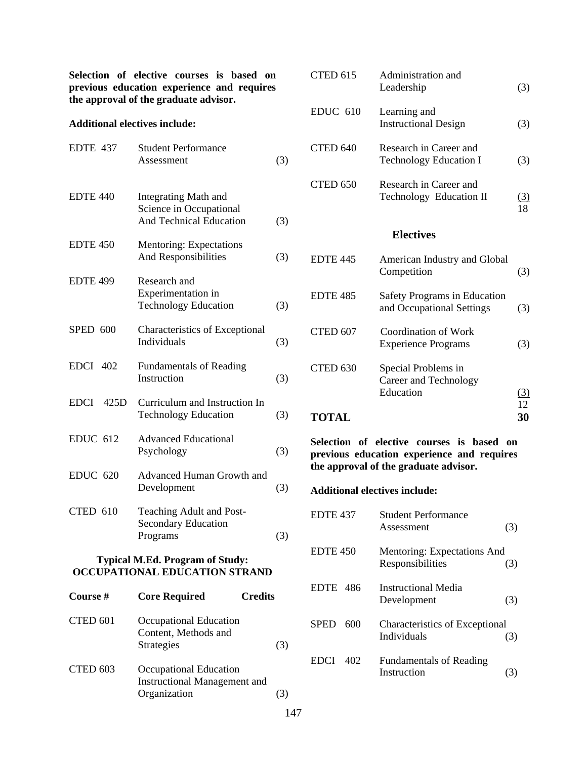**Selection of elective courses is based on previous education experience and requires the approval of the graduate advisor.** 

#### **Additional electives include:**

| EDTE 437                               | <b>Student Performance</b><br>Assessment                                                 | (3) |
|----------------------------------------|------------------------------------------------------------------------------------------|-----|
| <b>EDTE 440</b>                        | <b>Integrating Math and</b><br>Science in Occupational<br><b>And Technical Education</b> | (3) |
| <b>EDTE 450</b>                        | Mentoring: Expectations<br>And Responsibilities                                          | (3) |
| <b>EDTE 499</b>                        | Research and<br>Experimentation in<br><b>Technology Education</b>                        | (3) |
| <b>SPED 600</b>                        | <b>Characteristics of Exceptional</b><br>Individuals                                     | (3) |
| <b>EDCI 402</b>                        | <b>Fundamentals of Reading</b><br>Instruction                                            | (3) |
| <b>EDCI</b><br>425D                    | Curriculum and Instruction In<br><b>Technology Education</b>                             | (3) |
| <b>EDUC 612</b>                        | <b>Advanced Educational</b><br>Psychology                                                | (3) |
| <b>EDUC 620</b>                        | Advanced Human Growth and<br>Development                                                 | (3) |
| CTED 610                               | Teaching Adult and Post-<br><b>Secondary Education</b><br>Programs                       | (3) |
| <b>Typical M.Ed. Program of Study:</b> |                                                                                          |     |

# **OCCUPATIONAL EDUCATION STRAND**

| Course # | <b>Core Required</b><br><b>Credits</b>                                        |                |
|----------|-------------------------------------------------------------------------------|----------------|
| CTED 601 | Occupational Education<br>Content, Methods and<br><b>Strategies</b>           | $\mathfrak{L}$ |
| CTED 603 | Occupational Education<br><b>Instructional Management and</b><br>Organization |                |

| CTED 615                            | Administration and<br>Leadership                                 | (3)              |
|-------------------------------------|------------------------------------------------------------------|------------------|
| $EDUC$ 610                          | Learning and<br><b>Instructional Design</b>                      | (3)              |
| CTED <sub>640</sub>                 | Research in Career and<br><b>Technology Education I</b>          | (3)              |
| CTED 650                            | Research in Career and<br>Technology Education II                | <u>(3)</u><br>18 |
| <b>Electives</b>                    |                                                                  |                  |
| <b>EDTE 445</b>                     | American Industry and Global<br>Competition                      | (3)              |
| <b>EDTE 485</b>                     | <b>Safety Programs in Education</b><br>and Occupational Settings | (3)              |
| CTED 607                            | Coordination of Work<br><b>Experience Programs</b>               | (3)              |
| CTED <sub>630</sub><br><b>TOTAL</b> | Special Problems in<br>Career and Technology<br>Education        | (3)<br>12<br>30  |
|                                     |                                                                  |                  |

**Selection of elective courses is based on previous education experience and requires the approval of the graduate advisor.** 

## **Additional electives include:**

| EDTE <sub>437</sub> | <b>Student Performance</b><br>Assessment             | (3) |
|---------------------|------------------------------------------------------|-----|
| <b>EDTE 450</b>     | Mentoring: Expectations And<br>Responsibilities      | (3) |
| <b>EDTE</b> 486     | <b>Instructional Media</b><br>Development            | (3) |
| <b>SPED</b><br>600  | <b>Characteristics of Exceptional</b><br>Individuals | (3) |
| <b>EDCI</b><br>402  | <b>Fundamentals of Reading</b><br>Instruction        |     |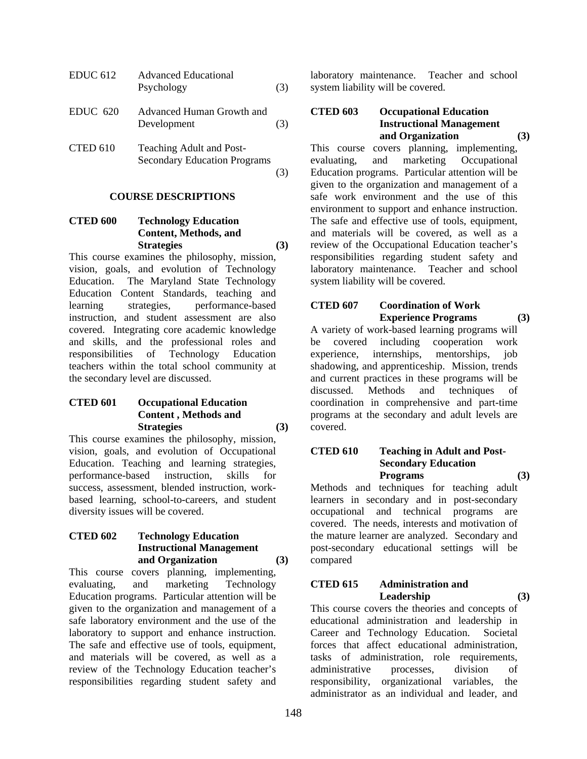| EDUC 612   | <b>Advanced Educational</b><br>Psychology                       | (3) |
|------------|-----------------------------------------------------------------|-----|
| $EDUC$ 620 | Advanced Human Growth and<br>Development                        | (3) |
| CTED 610   | Teaching Adult and Post-<br><b>Secondary Education Programs</b> |     |

#### **COURSE DESCRIPTIONS**

## **CTED 600 Technology Education Content, Methods, and**  Strategies (3)

This course examines the philosophy, mission, vision, goals, and evolution of Technology Education. The Maryland State Technology Education Content Standards, teaching and learning strategies, performance-based instruction, and student assessment are also covered. Integrating core academic knowledge and skills, and the professional roles and responsibilities of Technology Education teachers within the total school community at the secondary level are discussed.

## **CTED 601 Occupational Education Content , Methods and**  Strategies (3)

This course examines the philosophy, mission, vision, goals, and evolution of Occupational Education. Teaching and learning strategies, performance-based instruction, skills for success, assessment, blended instruction, workbased learning, school-to-careers, and student diversity issues will be covered.

### **CTED 602 Technology Education Instructional Management and Organization (3)**

This course covers planning, implementing, evaluating, and marketing Technology Education programs. Particular attention will be given to the organization and management of a safe laboratory environment and the use of the laboratory to support and enhance instruction. The safe and effective use of tools, equipment, and materials will be covered, as well as a review of the Technology Education teacher's responsibilities regarding student safety and

laboratory maintenance. Teacher and school system liability will be covered.

#### **CTED 603 Occupational Education Instructional Management and Organization (3)**

This course covers planning, implementing, evaluating, and marketing Occupational Education programs. Particular attention will be given to the organization and management of a safe work environment and the use of this environment to support and enhance instruction. The safe and effective use of tools, equipment, and materials will be covered, as well as a review of the Occupational Education teacher's responsibilities regarding student safety and laboratory maintenance. Teacher and school system liability will be covered.

# **CTED 607 Coordination of Work Experience Programs (3)**

A variety of work-based learning programs will be covered including cooperation work experience, internships, mentorships, job shadowing, and apprenticeship. Mission, trends and current practices in these programs will be discussed. Methods and techniques of coordination in comprehensive and part-time programs at the secondary and adult levels are covered.

#### **CTED 610 Teaching in Adult and Post- Secondary Education Programs (3)**

Methods and techniques for teaching adult learners in secondary and in post-secondary occupational and technical programs are covered. The needs, interests and motivation of the mature learner are analyzed. Secondary and post-secondary educational settings will be compared

#### **CTED 615 Administration and Leadership (3)**

This course covers the theories and concepts of educational administration and leadership in Career and Technology Education. Societal forces that affect educational administration, tasks of administration, role requirements, administrative processes, division of responsibility, organizational variables, the administrator as an individual and leader, and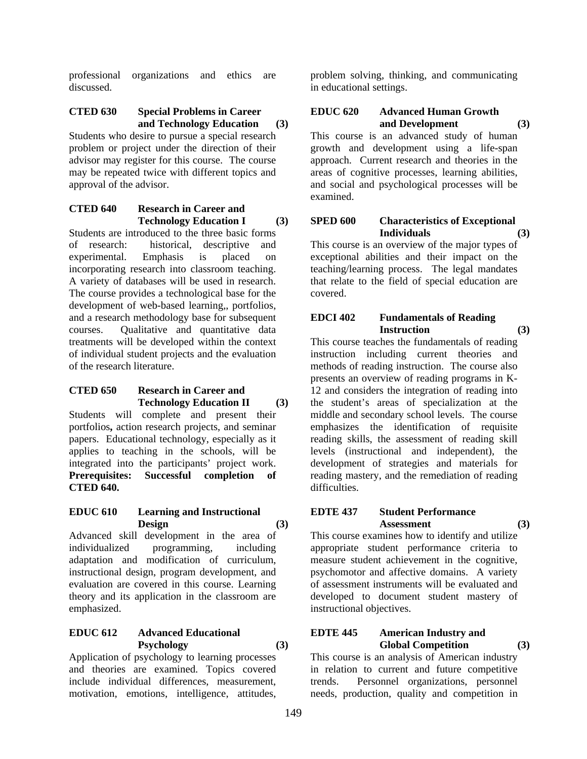professional organizations and ethics are discussed.

#### **CTED 630 Special Problems in Career and Technology Education (3)**

Students who desire to pursue a special research problem or project under the direction of their advisor may register for this course. The course may be repeated twice with different topics and approval of the advisor.

### **CTED 640 Research in Career and Technology Education I (3)**

Students are introduced to the three basic forms of research: historical, descriptive and experimental. Emphasis is placed on incorporating research into classroom teaching. A variety of databases will be used in research. The course provides a technological base for the development of web-based learning,, portfolios, and a research methodology base for subsequent courses. Qualitative and quantitative data treatments will be developed within the context of individual student projects and the evaluation of the research literature.

#### **CTED 650 Research in Career and Technology Education II (3)**

Students will complete and present their portfolios**,** action research projects, and seminar papers. Educational technology, especially as it applies to teaching in the schools, will be integrated into the participants' project work. **Prerequisites: Successful completion of CTED 640.** 

#### **EDUC 610 Learning and Instructional Design (3)**

Advanced skill development in the area of individualized programming, including adaptation and modification of curriculum, instructional design, program development, and evaluation are covered in this course. Learning theory and its application in the classroom are emphasized.

## **EDUC 612 Advanced Educational Psychology (3)**

Application of psychology to learning processes and theories are examined. Topics covered include individual differences, measurement, motivation, emotions, intelligence, attitudes, problem solving, thinking, and communicating in educational settings.

# **EDUC 620 Advanced Human Growth and Development (3)**

This course is an advanced study of human growth and development using a life-span approach. Current research and theories in the areas of cognitive processes, learning abilities, and social and psychological processes will be examined.

#### **SPED 600 Characteristics of Exceptional Individuals (3)**

This course is an overview of the major types of exceptional abilities and their impact on the teaching/learning process. The legal mandates that relate to the field of special education are covered.

## **EDCI 402 Fundamentals of Reading Instruction (3)**

This course teaches the fundamentals of reading instruction including current theories and methods of reading instruction. The course also presents an overview of reading programs in K-12 and considers the integration of reading into the student's areas of specialization at the middle and secondary school levels. The course emphasizes the identification of requisite reading skills, the assessment of reading skill levels (instructional and independent), the development of strategies and materials for reading mastery, and the remediation of reading difficulties.

## **EDTE 437 Student Performance Assessment (3)**

This course examines how to identify and utilize appropriate student performance criteria to measure student achievement in the cognitive, psychomotor and affective domains. A variety of assessment instruments will be evaluated and developed to document student mastery of instructional objectives.

## **EDTE 445 American Industry and Global Competition (3)**

This course is an analysis of American industry in relation to current and future competitive trends. Personnel organizations, personnel needs, production, quality and competition in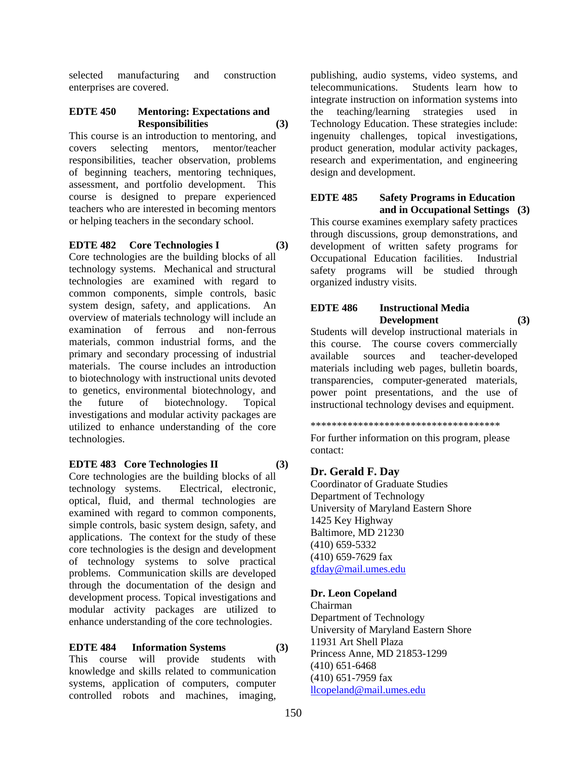selected manufacturing and construction enterprises are covered.

### **EDTE 450 Mentoring: Expectations and Responsibilities (3)**

This course is an introduction to mentoring, and covers selecting mentors, mentor/teacher responsibilities, teacher observation, problems of beginning teachers, mentoring techniques, assessment, and portfolio development. This course is designed to prepare experienced teachers who are interested in becoming mentors or helping teachers in the secondary school.

#### **EDTE 482 Core Technologies I (3)**

Core technologies are the building blocks of all technology systems. Mechanical and structural technologies are examined with regard to common components, simple controls, basic system design, safety, and applications. An overview of materials technology will include an examination of ferrous and non-ferrous materials, common industrial forms, and the primary and secondary processing of industrial materials. The course includes an introduction to biotechnology with instructional units devoted to genetics, environmental biotechnology, and the future of biotechnology. Topical investigations and modular activity packages are utilized to enhance understanding of the core technologies.

#### **EDTE 483 Core Technologies II (3)**

Core technologies are the building blocks of all technology systems. Electrical, electronic, optical, fluid, and thermal technologies are examined with regard to common components, simple controls, basic system design, safety, and applications. The context for the study of these core technologies is the design and development of technology systems to solve practical problems. Communication skills are developed through the documentation of the design and development process. Topical investigations and modular activity packages are utilized to enhance understanding of the core technologies.

# **EDTE 484 Information Systems (3)**

This course will provide students with knowledge and skills related to communication systems, application of computers, computer controlled robots and machines, imaging,

publishing, audio systems, video systems, and telecommunications. Students learn how to integrate instruction on information systems into the teaching/learning strategies used in Technology Education. These strategies include: ingenuity challenges, topical investigations, product generation, modular activity packages, research and experimentation, and engineering design and development.

## **EDTE 485 Safety Programs in Education and in Occupational Settings (3)**

This course examines exemplary safety practices through discussions, group demonstrations, and development of written safety programs for Occupational Education facilities. Industrial safety programs will be studied through organized industry visits.

# **EDTE 486 Instructional Media Development (3)**

Students will develop instructional materials in this course. The course covers commercially available sources and teacher-developed materials including web pages, bulletin boards, transparencies, computer-generated materials, power point presentations, and the use of instructional technology devises and equipment.

\*\*\*\*\*\*\*\*\*\*\*\*\*\*\*\*\*\*\*\*\*\*\*\*\*\*\*\*\*\*\*\*\*\*\*\*

For further information on this program, please contact:

## **Dr. Gerald F. Day**

Coordinator of Graduate Studies Department of Technology University of Maryland Eastern Shore 1425 Key Highway Baltimore, MD 21230 (410) 659-5332 (410) 659-7629 fax gfday@mail.umes.edu

## **Dr. Leon Copeland**

Chairman Department of Technology University of Maryland Eastern Shore 11931 Art Shell Plaza Princess Anne, MD 21853-1299 (410) 651-6468 (410) 651-7959 fax llcopeland@mail.umes.edu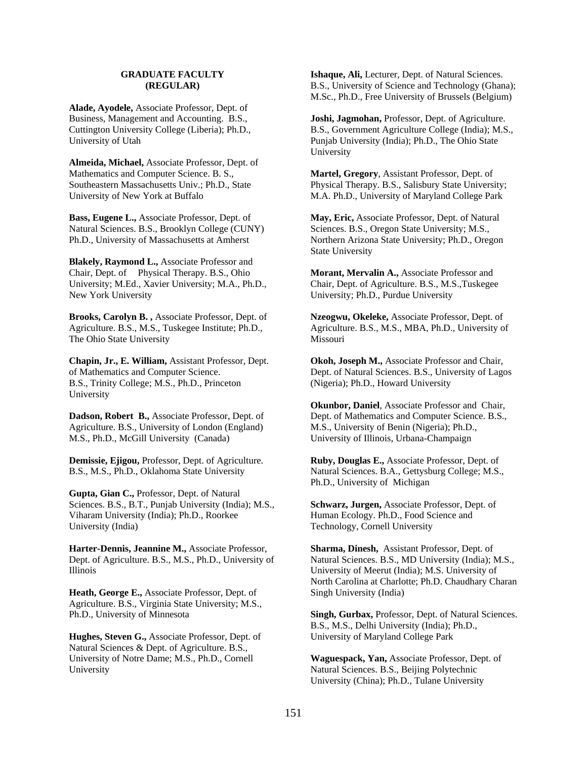#### **GRADUATE FACULTY (REGULAR)**

**Alade, Ayodele,** Associate Professor, Dept. of Business, Management and Accounting. B.S., Cuttington University College (Liberia); Ph.D., University of Utah

**Almeida, Michael,** Associate Professor, Dept. of Mathematics and Computer Science. B. S., Southeastern Massachusetts Univ.; Ph.D., State University of New York at Buffalo

**Bass, Eugene L.,** Associate Professor, Dept. of Natural Sciences. B.S., Brooklyn College (CUNY) Ph.D., University of Massachusetts at Amherst

**Blakely, Raymond L.,** Associate Professor and Chair, Dept. of Physical Therapy. B.S., Ohio University; M.Ed., Xavier University; M.A., Ph.D., New York University

**Brooks, Carolyn B. ,** Associate Professor, Dept. of Agriculture. B.S., M.S., Tuskegee Institute; Ph.D., The Ohio State University

**Chapin, Jr., E. William,** Assistant Professor, Dept. of Mathematics and Computer Science. B.S., Trinity College; M.S., Ph.D., Princeton University

**Dadson, Robert B.,** Associate Professor, Dept. of Agriculture. B.S., University of London (England) M.S., Ph.D., McGill University (Canada)

**Demissie, Ejigou,** Professor, Dept. of Agriculture. B.S., M.S., Ph.D., Oklahoma State University

**Gupta, Gian C.,** Professor, Dept. of Natural Sciences. B.S., B.T., Punjab University (India); M.S., Viharam University (India); Ph.D., Roorkee University (India)

**Harter-Dennis, Jeannine M.,** Associate Professor, Dept. of Agriculture. B.S., M.S., Ph.D., University of Illinois

**Heath, George E.,** Associate Professor, Dept. of Agriculture. B.S., Virginia State University; M.S., Ph.D., University of Minnesota

**Hughes, Steven G.,** Associate Professor, Dept. of Natural Sciences & Dept. of Agriculture. B.S., University of Notre Dame; M.S., Ph.D., Cornell University

**Ishaque, Ali,** Lecturer, Dept. of Natural Sciences. B.S., University of Science and Technology (Ghana); M.Sc., Ph.D., Free University of Brussels (Belgium)

**Joshi, Jagmohan,** Professor, Dept. of Agriculture. B.S., Government Agriculture College (India); M.S., Punjab University (India); Ph.D., The Ohio State University

**Martel, Gregory**, Assistant Professor, Dept. of Physical Therapy. B.S., Salisbury State University; M.A. Ph.D., University of Maryland College Park

**May, Eric,** Associate Professor, Dept. of Natural Sciences. B.S., Oregon State University; M.S., Northern Arizona State University; Ph.D., Oregon State University

**Morant, Mervalin A.,** Associate Professor and Chair, Dept. of Agriculture. B.S., M.S.,Tuskegee University; Ph.D., Purdue University

**Nzeogwu, Okeleke,** Associate Professor, Dept. of Agriculture. B.S., M.S., MBA, Ph.D., University of Missouri

**Okoh, Joseph M.,** Associate Professor and Chair, Dept. of Natural Sciences. B.S., University of Lagos (Nigeria); Ph.D., Howard University

**Okunbor, Daniel**, Associate Professor and Chair, Dept. of Mathematics and Computer Science. B.S., M.S., University of Benin (Nigeria); Ph.D., University of Illinois, Urbana-Champaign

**Ruby, Douglas E.,** Associate Professor, Dept. of Natural Sciences. B.A., Gettysburg College; M.S., Ph.D., University of Michigan

**Schwarz, Jurgen,** Associate Professor, Dept. of Human Ecology. Ph.D., Food Science and Technology, Cornell University

**Sharma, Dinesh,** Assistant Professor, Dept. of Natural Sciences. B.S., MD University (India); M.S., University of Meerut (India); M.S. University of North Carolina at Charlotte; Ph.D. Chaudhary Charan Singh University (India)

**Singh, Gurbax,** Professor, Dept. of Natural Sciences. B.S., M.S., Delhi University (India); Ph.D., University of Maryland College Park

**Waguespack, Yan,** Associate Professor, Dept. of Natural Sciences. B.S., Beijing Polytechnic University (China); Ph.D., Tulane University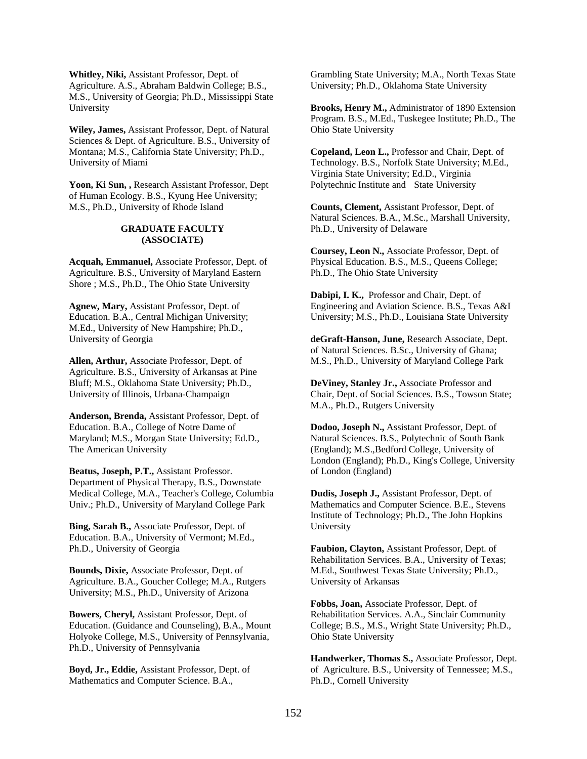**Whitley, Niki,** Assistant Professor, Dept. of Agriculture. A.S., Abraham Baldwin College; B.S., M.S., University of Georgia; Ph.D., Mississippi State University

**Wiley, James,** Assistant Professor, Dept. of Natural Sciences & Dept. of Agriculture. B.S., University of Montana; M.S., California State University; Ph.D., University of Miami

**Yoon, Ki Sun, ,** Research Assistant Professor, Dept of Human Ecology. B.S., Kyung Hee University; M.S., Ph.D., University of Rhode Island

#### **GRADUATE FACULTY (ASSOCIATE)**

**Acquah, Emmanuel,** Associate Professor, Dept. of Agriculture. B.S., University of Maryland Eastern Shore ; M.S., Ph.D., The Ohio State University

**Agnew, Mary,** Assistant Professor, Dept. of Education. B.A., Central Michigan University; M.Ed., University of New Hampshire; Ph.D., University of Georgia

**Allen, Arthur,** Associate Professor, Dept. of Agriculture. B.S., University of Arkansas at Pine Bluff; M.S., Oklahoma State University; Ph.D., University of Illinois, Urbana-Champaign

**Anderson, Brenda,** Assistant Professor, Dept. of Education. B.A., College of Notre Dame of Maryland; M.S., Morgan State University; Ed.D., The American University

**Beatus, Joseph, P.T.,** Assistant Professor. Department of Physical Therapy, B.S., Downstate Medical College, M.A., Teacher's College, Columbia Univ.; Ph.D., University of Maryland College Park

**Bing, Sarah B.,** Associate Professor, Dept. of Education. B.A., University of Vermont; M.Ed., Ph.D., University of Georgia

**Bounds, Dixie,** Associate Professor, Dept. of Agriculture. B.A., Goucher College; M.A., Rutgers University; M.S., Ph.D., University of Arizona

**Bowers, Cheryl,** Assistant Professor, Dept. of Education. (Guidance and Counseling), B.A., Mount Holyoke College, M.S., University of Pennsylvania, Ph.D., University of Pennsylvania

**Boyd, Jr., Eddie,** Assistant Professor, Dept. of Mathematics and Computer Science. B.A.,

Grambling State University; M.A., North Texas State University; Ph.D., Oklahoma State University

**Brooks, Henry M.,** Administrator of 1890 Extension Program. B.S., M.Ed., Tuskegee Institute; Ph.D., The Ohio State University

**Copeland, Leon L.,** Professor and Chair, Dept. of Technology. B.S., Norfolk State University; M.Ed., Virginia State University; Ed.D., Virginia Polytechnic Institute and State University

**Counts, Clement,** Assistant Professor, Dept. of Natural Sciences. B.A., M.Sc., Marshall University, Ph.D., University of Delaware

**Coursey, Leon N.,** Associate Professor, Dept. of Physical Education. B.S., M.S., Queens College; Ph.D., The Ohio State University

**Dabipi, I. K.,** Professor and Chair, Dept. of Engineering and Aviation Science. B.S., Texas A&I University; M.S., Ph.D., Louisiana State University

**deGraft-Hanson, June,** Research Associate, Dept. of Natural Sciences. B.Sc., University of Ghana; M.S., Ph.D., University of Maryland College Park

**DeViney, Stanley Jr.,** Associate Professor and Chair, Dept. of Social Sciences. B.S., Towson State; M.A., Ph.D., Rutgers University

**Dodoo, Joseph N.,** Assistant Professor, Dept. of Natural Sciences. B.S., Polytechnic of South Bank (England); M.S.,Bedford College, University of London (England); Ph.D., King's College, University of London (England)

**Dudis, Joseph J.,** Assistant Professor, Dept. of Mathematics and Computer Science. B.E., Stevens Institute of Technology; Ph.D., The John Hopkins University

**Faubion, Clayton,** Assistant Professor, Dept. of Rehabilitation Services. B.A., University of Texas; M.Ed., Southwest Texas State University; Ph.D., University of Arkansas

**Fobbs, Joan,** Associate Professor, Dept. of Rehabilitation Services. A.A., Sinclair Community College; B.S., M.S., Wright State University; Ph.D., Ohio State University

**Handwerker, Thomas S.,** Associate Professor, Dept. of Agriculture. B.S., University of Tennessee; M.S., Ph.D., Cornell University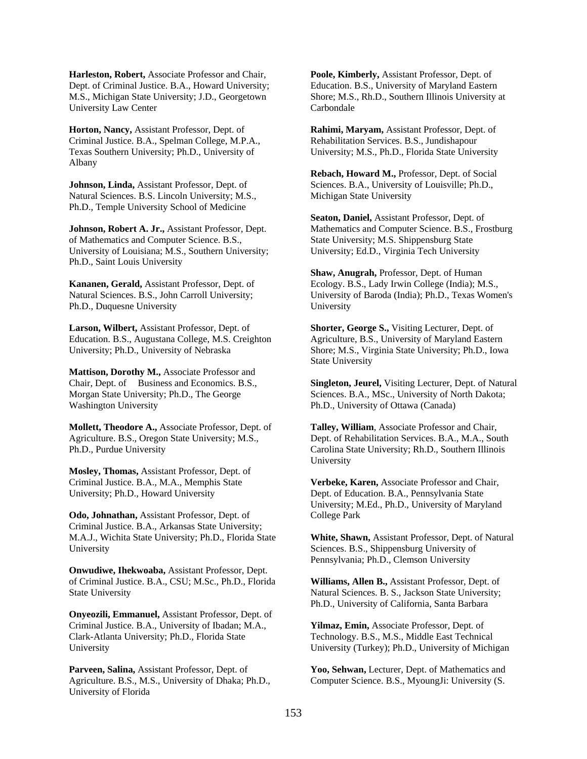**Harleston, Robert,** Associate Professor and Chair, Dept. of Criminal Justice. B.A., Howard University; M.S., Michigan State University; J.D., Georgetown University Law Center

**Horton, Nancy,** Assistant Professor, Dept. of Criminal Justice. B.A., Spelman College, M.P.A., Texas Southern University; Ph.D., University of Albany

**Johnson, Linda,** Assistant Professor, Dept. of Natural Sciences. B.S. Lincoln University; M.S., Ph.D., Temple University School of Medicine

**Johnson, Robert A. Jr.,** Assistant Professor, Dept. of Mathematics and Computer Science. B.S., University of Louisiana; M.S., Southern University; Ph.D., Saint Louis University

**Kananen, Gerald,** Assistant Professor, Dept. of Natural Sciences. B.S., John Carroll University; Ph.D., Duquesne University

**Larson, Wilbert,** Assistant Professor, Dept. of Education. B.S., Augustana College, M.S. Creighton University; Ph.D., University of Nebraska

**Mattison, Dorothy M.,** Associate Professor and Chair, Dept. of Business and Economics. B.S., Morgan State University; Ph.D., The George Washington University

**Mollett, Theodore A.,** Associate Professor, Dept. of Agriculture. B.S., Oregon State University; M.S., Ph.D., Purdue University

**Mosley, Thomas,** Assistant Professor, Dept. of Criminal Justice. B.A., M.A., Memphis State University; Ph.D., Howard University

**Odo, Johnathan,** Assistant Professor, Dept. of Criminal Justice. B.A., Arkansas State University; M.A.J., Wichita State University; Ph.D., Florida State University

**Onwudiwe, Ihekwoaba,** Assistant Professor, Dept. of Criminal Justice. B.A., CSU; M.Sc., Ph.D., Florida State University

**Onyeozili, Emmanuel,** Assistant Professor, Dept. of Criminal Justice. B.A., University of Ibadan; M.A., Clark-Atlanta University; Ph.D., Florida State University

**Parveen, Salina,** Assistant Professor, Dept. of Agriculture. B.S., M.S., University of Dhaka; Ph.D., University of Florida

**Poole, Kimberly,** Assistant Professor, Dept. of Education. B.S., University of Maryland Eastern Shore; M.S., Rh.D., Southern Illinois University at Carbondale

**Rahimi, Maryam,** Assistant Professor, Dept. of Rehabilitation Services. B.S., Jundishapour University; M.S., Ph.D., Florida State University

**Rebach, Howard M.,** Professor, Dept. of Social Sciences. B.A., University of Louisville; Ph.D., Michigan State University

**Seaton, Daniel,** Assistant Professor, Dept. of Mathematics and Computer Science. B.S., Frostburg State University; M.S. Shippensburg State University; Ed.D., Virginia Tech University

**Shaw, Anugrah,** Professor, Dept. of Human Ecology. B.S., Lady Irwin College (India); M.S., University of Baroda (India); Ph.D., Texas Women's University

**Shorter, George S.,** Visiting Lecturer, Dept. of Agriculture, B.S., University of Maryland Eastern Shore; M.S., Virginia State University; Ph.D., Iowa State University

**Singleton, Jeurel,** Visiting Lecturer, Dept. of Natural Sciences. B.A., MSc., University of North Dakota; Ph.D., University of Ottawa (Canada)

**Talley, William**, Associate Professor and Chair, Dept. of Rehabilitation Services. B.A., M.A., South Carolina State University; Rh.D., Southern Illinois University

**Verbeke, Karen,** Associate Professor and Chair, Dept. of Education. B.A., Pennsylvania State University; M.Ed., Ph.D., University of Maryland College Park

**White, Shawn,** Assistant Professor, Dept. of Natural Sciences. B.S., Shippensburg University of Pennsylvania; Ph.D., Clemson University

**Williams, Allen B.,** Assistant Professor, Dept. of Natural Sciences. B. S., Jackson State University; Ph.D., University of California, Santa Barbara

**Yilmaz, Emin,** Associate Professor, Dept. of Technology. B.S., M.S., Middle East Technical University (Turkey); Ph.D., University of Michigan

**Yoo, Sehwan,** Lecturer, Dept. of Mathematics and Computer Science. B.S., MyoungJi: University (S.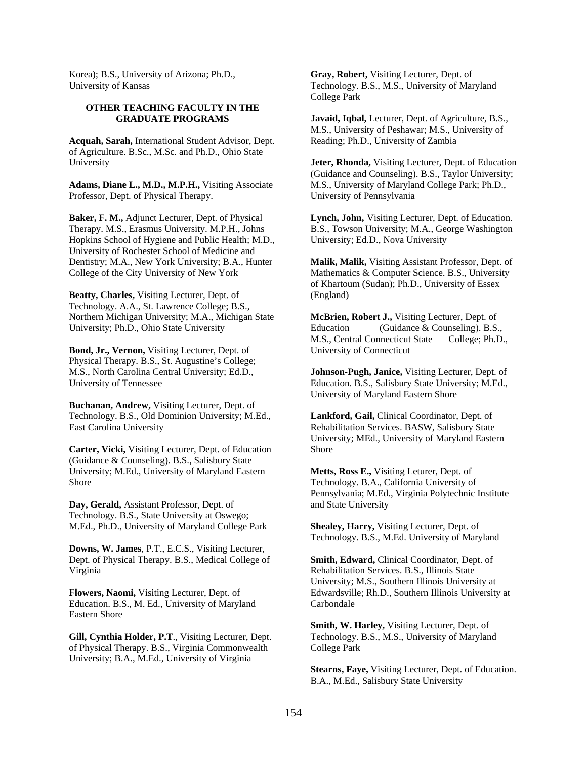Korea); B.S., University of Arizona; Ph.D., University of Kansas

#### **OTHER TEACHING FACULTY IN THE GRADUATE PROGRAMS**

**Acquah, Sarah,** International Student Advisor, Dept. of Agriculture. B.Sc., M.Sc. and Ph.D., Ohio State University

**Adams, Diane L., M.D., M.P.H.,** Visiting Associate Professor, Dept. of Physical Therapy.

**Baker, F. M.,** Adjunct Lecturer, Dept. of Physical Therapy. M.S., Erasmus University. M.P.H., Johns Hopkins School of Hygiene and Public Health; M.D., University of Rochester School of Medicine and Dentistry; M.A., New York University; B.A., Hunter College of the City University of New York

**Beatty, Charles,** Visiting Lecturer, Dept. of Technology. A.A., St. Lawrence College; B.S., Northern Michigan University; M.A., Michigan State University; Ph.D., Ohio State University

**Bond, Jr., Vernon,** Visiting Lecturer, Dept. of Physical Therapy. B.S., St. Augustine's College; M.S., North Carolina Central University; Ed.D., University of Tennessee

**Buchanan, Andrew,** Visiting Lecturer, Dept. of Technology. B.S., Old Dominion University; M.Ed., East Carolina University

**Carter, Vicki,** Visiting Lecturer, Dept. of Education (Guidance & Counseling). B.S., Salisbury State University; M.Ed., University of Maryland Eastern Shore

**Day, Gerald,** Assistant Professor, Dept. of Technology. B.S., State University at Oswego; M.Ed., Ph.D., University of Maryland College Park

**Downs, W. James**, P.T., E.C.S., Visiting Lecturer, Dept. of Physical Therapy. B.S., Medical College of Virginia

**Flowers, Naomi,** Visiting Lecturer, Dept. of Education. B.S., M. Ed., University of Maryland Eastern Shore

**Gill, Cynthia Holder, P.T**., Visiting Lecturer, Dept. of Physical Therapy. B.S., Virginia Commonwealth University; B.A., M.Ed., University of Virginia

**Gray, Robert,** Visiting Lecturer, Dept. of Technology. B.S., M.S., University of Maryland College Park

**Javaid, Iqbal,** Lecturer, Dept. of Agriculture, B.S., M.S., University of Peshawar; M.S., University of Reading; Ph.D., University of Zambia

**Jeter, Rhonda,** Visiting Lecturer, Dept. of Education (Guidance and Counseling). B.S., Taylor University; M.S., University of Maryland College Park; Ph.D., University of Pennsylvania

**Lynch, John,** Visiting Lecturer, Dept. of Education. B.S., Towson University; M.A., George Washington University; Ed.D., Nova University

**Malik, Malik,** Visiting Assistant Professor, Dept. of Mathematics & Computer Science. B.S., University of Khartoum (Sudan); Ph.D., University of Essex (England)

**McBrien, Robert J.,** Visiting Lecturer, Dept. of Education (Guidance & Counseling). B.S., M.S., Central Connecticut State College; Ph.D., University of Connecticut

**Johnson-Pugh, Janice,** Visiting Lecturer, Dept. of Education. B.S., Salisbury State University; M.Ed., University of Maryland Eastern Shore

**Lankford, Gail,** Clinical Coordinator, Dept. of Rehabilitation Services. BASW, Salisbury State University; MEd., University of Maryland Eastern Shore

**Metts, Ross E.,** Visiting Leturer, Dept. of Technology. B.A., California University of Pennsylvania; M.Ed., Virginia Polytechnic Institute and State University

**Shealey, Harry,** Visiting Lecturer, Dept. of Technology. B.S., M.Ed. University of Maryland

**Smith, Edward,** Clinical Coordinator, Dept. of Rehabilitation Services. B.S., Illinois State University; M.S., Southern Illinois University at Edwardsville; Rh.D., Southern Illinois University at Carbondale

**Smith, W. Harley,** Visiting Lecturer, Dept. of Technology. B.S., M.S., University of Maryland College Park

**Stearns, Faye,** Visiting Lecturer, Dept. of Education. B.A., M.Ed., Salisbury State University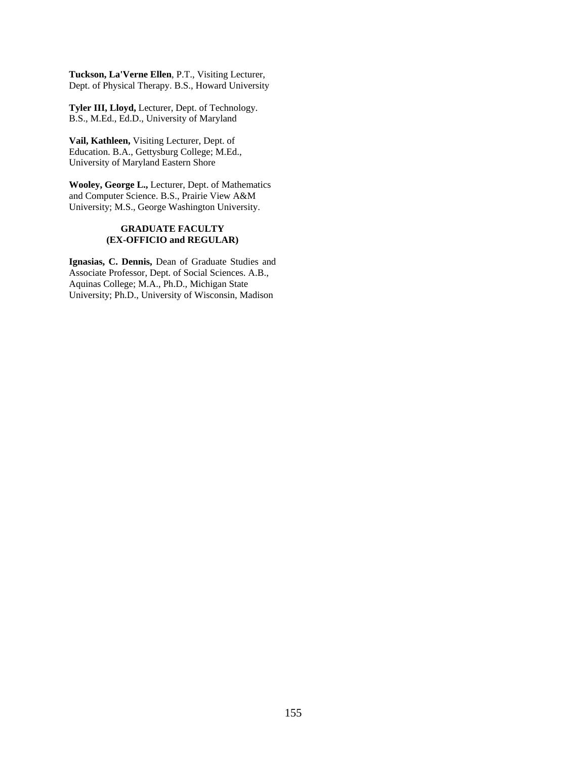**Tuckson, La'Verne Ellen**, P.T., Visiting Lecturer, Dept. of Physical Therapy. B.S., Howard University

**Tyler III, Lloyd,** Lecturer, Dept. of Technology. B.S., M.Ed., Ed.D., University of Maryland

**Vail, Kathleen,** Visiting Lecturer, Dept. of Education. B.A., Gettysburg College; M.Ed., University of Maryland Eastern Shore

**Wooley, George L.,** Lecturer, Dept. of Mathematics and Computer Science. B.S., Prairie View A&M University; M.S., George Washington University.

#### **GRADUATE FACULTY (EX-OFFICIO and REGULAR)**

**Ignasias, C. Dennis,** Dean of Graduate Studies and Associate Professor, Dept. of Social Sciences. A.B., Aquinas College; M.A., Ph.D., Michigan State University; Ph.D., University of Wisconsin, Madison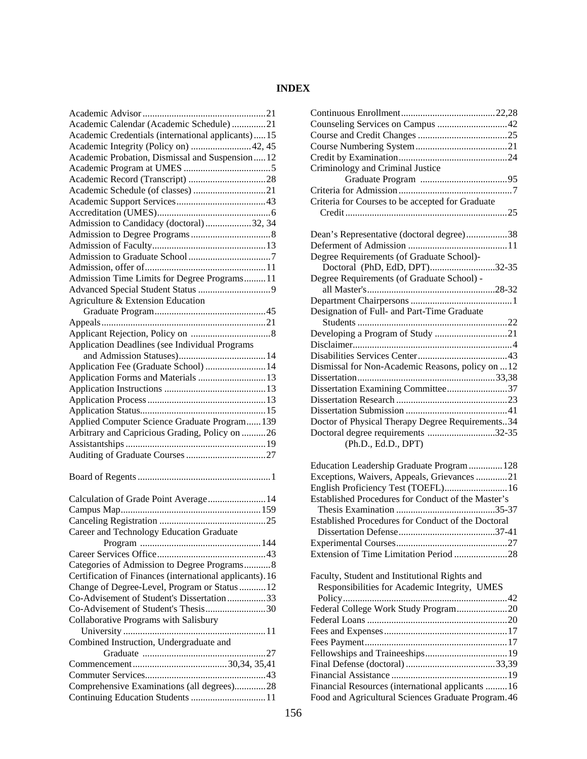# **INDEX**

| Academic Calendar (Academic Schedule) 21                                        |
|---------------------------------------------------------------------------------|
| Academic Credentials (international applicants)15                               |
| Academic Integrity (Policy on)  42, 45                                          |
| Academic Probation, Dismissal and Suspension12                                  |
|                                                                                 |
|                                                                                 |
|                                                                                 |
|                                                                                 |
|                                                                                 |
| Admission to Candidacy (doctoral)32, 34                                         |
|                                                                                 |
|                                                                                 |
|                                                                                 |
|                                                                                 |
| Admission Time Limits for Degree Programs11                                     |
|                                                                                 |
| Agriculture & Extension Education                                               |
|                                                                                 |
|                                                                                 |
|                                                                                 |
|                                                                                 |
| Application Deadlines (see Individual Programs                                  |
|                                                                                 |
| Application Fee (Graduate School)  14                                           |
| Application Forms and Materials  13                                             |
|                                                                                 |
|                                                                                 |
|                                                                                 |
| Applied Computer Science Graduate Program 139                                   |
| Arbitrary and Capricious Grading, Policy on 26                                  |
|                                                                                 |
|                                                                                 |
|                                                                                 |
|                                                                                 |
|                                                                                 |
|                                                                                 |
| Calculation of Grade Point Average 14                                           |
|                                                                                 |
|                                                                                 |
| Career and Technology Education Graduate                                        |
|                                                                                 |
|                                                                                 |
| Categories of Admission to Degree Programs8                                     |
|                                                                                 |
| Certification of Finances (international applicants). 16                        |
| Change of Degree-Level, Program or Status  12                                   |
| Co-Advisement of Student's Dissertation 33                                      |
| Co-Advisement of Student's Thesis30                                             |
| Collaborative Programs with Salisbury                                           |
|                                                                                 |
| Combined Instruction, Undergraduate and                                         |
|                                                                                 |
|                                                                                 |
|                                                                                 |
| Comprehensive Examinations (all degrees)28<br>Continuing Education Students  11 |

| Criminology and Criminal Justice                    |  |
|-----------------------------------------------------|--|
|                                                     |  |
|                                                     |  |
| Criteria for Courses to be accepted for Graduate    |  |
|                                                     |  |
|                                                     |  |
| Dean's Representative (doctoral degree)38           |  |
|                                                     |  |
| Degree Requirements (of Graduate School)-           |  |
| Doctoral (PhD, EdD, DPT)32-35                       |  |
| Degree Requirements (of Graduate School) -          |  |
|                                                     |  |
|                                                     |  |
| Designation of Full- and Part-Time Graduate         |  |
|                                                     |  |
|                                                     |  |
|                                                     |  |
|                                                     |  |
| Dismissal for Non-Academic Reasons, policy on  12   |  |
|                                                     |  |
| Dissertation Examining Committee37                  |  |
|                                                     |  |
|                                                     |  |
|                                                     |  |
| Doctor of Physical Therapy Degree Requirements34    |  |
| Doctoral degree requirements 32-35                  |  |
| (Ph.D., Ed.D., DPT)                                 |  |
|                                                     |  |
| Education Leadership Graduate Program 128           |  |
| Exceptions, Waivers, Appeals, Grievances 21         |  |
| English Proficiency Test (TOEFL) 16                 |  |
| Established Procedures for Conduct of the Master's  |  |
|                                                     |  |
| Established Procedures for Conduct of the Doctoral  |  |
|                                                     |  |
|                                                     |  |
| Extension of Time Limitation Period 28              |  |
|                                                     |  |
| Faculty, Student and Institutional Rights and       |  |
| Responsibilities for Academic Integrity, UMES       |  |
|                                                     |  |
| Federal College Work Study Program20                |  |
|                                                     |  |
|                                                     |  |
|                                                     |  |
|                                                     |  |
|                                                     |  |
|                                                     |  |
| Financial Resources (international applicants  16   |  |
| Food and Agricultural Sciences Graduate Program. 46 |  |
|                                                     |  |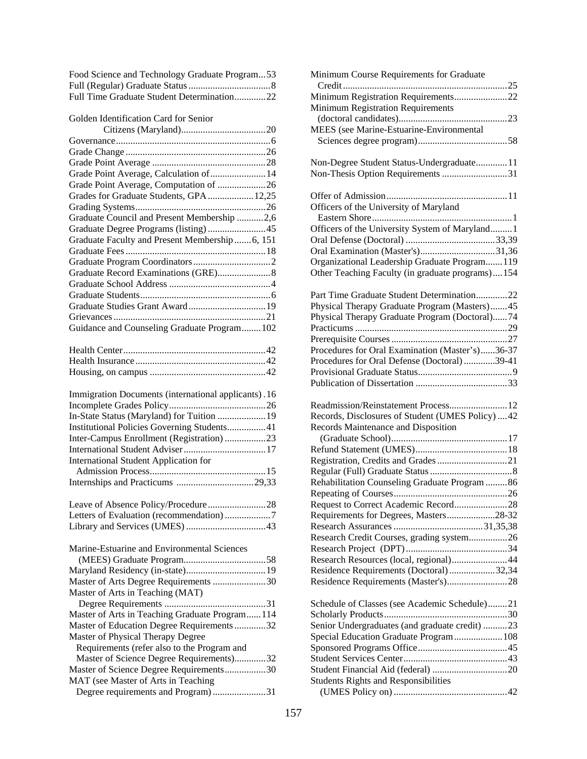| Food Science and Technology Graduate Program53 |  |
|------------------------------------------------|--|
|                                                |  |
| Full Time Graduate Student Determination22     |  |

Golden Identification Card for Senior

| Grade Point Average, Calculation of  14         |  |
|-------------------------------------------------|--|
| Grade Point Average, Computation of 26          |  |
| Grades for Graduate Students, GPA 12,25         |  |
|                                                 |  |
| Graduate Council and Present Membership 2,6     |  |
|                                                 |  |
| Graduate Faculty and Present Membership  6, 151 |  |
|                                                 |  |
|                                                 |  |
|                                                 |  |
|                                                 |  |
|                                                 |  |
|                                                 |  |
|                                                 |  |
| Guidance and Counseling Graduate Program 102    |  |
|                                                 |  |

| Immigration Documents (international applicants). 16 |  |
|------------------------------------------------------|--|
|                                                      |  |
| In-State Status (Maryland) for Tuition  19           |  |
| Institutional Policies Governing Students41          |  |
| Inter-Campus Enrollment (Registration)23             |  |
|                                                      |  |
| International Student Application for                |  |
|                                                      |  |
|                                                      |  |

| Marine-Estuarine and Environmental Sciences    |
|------------------------------------------------|
|                                                |
|                                                |
| Master of Arts Degree Requirements 30          |
| Master of Arts in Teaching (MAT)               |
|                                                |
| Master of Arts in Teaching Graduate Program114 |
| Master of Education Degree Requirements32      |
| Master of Physical Therapy Degree              |
| Requirements (refer also to the Program and    |
| Master of Science Degree Requirements)32       |
| Master of Science Degree Requirements30        |
| MAT (see Master of Arts in Teaching            |
| Degree requirements and Program)31             |

| Minimum Course Requirements for Graduate                                                                                                |
|-----------------------------------------------------------------------------------------------------------------------------------------|
|                                                                                                                                         |
| Minimum Registration Requirements22                                                                                                     |
| Minimum Registration Requirements                                                                                                       |
|                                                                                                                                         |
| MEES (see Marine-Estuarine-Environmental                                                                                                |
|                                                                                                                                         |
| Non-Degree Student Status-Undergraduate11                                                                                               |
| Non-Thesis Option Requirements 31                                                                                                       |
|                                                                                                                                         |
| Officers of the University of Maryland                                                                                                  |
| Officers of the University System of Maryland 1                                                                                         |
|                                                                                                                                         |
| Oral Examination (Master's)31,36                                                                                                        |
| Organizational Leadership Graduate Program 119                                                                                          |
| Other Teaching Faculty (in graduate programs)154                                                                                        |
| Part Time Graduate Student Determination22                                                                                              |
| Physical Therapy Graduate Program (Masters)45                                                                                           |
| Physical Therapy Graduate Program (Doctoral)74                                                                                          |
|                                                                                                                                         |
|                                                                                                                                         |
| Procedures for Oral Examination (Master's)36-37                                                                                         |
| Procedures for Oral Defense (Doctoral)39-41                                                                                             |
|                                                                                                                                         |
|                                                                                                                                         |
|                                                                                                                                         |
| Records, Disclosures of Student (UMES Policy)  42                                                                                       |
| Records Maintenance and Disposition                                                                                                     |
|                                                                                                                                         |
|                                                                                                                                         |
|                                                                                                                                         |
|                                                                                                                                         |
| Rehabilitation Counseling Graduate Program  86                                                                                          |
|                                                                                                                                         |
| Request to Correct Academic Record28                                                                                                    |
| Requirements for Degrees, Masters28-32                                                                                                  |
|                                                                                                                                         |
| Research Credit Courses, grading system26                                                                                               |
|                                                                                                                                         |
|                                                                                                                                         |
| Research Resources (local, regional)44                                                                                                  |
| Residence Requirements (Doctoral)32,34                                                                                                  |
| Residence Requirements (Master's)28                                                                                                     |
| Schedule of Classes (see Academic Schedule)21                                                                                           |
|                                                                                                                                         |
|                                                                                                                                         |
|                                                                                                                                         |
|                                                                                                                                         |
|                                                                                                                                         |
|                                                                                                                                         |
| Senior Undergraduates (and graduate credit) 23<br>Special Education Graduate Program 108<br><b>Students Rights and Responsibilities</b> |